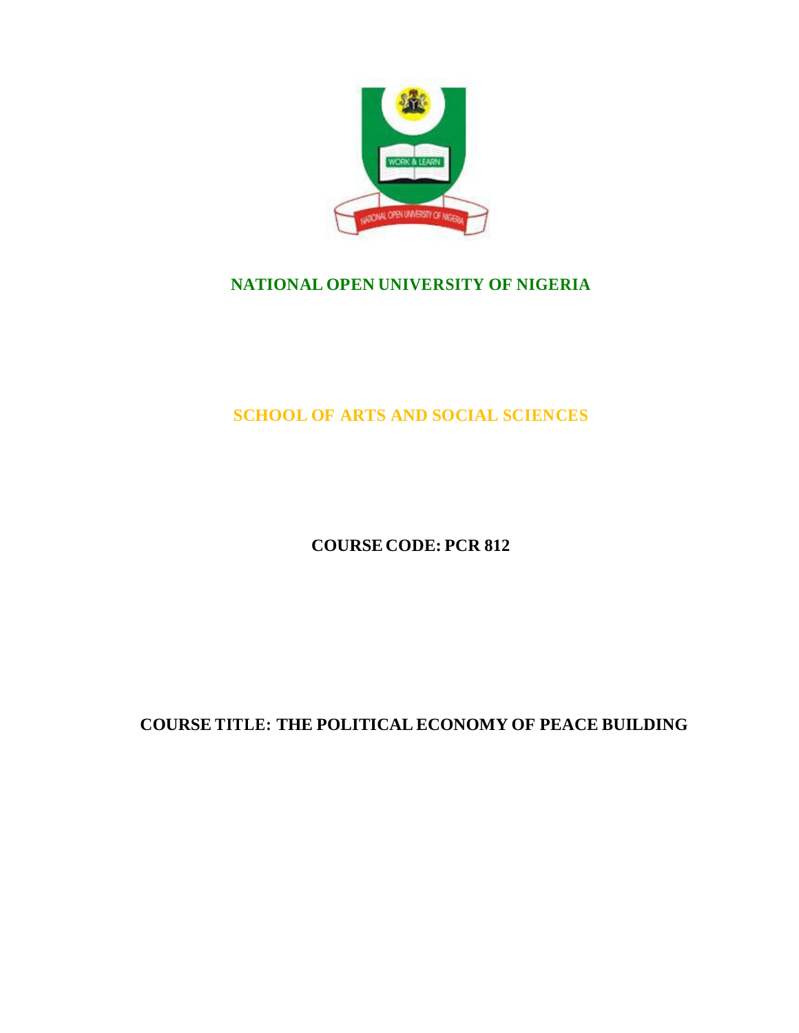

# **NATIONAL OPEN UNIVERSITY OF NIGERIA**

# **SCHOOL OF ARTS AND SOCIAL SCIENCES**

# **COURSE CODE: PCR 812**

# **COURSE TITLE: THE POLITICAL ECONOMY OF PEACE BUILDING**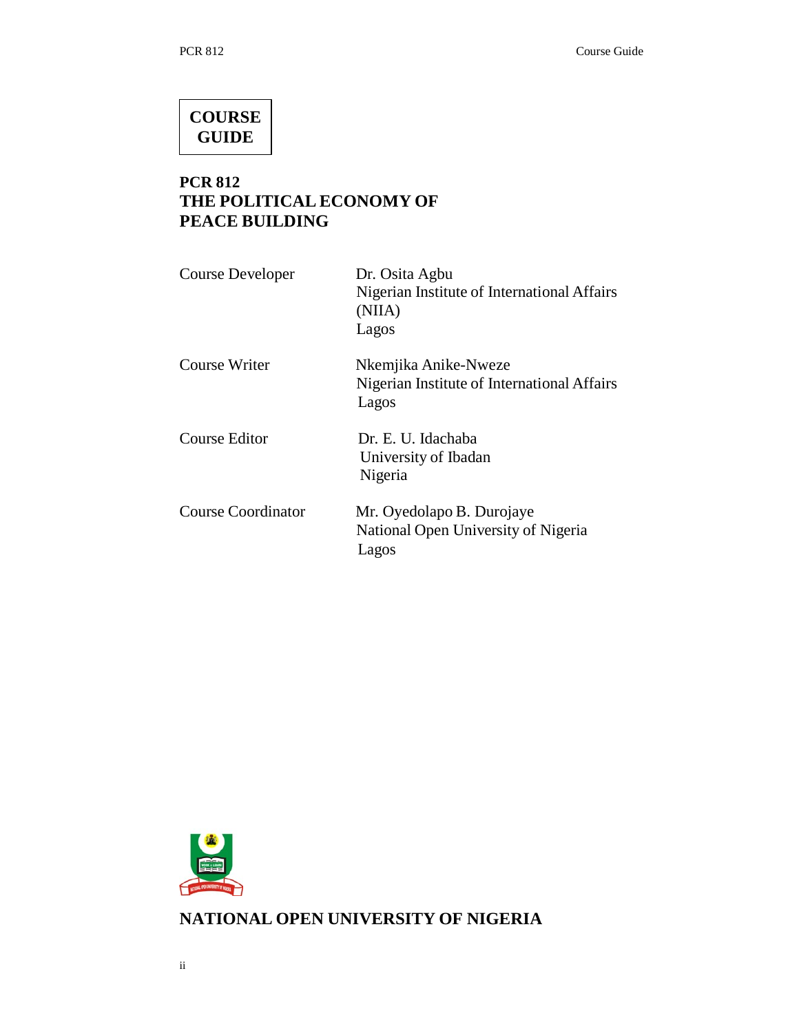# **COURSE GUIDE**

# **PCR 812 THE POLITICAL ECONOMY OF PEACE BUILDING**

| Course Developer          | Dr. Osita Agbu<br>Nigerian Institute of International Affairs<br>(NIIA)<br>Lagos |
|---------------------------|----------------------------------------------------------------------------------|
| Course Writer             | Nkemjika Anike-Nweze<br>Nigerian Institute of International Affairs<br>Lagos     |
| Course Editor             | Dr. E. U. Idachaba<br>University of Ibadan<br>Nigeria                            |
| <b>Course Coordinator</b> | Mr. Oyedolapo B. Durojaye<br>National Open University of Nigeria<br>Lagos        |



**NATIONAL OPEN UNIVERSITY OF NIGERIA**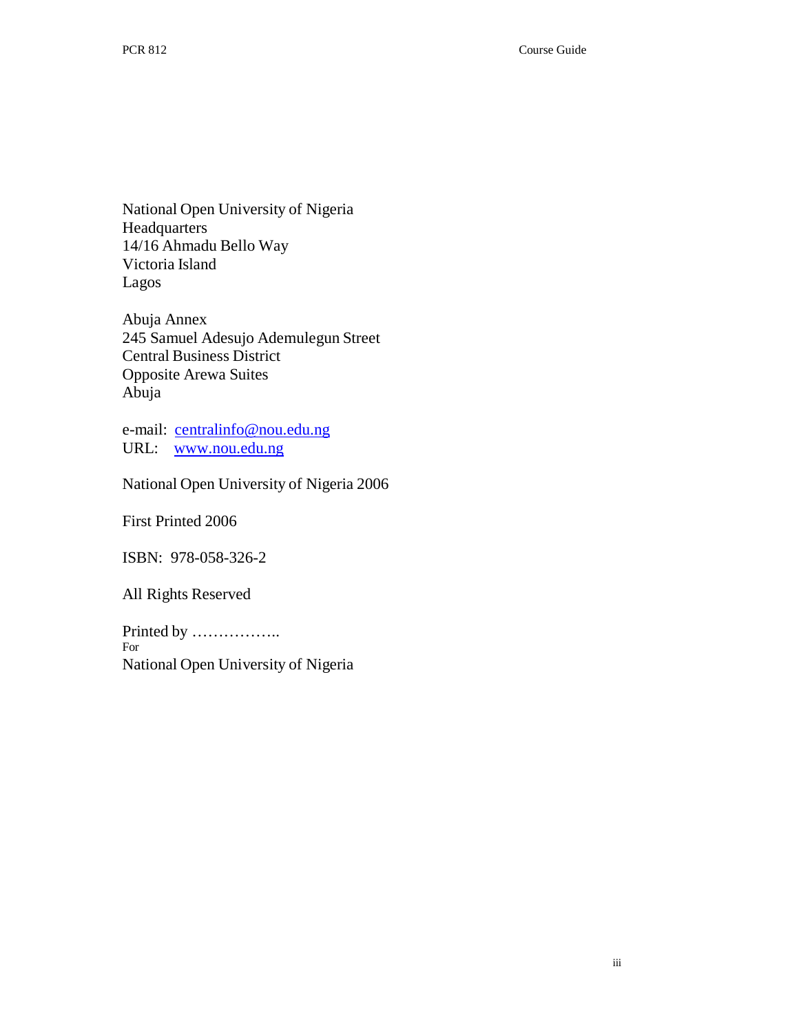National Open University of Nigeria **Headquarters** 14/16 Ahmadu Bello Way Victoria Island Lagos

Abuja Annex 245 Samuel Adesujo Ademulegun Street Central Business District Opposite Arewa Suites Abuja

e-mail: centralinfo@nou.edu.ng URL: www.nou.edu.ng

National Open University of Nigeria 2006

First Printed 2006

ISBN: 978-058-326-2

All Rights Reserved

Printed by …………….. For National Open University of Nigeria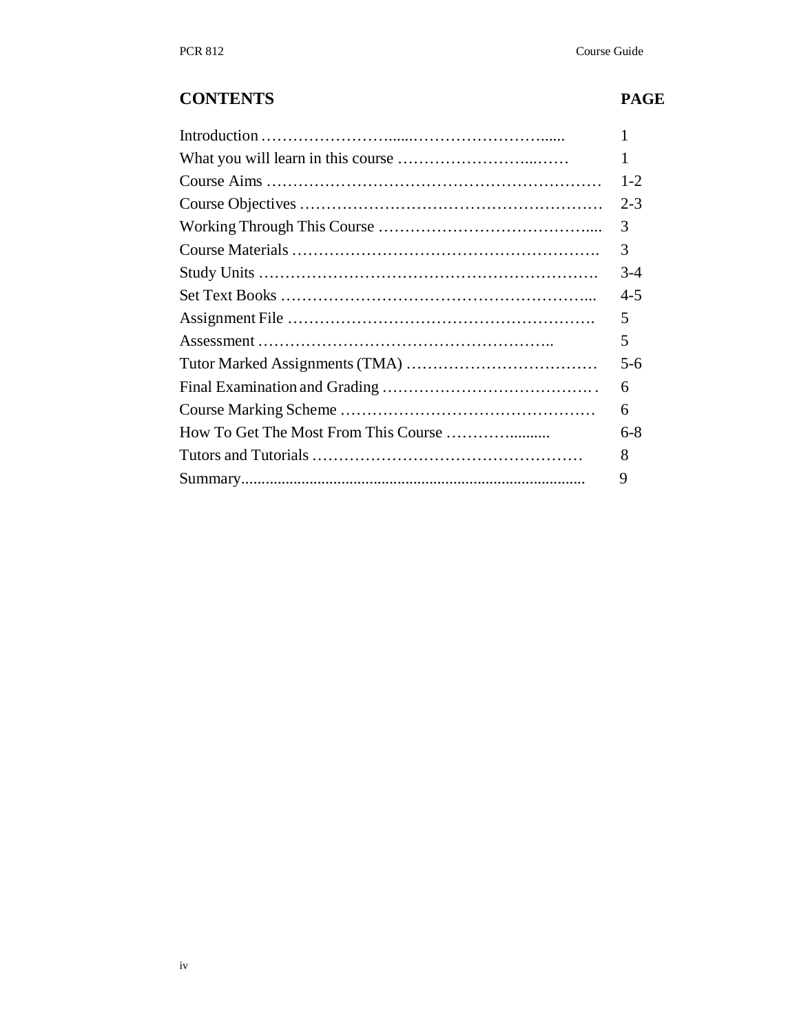# **CONTENTS PAGE**

|                                      | 1       |
|--------------------------------------|---------|
|                                      | $1-2$   |
|                                      | $2 - 3$ |
|                                      | 3       |
|                                      | 3       |
|                                      | $3-4$   |
|                                      | $4 - 5$ |
|                                      | 5       |
|                                      | 5       |
|                                      | $5-6$   |
|                                      | 6       |
|                                      | 6       |
| How To Get The Most From This Course | 6-8     |
|                                      | 8       |
|                                      | 9       |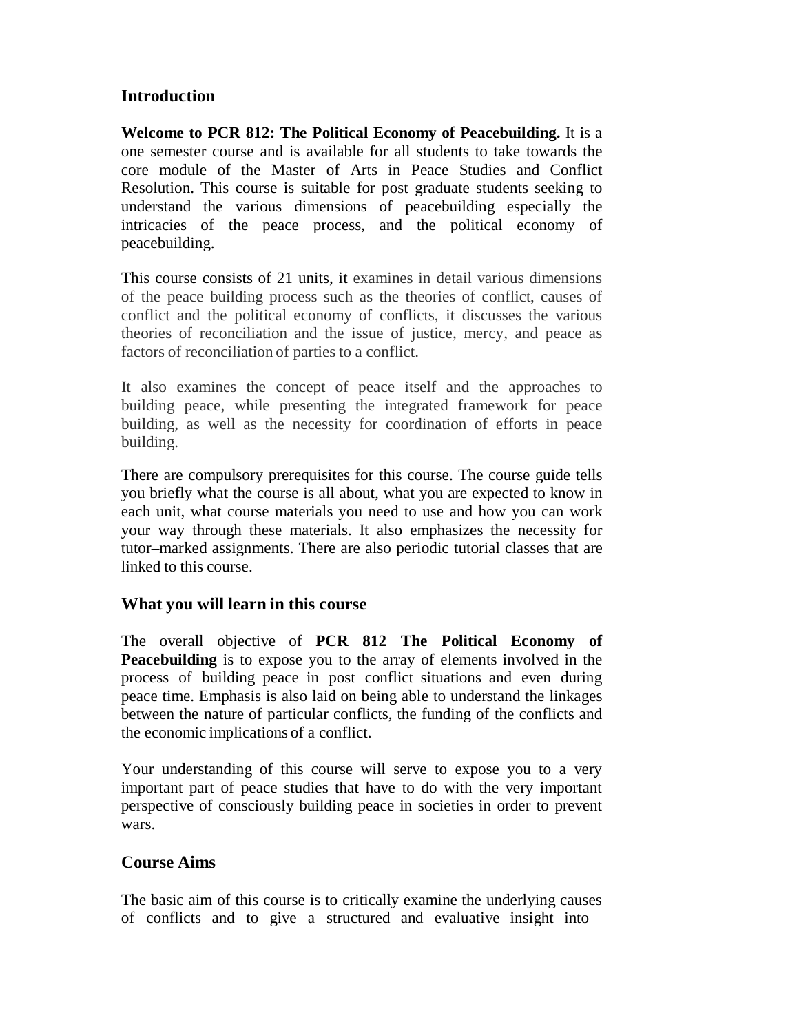# **Introduction**

**Welcome to PCR 812: The Political Economy of Peacebuilding.** It is a one semester course and is available for all students to take towards the core module of the Master of Arts in Peace Studies and Conflict Resolution. This course is suitable for post graduate students seeking to understand the various dimensions of peacebuilding especially the intricacies of the peace process, and the political economy of peacebuilding.

This course consists of 21 units, it examines in detail various dimensions of the peace building process such as the theories of conflict, causes of conflict and the political economy of conflicts, it discusses the various theories of reconciliation and the issue of justice, mercy, and peace as factors of reconciliation of parties to a conflict.

It also examines the concept of peace itself and the approaches to building peace, while presenting the integrated framework for peace building, as well as the necessity for coordination of efforts in peace building.

There are compulsory prerequisites for this course. The course guide tells you briefly what the course is all about, what you are expected to know in each unit, what course materials you need to use and how you can work your way through these materials. It also emphasizes the necessity for tutor–marked assignments. There are also periodic tutorial classes that are linked to this course.

#### **What you will learn in this course**

The overall objective of **PCR 812 The Political Economy of Peacebuilding** is to expose you to the array of elements involved in the process of building peace in post conflict situations and even during peace time. Emphasis is also laid on being able to understand the linkages between the nature of particular conflicts, the funding of the conflicts and the economic implications of a conflict.

Your understanding of this course will serve to expose you to a very important part of peace studies that have to do with the very important perspective of consciously building peace in societies in order to prevent wars.

#### **Course Aims**

The basic aim of this course is to critically examine the underlying causes of conflicts and to give a structured and evaluative insight into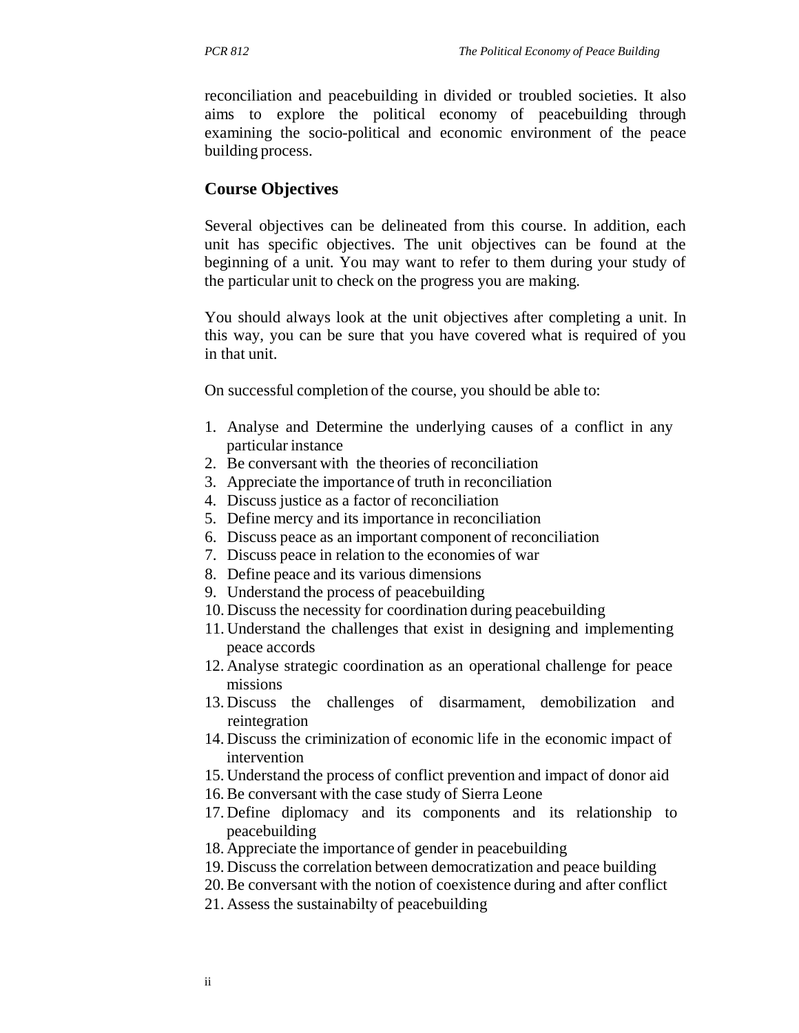reconciliation and peacebuilding in divided or troubled societies. It also aims to explore the political economy of peacebuilding through examining the socio-political and economic environment of the peace building process.

#### **Course Objectives**

Several objectives can be delineated from this course. In addition, each unit has specific objectives. The unit objectives can be found at the beginning of a unit. You may want to refer to them during your study of the particular unit to check on the progress you are making.

You should always look at the unit objectives after completing a unit. In this way, you can be sure that you have covered what is required of you in that unit.

On successful completion of the course, you should be able to:

- 1. Analyse and Determine the underlying causes of a conflict in any particular instance
- 2. Be conversant with the theories of reconciliation
- 3. Appreciate the importance of truth in reconciliation
- 4. Discuss justice as a factor of reconciliation
- 5. Define mercy and its importance in reconciliation
- 6. Discuss peace as an important component of reconciliation
- 7. Discuss peace in relation to the economies of war
- 8. Define peace and its various dimensions
- 9. Understand the process of peacebuilding
- 10. Discuss the necessity for coordination during peacebuilding
- 11. Understand the challenges that exist in designing and implementing peace accords
- 12. Analyse strategic coordination as an operational challenge for peace missions
- 13. Discuss the challenges of disarmament, demobilization and reintegration
- 14. Discuss the criminization of economic life in the economic impact of intervention
- 15. Understand the process of conflict prevention and impact of donor aid
- 16. Be conversant with the case study of Sierra Leone
- 17. Define diplomacy and its components and its relationship to peacebuilding
- 18. Appreciate the importance of gender in peacebuilding
- 19. Discuss the correlation between democratization and peace building
- 20. Be conversant with the notion of coexistence during and after conflict
- 21. Assess the sustainabilty of peacebuilding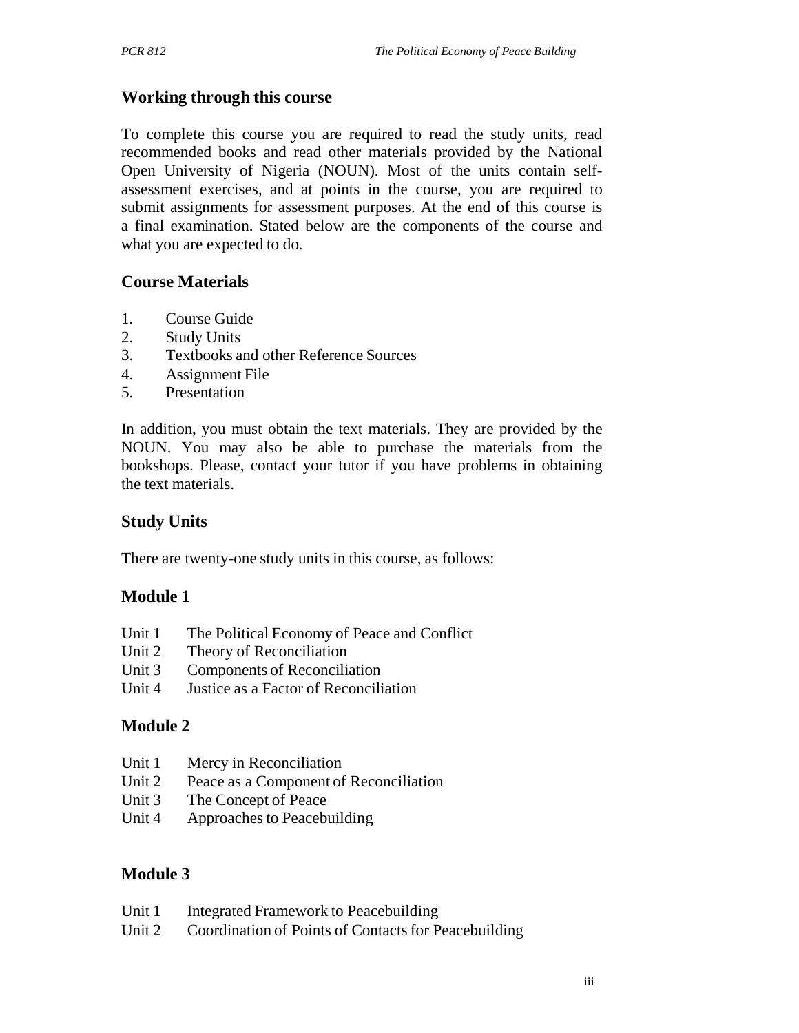# **Working through this course**

To complete this course you are required to read the study units, read recommended books and read other materials provided by the National Open University of Nigeria (NOUN). Most of the units contain selfassessment exercises, and at points in the course, you are required to submit assignments for assessment purposes. At the end of this course is a final examination. Stated below are the components of the course and what you are expected to do.

# **Course Materials**

- 1. Course Guide
- 2. Study Units
- 3. Textbooks and other Reference Sources
- 4. Assignment File
- 5. Presentation

In addition, you must obtain the text materials. They are provided by the NOUN. You may also be able to purchase the materials from the bookshops. Please, contact your tutor if you have problems in obtaining the text materials.

# **Study Units**

There are twenty-one study units in this course, as follows:

# **Module 1**

- Unit 1 The Political Economy of Peace and Conflict
- Unit 2 Theory of Reconciliation
- Unit 3 Components of Reconciliation
- Unit 4 Justice as a Factor of Reconciliation

# **Module 2**

- Unit 1 Mercy in Reconciliation
- Unit 2 Peace as a Component of Reconciliation
- Unit 3 The Concept of Peace
- Unit 4 Approaches to Peacebuilding

# **Module 3**

- Unit 1 Integrated Framework to Peacebuilding
- Unit 2 Coordination of Points of Contacts for Peacebuilding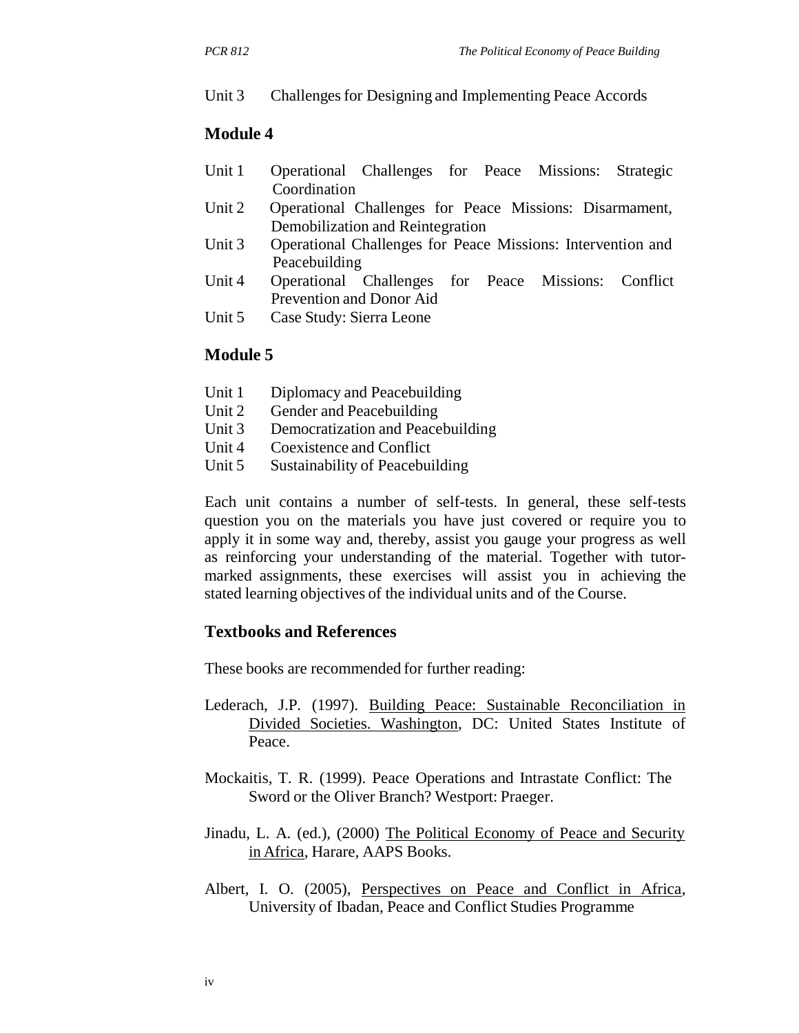#### Unit 3 Challenges for Designing and Implementing Peace Accords

#### **Module 4**

- Unit 1 Operational Challenges for Peace Missions: Strategic Coordination
- Unit 2 Operational Challenges for Peace Missions: Disarmament, Demobilization and Reintegration
- Unit 3 Operational Challenges for Peace Missions: Intervention and Peacebuilding
- Unit 4 Operational Challenges for Peace Missions: Conflict Prevention and Donor Aid
- Unit 5 Case Study: Sierra Leone

#### **Module 5**

- Unit 1 Diplomacy and Peacebuilding
- Unit 2 Gender and Peacebuilding
- Unit 3 Democratization and Peacebuilding
- Unit 4 Coexistence and Conflict
- Unit 5 Sustainability of Peacebuilding

Each unit contains a number of self-tests. In general, these self-tests question you on the materials you have just covered or require you to apply it in some way and, thereby, assist you gauge your progress as well as reinforcing your understanding of the material. Together with tutormarked assignments, these exercises will assist you in achieving the stated learning objectives of the individual units and of the Course.

#### **Textbooks and References**

These books are recommended for further reading:

- Lederach, J.P. (1997). Building Peace: Sustainable Reconciliation in Divided Societies. Washington, DC: United States Institute of Peace.
- Mockaitis, T. R. (1999). Peace Operations and Intrastate Conflict: The Sword or the Oliver Branch? Westport: Praeger.
- Jinadu, L. A. (ed.), (2000) The Political Economy of Peace and Security in Africa, Harare, AAPS Books.
- Albert, I. O. (2005), Perspectives on Peace and Conflict in Africa, University of Ibadan, Peace and Conflict Studies Programme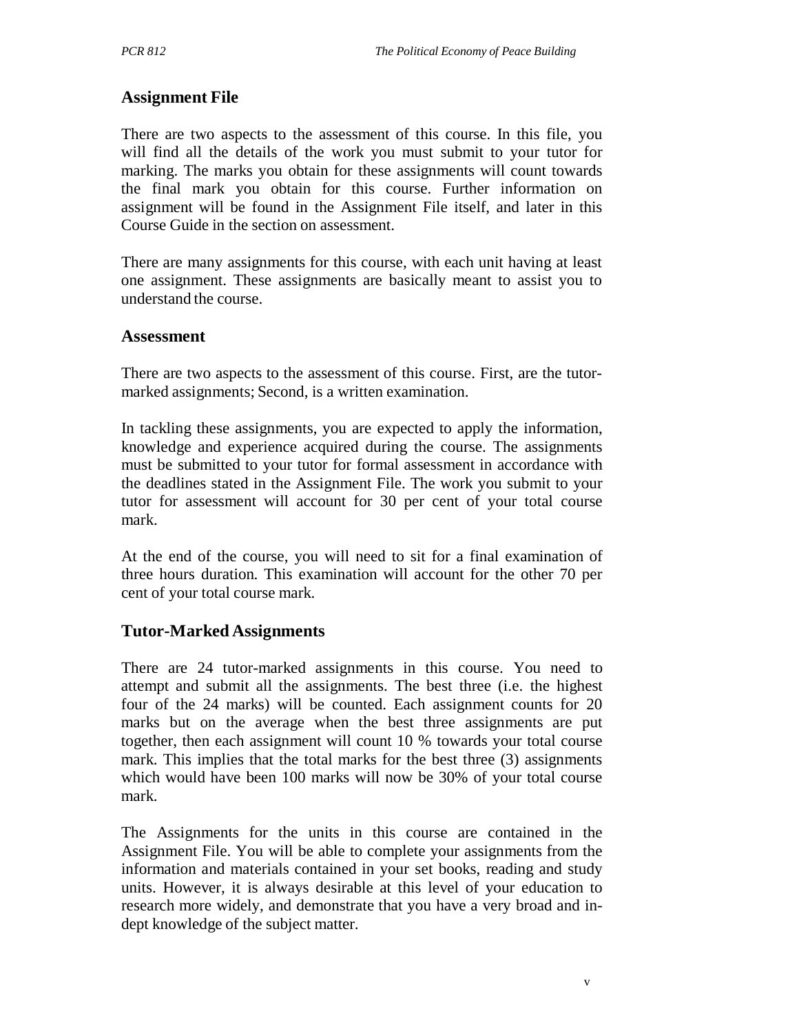### **Assignment File**

There are two aspects to the assessment of this course. In this file, you will find all the details of the work you must submit to your tutor for marking. The marks you obtain for these assignments will count towards the final mark you obtain for this course. Further information on assignment will be found in the Assignment File itself, and later in this Course Guide in the section on assessment.

There are many assignments for this course, with each unit having at least one assignment. These assignments are basically meant to assist you to understand the course.

#### **Assessment**

There are two aspects to the assessment of this course. First, are the tutormarked assignments; Second, is a written examination.

In tackling these assignments, you are expected to apply the information, knowledge and experience acquired during the course. The assignments must be submitted to your tutor for formal assessment in accordance with the deadlines stated in the Assignment File. The work you submit to your tutor for assessment will account for 30 per cent of your total course mark.

At the end of the course, you will need to sit for a final examination of three hours duration. This examination will account for the other 70 per cent of your total course mark.

#### **Tutor-Marked Assignments**

There are 24 tutor-marked assignments in this course. You need to attempt and submit all the assignments. The best three (i.e. the highest four of the 24 marks) will be counted. Each assignment counts for 20 marks but on the average when the best three assignments are put together, then each assignment will count 10 % towards your total course mark. This implies that the total marks for the best three (3) assignments which would have been 100 marks will now be 30% of your total course mark.

The Assignments for the units in this course are contained in the Assignment File. You will be able to complete your assignments from the information and materials contained in your set books, reading and study units. However, it is always desirable at this level of your education to research more widely, and demonstrate that you have a very broad and indept knowledge of the subject matter.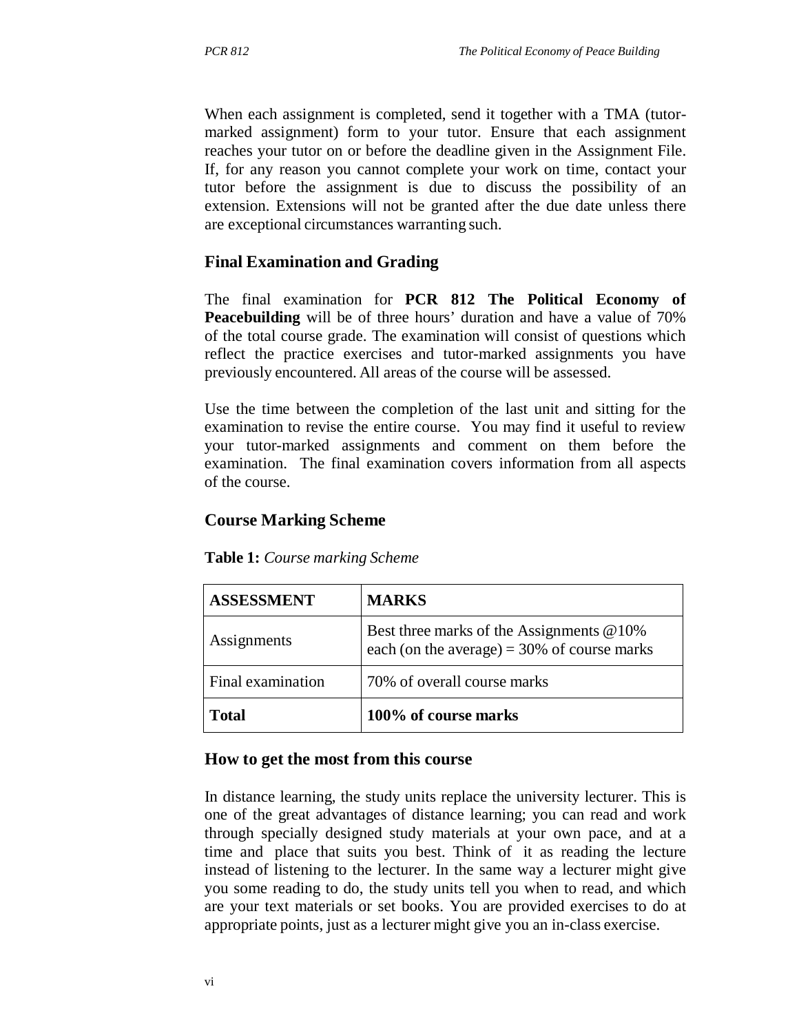When each assignment is completed, send it together with a TMA (tutormarked assignment) form to your tutor. Ensure that each assignment reaches your tutor on or before the deadline given in the Assignment File. If, for any reason you cannot complete your work on time, contact your tutor before the assignment is due to discuss the possibility of an extension. Extensions will not be granted after the due date unless there are exceptional circumstances warranting such.

# **Final Examination and Grading**

The final examination for **PCR 812 The Political Economy of Peacebuilding** will be of three hours' duration and have a value of 70% of the total course grade. The examination will consist of questions which reflect the practice exercises and tutor-marked assignments you have previously encountered. All areas of the course will be assessed.

Use the time between the completion of the last unit and sitting for the examination to revise the entire course. You may find it useful to review your tutor-marked assignments and comment on them before the examination. The final examination covers information from all aspects of the course.

# **Course Marking Scheme**

| <b>ASSESSMENT</b> | <b>MARKS</b>                                                                               |
|-------------------|--------------------------------------------------------------------------------------------|
| Assignments       | Best three marks of the Assignments @10%<br>each (on the average) = $30\%$ of course marks |
| Final examination | 70% of overall course marks                                                                |
| <b>Total</b>      | 100% of course marks                                                                       |

**Table 1:** *Course marking Scheme*

# **How to get the most from this course**

In distance learning, the study units replace the university lecturer. This is one of the great advantages of distance learning; you can read and work through specially designed study materials at your own pace, and at a time and place that suits you best. Think of it as reading the lecture instead of listening to the lecturer. In the same way a lecturer might give you some reading to do, the study units tell you when to read, and which are your text materials or set books. You are provided exercises to do at appropriate points, just as a lecturer might give you an in-class exercise.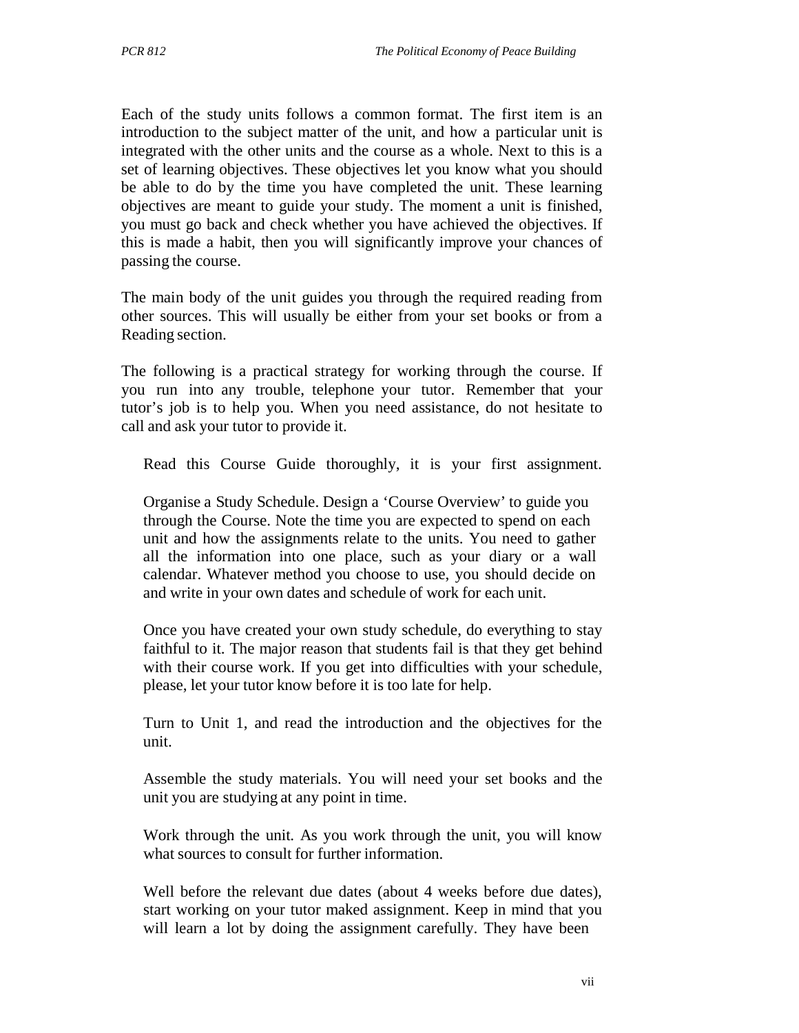Each of the study units follows a common format. The first item is an introduction to the subject matter of the unit, and how a particular unit is integrated with the other units and the course as a whole. Next to this is a set of learning objectives. These objectives let you know what you should be able to do by the time you have completed the unit. These learning objectives are meant to guide your study. The moment a unit is finished, you must go back and check whether you have achieved the objectives. If this is made a habit, then you will significantly improve your chances of passing the course.

The main body of the unit guides you through the required reading from other sources. This will usually be either from your set books or from a Reading section.

The following is a practical strategy for working through the course. If you run into any trouble, telephone your tutor. Remember that your tutor's job is to help you. When you need assistance, do not hesitate to call and ask your tutor to provide it.

Read this Course Guide thoroughly, it is your first assignment.

Organise a Study Schedule. Design a 'Course Overview' to guide you through the Course. Note the time you are expected to spend on each unit and how the assignments relate to the units. You need to gather all the information into one place, such as your diary or a wall calendar. Whatever method you choose to use, you should decide on and write in your own dates and schedule of work for each unit.

Once you have created your own study schedule, do everything to stay faithful to it. The major reason that students fail is that they get behind with their course work. If you get into difficulties with your schedule, please, let your tutor know before it is too late for help.

Turn to Unit 1, and read the introduction and the objectives for the unit.

Assemble the study materials. You will need your set books and the unit you are studying at any point in time.

Work through the unit. As you work through the unit, you will know what sources to consult for further information.

Well before the relevant due dates (about 4 weeks before due dates), start working on your tutor maked assignment. Keep in mind that you will learn a lot by doing the assignment carefully. They have been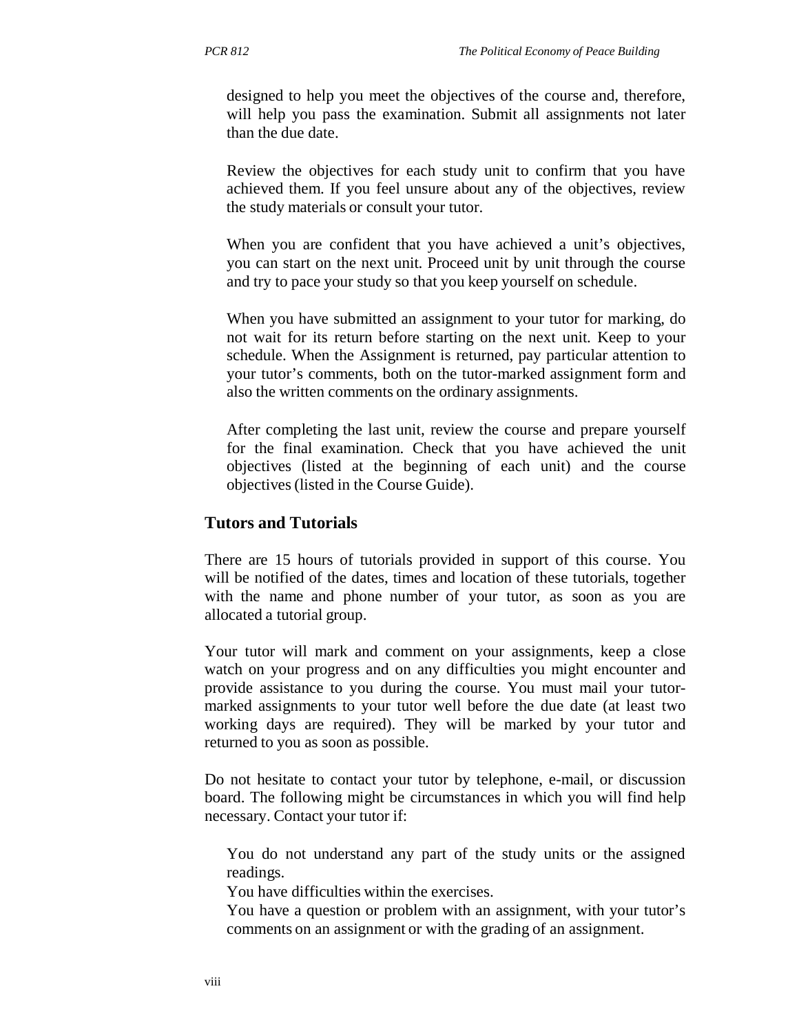designed to help you meet the objectives of the course and, therefore, will help you pass the examination. Submit all assignments not later than the due date.

Review the objectives for each study unit to confirm that you have achieved them. If you feel unsure about any of the objectives, review the study materials or consult your tutor.

When you are confident that you have achieved a unit's objectives, you can start on the next unit. Proceed unit by unit through the course and try to pace your study so that you keep yourself on schedule.

When you have submitted an assignment to your tutor for marking, do not wait for its return before starting on the next unit. Keep to your schedule. When the Assignment is returned, pay particular attention to your tutor's comments, both on the tutor-marked assignment form and also the written comments on the ordinary assignments.

After completing the last unit, review the course and prepare yourself for the final examination. Check that you have achieved the unit objectives (listed at the beginning of each unit) and the course objectives (listed in the Course Guide).

#### **Tutors and Tutorials**

There are 15 hours of tutorials provided in support of this course. You will be notified of the dates, times and location of these tutorials, together with the name and phone number of your tutor, as soon as you are allocated a tutorial group.

Your tutor will mark and comment on your assignments, keep a close watch on your progress and on any difficulties you might encounter and provide assistance to you during the course. You must mail your tutormarked assignments to your tutor well before the due date (at least two working days are required). They will be marked by your tutor and returned to you as soon as possible.

Do not hesitate to contact your tutor by telephone, e-mail, or discussion board. The following might be circumstances in which you will find help necessary. Contact your tutor if:

You do not understand any part of the study units or the assigned readings.

You have difficulties within the exercises.

You have a question or problem with an assignment, with your tutor's comments on an assignment or with the grading of an assignment.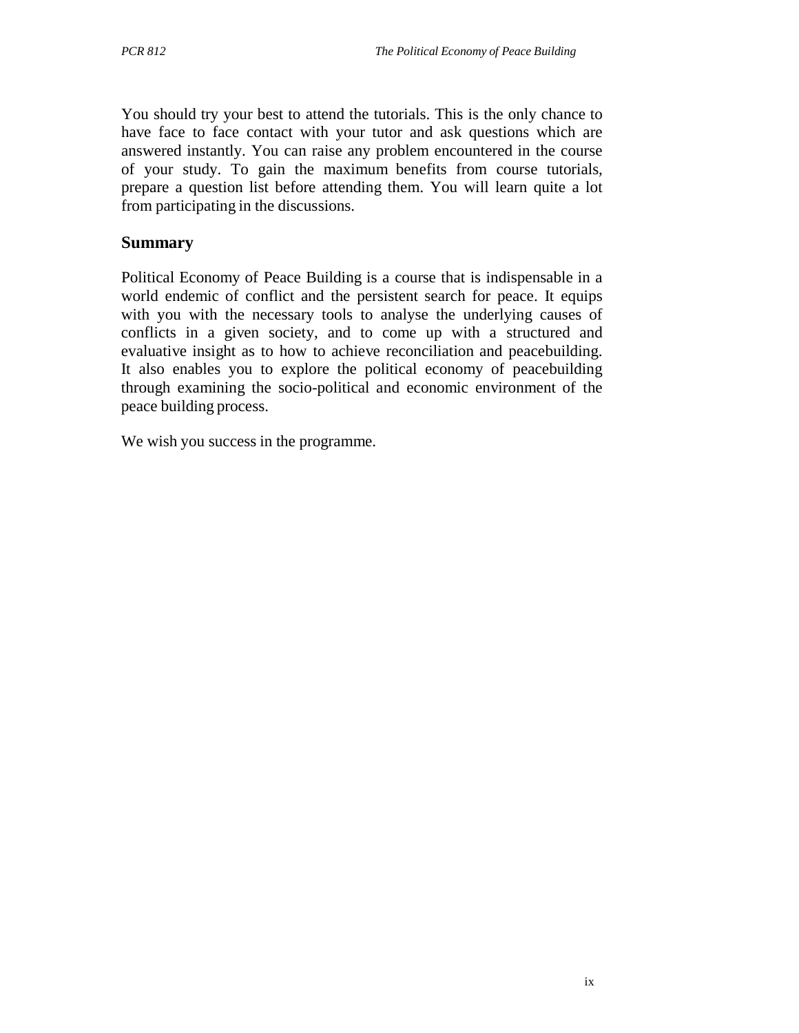You should try your best to attend the tutorials. This is the only chance to have face to face contact with your tutor and ask questions which are answered instantly. You can raise any problem encountered in the course of your study. To gain the maximum benefits from course tutorials, prepare a question list before attending them. You will learn quite a lot from participating in the discussions.

#### **Summary**

Political Economy of Peace Building is a course that is indispensable in a world endemic of conflict and the persistent search for peace. It equips with you with the necessary tools to analyse the underlying causes of conflicts in a given society, and to come up with a structured and evaluative insight as to how to achieve reconciliation and peacebuilding. It also enables you to explore the political economy of peacebuilding through examining the socio-political and economic environment of the peace building process.

We wish you success in the programme.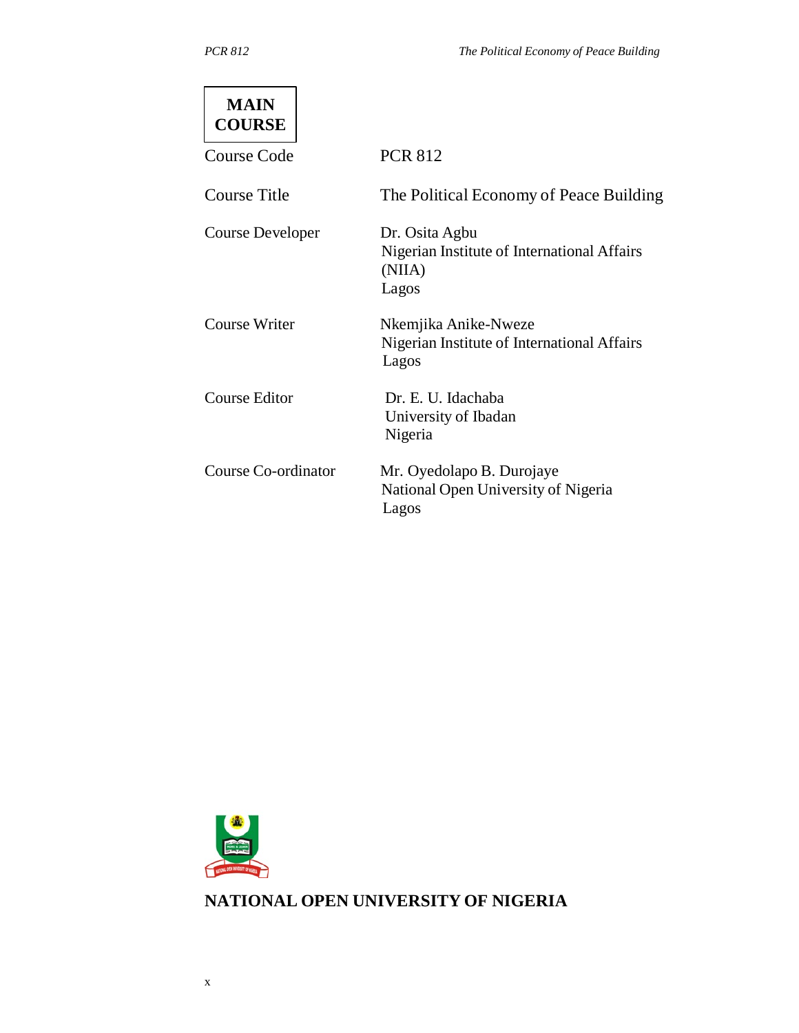| <b>MAIN</b><br><b>COURSE</b> |                                                                                  |
|------------------------------|----------------------------------------------------------------------------------|
| Course Code                  | <b>PCR 812</b>                                                                   |
| Course Title                 | The Political Economy of Peace Building                                          |
| <b>Course Developer</b>      | Dr. Osita Agbu<br>Nigerian Institute of International Affairs<br>(NIIA)<br>Lagos |
| <b>Course Writer</b>         | Nkemjika Anike-Nweze<br>Nigerian Institute of International Affairs<br>Lagos     |
| Course Editor                | Dr. E. U. Idachaba<br>University of Ibadan<br>Nigeria                            |
| Course Co-ordinator          | Mr. Oyedolapo B. Durojaye<br>National Open University of Nigeria<br>Lagos        |



# **NATIONAL OPEN UNIVERSITY OF NIGERIA**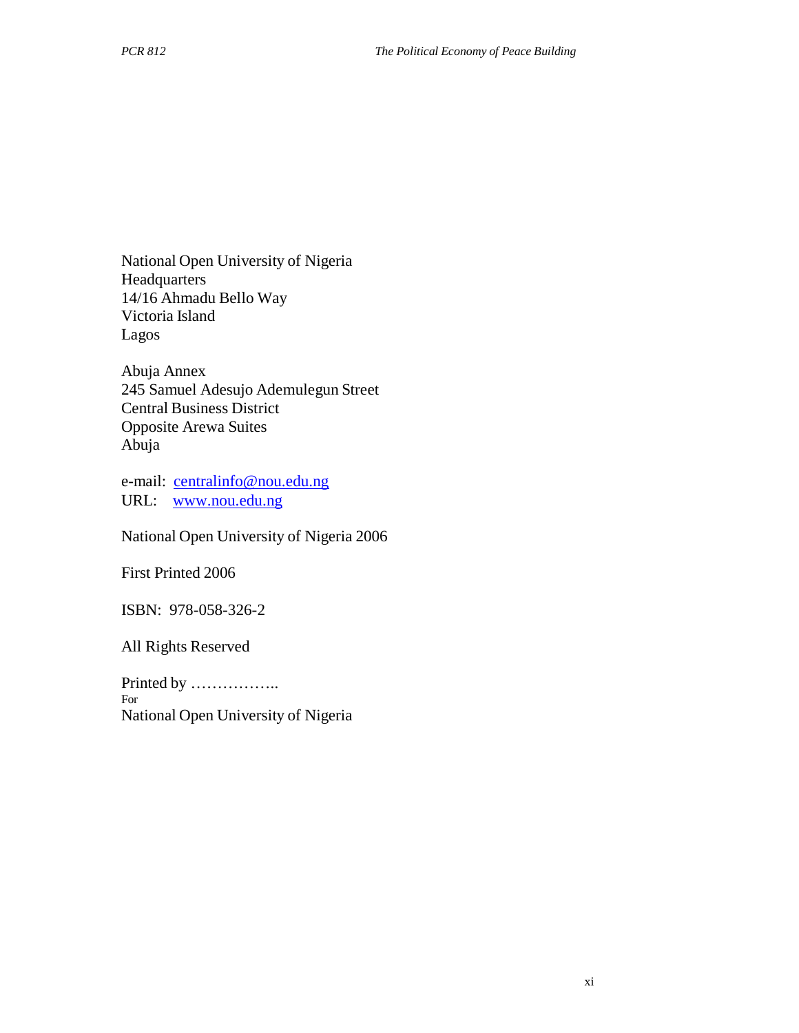National Open University of Nigeria Headquarters 14/16 Ahmadu Bello Way Victoria Island Lagos

Abuja Annex 245 Samuel Adesujo Ademulegun Street Central Business District Opposite Arewa Suites Abuja

e-mail: centralinfo@nou.edu.ng URL: www.nou.edu.ng

National Open University of Nigeria 2006

First Printed 2006

ISBN: 978-058-326-2

All Rights Reserved

Printed by …………….. For National Open University of Nigeria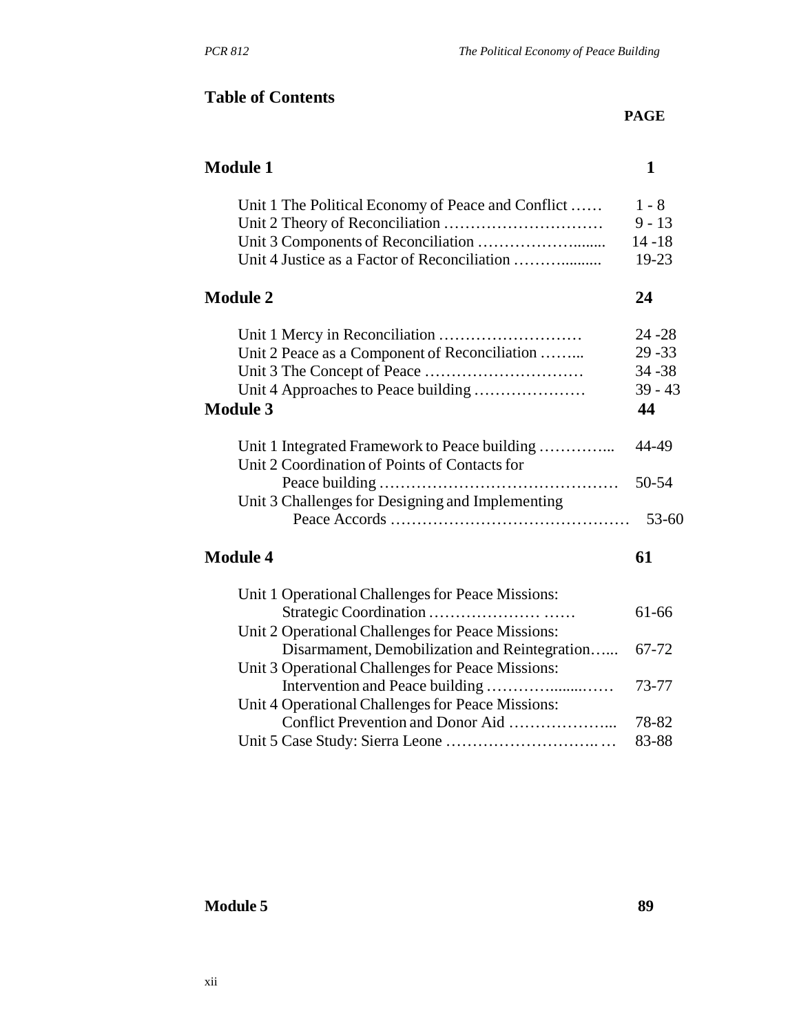# **Table of Contents**

| <b>Module 1</b>                                                                                |           |
|------------------------------------------------------------------------------------------------|-----------|
| Unit 1 The Political Economy of Peace and Conflict                                             | $1 - 8$   |
|                                                                                                | $9 - 13$  |
|                                                                                                | $14 - 18$ |
| Unit 4 Justice as a Factor of Reconciliation                                                   | 19-23     |
| <b>Module 2</b>                                                                                | 24        |
|                                                                                                | $24 - 28$ |
| Unit 2 Peace as a Component of Reconciliation                                                  | $29 - 33$ |
|                                                                                                | $34 - 38$ |
| Unit 4 Approaches to Peace building                                                            | $39 - 43$ |
| <b>Module 3</b>                                                                                | 44        |
| Unit 1 Integrated Framework to Peace building<br>Unit 2 Coordination of Points of Contacts for | 44-49     |
|                                                                                                | 50-54     |
| Unit 3 Challenges for Designing and Implementing                                               |           |
|                                                                                                | $53 - 60$ |
| <b>Module 4</b>                                                                                | 61        |
| Unit 1 Operational Challenges for Peace Missions:                                              |           |
|                                                                                                | 61-66     |
| Unit 2 Operational Challenges for Peace Missions:                                              |           |
| Disarmament, Demobilization and Reintegration                                                  | 67-72     |
| Unit 3 Operational Challenges for Peace Missions:                                              |           |
|                                                                                                | 73-77     |
| Unit 4 Operational Challenges for Peace Missions:                                              |           |

Conflict Prevention and Donor Aid ………………... 78-82

Unit 5 Case Study: Sierra Leone ……………………….. … 83-88

# **Module 5 89**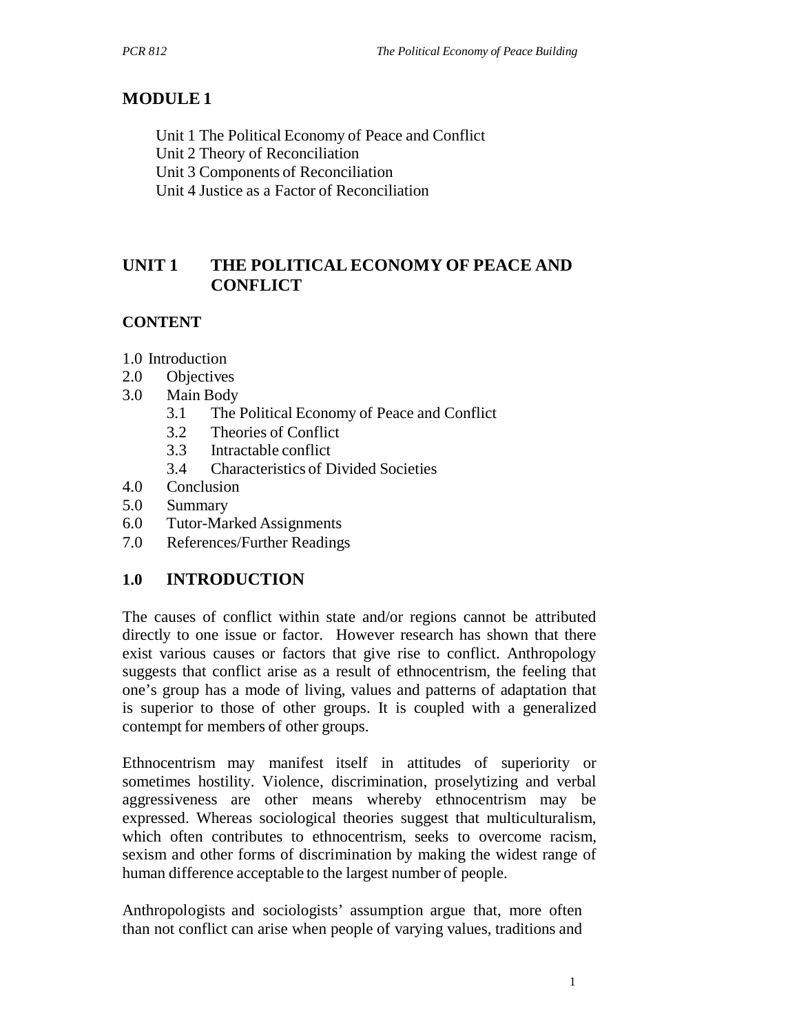# **MODULE 1**

Unit 1 The Political Economy of Peace and Conflict

Unit 2 Theory of Reconciliation

Unit 3 Components of Reconciliation

Unit 4 Justice as a Factor of Reconciliation

# **UNIT 1 THE POLITICAL ECONOMY OF PEACE AND CONFLICT**

# **CONTENT**

1.0 Introduction

- 2.0 Objectives
- 3.0 Main Body
	- 3.1 The Political Economy of Peace and Conflict
	- 3.2 Theories of Conflict
	- 3.3 Intractable conflict
	- 3.4 Characteristics of Divided Societies
- 4.0 Conclusion
- 5.0 Summary
- 6.0 Tutor-Marked Assignments
- 7.0 References/Further Readings

# **1.0 INTRODUCTION**

The causes of conflict within state and/or regions cannot be attributed directly to one issue or factor. However research has shown that there exist various causes or factors that give rise to conflict. Anthropology suggests that conflict arise as a result of ethnocentrism, the feeling that one's group has a mode of living, values and patterns of adaptation that is superior to those of other groups. It is coupled with a generalized contempt for members of other groups.

Ethnocentrism may manifest itself in attitudes of superiority or sometimes hostility. Violence, discrimination, proselytizing and verbal aggressiveness are other means whereby ethnocentrism may be expressed. Whereas sociological theories suggest that multiculturalism, which often contributes to ethnocentrism, seeks to overcome racism, sexism and other forms of discrimination by making the widest range of human difference acceptable to the largest number of people.

Anthropologists and sociologists' assumption argue that, more often than not conflict can arise when people of varying values, traditions and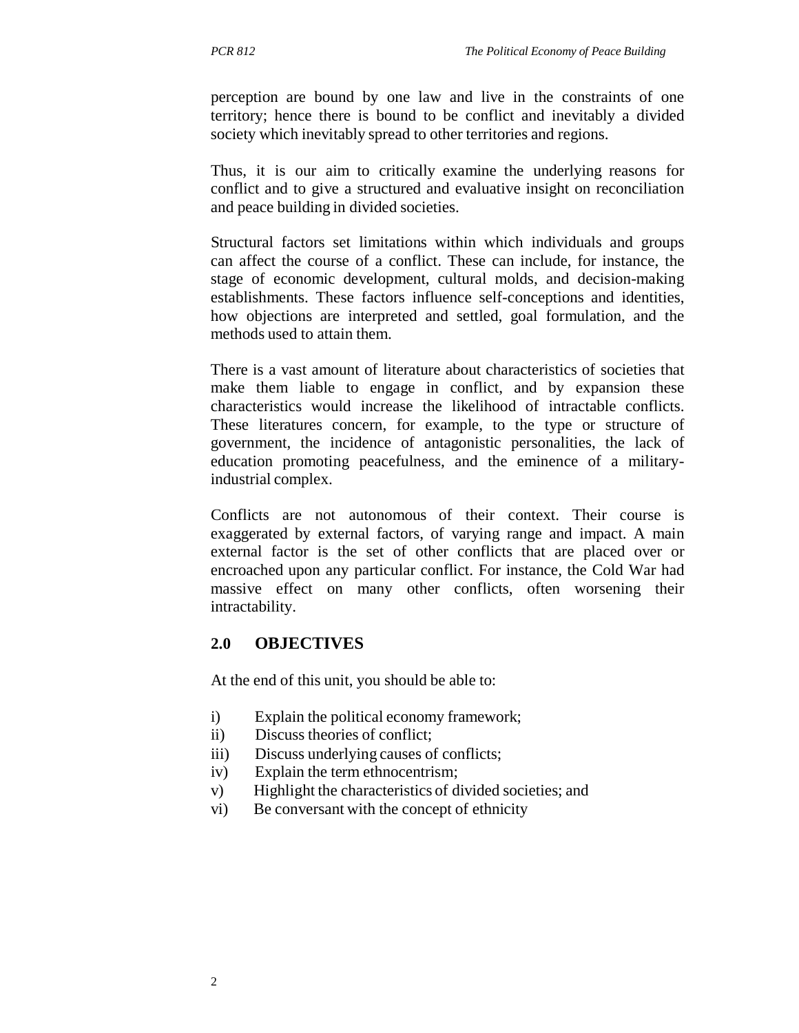perception are bound by one law and live in the constraints of one territory; hence there is bound to be conflict and inevitably a divided society which inevitably spread to other territories and regions.

Thus, it is our aim to critically examine the underlying reasons for conflict and to give a structured and evaluative insight on reconciliation and peace building in divided societies.

Structural factors set limitations within which individuals and groups can affect the course of a conflict. These can include, for instance, the stage of economic development, cultural molds, and decision-making establishments. These factors influence self-conceptions and identities, how objections are interpreted and settled, goal formulation, and the methods used to attain them.

There is a vast amount of literature about characteristics of societies that make them liable to engage in conflict, and by expansion these characteristics would increase the likelihood of intractable conflicts. These literatures concern, for example, to the type or structure of government, the incidence of antagonistic personalities, the lack of education promoting peacefulness, and the eminence of a militaryindustrial complex.

Conflicts are not autonomous of their context. Their course is exaggerated by external factors, of varying range and impact. A main external factor is the set of other conflicts that are placed over or encroached upon any particular conflict. For instance, the Cold War had massive effect on many other conflicts, often worsening their intractability.

#### **2.0 OBJECTIVES**

At the end of this unit, you should be able to:

- i) Explain the political economy framework;
- ii) Discuss theories of conflict;
- iii) Discuss underlying causes of conflicts;
- iv) Explain the term ethnocentrism;
- v) Highlight the characteristics of divided societies; and
- vi) Be conversant with the concept of ethnicity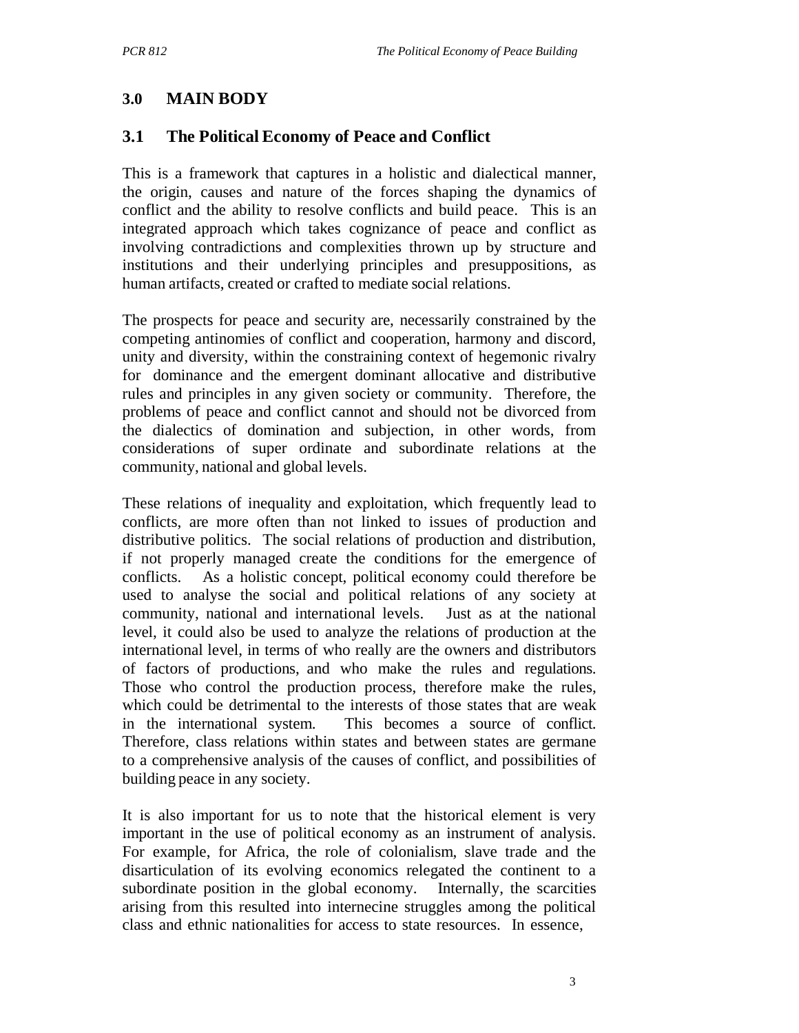# **3.0 MAIN BODY**

## **3.1 The Political Economy of Peace and Conflict**

This is a framework that captures in a holistic and dialectical manner, the origin, causes and nature of the forces shaping the dynamics of conflict and the ability to resolve conflicts and build peace. This is an integrated approach which takes cognizance of peace and conflict as involving contradictions and complexities thrown up by structure and institutions and their underlying principles and presuppositions, as human artifacts, created or crafted to mediate social relations.

The prospects for peace and security are, necessarily constrained by the competing antinomies of conflict and cooperation, harmony and discord, unity and diversity, within the constraining context of hegemonic rivalry for dominance and the emergent dominant allocative and distributive rules and principles in any given society or community. Therefore, the problems of peace and conflict cannot and should not be divorced from the dialectics of domination and subjection, in other words, from considerations of super ordinate and subordinate relations at the community, national and global levels.

These relations of inequality and exploitation, which frequently lead to conflicts, are more often than not linked to issues of production and distributive politics. The social relations of production and distribution, if not properly managed create the conditions for the emergence of conflicts. As a holistic concept, political economy could therefore be used to analyse the social and political relations of any society at community, national and international levels. Just as at the national level, it could also be used to analyze the relations of production at the international level, in terms of who really are the owners and distributors of factors of productions, and who make the rules and regulations. Those who control the production process, therefore make the rules, which could be detrimental to the interests of those states that are weak in the international system. This becomes a source of conflict. Therefore, class relations within states and between states are germane to a comprehensive analysis of the causes of conflict, and possibilities of building peace in any society.

It is also important for us to note that the historical element is very important in the use of political economy as an instrument of analysis. For example, for Africa, the role of colonialism, slave trade and the disarticulation of its evolving economics relegated the continent to a subordinate position in the global economy. Internally, the scarcities arising from this resulted into internecine struggles among the political class and ethnic nationalities for access to state resources. In essence,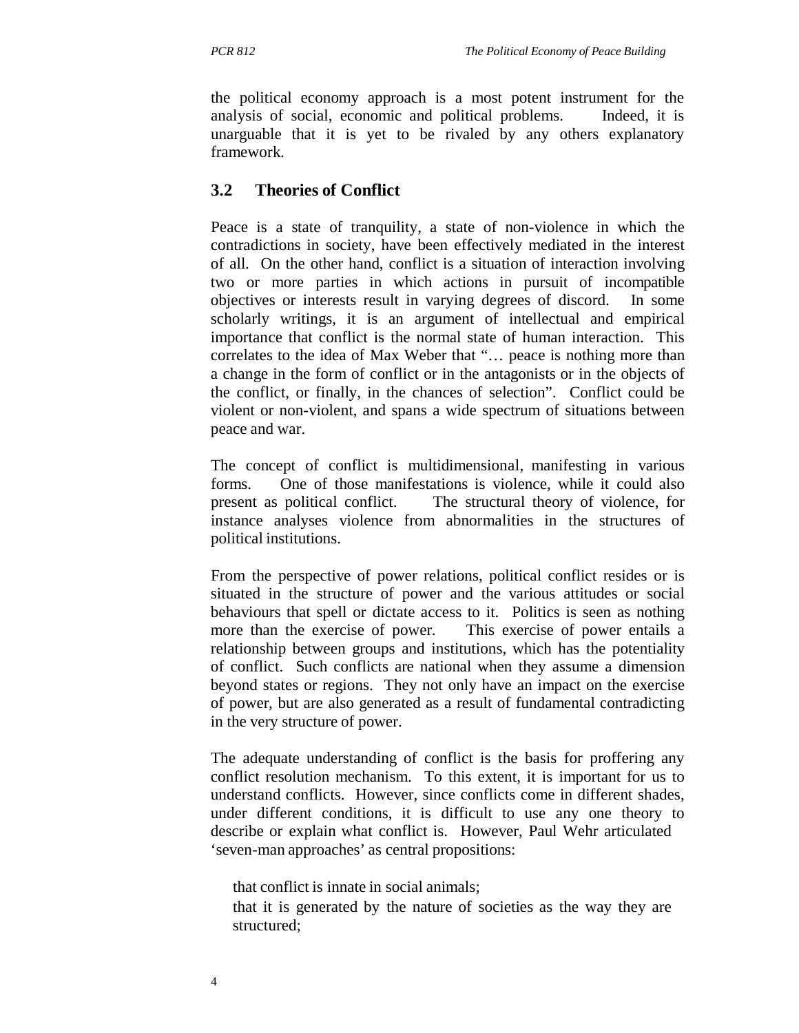the political economy approach is a most potent instrument for the analysis of social, economic and political problems. Indeed, it is unarguable that it is yet to be rivaled by any others explanatory framework.

# **3.2 Theories of Conflict**

Peace is a state of tranquility, a state of non-violence in which the contradictions in society, have been effectively mediated in the interest of all. On the other hand, conflict is a situation of interaction involving two or more parties in which actions in pursuit of incompatible objectives or interests result in varying degrees of discord. In some scholarly writings, it is an argument of intellectual and empirical importance that conflict is the normal state of human interaction. This correlates to the idea of Max Weber that "… peace is nothing more than a change in the form of conflict or in the antagonists or in the objects of the conflict, or finally, in the chances of selection". Conflict could be violent or non-violent, and spans a wide spectrum of situations between peace and war.

The concept of conflict is multidimensional, manifesting in various forms. One of those manifestations is violence, while it could also present as political conflict. The structural theory of violence, for instance analyses violence from abnormalities in the structures of political institutions.

From the perspective of power relations, political conflict resides or is situated in the structure of power and the various attitudes or social behaviours that spell or dictate access to it. Politics is seen as nothing more than the exercise of power. This exercise of power entails a relationship between groups and institutions, which has the potentiality of conflict. Such conflicts are national when they assume a dimension beyond states or regions. They not only have an impact on the exercise of power, but are also generated as a result of fundamental contradicting in the very structure of power.

The adequate understanding of conflict is the basis for proffering any conflict resolution mechanism. To this extent, it is important for us to understand conflicts. However, since conflicts come in different shades, under different conditions, it is difficult to use any one theory to describe or explain what conflict is. However, Paul Wehr articulated 'seven-man approaches' as central propositions:

that conflict is innate in social animals;

that it is generated by the nature of societies as the way they are structured;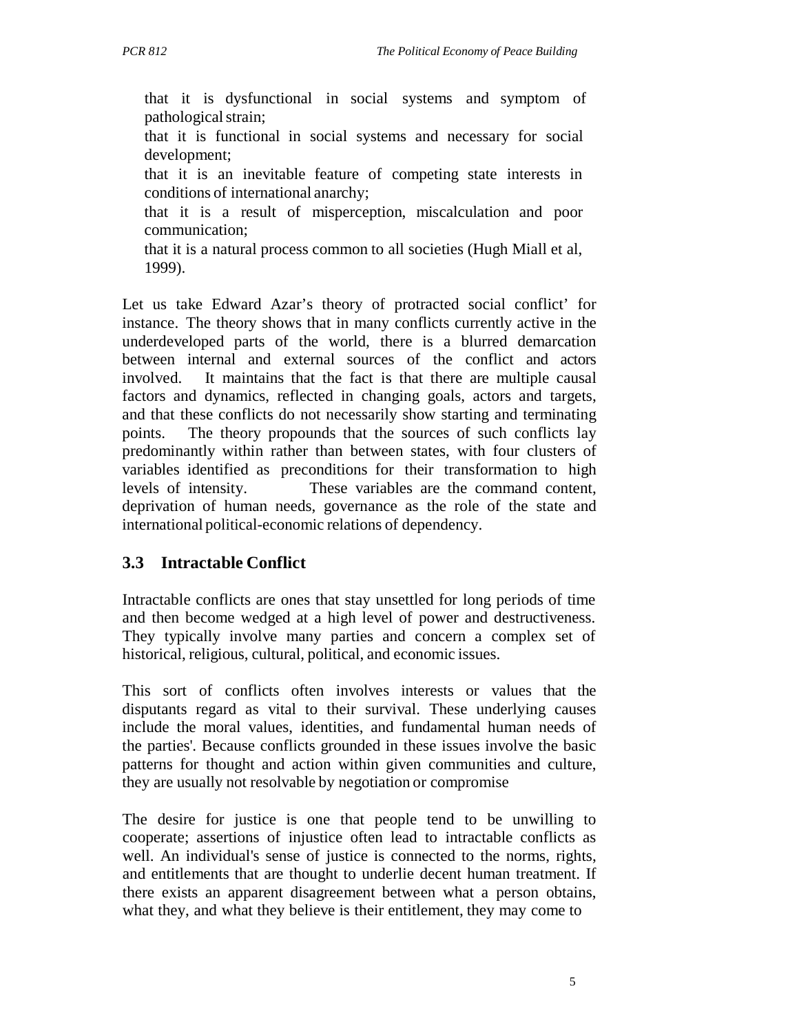that it is dysfunctional in social systems and symptom of pathological strain;

that it is functional in social systems and necessary for social development;

that it is an inevitable feature of competing state interests in conditions of international anarchy;

that it is a result of misperception, miscalculation and poor communication;

that it is a natural process common to all societies (Hugh Miall et al, 1999).

Let us take Edward Azar's theory of protracted social conflict' for instance. The theory shows that in many conflicts currently active in the underdeveloped parts of the world, there is a blurred demarcation between internal and external sources of the conflict and actors involved. It maintains that the fact is that there are multiple causal factors and dynamics, reflected in changing goals, actors and targets, and that these conflicts do not necessarily show starting and terminating points. The theory propounds that the sources of such conflicts lay predominantly within rather than between states, with four clusters of variables identified as preconditions for their transformation to high levels of intensity. These variables are the command content, deprivation of human needs, governance as the role of the state and international political-economic relations of dependency.

# **3.3 Intractable Conflict**

Intractable conflicts are ones that stay unsettled for long periods of time and then become wedged at a high level of power and destructiveness. They typically involve many parties and concern a complex set of historical, religious, cultural, political, and economic issues.

This sort of conflicts often involves interests or values that the disputants regard as vital to their survival. These underlying causes include the moral values, identities, and fundamental human needs of the parties'. Because conflicts grounded in these issues involve the basic patterns for thought and action within given communities and culture, they are usually not resolvable by negotiation or compromise

The desire for justice is one that people tend to be unwilling to cooperate; assertions of injustice often lead to intractable conflicts as well. An individual's sense of justice is connected to the norms, rights, and entitlements that are thought to underlie decent human treatment. If there exists an apparent disagreement between what a person obtains, what they, and what they believe is their entitlement, they may come to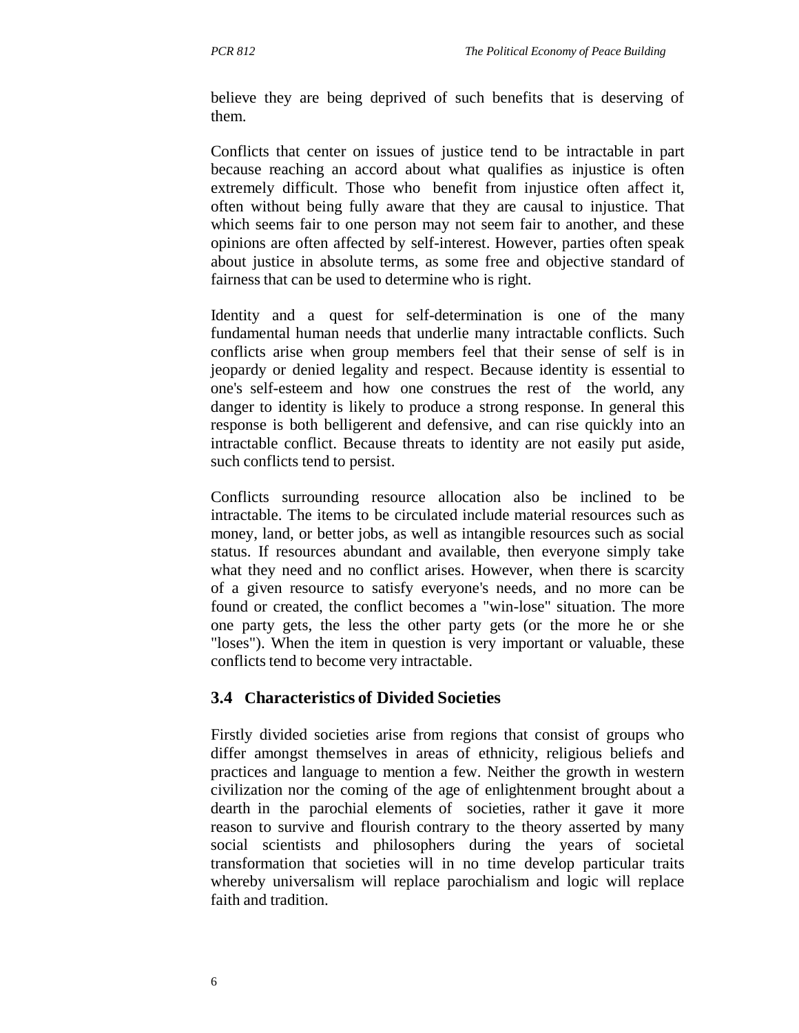believe they are being deprived of such benefits that is deserving of them.

Conflicts that center on issues of justice tend to be intractable in part because reaching an accord about what qualifies as injustice is often extremely difficult. Those who benefit from injustice often affect it, often without being fully aware that they are causal to injustice. That which seems fair to one person may not seem fair to another, and these opinions are often affected by self-interest. However, parties often speak about justice in absolute terms, as some free and objective standard of fairness that can be used to determine who is right.

Identity and a quest for self-determination is one of the many fundamental human needs that underlie many intractable conflicts. Such conflicts arise when group members feel that their sense of self is in jeopardy or denied legality and respect. Because identity is essential to one's self-esteem and how one construes the rest of the world, any danger to identity is likely to produce a strong response. In general this response is both belligerent and defensive, and can rise quickly into an intractable conflict. Because threats to identity are not easily put aside, such conflicts tend to persist.

Conflicts surrounding resource allocation also be inclined to be intractable. The items to be circulated include material resources such as money, land, or better jobs, as well as intangible resources such as social status. If resources abundant and available, then everyone simply take what they need and no conflict arises. However, when there is scarcity of a given resource to satisfy everyone's needs, and no more can be found or created, the conflict becomes a "win-lose" situation. The more one party gets, the less the other party gets (or the more he or she "loses"). When the item in question is very important or valuable, these conflicts tend to become very intractable.

#### **3.4 Characteristics of Divided Societies**

Firstly divided societies arise from regions that consist of groups who differ amongst themselves in areas of ethnicity, religious beliefs and practices and language to mention a few. Neither the growth in western civilization nor the coming of the age of enlightenment brought about a dearth in the parochial elements of societies, rather it gave it more reason to survive and flourish contrary to the theory asserted by many social scientists and philosophers during the years of societal transformation that societies will in no time develop particular traits whereby universalism will replace parochialism and logic will replace faith and tradition.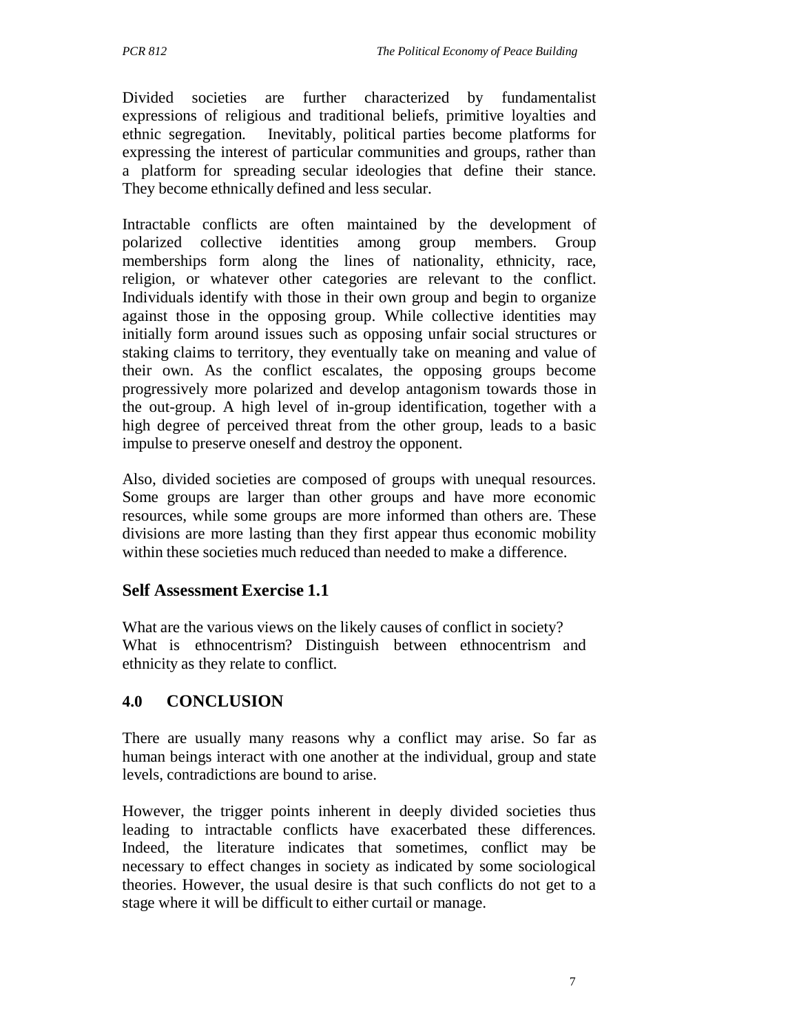Divided societies are further characterized by fundamentalist expressions of religious and traditional beliefs, primitive loyalties and ethnic segregation. Inevitably, political parties become platforms for expressing the interest of particular communities and groups, rather than a platform for spreading secular ideologies that define their stance. They become ethnically defined and less secular.

Intractable conflicts are often maintained by the development of polarized collective identities among group members. Group memberships form along the lines of nationality, ethnicity, race, religion, or whatever other categories are relevant to the conflict. Individuals identify with those in their own group and begin to organize against those in the opposing group. While collective identities may initially form around issues such as opposing unfair social structures or staking claims to territory, they eventually take on meaning and value of their own. As the conflict escalates, the opposing groups become progressively more polarized and develop antagonism towards those in the out-group. A high level of in-group identification, together with a high degree of perceived threat from the other group, leads to a basic impulse to preserve oneself and destroy the opponent.

Also, divided societies are composed of groups with unequal resources. Some groups are larger than other groups and have more economic resources, while some groups are more informed than others are. These divisions are more lasting than they first appear thus economic mobility within these societies much reduced than needed to make a difference.

# **Self Assessment Exercise 1.1**

What are the various views on the likely causes of conflict in society? What is ethnocentrism? Distinguish between ethnocentrism and ethnicity as they relate to conflict.

# **4.0 CONCLUSION**

There are usually many reasons why a conflict may arise. So far as human beings interact with one another at the individual, group and state levels, contradictions are bound to arise.

However, the trigger points inherent in deeply divided societies thus leading to intractable conflicts have exacerbated these differences. Indeed, the literature indicates that sometimes, conflict may be necessary to effect changes in society as indicated by some sociological theories. However, the usual desire is that such conflicts do not get to a stage where it will be difficult to either curtail or manage.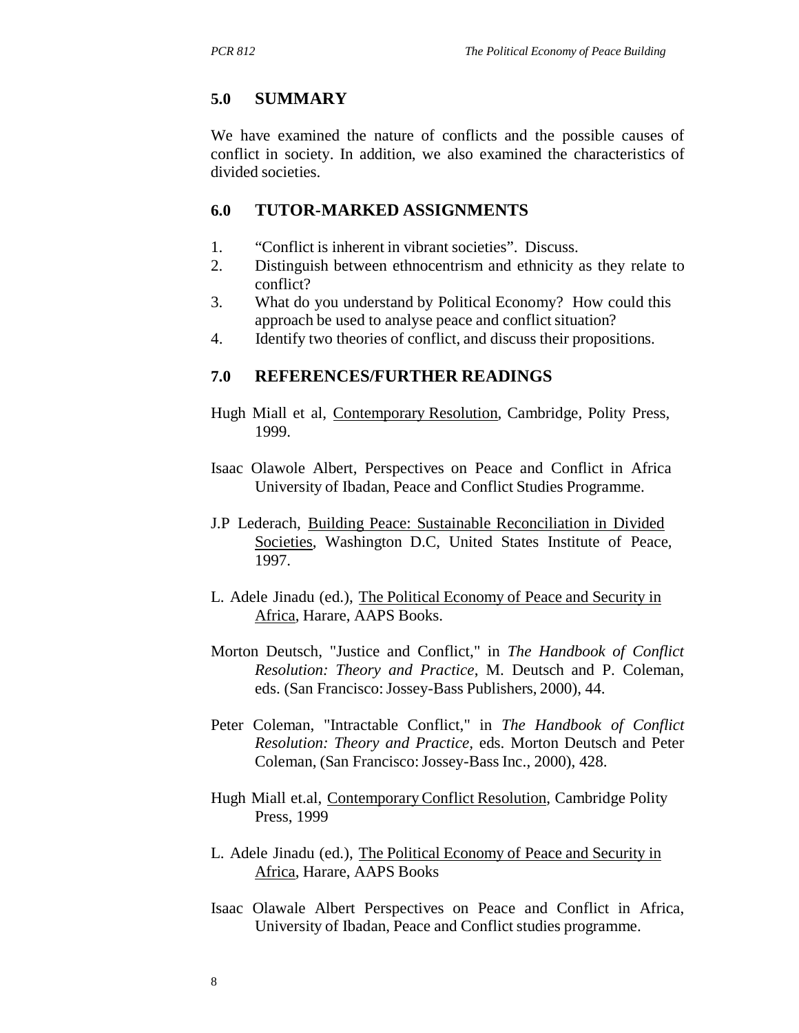#### **5.0 SUMMARY**

We have examined the nature of conflicts and the possible causes of conflict in society. In addition, we also examined the characteristics of divided societies.

#### **6.0 TUTOR-MARKED ASSIGNMENTS**

- 1. "Conflict is inherent in vibrant societies". Discuss.
- 2. Distinguish between ethnocentrism and ethnicity as they relate to conflict?
- 3. What do you understand by Political Economy? How could this approach be used to analyse peace and conflict situation?
- 4. Identify two theories of conflict, and discuss their propositions.

#### **7.0 REFERENCES/FURTHER READINGS**

- Hugh Miall et al, Contemporary Resolution, Cambridge, Polity Press, 1999.
- Isaac Olawole Albert, Perspectives on Peace and Conflict in Africa University of Ibadan, Peace and Conflict Studies Programme.
- J.P Lederach, Building Peace: Sustainable Reconciliation in Divided Societies, Washington D.C, United States Institute of Peace, 1997.
- L. Adele Jinadu (ed.), The Political Economy of Peace and Security in Africa, Harare, AAPS Books.
- Morton Deutsch, "Justice and Conflict," in *The Handbook of Conflict Resolution: Theory and Practice*, M. Deutsch and P. Coleman, eds. (San Francisco: Jossey-Bass Publishers, 2000), 44.
- Peter Coleman, "Intractable Conflict," in *The Handbook of Conflict Resolution: Theory and Practice,* eds. Morton Deutsch and Peter Coleman, (San Francisco: Jossey-Bass Inc., 2000), 428.
- Hugh Miall et.al, Contemporary Conflict Resolution, Cambridge Polity Press, 1999
- L. Adele Jinadu (ed.), The Political Economy of Peace and Security in Africa, Harare, AAPS Books
- Isaac Olawale Albert Perspectives on Peace and Conflict in Africa, University of Ibadan, Peace and Conflict studies programme.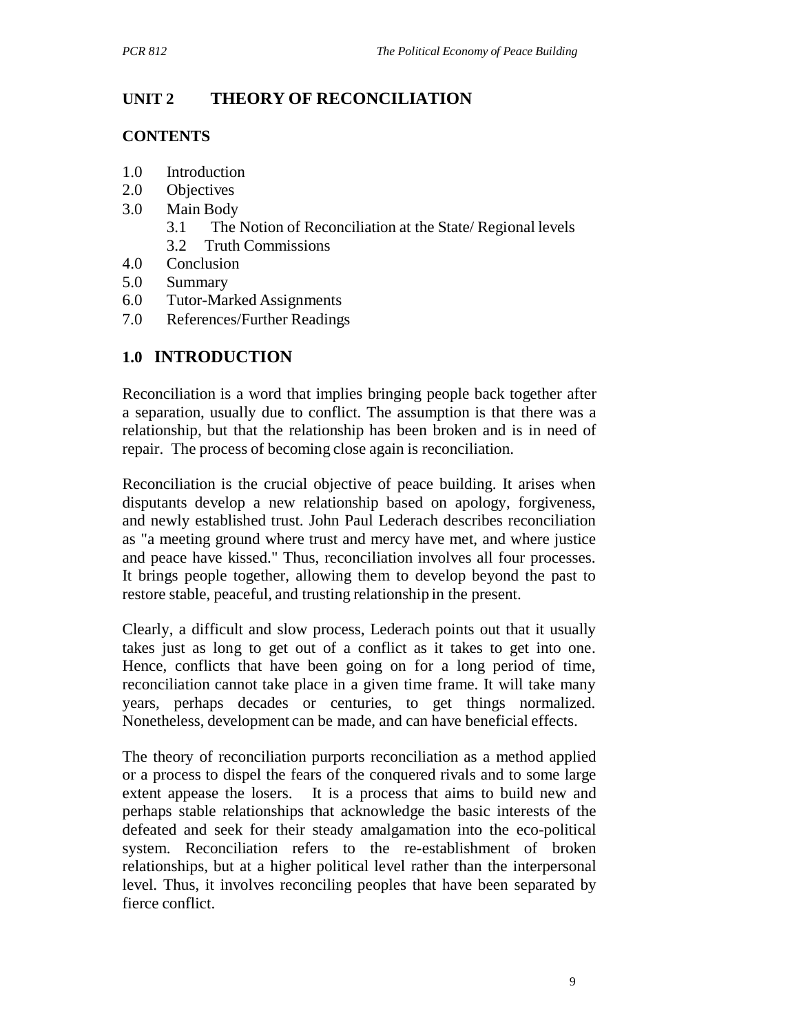# **UNIT 2 THEORY OF RECONCILIATION**

### **CONTENTS**

- 1.0 Introduction
- 2.0 Objectives
- 3.0 Main Body
	- 3.1 The Notion of Reconciliation at the State/ Regional levels
	- 3.2 Truth Commissions
- 4.0 Conclusion
- 5.0 Summary
- 6.0 Tutor-Marked Assignments
- 7.0 References/Further Readings

# **1.0 INTRODUCTION**

Reconciliation is a word that implies bringing people back together after a separation, usually due to conflict. The assumption is that there was a relationship, but that the relationship has been broken and is in need of repair. The process of becoming close again is reconciliation.

Reconciliation is the crucial objective of peace building. It arises when disputants develop a new relationship based on apology, forgiveness, and newly established trust. John Paul Lederach describes reconciliation as "a meeting ground where trust and mercy have met, and where justice and peace have kissed." Thus, reconciliation involves all four processes. It brings people together, allowing them to develop beyond the past to restore stable, peaceful, and trusting relationship in the present.

Clearly, a difficult and slow process, Lederach points out that it usually takes just as long to get out of a conflict as it takes to get into one. Hence, conflicts that have been going on for a long period of time, reconciliation cannot take place in a given time frame. It will take many years, perhaps decades or centuries, to get things normalized. Nonetheless, development can be made, and can have beneficial effects.

The theory of reconciliation purports reconciliation as a method applied or a process to dispel the fears of the conquered rivals and to some large extent appease the losers. It is a process that aims to build new and perhaps stable relationships that acknowledge the basic interests of the defeated and seek for their steady amalgamation into the eco-political system. Reconciliation refers to the re-establishment of broken relationships, but at a higher political level rather than the interpersonal level. Thus, it involves reconciling peoples that have been separated by fierce conflict.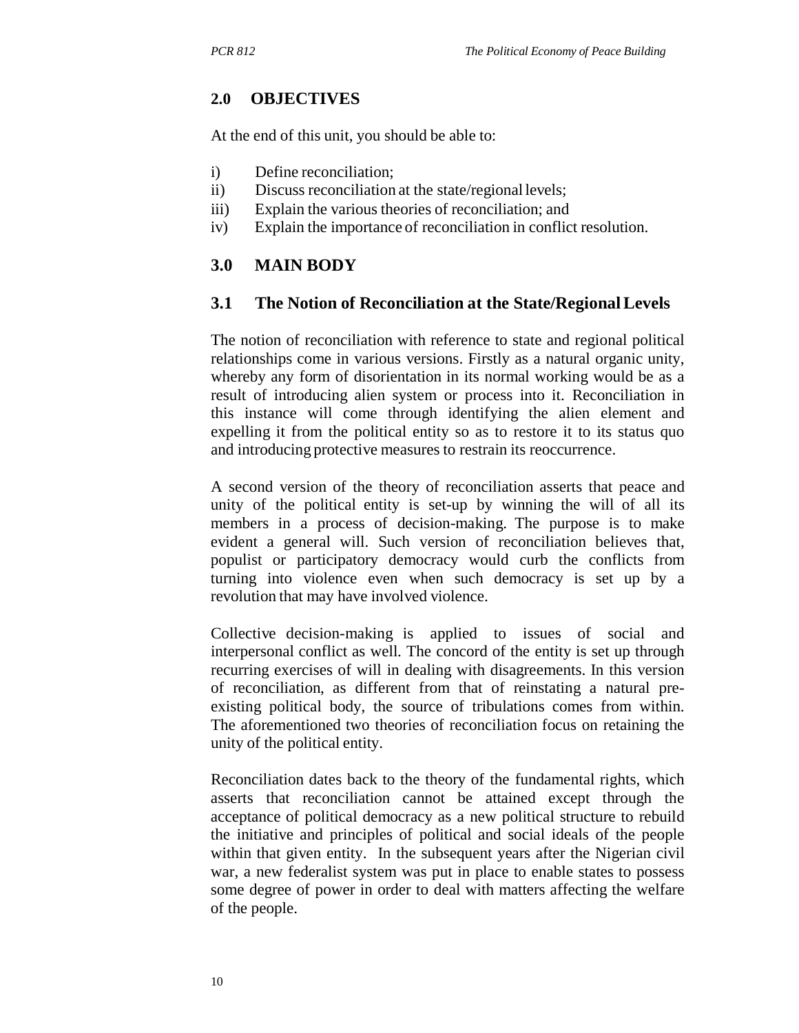### **2.0 OBJECTIVES**

At the end of this unit, you should be able to:

- i) Define reconciliation;
- ii) Discuss reconciliation at the state/regional levels;
- iii) Explain the various theories of reconciliation; and
- iv) Explain the importance of reconciliation in conflict resolution.

#### **3.0 MAIN BODY**

#### **3.1 The Notion of Reconciliation at the State/Regional Levels**

The notion of reconciliation with reference to state and regional political relationships come in various versions. Firstly as a natural organic unity, whereby any form of disorientation in its normal working would be as a result of introducing alien system or process into it. Reconciliation in this instance will come through identifying the alien element and expelling it from the political entity so as to restore it to its status quo and introducing protective measures to restrain its reoccurrence.

A second version of the theory of reconciliation asserts that peace and unity of the political entity is set-up by winning the will of all its members in a process of decision-making. The purpose is to make evident a general will. Such version of reconciliation believes that, populist or participatory democracy would curb the conflicts from turning into violence even when such democracy is set up by a revolution that may have involved violence.

Collective decision-making is applied to issues of social and interpersonal conflict as well. The concord of the entity is set up through recurring exercises of will in dealing with disagreements. In this version of reconciliation, as different from that of reinstating a natural preexisting political body, the source of tribulations comes from within. The aforementioned two theories of reconciliation focus on retaining the unity of the political entity.

Reconciliation dates back to the theory of the fundamental rights, which asserts that reconciliation cannot be attained except through the acceptance of political democracy as a new political structure to rebuild the initiative and principles of political and social ideals of the people within that given entity. In the subsequent years after the Nigerian civil war, a new federalist system was put in place to enable states to possess some degree of power in order to deal with matters affecting the welfare of the people.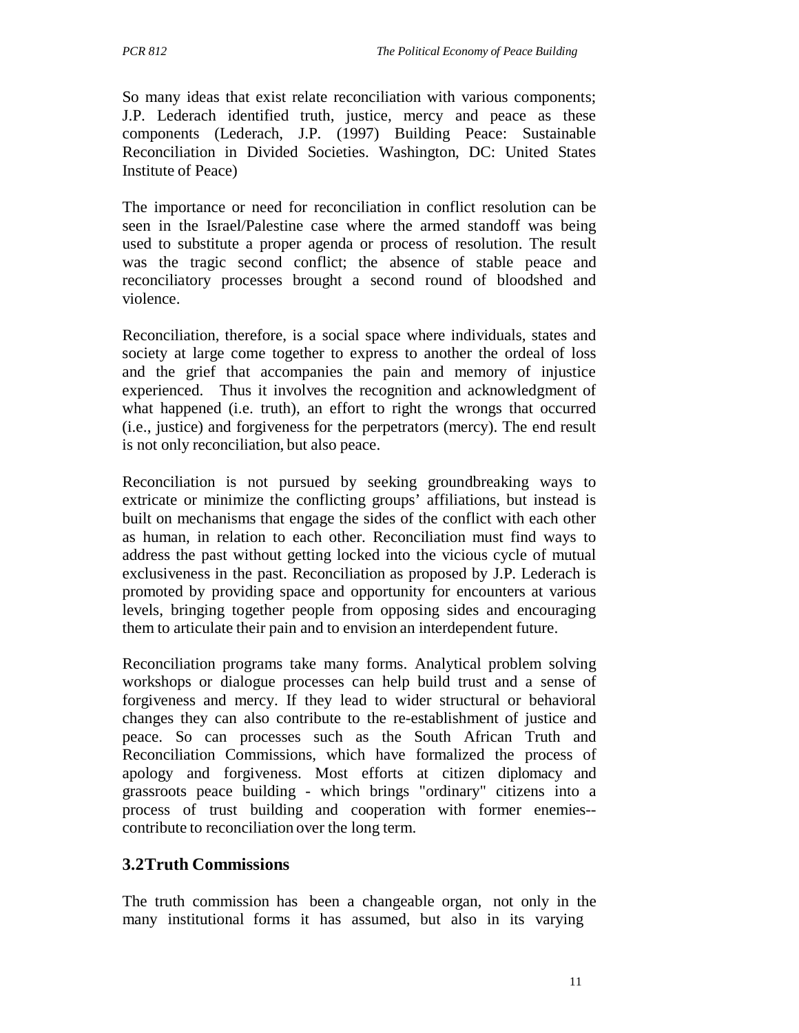So many ideas that exist relate reconciliation with various components; J.P. Lederach identified truth, justice, mercy and peace as these components (Lederach, J.P. (1997) Building Peace: Sustainable Reconciliation in Divided Societies. Washington, DC: United States Institute of Peace)

The importance or need for reconciliation in conflict resolution can be seen in the Israel/Palestine case where the armed standoff was being used to substitute a proper agenda or process of resolution. The result was the tragic second conflict; the absence of stable peace and reconciliatory processes brought a second round of bloodshed and violence.

Reconciliation, therefore, is a social space where individuals, states and society at large come together to express to another the ordeal of loss and the grief that accompanies the pain and memory of injustice experienced. Thus it involves the recognition and acknowledgment of what happened (i.e. truth), an effort to right the wrongs that occurred (i.e., justice) and forgiveness for the perpetrators (mercy). The end result is not only reconciliation, but also peace.

Reconciliation is not pursued by seeking groundbreaking ways to extricate or minimize the conflicting groups' affiliations, but instead is built on mechanisms that engage the sides of the conflict with each other as human, in relation to each other. Reconciliation must find ways to address the past without getting locked into the vicious cycle of mutual exclusiveness in the past. Reconciliation as proposed by J.P. Lederach is promoted by providing space and opportunity for encounters at various levels, bringing together people from opposing sides and encouraging them to articulate their pain and to envision an interdependent future.

Reconciliation programs take many forms. Analytical problem solving workshops or dialogue processes can help build trust and a sense of forgiveness and mercy. If they lead to wider structural or behavioral changes they can also contribute to the re-establishment of justice and peace. So can processes such as the South African Truth and Reconciliation Commissions, which have formalized the process of apology and forgiveness. Most efforts at citizen diplomacy and grassroots peace building - which brings "ordinary" citizens into a process of trust building and cooperation with former enemies- contribute to reconciliation over the long term.

#### **3.2Truth Commissions**

The truth commission has been a changeable organ, not only in the many institutional forms it has assumed, but also in its varying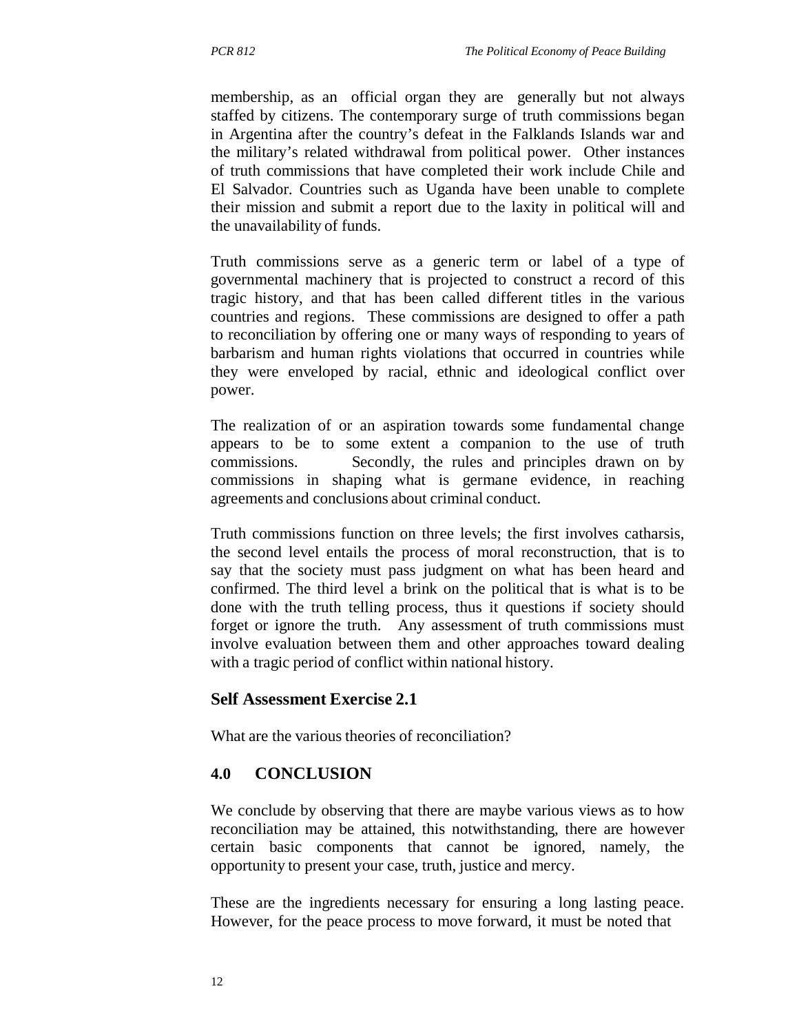membership, as an official organ they are generally but not always staffed by citizens. The contemporary surge of truth commissions began in Argentina after the country's defeat in the Falklands Islands war and the military's related withdrawal from political power. Other instances of truth commissions that have completed their work include Chile and El Salvador. Countries such as Uganda have been unable to complete their mission and submit a report due to the laxity in political will and the unavailability of funds.

Truth commissions serve as a generic term or label of a type of governmental machinery that is projected to construct a record of this tragic history, and that has been called different titles in the various countries and regions. These commissions are designed to offer a path to reconciliation by offering one or many ways of responding to years of barbarism and human rights violations that occurred in countries while they were enveloped by racial, ethnic and ideological conflict over power.

The realization of or an aspiration towards some fundamental change appears to be to some extent a companion to the use of truth commissions. Secondly, the rules and principles drawn on by commissions in shaping what is germane evidence, in reaching agreements and conclusions about criminal conduct.

Truth commissions function on three levels; the first involves catharsis, the second level entails the process of moral reconstruction, that is to say that the society must pass judgment on what has been heard and confirmed. The third level a brink on the political that is what is to be done with the truth telling process, thus it questions if society should forget or ignore the truth. Any assessment of truth commissions must involve evaluation between them and other approaches toward dealing with a tragic period of conflict within national history.

#### **Self Assessment Exercise 2.1**

What are the various theories of reconciliation?

#### **4.0 CONCLUSION**

We conclude by observing that there are maybe various views as to how reconciliation may be attained, this notwithstanding, there are however certain basic components that cannot be ignored, namely, the opportunity to present your case, truth, justice and mercy.

These are the ingredients necessary for ensuring a long lasting peace. However, for the peace process to move forward, it must be noted that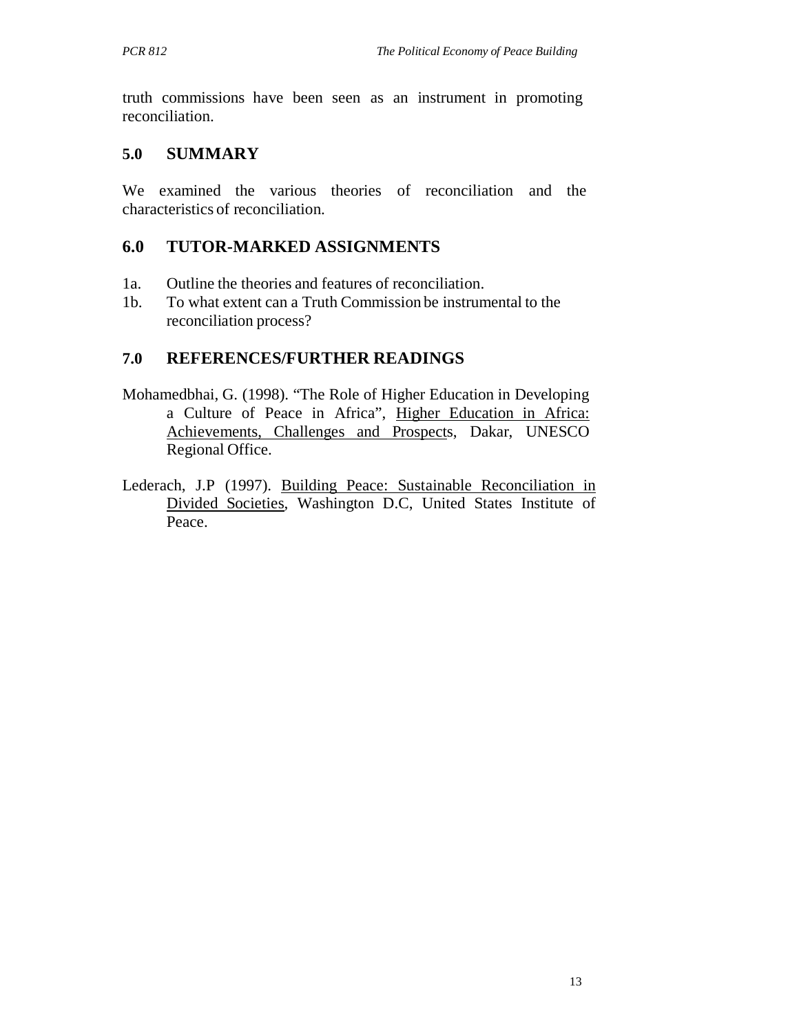truth commissions have been seen as an instrument in promoting reconciliation.

## **5.0 SUMMARY**

We examined the various theories of reconciliation and the characteristics of reconciliation.

# **6.0 TUTOR-MARKED ASSIGNMENTS**

- 1a. Outline the theories and features of reconciliation.
- 1b. To what extent can a Truth Commission be instrumental to the reconciliation process?

# **7.0 REFERENCES/FURTHER READINGS**

- Mohamedbhai, G. (1998). "The Role of Higher Education in Developing a Culture of Peace in Africa", Higher Education in Africa: Achievements, Challenges and Prospects, Dakar, UNESCO Regional Office.
- Lederach, J.P (1997). Building Peace: Sustainable Reconciliation in Divided Societies, Washington D.C, United States Institute of Peace.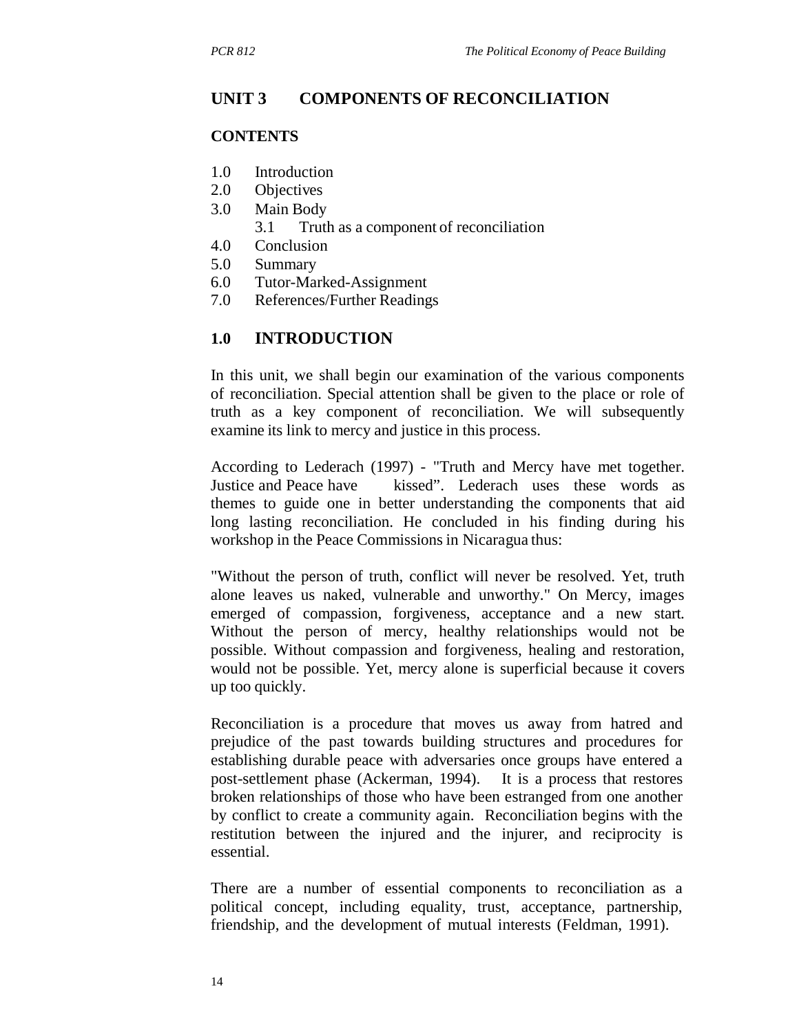## **UNIT 3 COMPONENTS OF RECONCILIATION**

#### **CONTENTS**

- 1.0 Introduction
- 2.0 Objectives
- 3.0 Main Body
	- 3.1 Truth as a component of reconciliation
- 4.0 Conclusion
- 5.0 Summary
- 6.0 Tutor-Marked-Assignment
- 7.0 References/Further Readings

### **1.0 INTRODUCTION**

In this unit, we shall begin our examination of the various components of reconciliation. Special attention shall be given to the place or role of truth as a key component of reconciliation. We will subsequently examine its link to mercy and justice in this process.

According to Lederach (1997) - "Truth and Mercy have met together. Justice and Peace have kissed". Lederach uses these words as themes to guide one in better understanding the components that aid long lasting reconciliation. He concluded in his finding during his workshop in the Peace Commissions in Nicaragua thus:

"Without the person of truth, conflict will never be resolved. Yet, truth alone leaves us naked, vulnerable and unworthy." On Mercy, images emerged of compassion, forgiveness, acceptance and a new start. Without the person of mercy, healthy relationships would not be possible. Without compassion and forgiveness, healing and restoration, would not be possible. Yet, mercy alone is superficial because it covers up too quickly.

Reconciliation is a procedure that moves us away from hatred and prejudice of the past towards building structures and procedures for establishing durable peace with adversaries once groups have entered a post-settlement phase (Ackerman, 1994). It is a process that restores broken relationships of those who have been estranged from one another by conflict to create a community again. Reconciliation begins with the restitution between the injured and the injurer, and reciprocity is essential.

There are a number of essential components to reconciliation as a political concept, including equality, trust, acceptance, partnership, friendship, and the development of mutual interests (Feldman, 1991).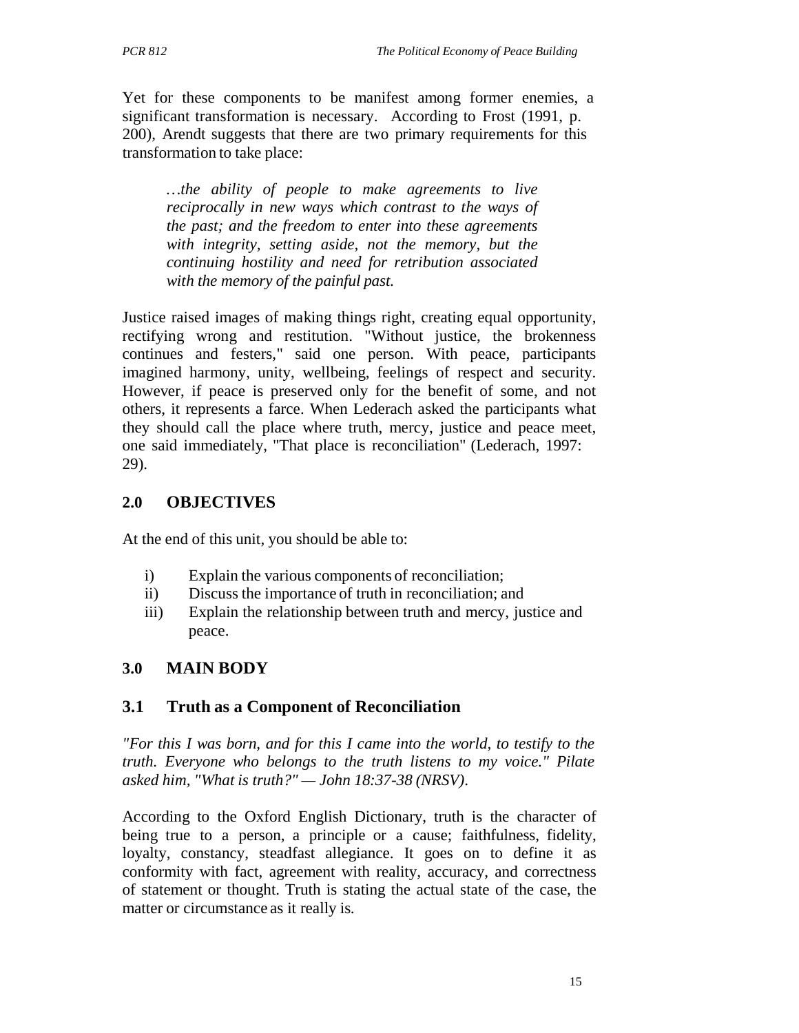Yet for these components to be manifest among former enemies, a significant transformation is necessary. According to Frost (1991, p. 200), Arendt suggests that there are two primary requirements for this transformation to take place:

*…the ability of people to make agreements to live reciprocally in new ways which contrast to the ways of the past; and the freedom to enter into these agreements with integrity, setting aside, not the memory, but the continuing hostility and need for retribution associated with the memory of the painful past.*

Justice raised images of making things right, creating equal opportunity, rectifying wrong and restitution. "Without justice, the brokenness continues and festers," said one person. With peace, participants imagined harmony, unity, wellbeing, feelings of respect and security. However, if peace is preserved only for the benefit of some, and not others, it represents a farce. When Lederach asked the participants what they should call the place where truth, mercy, justice and peace meet, one said immediately, "That place is reconciliation" (Lederach, 1997: 29).

# **2.0 OBJECTIVES**

At the end of this unit, you should be able to:

- i) Explain the various components of reconciliation;
- ii) Discuss the importance of truth in reconciliation; and
- iii) Explain the relationship between truth and mercy, justice and peace.

# **3.0 MAIN BODY**

#### **3.1 Truth as a Component of Reconciliation**

*"For this I was born, and for this I came into the world, to testify to the truth. Everyone who belongs to the truth listens to my voice." Pilate asked him, "What is truth?" — John 18:37-38 (NRSV)*.

According to the Oxford English Dictionary, truth is the character of being true to a person, a principle or a cause; faithfulness, fidelity, loyalty, constancy, steadfast allegiance. It goes on to define it as conformity with fact, agreement with reality, accuracy, and correctness of statement or thought. Truth is stating the actual state of the case, the matter or circumstance as it really is.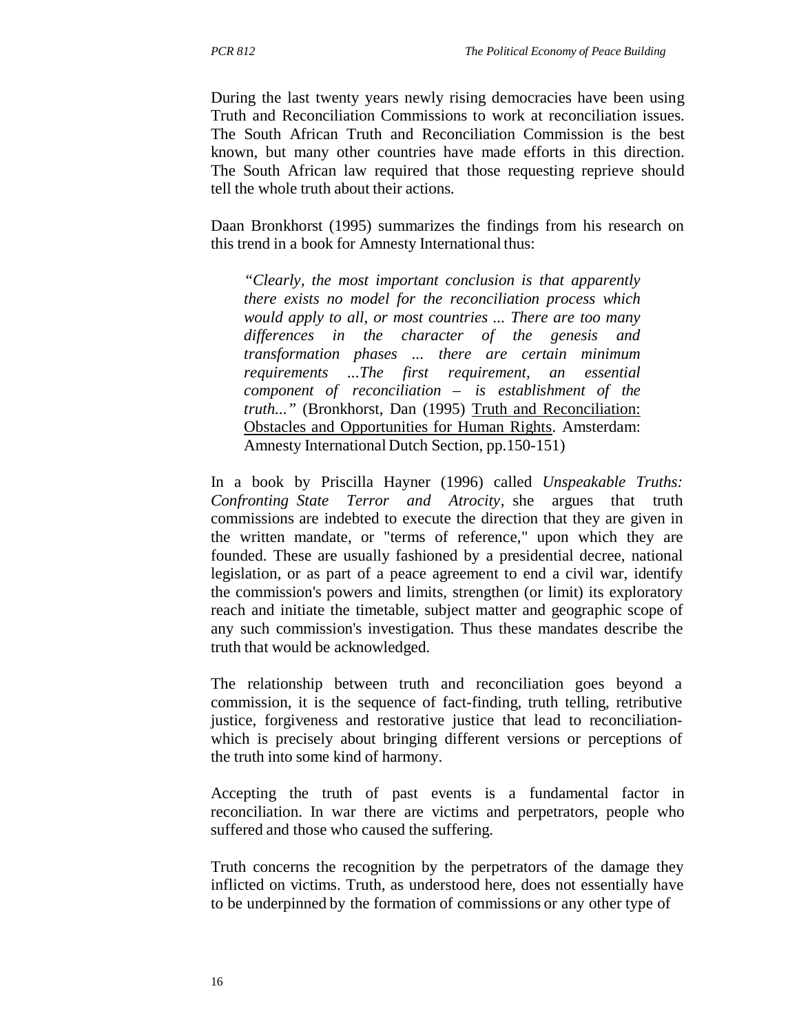During the last twenty years newly rising democracies have been using Truth and Reconciliation Commissions to work at reconciliation issues. The South African Truth and Reconciliation Commission is the best known, but many other countries have made efforts in this direction. The South African law required that those requesting reprieve should tell the whole truth about their actions.

Daan Bronkhorst (1995) summarizes the findings from his research on this trend in a book for Amnesty International thus:

*"Clearly, the most important conclusion is that apparently there exists no model for the reconciliation process which would apply to all, or most countries ... There are too many differences in the character of the genesis and transformation phases ... there are certain minimum requirements ...The first requirement, an essential component of reconciliation – is establishment of the truth..."* (Bronkhorst, Dan (1995) Truth and Reconciliation: Obstacles and Opportunities for Human Rights. Amsterdam: Amnesty International Dutch Section, pp.150-151)

In a book by Priscilla Hayner (1996) called *Unspeakable Truths: Confronting State Terror and Atrocity*, she argues that truth commissions are indebted to execute the direction that they are given in the written mandate, or "terms of reference," upon which they are founded. These are usually fashioned by a presidential decree, national legislation, or as part of a peace agreement to end a civil war, identify the commission's powers and limits, strengthen (or limit) its exploratory reach and initiate the timetable, subject matter and geographic scope of any such commission's investigation. Thus these mandates describe the truth that would be acknowledged.

The relationship between truth and reconciliation goes beyond a commission, it is the sequence of fact-finding, truth telling, retributive justice, forgiveness and restorative justice that lead to reconciliationwhich is precisely about bringing different versions or perceptions of the truth into some kind of harmony.

Accepting the truth of past events is a fundamental factor in reconciliation. In war there are victims and perpetrators, people who suffered and those who caused the suffering.

Truth concerns the recognition by the perpetrators of the damage they inflicted on victims. Truth, as understood here, does not essentially have to be underpinned by the formation of commissions or any other type of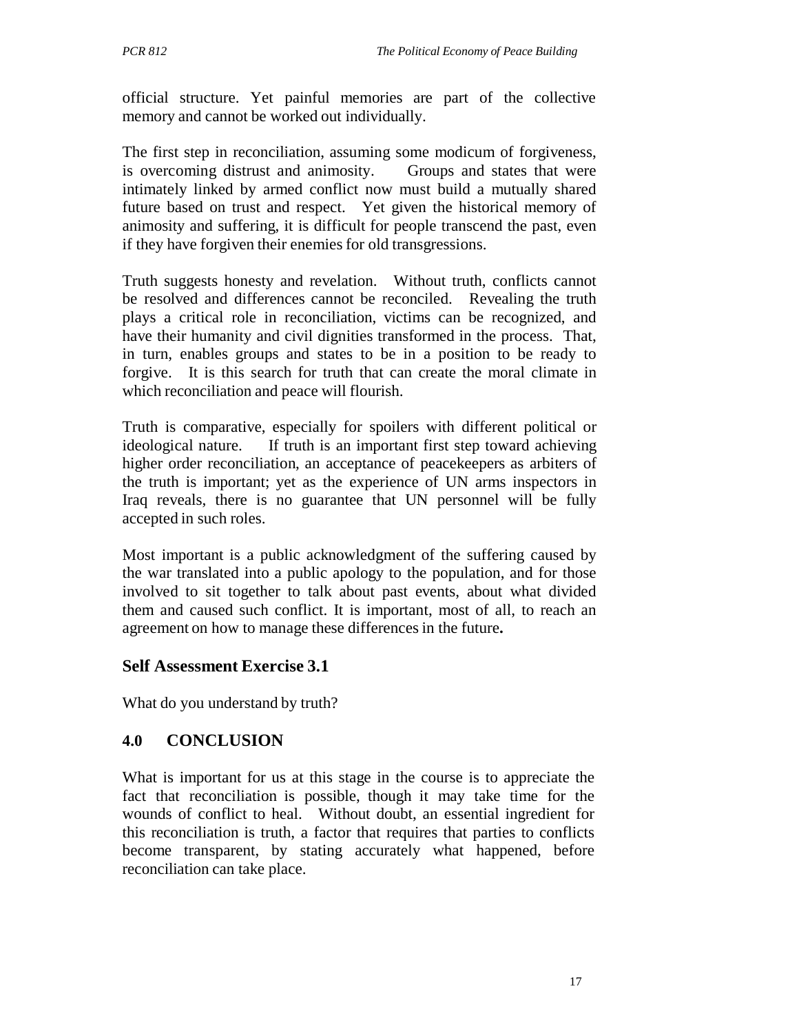official structure. Yet painful memories are part of the collective memory and cannot be worked out individually.

The first step in reconciliation, assuming some modicum of forgiveness, is overcoming distrust and animosity. Groups and states that were intimately linked by armed conflict now must build a mutually shared future based on trust and respect. Yet given the historical memory of animosity and suffering, it is difficult for people transcend the past, even if they have forgiven their enemies for old transgressions.

Truth suggests honesty and revelation. Without truth, conflicts cannot be resolved and differences cannot be reconciled. Revealing the truth plays a critical role in reconciliation, victims can be recognized, and have their humanity and civil dignities transformed in the process. That, in turn, enables groups and states to be in a position to be ready to forgive. It is this search for truth that can create the moral climate in which reconciliation and peace will flourish.

Truth is comparative, especially for spoilers with different political or ideological nature. If truth is an important first step toward achieving higher order reconciliation, an acceptance of peacekeepers as arbiters of the truth is important; yet as the experience of UN arms inspectors in Iraq reveals, there is no guarantee that UN personnel will be fully accepted in such roles.

Most important is a public acknowledgment of the suffering caused by the war translated into a public apology to the population, and for those involved to sit together to talk about past events, about what divided them and caused such conflict. It is important, most of all, to reach an agreement on how to manage these differences in the future**.**

# **Self Assessment Exercise 3.1**

What do you understand by truth?

# **4.0 CONCLUSION**

What is important for us at this stage in the course is to appreciate the fact that reconciliation is possible, though it may take time for the wounds of conflict to heal. Without doubt, an essential ingredient for this reconciliation is truth, a factor that requires that parties to conflicts become transparent, by stating accurately what happened, before reconciliation can take place.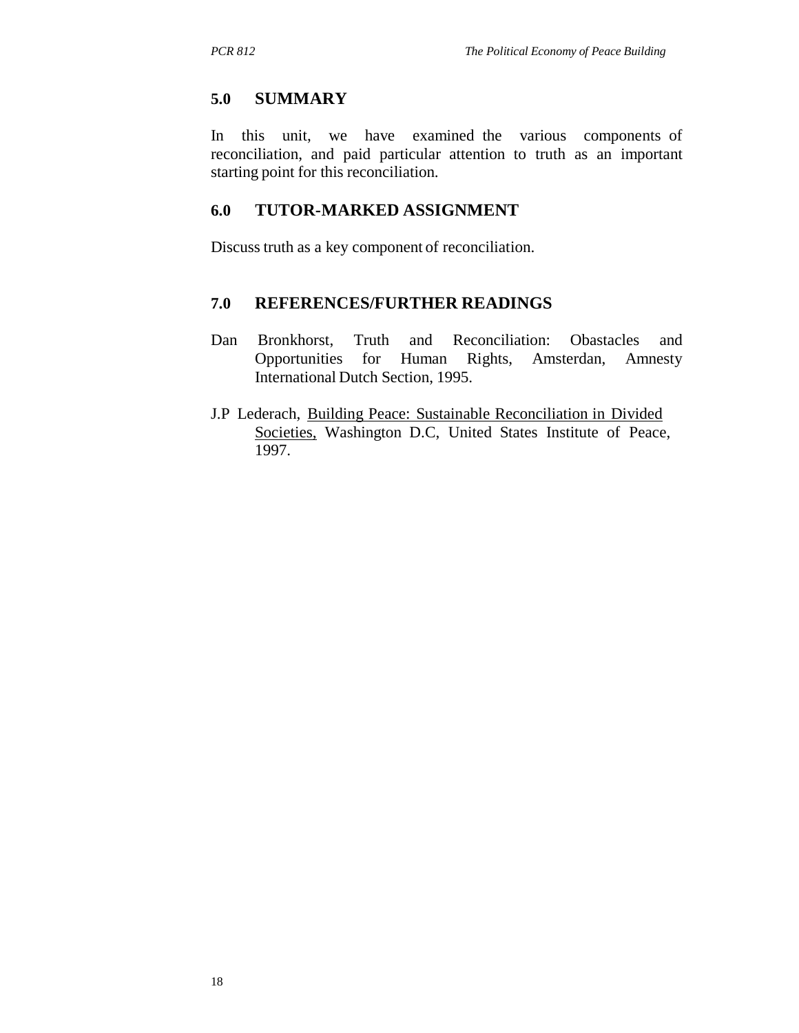#### **5.0 SUMMARY**

In this unit, we have examined the various components of reconciliation, and paid particular attention to truth as an important starting point for this reconciliation.

### **6.0 TUTOR-MARKED ASSIGNMENT**

Discuss truth as a key component of reconciliation.

#### **7.0 REFERENCES/FURTHER READINGS**

- Dan Bronkhorst, Truth and Reconciliation: Obastacles and Opportunities for Human Rights, Amsterdan, Amnesty International Dutch Section, 1995.
- J.P Lederach, Building Peace: Sustainable Reconciliation in Divided Societies, Washington D.C, United States Institute of Peace, 1997.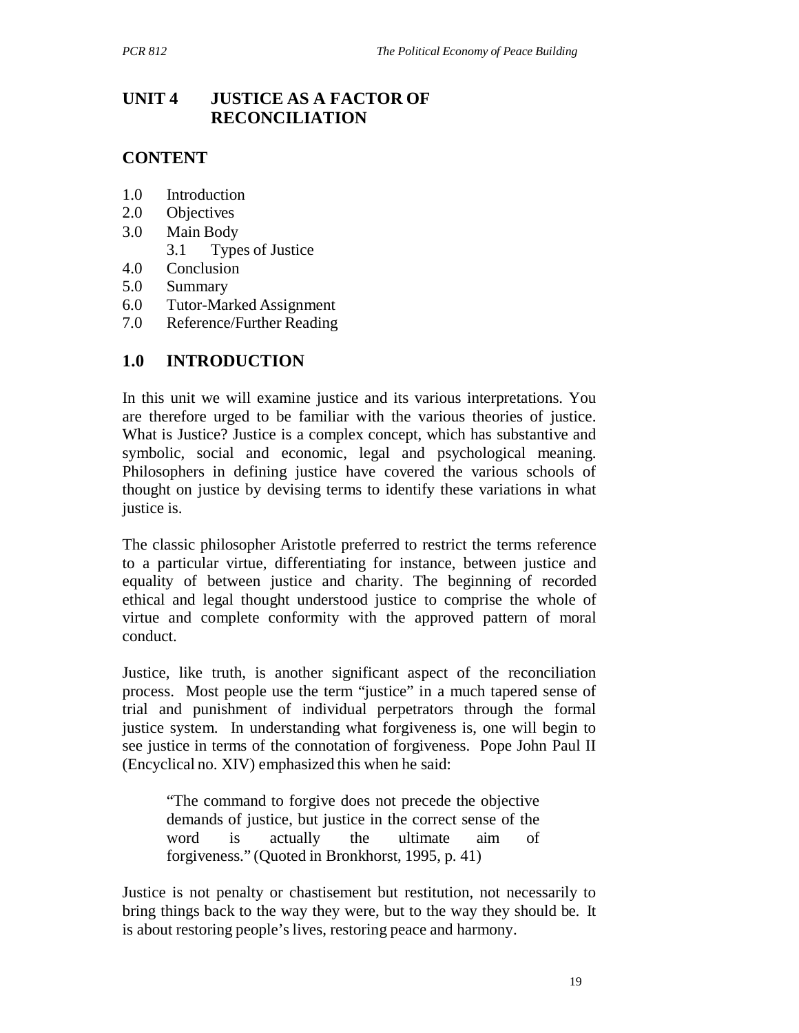# **UNIT 4 JUSTICE AS A FACTOR OF RECONCILIATION**

# **CONTENT**

- 1.0 Introduction
- 2.0 Objectives
- 3.0 Main Body
	- 3.1 Types of Justice
- 4.0 Conclusion
- 5.0 Summary
- 6.0 Tutor-Marked Assignment
- 7.0 Reference/Further Reading

# **1.0 INTRODUCTION**

In this unit we will examine justice and its various interpretations. You are therefore urged to be familiar with the various theories of justice. What is Justice? Justice is a complex concept, which has substantive and symbolic, social and economic, legal and psychological meaning. Philosophers in defining justice have covered the various schools of thought on justice by devising terms to identify these variations in what justice is.

The classic philosopher Aristotle preferred to restrict the terms reference to a particular virtue, differentiating for instance, between justice and equality of between justice and charity. The beginning of recorded ethical and legal thought understood justice to comprise the whole of virtue and complete conformity with the approved pattern of moral conduct.

Justice, like truth, is another significant aspect of the reconciliation process. Most people use the term "justice" in a much tapered sense of trial and punishment of individual perpetrators through the formal justice system. In understanding what forgiveness is, one will begin to see justice in terms of the connotation of forgiveness. Pope John Paul II (Encyclical no. XIV) emphasized this when he said:

"The command to forgive does not precede the objective demands of justice, but justice in the correct sense of the word is actually the ultimate aim of forgiveness." (Quoted in Bronkhorst, 1995, p. 41)

Justice is not penalty or chastisement but restitution, not necessarily to bring things back to the way they were, but to the way they should be. It is about restoring people's lives, restoring peace and harmony.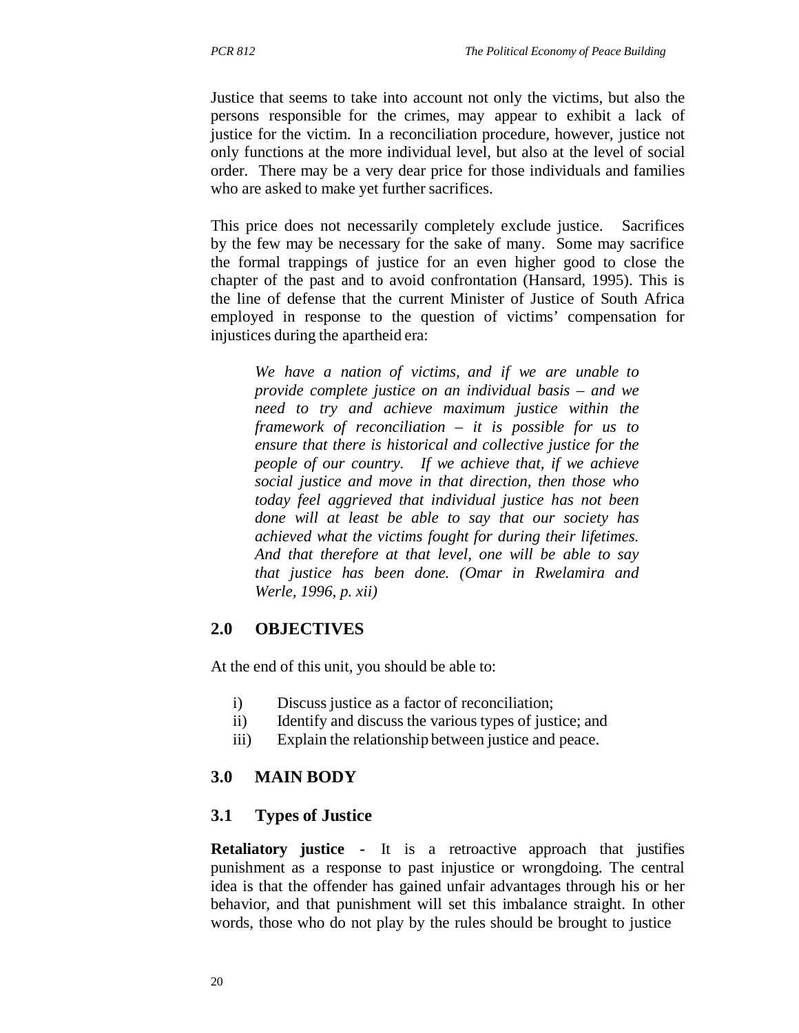Justice that seems to take into account not only the victims, but also the persons responsible for the crimes, may appear to exhibit a lack of justice for the victim. In a reconciliation procedure, however, justice not only functions at the more individual level, but also at the level of social order. There may be a very dear price for those individuals and families who are asked to make yet further sacrifices.

This price does not necessarily completely exclude justice. Sacrifices by the few may be necessary for the sake of many. Some may sacrifice the formal trappings of justice for an even higher good to close the chapter of the past and to avoid confrontation (Hansard, 1995). This is the line of defense that the current Minister of Justice of South Africa employed in response to the question of victims' compensation for injustices during the apartheid era:

*We have a nation of victims, and if we are unable to provide complete justice on an individual basis – and we need to try and achieve maximum justice within the framework of reconciliation – it is possible for us to ensure that there is historical and collective justice for the people of our country. If we achieve that, if we achieve social justice and move in that direction, then those who today feel aggrieved that individual justice has not been done will at least be able to say that our society has achieved what the victims fought for during their lifetimes. And that therefore at that level, one will be able to say that justice has been done. (Omar in Rwelamira and Werle, 1996, p. xii)*

### **2.0 OBJECTIVES**

At the end of this unit, you should be able to:

- i) Discuss justice as a factor of reconciliation;
- ii) Identify and discuss the various types of justice; and
- iii) Explain the relationship between justice and peace.

# **3.0 MAIN BODY**

#### **3.1 Types of Justice**

**Retaliatory justice -** It is a retroactive approach that justifies punishment as a response to past injustice or wrongdoing. The central idea is that the offender has gained unfair advantages through his or her behavior, and that punishment will set this imbalance straight. In other words, those who do not play by the rules should be brought to justice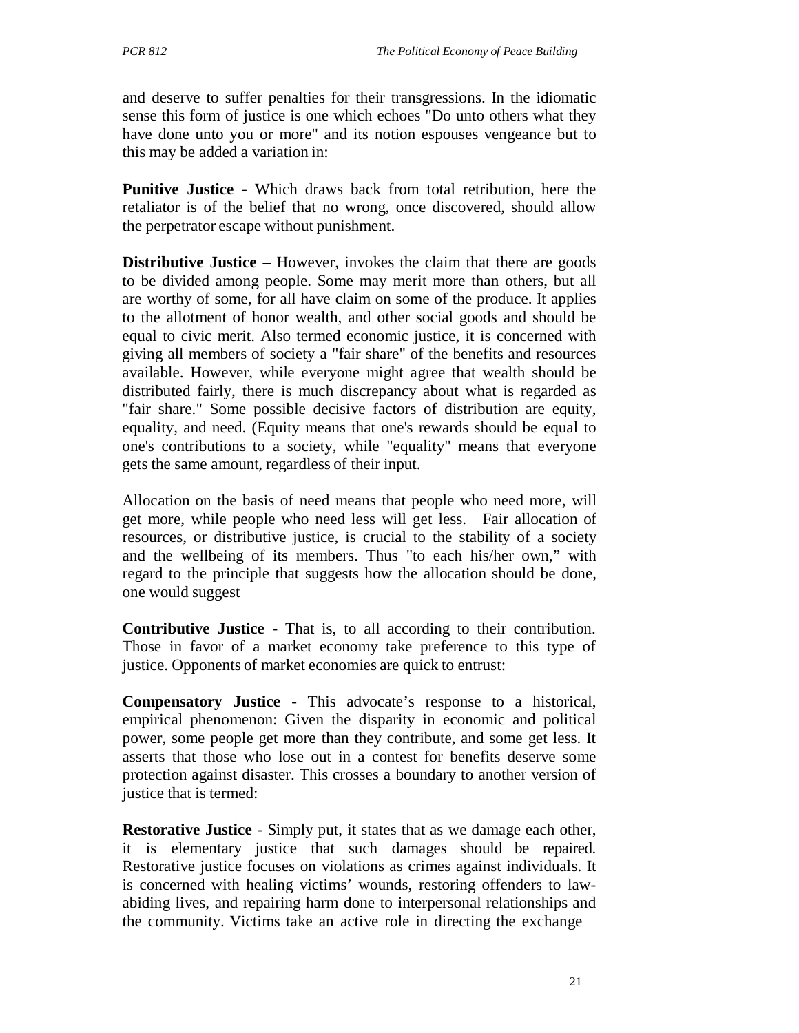and deserve to suffer penalties for their transgressions. In the idiomatic sense this form of justice is one which echoes "Do unto others what they have done unto you or more" and its notion espouses vengeance but to this may be added a variation in:

**Punitive Justice** - Which draws back from total retribution, here the retaliator is of the belief that no wrong, once discovered, should allow the perpetrator escape without punishment.

**Distributive Justice** – However, invokes the claim that there are goods to be divided among people. Some may merit more than others, but all are worthy of some, for all have claim on some of the produce. It applies to the allotment of honor wealth, and other social goods and should be equal to civic merit. Also termed economic justice, it is concerned with giving all members of society a "fair share" of the benefits and resources available. However, while everyone might agree that wealth should be distributed fairly, there is much discrepancy about what is regarded as "fair share." Some possible decisive factors of distribution are equity, equality, and need. (Equity means that one's rewards should be equal to one's contributions to a society, while "equality" means that everyone gets the same amount, regardless of their input.

Allocation on the basis of need means that people who need more, will get more, while people who need less will get less. Fair allocation of resources, or distributive justice, is crucial to the stability of a society and the wellbeing of its members. Thus "to each his/her own," with regard to the principle that suggests how the allocation should be done, one would suggest

**Contributive Justice** - That is, to all according to their contribution. Those in favor of a market economy take preference to this type of justice. Opponents of market economies are quick to entrust:

**Compensatory Justice** - This advocate's response to a historical, empirical phenomenon: Given the disparity in economic and political power, some people get more than they contribute, and some get less. It asserts that those who lose out in a contest for benefits deserve some protection against disaster. This crosses a boundary to another version of justice that is termed:

**Restorative Justice** - Simply put, it states that as we damage each other, it is elementary justice that such damages should be repaired. Restorative justice focuses on violations as crimes against individuals. It is concerned with healing victims' wounds, restoring offenders to lawabiding lives, and repairing harm done to interpersonal relationships and the community. Victims take an active role in directing the exchange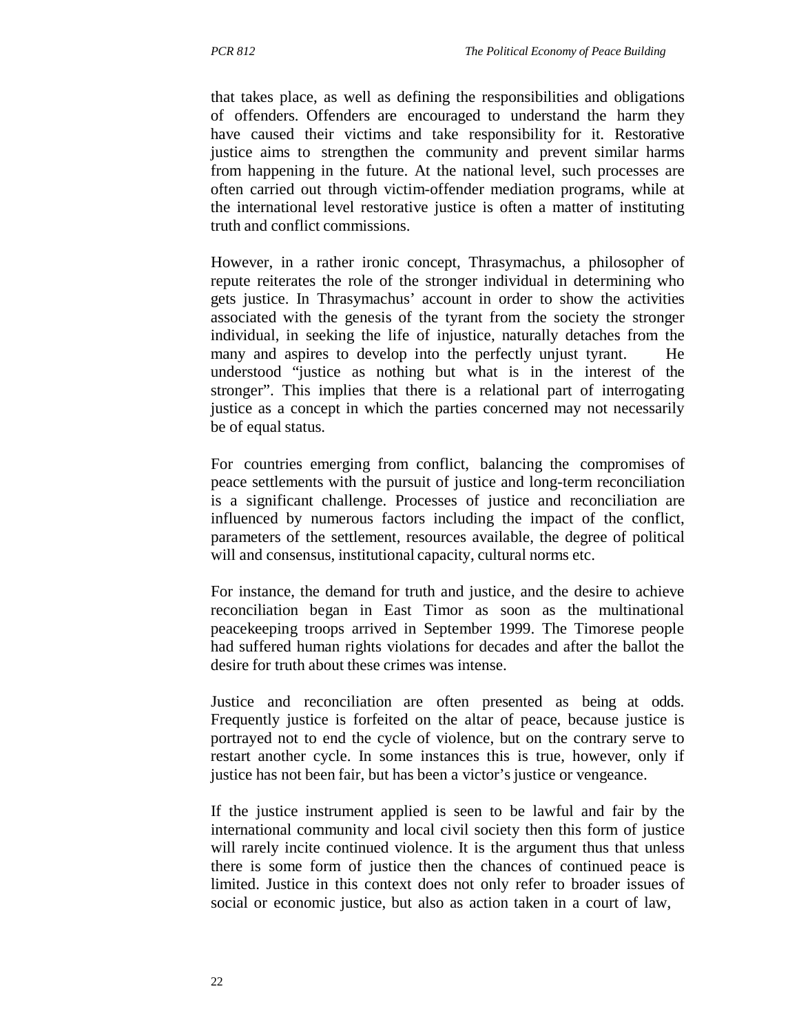that takes place, as well as defining the responsibilities and obligations of offenders. Offenders are encouraged to understand the harm they have caused their victims and take responsibility for it. Restorative justice aims to strengthen the community and prevent similar harms from happening in the future. At the national level, such processes are often carried out through victim-offender mediation programs, while at the international level restorative justice is often a matter of instituting truth and conflict commissions.

However, in a rather ironic concept, Thrasymachus, a philosopher of repute reiterates the role of the stronger individual in determining who gets justice. In Thrasymachus' account in order to show the activities associated with the genesis of the tyrant from the society the stronger individual, in seeking the life of injustice, naturally detaches from the many and aspires to develop into the perfectly unjust tyrant. He understood "justice as nothing but what is in the interest of the stronger". This implies that there is a relational part of interrogating justice as a concept in which the parties concerned may not necessarily be of equal status.

For countries emerging from conflict, balancing the compromises of peace settlements with the pursuit of justice and long-term reconciliation is a significant challenge. Processes of justice and reconciliation are influenced by numerous factors including the impact of the conflict, parameters of the settlement, resources available, the degree of political will and consensus, institutional capacity, cultural norms etc.

For instance, the demand for truth and justice, and the desire to achieve reconciliation began in East Timor as soon as the multinational peacekeeping troops arrived in September 1999. The Timorese people had suffered human rights violations for decades and after the ballot the desire for truth about these crimes was intense.

Justice and reconciliation are often presented as being at odds. Frequently justice is forfeited on the altar of peace, because justice is portrayed not to end the cycle of violence, but on the contrary serve to restart another cycle. In some instances this is true, however, only if justice has not been fair, but has been a victor's justice or vengeance.

If the justice instrument applied is seen to be lawful and fair by the international community and local civil society then this form of justice will rarely incite continued violence. It is the argument thus that unless there is some form of justice then the chances of continued peace is limited. Justice in this context does not only refer to broader issues of social or economic justice, but also as action taken in a court of law,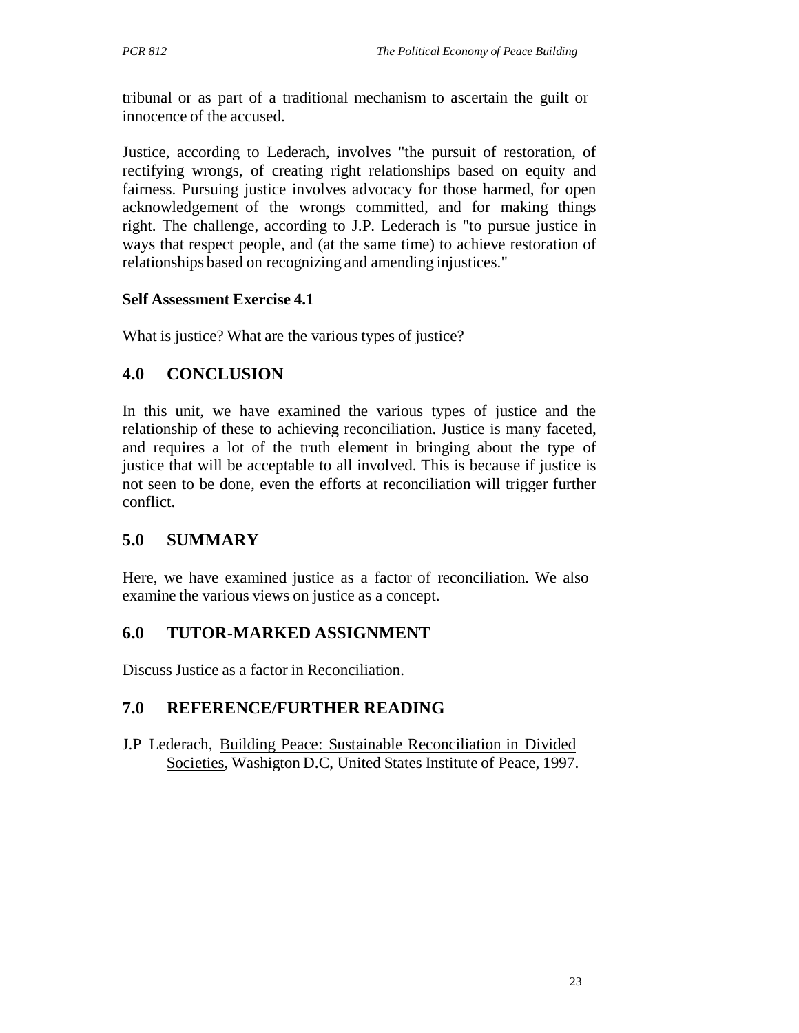tribunal or as part of a traditional mechanism to ascertain the guilt or innocence of the accused.

Justice, according to Lederach, involves "the pursuit of restoration, of rectifying wrongs, of creating right relationships based on equity and fairness. Pursuing justice involves advocacy for those harmed, for open acknowledgement of the wrongs committed, and for making things right. The challenge, according to J.P. Lederach is "to pursue justice in ways that respect people, and (at the same time) to achieve restoration of relationships based on recognizing and amending injustices."

### **Self Assessment Exercise 4.1**

What is justice? What are the various types of justice?

# **4.0 CONCLUSION**

In this unit, we have examined the various types of justice and the relationship of these to achieving reconciliation. Justice is many faceted, and requires a lot of the truth element in bringing about the type of justice that will be acceptable to all involved. This is because if justice is not seen to be done, even the efforts at reconciliation will trigger further conflict.

# **5.0 SUMMARY**

Here, we have examined justice as a factor of reconciliation. We also examine the various views on justice as a concept.

# **6.0 TUTOR-MARKED ASSIGNMENT**

Discuss Justice as a factor in Reconciliation.

# **7.0 REFERENCE/FURTHER READING**

J.P Lederach, Building Peace: Sustainable Reconciliation in Divided Societies, Washigton D.C, United States Institute of Peace, 1997.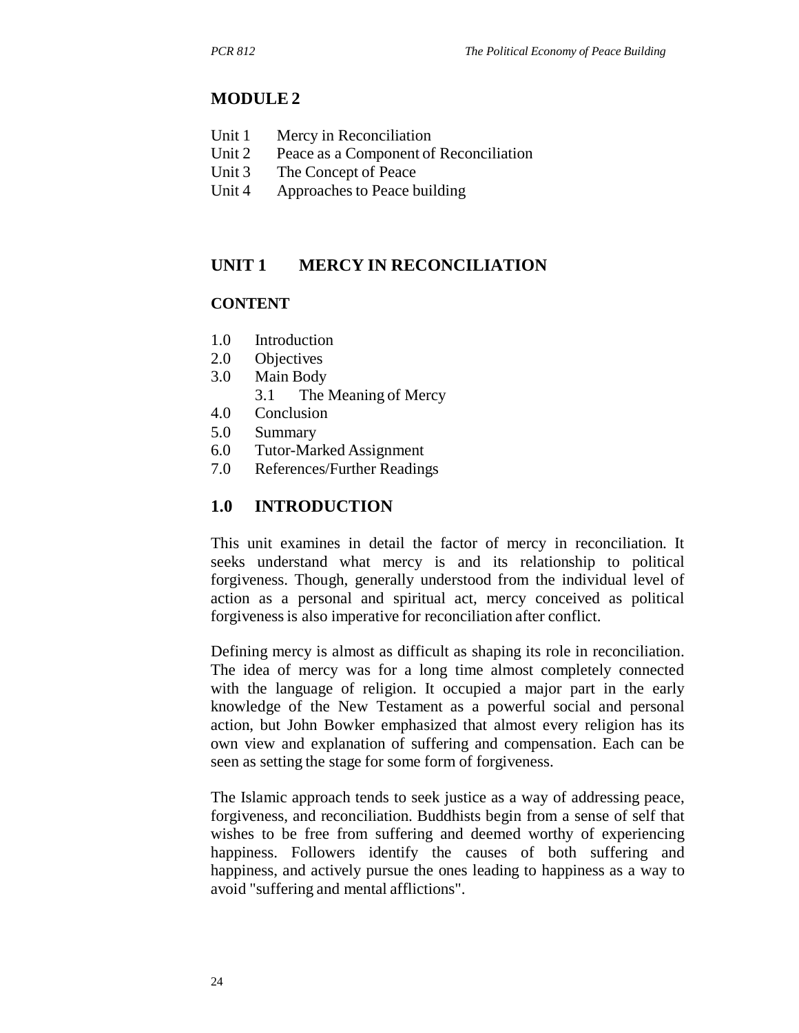### **MODULE 2**

- Unit 1 Mercy in Reconciliation
- Unit 2 Peace as a Component of Reconciliation
- Unit 3 The Concept of Peace
- Unit 4 Approaches to Peace building

### **UNIT 1 MERCY IN RECONCILIATION**

#### **CONTENT**

- 1.0 Introduction
- 2.0 Objectives
- 3.0 Main Body
	- 3.1 The Meaning of Mercy
- 4.0 Conclusion
- 5.0 Summary
- 6.0 Tutor-Marked Assignment
- 7.0 References/Further Readings

### **1.0 INTRODUCTION**

This unit examines in detail the factor of mercy in reconciliation. It seeks understand what mercy is and its relationship to political forgiveness. Though, generally understood from the individual level of action as a personal and spiritual act, mercy conceived as political forgiveness is also imperative for reconciliation after conflict.

Defining mercy is almost as difficult as shaping its role in reconciliation. The idea of mercy was for a long time almost completely connected with the language of religion. It occupied a major part in the early knowledge of the New Testament as a powerful social and personal action, but John Bowker emphasized that almost every religion has its own view and explanation of suffering and compensation. Each can be seen as setting the stage for some form of forgiveness.

The Islamic approach tends to seek justice as a way of addressing peace, forgiveness, and reconciliation. Buddhists begin from a sense of self that wishes to be free from suffering and deemed worthy of experiencing happiness. Followers identify the causes of both suffering and happiness, and actively pursue the ones leading to happiness as a way to avoid "suffering and mental afflictions".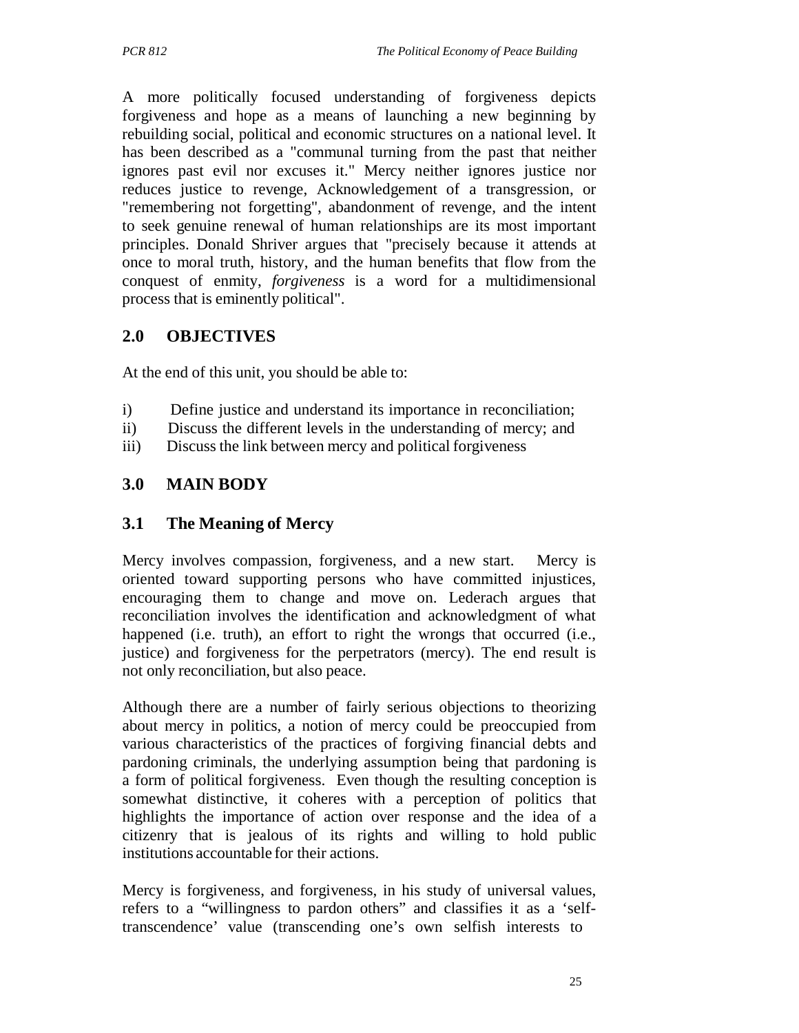A more politically focused understanding of forgiveness depicts forgiveness and hope as a means of launching a new beginning by rebuilding social, political and economic structures on a national level. It has been described as a "communal turning from the past that neither ignores past evil nor excuses it." Mercy neither ignores justice nor reduces justice to revenge, Acknowledgement of a transgression, or "remembering not forgetting", abandonment of revenge, and the intent to seek genuine renewal of human relationships are its most important principles. Donald Shriver argues that "precisely because it attends at once to moral truth, history, and the human benefits that flow from the conquest of enmity, *forgiveness* is a word for a multidimensional process that is eminently political".

# **2.0 OBJECTIVES**

At the end of this unit, you should be able to:

- i) Define justice and understand its importance in reconciliation;
- ii) Discuss the different levels in the understanding of mercy; and
- iii) Discuss the link between mercy and political forgiveness

# **3.0 MAIN BODY**

### **3.1 The Meaning of Mercy**

Mercy involves compassion, forgiveness, and a new start. Mercy is oriented toward supporting persons who have committed injustices, encouraging them to change and move on. Lederach argues that reconciliation involves the identification and acknowledgment of what happened (i.e. truth), an effort to right the wrongs that occurred (i.e., justice) and forgiveness for the perpetrators (mercy). The end result is not only reconciliation, but also peace.

Although there are a number of fairly serious objections to theorizing about mercy in politics, a notion of mercy could be preoccupied from various characteristics of the practices of forgiving financial debts and pardoning criminals, the underlying assumption being that pardoning is a form of political forgiveness. Even though the resulting conception is somewhat distinctive, it coheres with a perception of politics that highlights the importance of action over response and the idea of a citizenry that is jealous of its rights and willing to hold public institutions accountable for their actions.

Mercy is forgiveness, and forgiveness, in his study of universal values, refers to a "willingness to pardon others" and classifies it as a 'selftranscendence' value (transcending one's own selfish interests to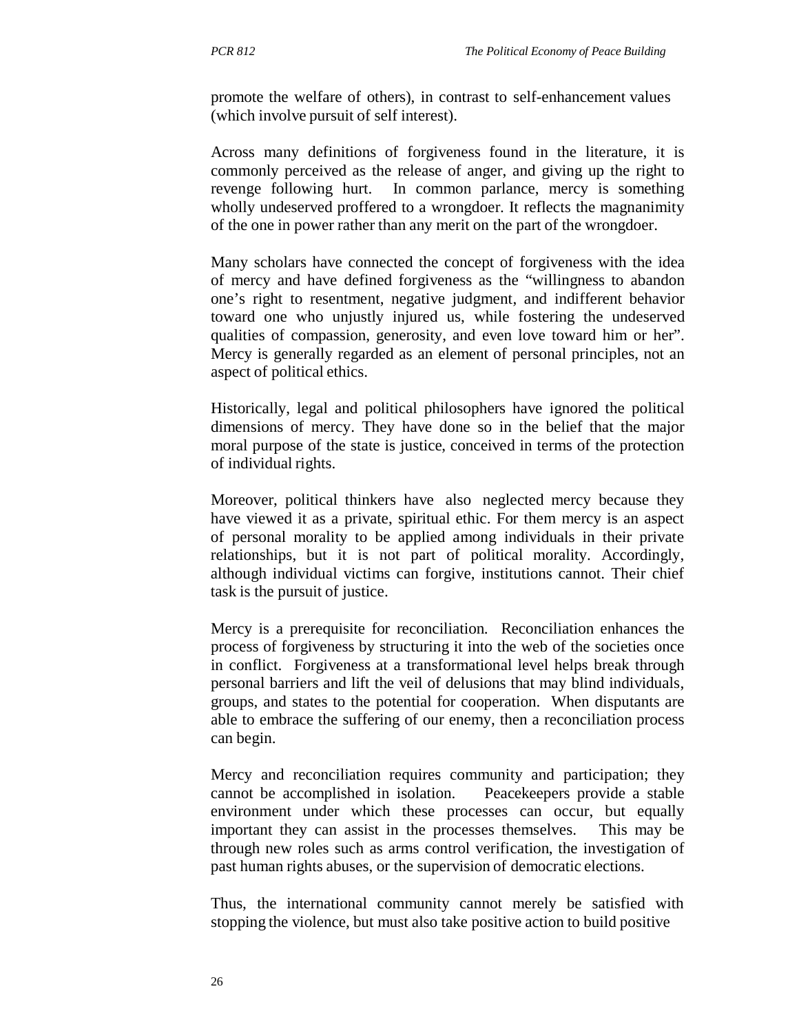promote the welfare of others), in contrast to self-enhancement values (which involve pursuit of self interest).

Across many definitions of forgiveness found in the literature, it is commonly perceived as the release of anger, and giving up the right to revenge following hurt. In common parlance, mercy is something wholly undeserved proffered to a wrongdoer. It reflects the magnanimity of the one in power rather than any merit on the part of the wrongdoer.

Many scholars have connected the concept of forgiveness with the idea of mercy and have defined forgiveness as the "willingness to abandon one's right to resentment, negative judgment, and indifferent behavior toward one who unjustly injured us, while fostering the undeserved qualities of compassion, generosity, and even love toward him or her". Mercy is generally regarded as an element of personal principles, not an aspect of political ethics.

Historically, legal and political philosophers have ignored the political dimensions of mercy. They have done so in the belief that the major moral purpose of the state is justice, conceived in terms of the protection of individual rights.

Moreover, political thinkers have also neglected mercy because they have viewed it as a private, spiritual ethic. For them mercy is an aspect of personal morality to be applied among individuals in their private relationships, but it is not part of political morality. Accordingly, although individual victims can forgive, institutions cannot. Their chief task is the pursuit of justice.

Mercy is a prerequisite for reconciliation. Reconciliation enhances the process of forgiveness by structuring it into the web of the societies once in conflict. Forgiveness at a transformational level helps break through personal barriers and lift the veil of delusions that may blind individuals, groups, and states to the potential for cooperation. When disputants are able to embrace the suffering of our enemy, then a reconciliation process can begin.

Mercy and reconciliation requires community and participation; they cannot be accomplished in isolation. Peacekeepers provide a stable environment under which these processes can occur, but equally important they can assist in the processes themselves. This may be through new roles such as arms control verification, the investigation of past human rights abuses, or the supervision of democratic elections.

Thus, the international community cannot merely be satisfied with stopping the violence, but must also take positive action to build positive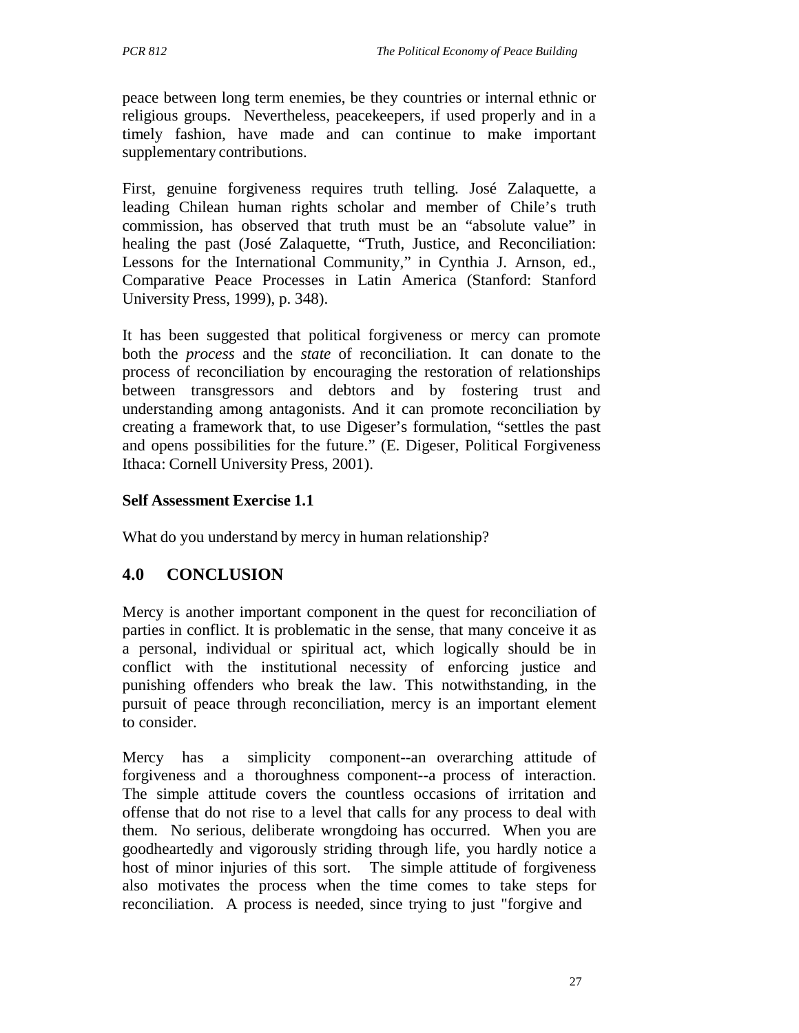peace between long term enemies, be they countries or internal ethnic or religious groups. Nevertheless, peacekeepers, if used properly and in a timely fashion, have made and can continue to make important supplementary contributions.

First, genuine forgiveness requires truth telling. José Zalaquette, a leading Chilean human rights scholar and member of Chile's truth commission, has observed that truth must be an "absolute value" in healing the past (José Zalaquette, "Truth, Justice, and Reconciliation: Lessons for the International Community," in Cynthia J. Arnson, ed., Comparative Peace Processes in Latin America (Stanford: Stanford University Press, 1999), p. 348).

It has been suggested that political forgiveness or mercy can promote both the *process* and the *state* of reconciliation. It can donate to the process of reconciliation by encouraging the restoration of relationships between transgressors and debtors and by fostering trust and understanding among antagonists. And it can promote reconciliation by creating a framework that, to use Digeser's formulation, "settles the past and opens possibilities for the future." (E. Digeser, Political Forgiveness Ithaca: Cornell University Press, 2001).

#### **Self Assessment Exercise 1.1**

What do you understand by mercy in human relationship?

# **4.0 CONCLUSION**

Mercy is another important component in the quest for reconciliation of parties in conflict. It is problematic in the sense, that many conceive it as a personal, individual or spiritual act, which logically should be in conflict with the institutional necessity of enforcing justice and punishing offenders who break the law. This notwithstanding, in the pursuit of peace through reconciliation, mercy is an important element to consider.

Mercy has a simplicity component--an overarching attitude of forgiveness and a thoroughness component--a process of interaction. The simple attitude covers the countless occasions of irritation and offense that do not rise to a level that calls for any process to deal with them. No serious, deliberate wrongdoing has occurred. When you are goodheartedly and vigorously striding through life, you hardly notice a host of minor injuries of this sort. The simple attitude of forgiveness also motivates the process when the time comes to take steps for reconciliation. A process is needed, since trying to just "forgive and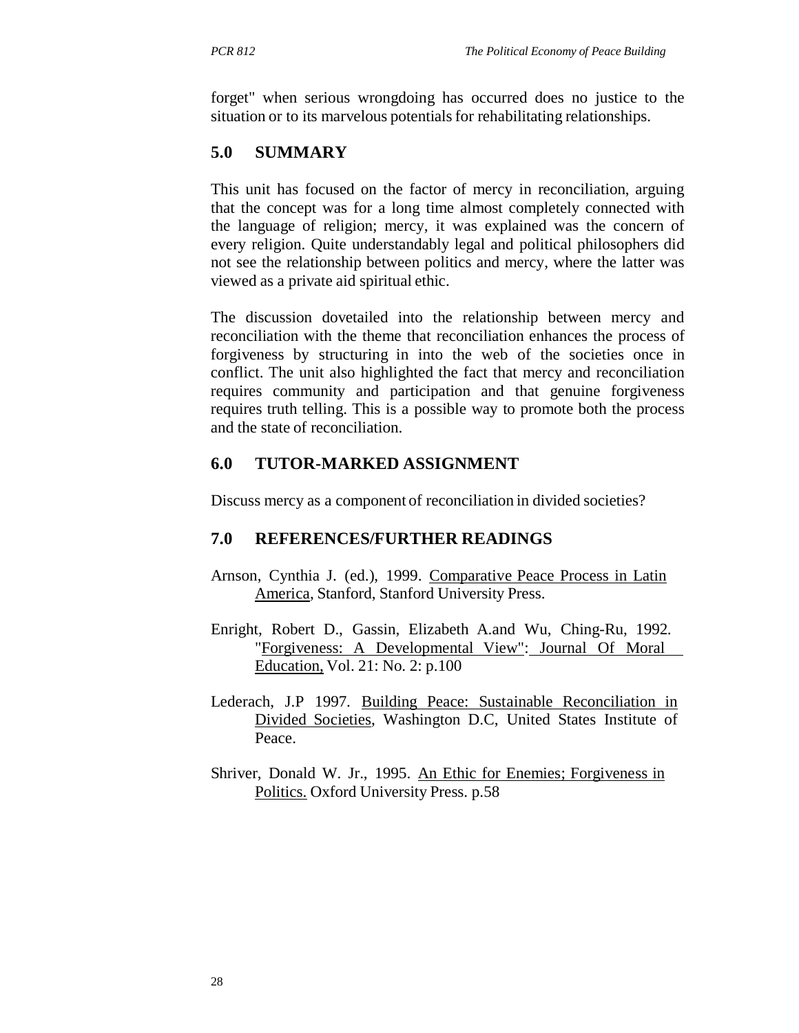forget" when serious wrongdoing has occurred does no justice to the situation or to its marvelous potentials for rehabilitating relationships.

# **5.0 SUMMARY**

This unit has focused on the factor of mercy in reconciliation, arguing that the concept was for a long time almost completely connected with the language of religion; mercy, it was explained was the concern of every religion. Quite understandably legal and political philosophers did not see the relationship between politics and mercy, where the latter was viewed as a private aid spiritual ethic.

The discussion dovetailed into the relationship between mercy and reconciliation with the theme that reconciliation enhances the process of forgiveness by structuring in into the web of the societies once in conflict. The unit also highlighted the fact that mercy and reconciliation requires community and participation and that genuine forgiveness requires truth telling. This is a possible way to promote both the process and the state of reconciliation.

# **6.0 TUTOR-MARKED ASSIGNMENT**

Discuss mercy as a component of reconciliation in divided societies?

# **7.0 REFERENCES/FURTHER READINGS**

- Arnson, Cynthia J. (ed.), 1999. Comparative Peace Process in Latin America, Stanford, Stanford University Press.
- Enright, Robert D., Gassin, Elizabeth A.and Wu, Ching-Ru, 1992. "Forgiveness: A Developmental View": Journal Of Moral Education, Vol. 21: No. 2: p.100
- Lederach, J.P 1997. Building Peace: Sustainable Reconciliation in Divided Societies, Washington D.C, United States Institute of Peace.
- Shriver, Donald W. Jr., 1995. An Ethic for Enemies; Forgiveness in Politics. Oxford University Press. p.58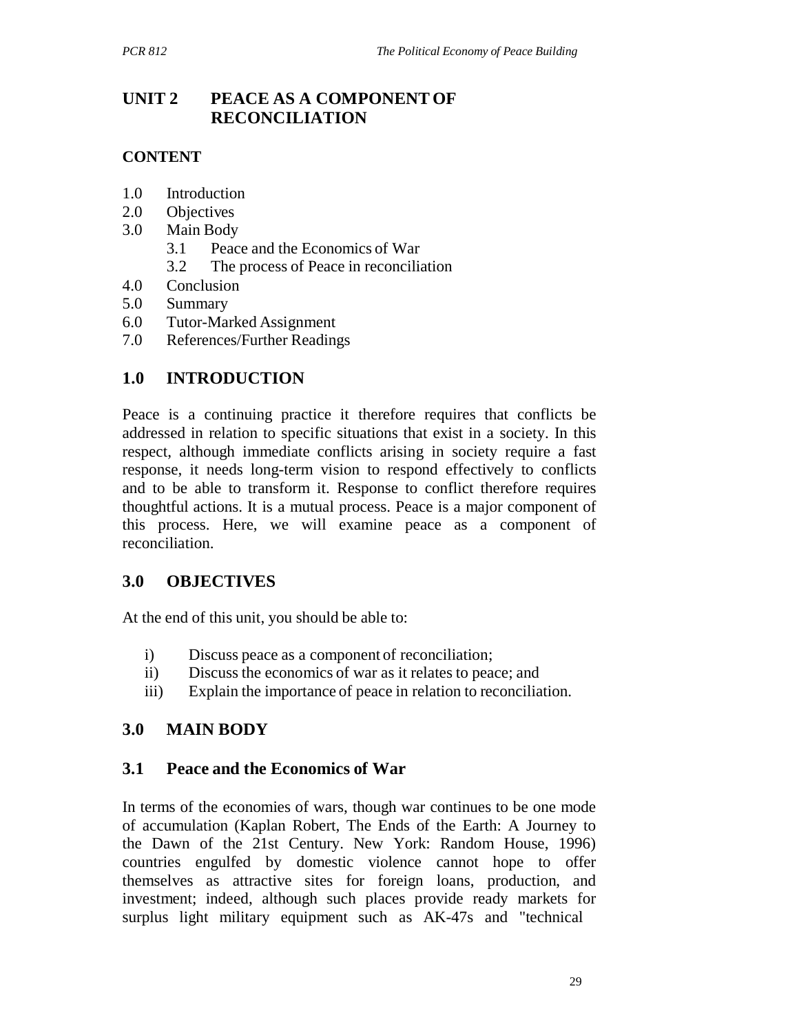# **UNIT 2 PEACE AS A COMPONENT OF RECONCILIATION**

# **CONTENT**

- 1.0 Introduction
- 2.0 Objectives
- 3.0 Main Body
	- 3.1 Peace and the Economics of War
	- 3.2 The process of Peace in reconciliation
- 4.0 Conclusion
- 5.0 Summary
- 6.0 Tutor-Marked Assignment
- 7.0 References/Further Readings

# **1.0 INTRODUCTION**

Peace is a continuing practice it therefore requires that conflicts be addressed in relation to specific situations that exist in a society. In this respect, although immediate conflicts arising in society require a fast response, it needs long-term vision to respond effectively to conflicts and to be able to transform it. Response to conflict therefore requires thoughtful actions. It is a mutual process. Peace is a major component of this process. Here, we will examine peace as a component of reconciliation.

# **3.0 OBJECTIVES**

At the end of this unit, you should be able to:

- i) Discuss peace as a component of reconciliation;
- ii) Discuss the economics of war as it relates to peace; and
- iii) Explain the importance of peace in relation to reconciliation.

# **3.0 MAIN BODY**

# **3.1 Peace and the Economics of War**

In terms of the economies of wars, though war continues to be one mode of accumulation (Kaplan Robert, The Ends of the Earth: A Journey to the Dawn of the 21st Century. New York: Random House, 1996) countries engulfed by domestic violence cannot hope to offer themselves as attractive sites for foreign loans, production, and investment; indeed, although such places provide ready markets for surplus light military equipment such as AK-47s and "technical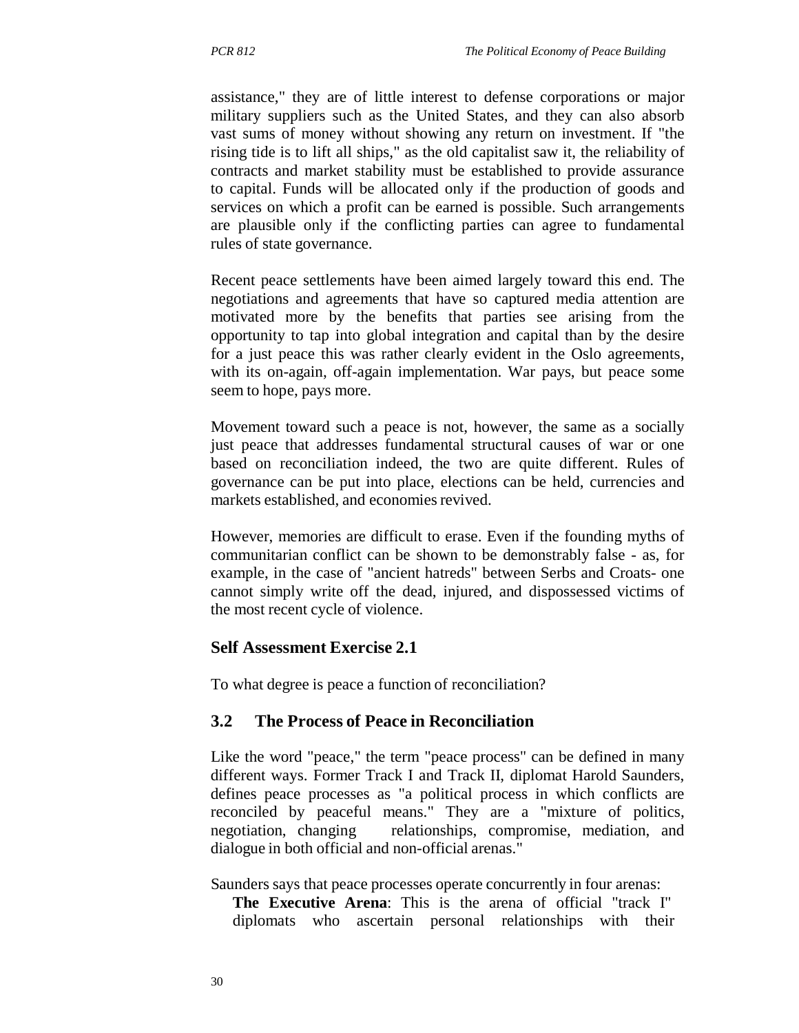assistance," they are of little interest to defense corporations or major military suppliers such as the United States, and they can also absorb vast sums of money without showing any return on investment. If "the rising tide is to lift all ships," as the old capitalist saw it, the reliability of contracts and market stability must be established to provide assurance to capital. Funds will be allocated only if the production of goods and services on which a profit can be earned is possible. Such arrangements are plausible only if the conflicting parties can agree to fundamental rules of state governance.

Recent peace settlements have been aimed largely toward this end. The negotiations and agreements that have so captured media attention are motivated more by the benefits that parties see arising from the opportunity to tap into global integration and capital than by the desire for a just peace this was rather clearly evident in the Oslo agreements, with its on-again, off-again implementation. War pays, but peace some seem to hope, pays more.

Movement toward such a peace is not, however, the same as a socially just peace that addresses fundamental structural causes of war or one based on reconciliation indeed, the two are quite different. Rules of governance can be put into place, elections can be held, currencies and markets established, and economies revived.

However, memories are difficult to erase. Even if the founding myths of communitarian conflict can be shown to be demonstrably false - as, for example, in the case of "ancient hatreds" between Serbs and Croats- one cannot simply write off the dead, injured, and dispossessed victims of the most recent cycle of violence.

### **Self Assessment Exercise 2.1**

To what degree is peace a function of reconciliation?

### **3.2 The Process of Peace in Reconciliation**

Like the word "peace," the term "peace process" can be defined in many different ways. Former Track I and Track II, diplomat Harold Saunders, defines peace processes as "a political process in which conflicts are reconciled by peaceful means." They are a "mixture of politics, negotiation, changing relationships, compromise, mediation, and dialogue in both official and non-official arenas."

Saunders says that peace processes operate concurrently in four arenas:

**The Executive Arena**: This is the arena of official "track I" diplomats who ascertain personal relationships with their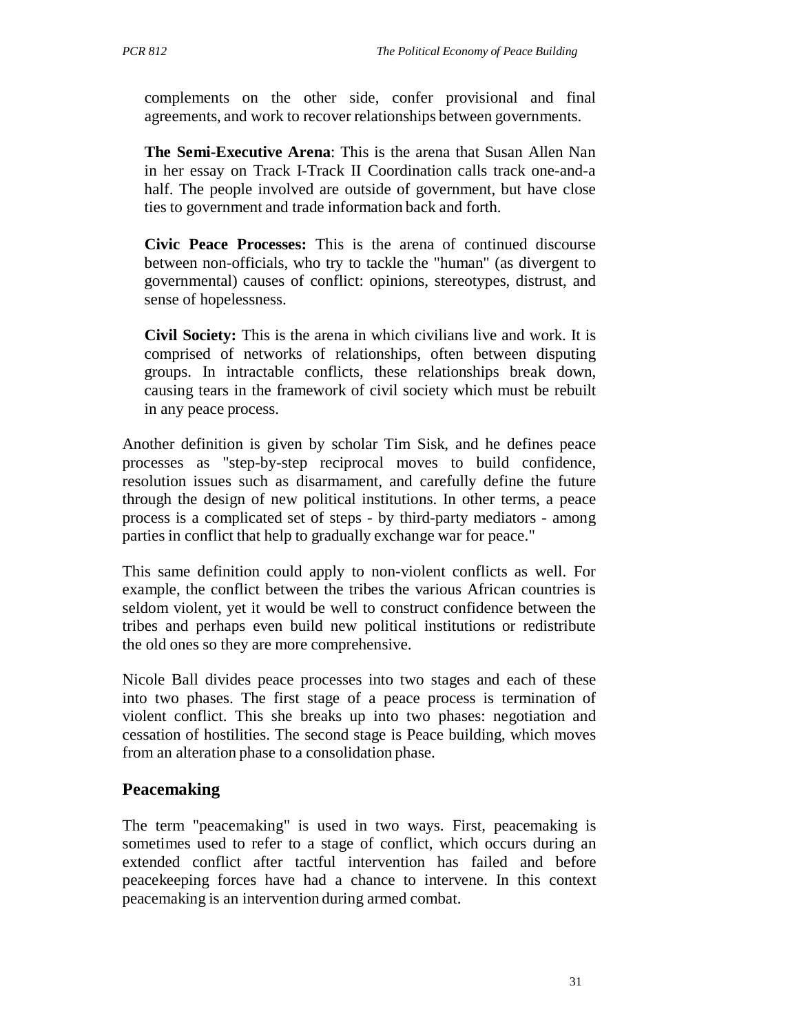complements on the other side, confer provisional and final agreements, and work to recover relationships between governments.

**The Semi-Executive Arena**: This is the arena that Susan Allen Nan in her essay on Track I-Track II Coordination calls track one-and-a half. The people involved are outside of government, but have close ties to government and trade information back and forth.

**Civic Peace Processes:** This is the arena of continued discourse between non-officials, who try to tackle the "human" (as divergent to governmental) causes of conflict: opinions, stereotypes, distrust, and sense of hopelessness.

**Civil Society:** This is the arena in which civilians live and work. It is comprised of networks of relationships, often between disputing groups. In intractable conflicts, these relationships break down, causing tears in the framework of civil society which must be rebuilt in any peace process.

Another definition is given by scholar Tim Sisk, and he defines peace processes as "step-by-step reciprocal moves to build confidence, resolution issues such as disarmament, and carefully define the future through the design of new political institutions. In other terms, a peace process is a complicated set of steps - by third-party mediators - among parties in conflict that help to gradually exchange war for peace."

This same definition could apply to non-violent conflicts as well. For example, the conflict between the tribes the various African countries is seldom violent, yet it would be well to construct confidence between the tribes and perhaps even build new political institutions or redistribute the old ones so they are more comprehensive.

Nicole Ball divides peace processes into two stages and each of these into two phases. The first stage of a peace process is termination of violent conflict. This she breaks up into two phases: negotiation and cessation of hostilities. The second stage is Peace building, which moves from an alteration phase to a consolidation phase.

# **Peacemaking**

The term "peacemaking" is used in two ways. First, peacemaking is sometimes used to refer to a stage of conflict, which occurs during an extended conflict after tactful intervention has failed and before peacekeeping forces have had a chance to intervene. In this context peacemaking is an intervention during armed combat.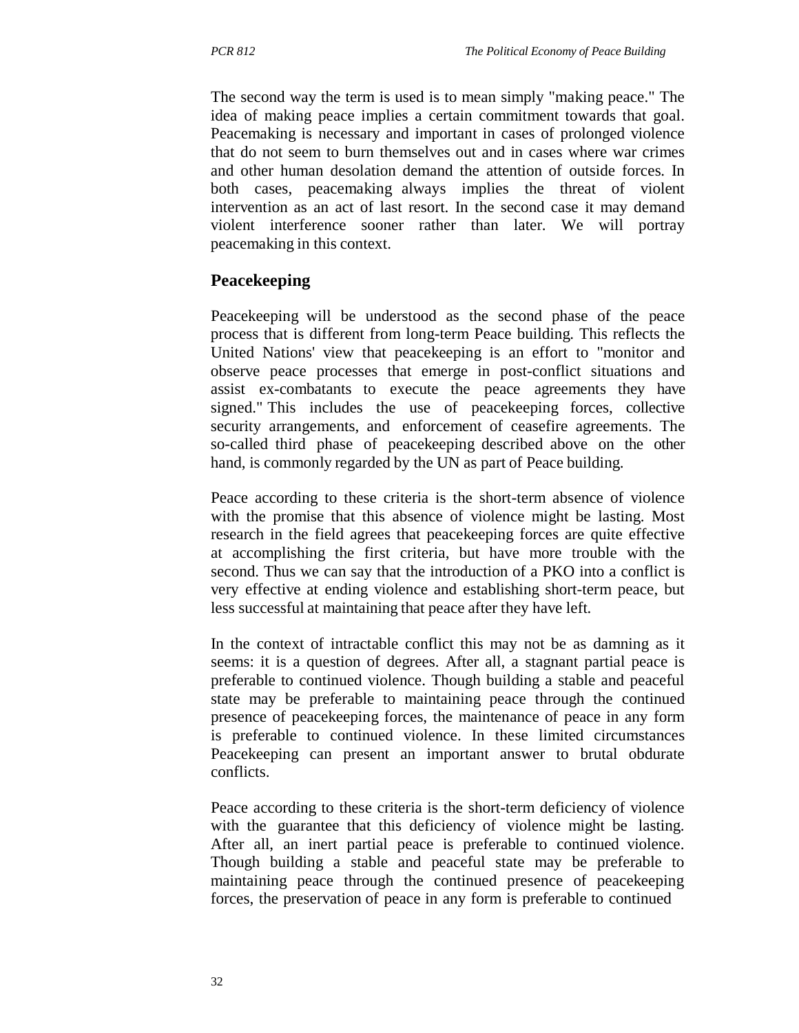The second way the term is used is to mean simply "making peace." The idea of making peace implies a certain commitment towards that goal. Peacemaking is necessary and important in cases of prolonged violence that do not seem to burn themselves out and in cases where war crimes and other human desolation demand the attention of outside forces. In both cases, peacemaking always implies the threat of violent intervention as an act of last resort. In the second case it may demand violent interference sooner rather than later. We will portray peacemaking in this context.

### **Peacekeeping**

Peacekeeping will be understood as the second phase of the peace process that is different from long-term Peace building. This reflects the United Nations' view that peacekeeping is an effort to "monitor and observe peace processes that emerge in post-conflict situations and assist ex-combatants to execute the peace agreements they have signed." This includes the use of peacekeeping forces, collective security arrangements, and enforcement of ceasefire agreements. The so-called third phase of peacekeeping described above on the other hand, is commonly regarded by the UN as part of Peace building.

Peace according to these criteria is the short-term absence of violence with the promise that this absence of violence might be lasting. Most research in the field agrees that peacekeeping forces are quite effective at accomplishing the first criteria, but have more trouble with the second. Thus we can say that the introduction of a PKO into a conflict is very effective at ending violence and establishing short-term peace, but less successful at maintaining that peace after they have left.

In the context of intractable conflict this may not be as damning as it seems: it is a question of degrees. After all, a stagnant partial peace is preferable to continued violence. Though building a stable and peaceful state may be preferable to maintaining peace through the continued presence of peacekeeping forces, the maintenance of peace in any form is preferable to continued violence. In these limited circumstances Peacekeeping can present an important answer to brutal obdurate conflicts.

Peace according to these criteria is the short-term deficiency of violence with the guarantee that this deficiency of violence might be lasting. After all, an inert partial peace is preferable to continued violence. Though building a stable and peaceful state may be preferable to maintaining peace through the continued presence of peacekeeping forces, the preservation of peace in any form is preferable to continued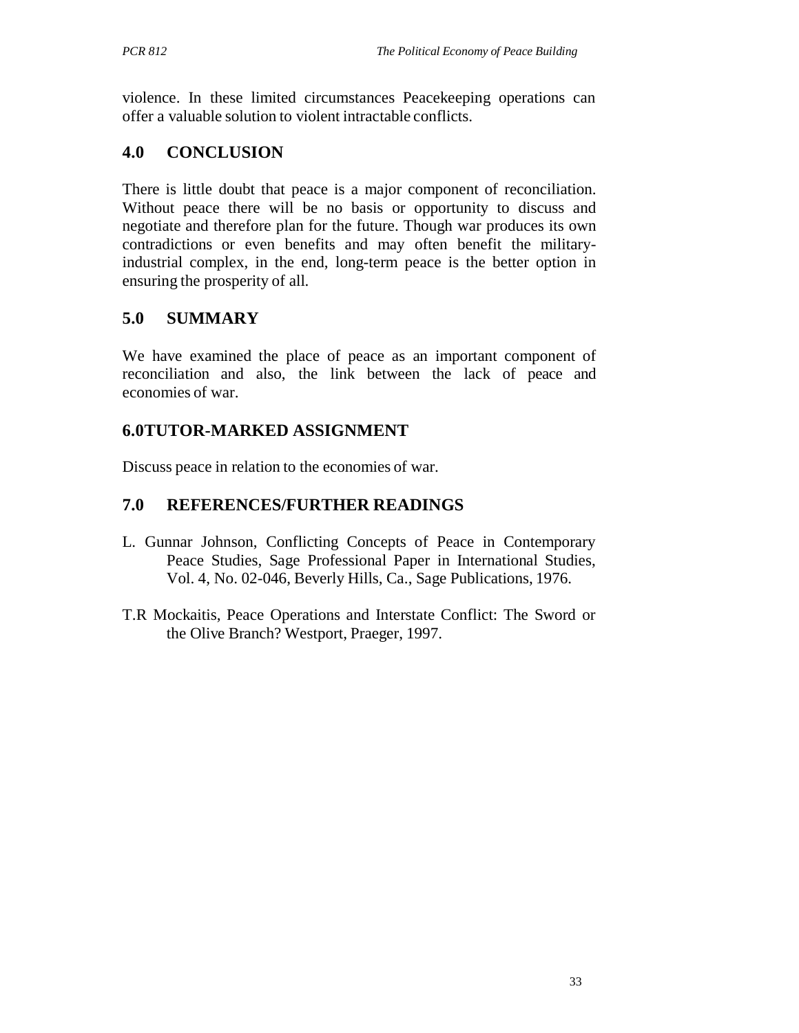violence. In these limited circumstances Peacekeeping operations can offer a valuable solution to violent intractable conflicts.

# **4.0 CONCLUSION**

There is little doubt that peace is a major component of reconciliation. Without peace there will be no basis or opportunity to discuss and negotiate and therefore plan for the future. Though war produces its own contradictions or even benefits and may often benefit the militaryindustrial complex, in the end, long-term peace is the better option in ensuring the prosperity of all.

# **5.0 SUMMARY**

We have examined the place of peace as an important component of reconciliation and also, the link between the lack of peace and economies of war.

# **6.0TUTOR-MARKED ASSIGNMENT**

Discuss peace in relation to the economies of war.

# **7.0 REFERENCES/FURTHER READINGS**

- L. Gunnar Johnson, Conflicting Concepts of Peace in Contemporary Peace Studies, Sage Professional Paper in International Studies, Vol. 4, No. 02-046, Beverly Hills, Ca., Sage Publications, 1976.
- T.R Mockaitis, Peace Operations and Interstate Conflict: The Sword or the Olive Branch? Westport, Praeger, 1997.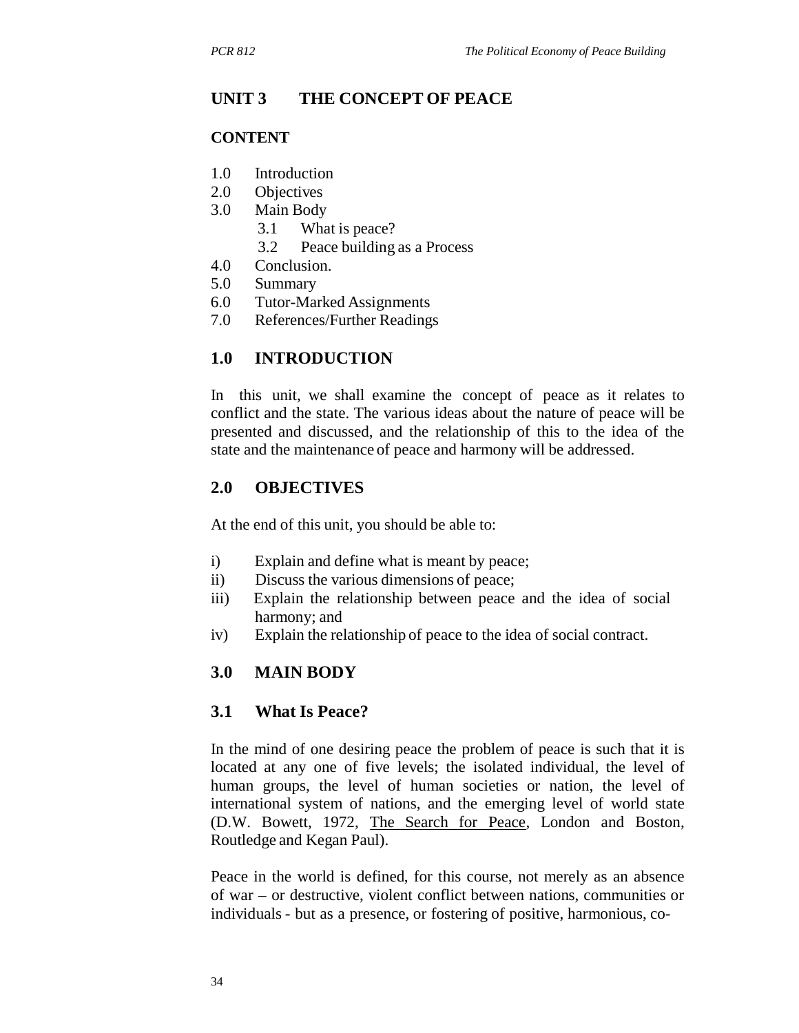### **UNIT 3 THE CONCEPT OF PEACE**

#### **CONTENT**

- 1.0 Introduction
- 2.0 Objectives
- 3.0 Main Body
	- 3.1 What is peace?
	- 3.2 Peace building as a Process
- 4.0 Conclusion.
- 5.0 Summary
- 6.0 Tutor-Marked Assignments
- 7.0 References/Further Readings

#### **1.0 INTRODUCTION**

In this unit, we shall examine the concept of peace as it relates to conflict and the state. The various ideas about the nature of peace will be presented and discussed, and the relationship of this to the idea of the state and the maintenance of peace and harmony will be addressed.

#### **2.0 OBJECTIVES**

At the end of this unit, you should be able to:

- i) Explain and define what is meant by peace;
- ii) Discuss the various dimensions of peace;
- iii) Explain the relationship between peace and the idea of social harmony; and
- iv) Explain the relationship of peace to the idea of social contract.

### **3.0 MAIN BODY**

#### **3.1 What Is Peace?**

In the mind of one desiring peace the problem of peace is such that it is located at any one of five levels; the isolated individual, the level of human groups, the level of human societies or nation, the level of international system of nations, and the emerging level of world state (D.W. Bowett, 1972, The Search for Peace, London and Boston, Routledge and Kegan Paul).

Peace in the world is defined, for this course, not merely as an absence of war – or destructive, violent conflict between nations, communities or individuals - but as a presence, or fostering of positive, harmonious, co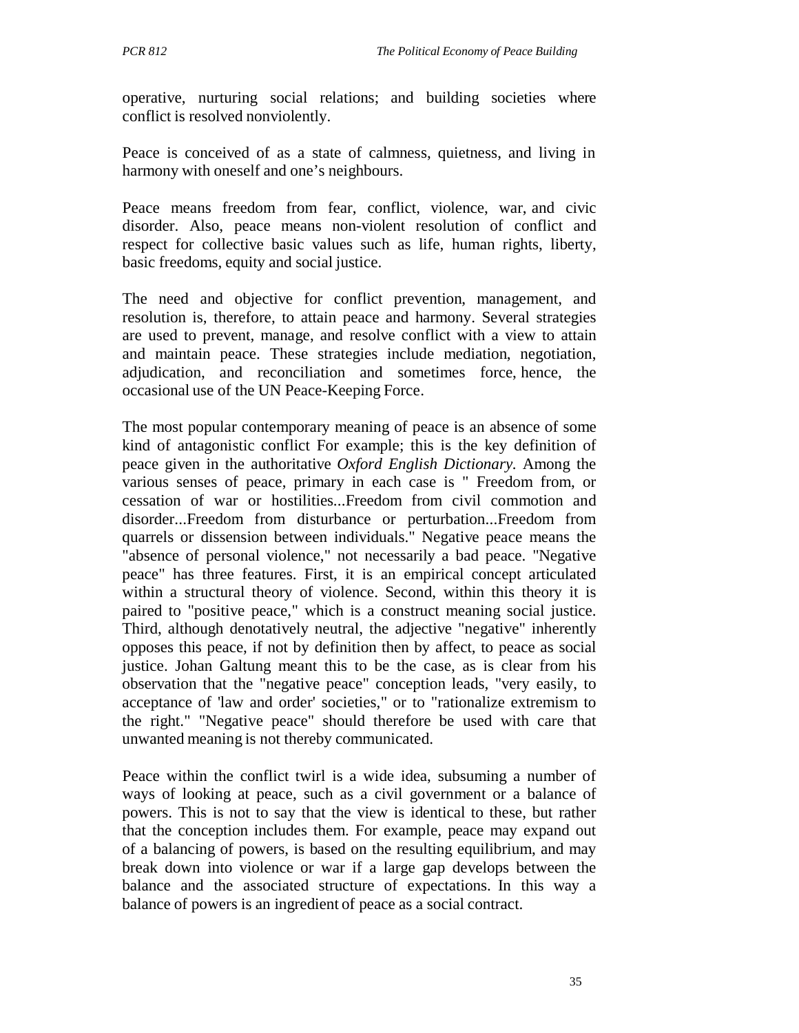operative, nurturing social relations; and building societies where conflict is resolved nonviolently.

Peace is conceived of as a state of calmness, quietness, and living in harmony with oneself and one's neighbours.

Peace means freedom from fear, conflict, violence, war, and civic disorder. Also, peace means non-violent resolution of conflict and respect for collective basic values such as life, human rights, liberty, basic freedoms, equity and social justice.

The need and objective for conflict prevention, management, and resolution is, therefore, to attain peace and harmony. Several strategies are used to prevent, manage, and resolve conflict with a view to attain and maintain peace. These strategies include mediation, negotiation, adjudication, and reconciliation and sometimes force, hence, the occasional use of the UN Peace-Keeping Force.

The most popular contemporary meaning of peace is an absence of some kind of antagonistic conflict For example; this is the key definition of peace given in the authoritative *Oxford English Dictionary.* Among the various senses of peace, primary in each case is " Freedom from, or cessation of war or hostilities...Freedom from civil commotion and disorder...Freedom from disturbance or perturbation...Freedom from quarrels or dissension between individuals." Negative peace means the "absence of personal violence," not necessarily a bad peace. "Negative peace" has three features. First, it is an empirical concept articulated within a structural theory of violence. Second, within this theory it is paired to "positive peace," which is a construct meaning social justice. Third, although denotatively neutral, the adjective "negative" inherently opposes this peace, if not by definition then by affect, to peace as social justice. Johan Galtung meant this to be the case, as is clear from his observation that the "negative peace" conception leads, "very easily, to acceptance of 'law and order' societies," or to "rationalize extremism to the right." "Negative peace" should therefore be used with care that unwanted meaning is not thereby communicated.

Peace within the conflict twirl is a wide idea, subsuming a number of ways of looking at peace, such as a civil government or a balance of powers. This is not to say that the view is identical to these, but rather that the conception includes them. For example, peace may expand out of a balancing of powers, is based on the resulting equilibrium, and may break down into violence or war if a large gap develops between the balance and the associated structure of expectations. In this way a balance of powers is an ingredient of peace as a social contract.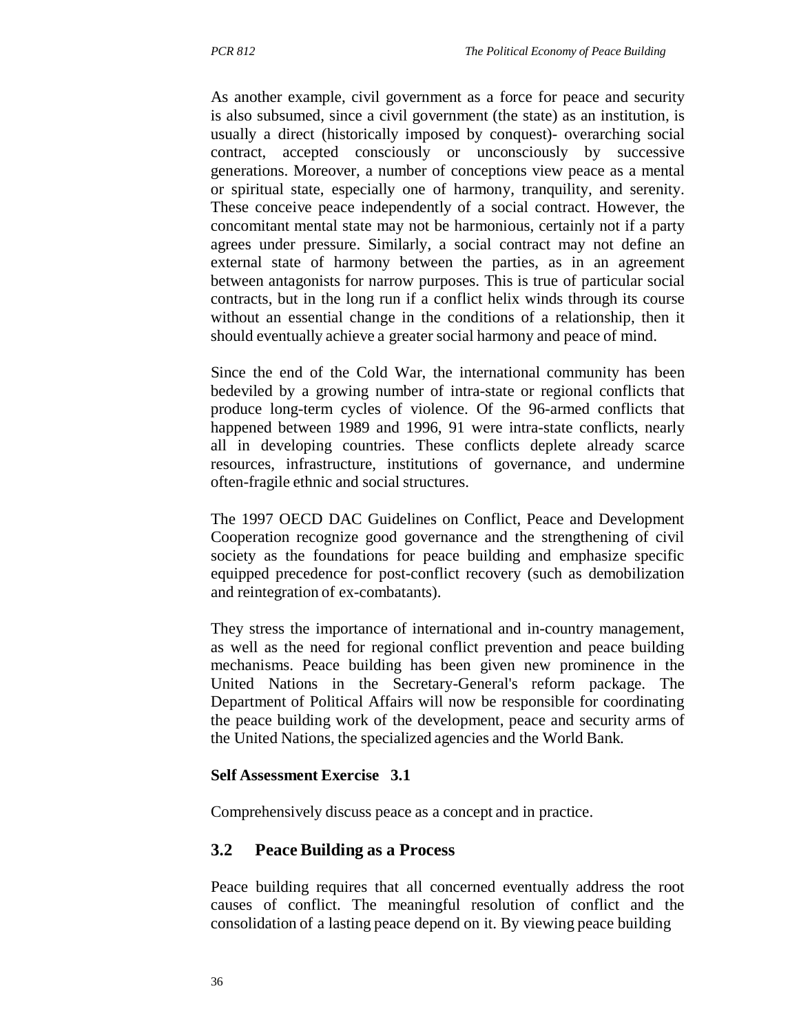As another example, civil government as a force for peace and security is also subsumed, since a civil government (the state) as an institution, is usually a direct (historically imposed by conquest)- overarching social contract, accepted consciously or unconsciously by successive generations. Moreover, a number of conceptions view peace as a mental or spiritual state, especially one of harmony, tranquility, and serenity. These conceive peace independently of a social contract. However, the concomitant mental state may not be harmonious, certainly not if a party agrees under pressure. Similarly, a social contract may not define an external state of harmony between the parties, as in an agreement between antagonists for narrow purposes. This is true of particular social contracts, but in the long run if a conflict helix winds through its course without an essential change in the conditions of a relationship, then it should eventually achieve a greater social harmony and peace of mind.

Since the end of the Cold War, the international community has been bedeviled by a growing number of intra-state or regional conflicts that produce long-term cycles of violence. Of the 96-armed conflicts that happened between 1989 and 1996, 91 were intra-state conflicts, nearly all in developing countries. These conflicts deplete already scarce resources, infrastructure, institutions of governance, and undermine often-fragile ethnic and social structures.

The 1997 OECD DAC Guidelines on Conflict, Peace and Development Cooperation recognize good governance and the strengthening of civil society as the foundations for peace building and emphasize specific equipped precedence for post-conflict recovery (such as demobilization and reintegration of ex-combatants).

They stress the importance of international and in-country management, as well as the need for regional conflict prevention and peace building mechanisms. Peace building has been given new prominence in the United Nations in the Secretary-General's reform package. The Department of Political Affairs will now be responsible for coordinating the peace building work of the development, peace and security arms of the United Nations, the specialized agencies and the World Bank.

#### **Self Assessment Exercise 3.1**

Comprehensively discuss peace as a concept and in practice.

### **3.2 Peace Building as a Process**

Peace building requires that all concerned eventually address the root causes of conflict. The meaningful resolution of conflict and the consolidation of a lasting peace depend on it. By viewing peace building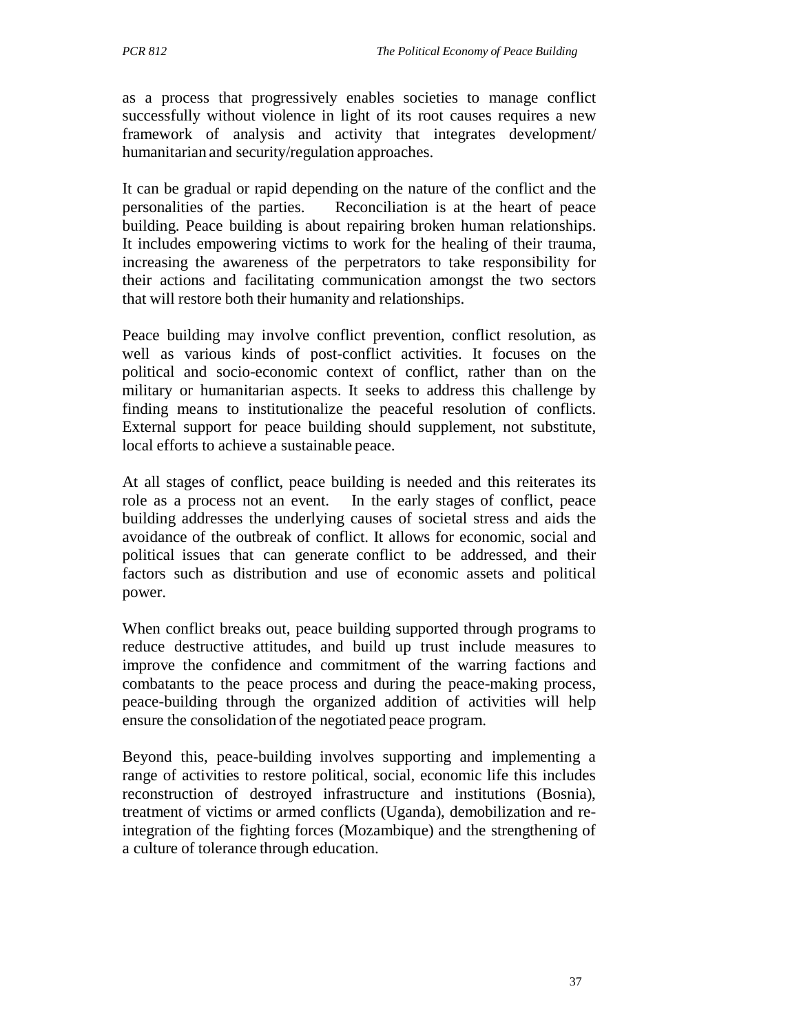as a process that progressively enables societies to manage conflict successfully without violence in light of its root causes requires a new framework of analysis and activity that integrates development/ humanitarian and security/regulation approaches.

It can be gradual or rapid depending on the nature of the conflict and the personalities of the parties. Reconciliation is at the heart of peace building. Peace building is about repairing broken human relationships. It includes empowering victims to work for the healing of their trauma, increasing the awareness of the perpetrators to take responsibility for their actions and facilitating communication amongst the two sectors that will restore both their humanity and relationships.

Peace building may involve conflict prevention, conflict resolution, as well as various kinds of post-conflict activities. It focuses on the political and socio-economic context of conflict, rather than on the military or humanitarian aspects. It seeks to address this challenge by finding means to institutionalize the peaceful resolution of conflicts. External support for peace building should supplement, not substitute, local efforts to achieve a sustainable peace.

At all stages of conflict, peace building is needed and this reiterates its role as a process not an event. In the early stages of conflict, peace building addresses the underlying causes of societal stress and aids the avoidance of the outbreak of conflict. It allows for economic, social and political issues that can generate conflict to be addressed, and their factors such as distribution and use of economic assets and political power.

When conflict breaks out, peace building supported through programs to reduce destructive attitudes, and build up trust include measures to improve the confidence and commitment of the warring factions and combatants to the peace process and during the peace-making process, peace-building through the organized addition of activities will help ensure the consolidation of the negotiated peace program.

Beyond this, peace-building involves supporting and implementing a range of activities to restore political, social, economic life this includes reconstruction of destroyed infrastructure and institutions (Bosnia), treatment of victims or armed conflicts (Uganda), demobilization and reintegration of the fighting forces (Mozambique) and the strengthening of a culture of tolerance through education.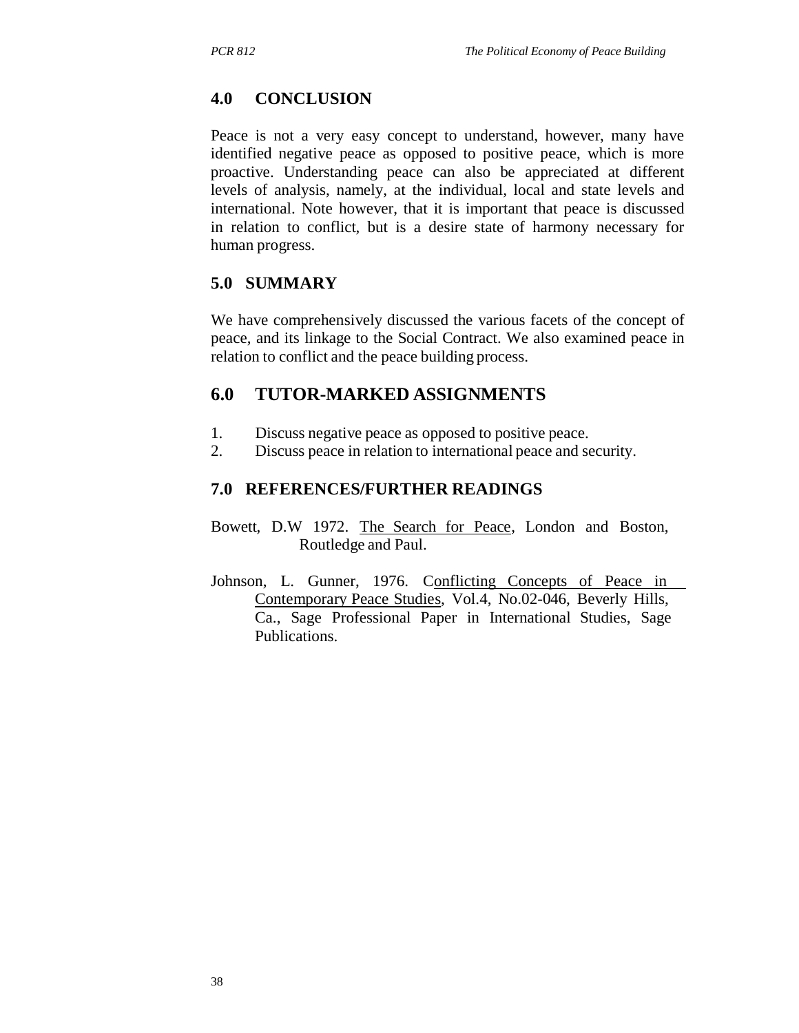# **4.0 CONCLUSION**

Peace is not a very easy concept to understand, however, many have identified negative peace as opposed to positive peace, which is more proactive. Understanding peace can also be appreciated at different levels of analysis, namely, at the individual, local and state levels and international. Note however, that it is important that peace is discussed in relation to conflict, but is a desire state of harmony necessary for human progress.

### **5.0 SUMMARY**

We have comprehensively discussed the various facets of the concept of peace, and its linkage to the Social Contract. We also examined peace in relation to conflict and the peace building process.

# **6.0 TUTOR-MARKED ASSIGNMENTS**

- 1. Discuss negative peace as opposed to positive peace.
- 2. Discuss peace in relation to international peace and security.

# **7.0 REFERENCES/FURTHER READINGS**

- Bowett, D.W 1972. The Search for Peace, London and Boston, Routledge and Paul.
- Johnson, L. Gunner, 1976. Conflicting Concepts of Peace in Contemporary Peace Studies, Vol.4, No.02-046, Beverly Hills, Ca., Sage Professional Paper in International Studies, Sage Publications.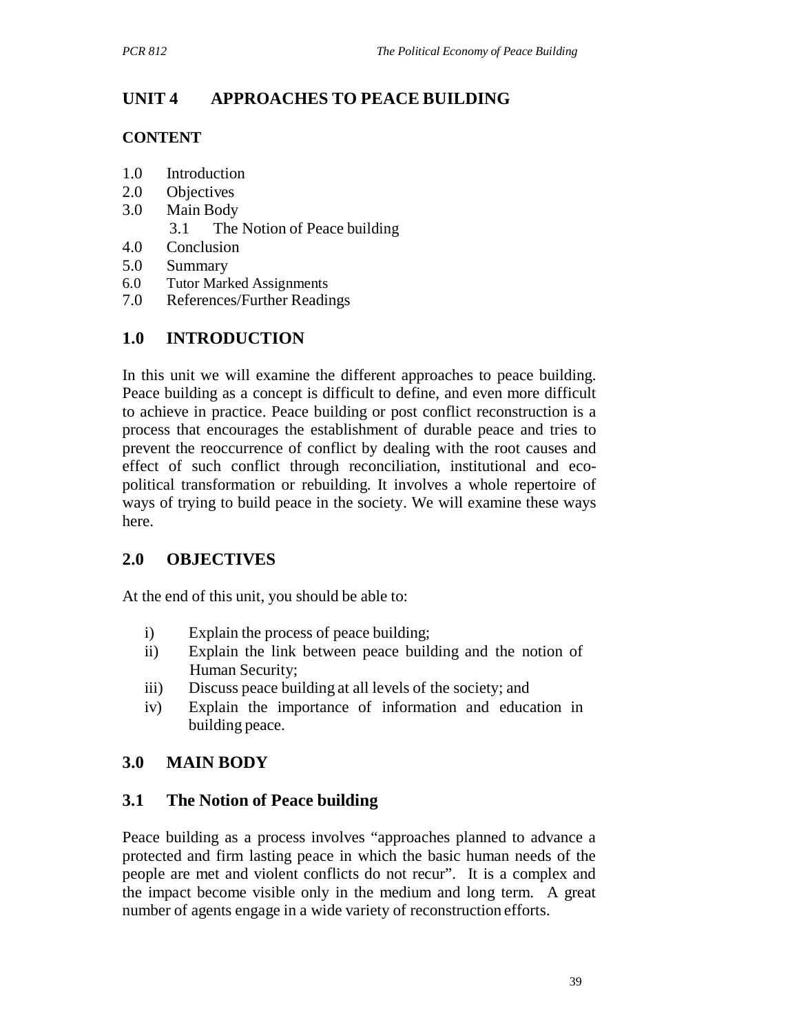# **UNIT 4 APPROACHES TO PEACE BUILDING**

### **CONTENT**

- 1.0 Introduction
- 2.0 Objectives
- 3.0 Main Body
	- 3.1 The Notion of Peace building
- 4.0 Conclusion
- 5.0 Summary
- 6.0 Tutor Marked Assignments
- 7.0 References/Further Readings

# **1.0 INTRODUCTION**

In this unit we will examine the different approaches to peace building. Peace building as a concept is difficult to define, and even more difficult to achieve in practice. Peace building or post conflict reconstruction is a process that encourages the establishment of durable peace and tries to prevent the reoccurrence of conflict by dealing with the root causes and effect of such conflict through reconciliation, institutional and ecopolitical transformation or rebuilding. It involves a whole repertoire of ways of trying to build peace in the society. We will examine these ways here.

# **2.0 OBJECTIVES**

At the end of this unit, you should be able to:

- i) Explain the process of peace building;
- ii) Explain the link between peace building and the notion of Human Security;
- iii) Discuss peace building at all levels of the society; and
- iv) Explain the importance of information and education in building peace.

# **3.0 MAIN BODY**

# **3.1 The Notion of Peace building**

Peace building as a process involves "approaches planned to advance a protected and firm lasting peace in which the basic human needs of the people are met and violent conflicts do not recur". It is a complex and the impact become visible only in the medium and long term. A great number of agents engage in a wide variety of reconstruction efforts.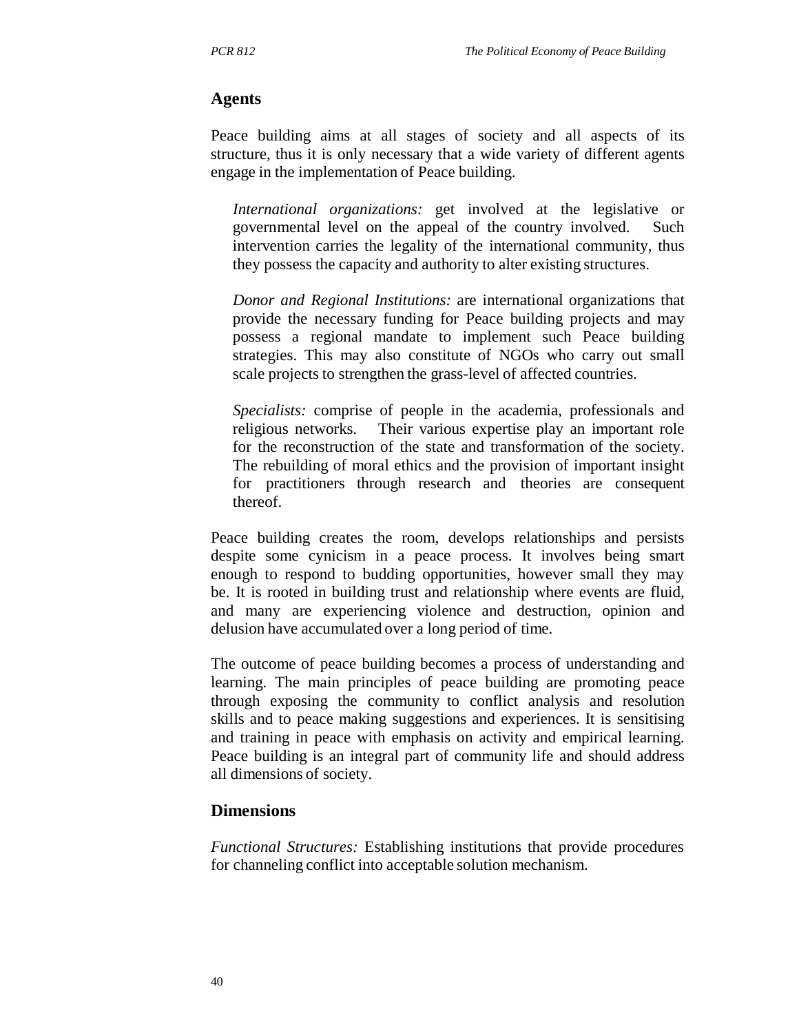#### **Agents**

Peace building aims at all stages of society and all aspects of its structure, thus it is only necessary that a wide variety of different agents engage in the implementation of Peace building.

*International organizations:* get involved at the legislative or governmental level on the appeal of the country involved. Such intervention carries the legality of the international community, thus they possess the capacity and authority to alter existing structures.

*Donor and Regional Institutions:* are international organizations that provide the necessary funding for Peace building projects and may possess a regional mandate to implement such Peace building strategies. This may also constitute of NGOs who carry out small scale projects to strengthen the grass-level of affected countries.

*Specialists:* comprise of people in the academia, professionals and religious networks. Their various expertise play an important role for the reconstruction of the state and transformation of the society. The rebuilding of moral ethics and the provision of important insight for practitioners through research and theories are consequent thereof.

Peace building creates the room, develops relationships and persists despite some cynicism in a peace process. It involves being smart enough to respond to budding opportunities, however small they may be. It is rooted in building trust and relationship where events are fluid, and many are experiencing violence and destruction, opinion and delusion have accumulated over a long period of time.

The outcome of peace building becomes a process of understanding and learning. The main principles of peace building are promoting peace through exposing the community to conflict analysis and resolution skills and to peace making suggestions and experiences. It is sensitising and training in peace with emphasis on activity and empirical learning. Peace building is an integral part of community life and should address all dimensions of society.

#### **Dimensions**

*Functional Structures:* Establishing institutions that provide procedures for channeling conflict into acceptable solution mechanism.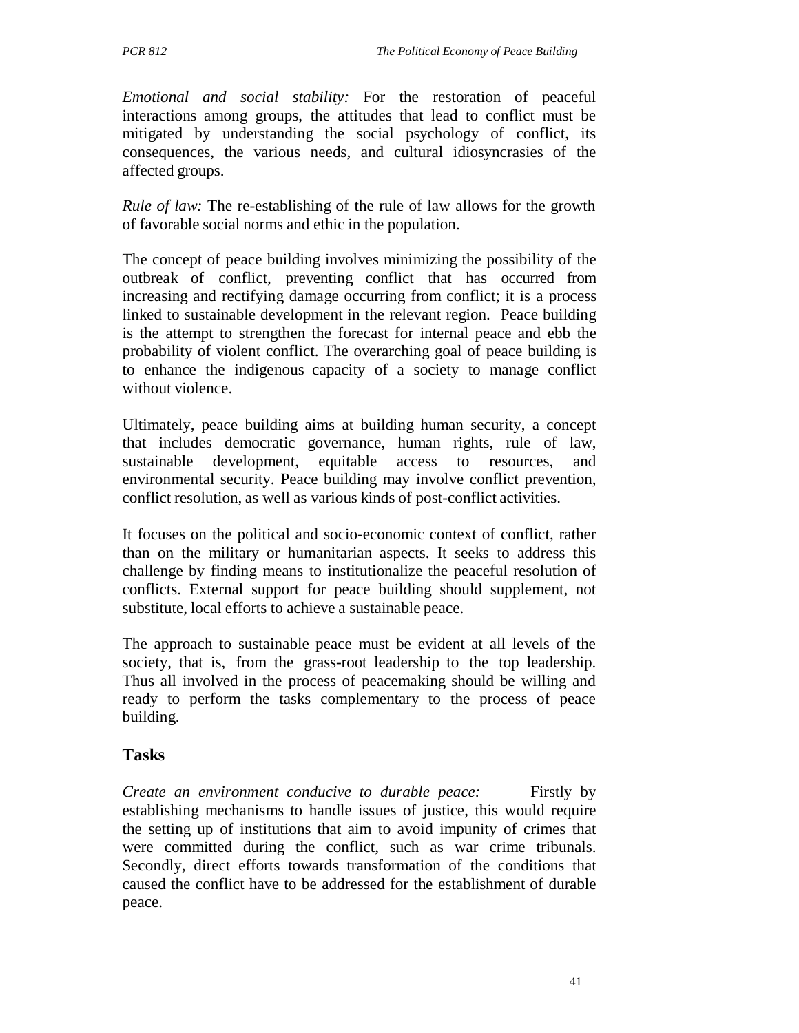*Emotional and social stability:* For the restoration of peaceful interactions among groups, the attitudes that lead to conflict must be mitigated by understanding the social psychology of conflict, its consequences, the various needs, and cultural idiosyncrasies of the affected groups.

*Rule of law:* The re-establishing of the rule of law allows for the growth of favorable social norms and ethic in the population.

The concept of peace building involves minimizing the possibility of the outbreak of conflict, preventing conflict that has occurred from increasing and rectifying damage occurring from conflict; it is a process linked to sustainable development in the relevant region. Peace building is the attempt to strengthen the forecast for internal peace and ebb the probability of violent conflict. The overarching goal of peace building is to enhance the indigenous capacity of a society to manage conflict without violence.

Ultimately, peace building aims at building human security, a concept that includes democratic governance, human rights, rule of law, sustainable development, equitable access to resources, and environmental security. Peace building may involve conflict prevention, conflict resolution, as well as various kinds of post-conflict activities.

It focuses on the political and socio-economic context of conflict, rather than on the military or humanitarian aspects. It seeks to address this challenge by finding means to institutionalize the peaceful resolution of conflicts. External support for peace building should supplement, not substitute, local efforts to achieve a sustainable peace.

The approach to sustainable peace must be evident at all levels of the society, that is, from the grass-root leadership to the top leadership. Thus all involved in the process of peacemaking should be willing and ready to perform the tasks complementary to the process of peace building.

# **Tasks**

*Create an environment conducive to durable peace:* Firstly by establishing mechanisms to handle issues of justice, this would require the setting up of institutions that aim to avoid impunity of crimes that were committed during the conflict, such as war crime tribunals. Secondly, direct efforts towards transformation of the conditions that caused the conflict have to be addressed for the establishment of durable peace.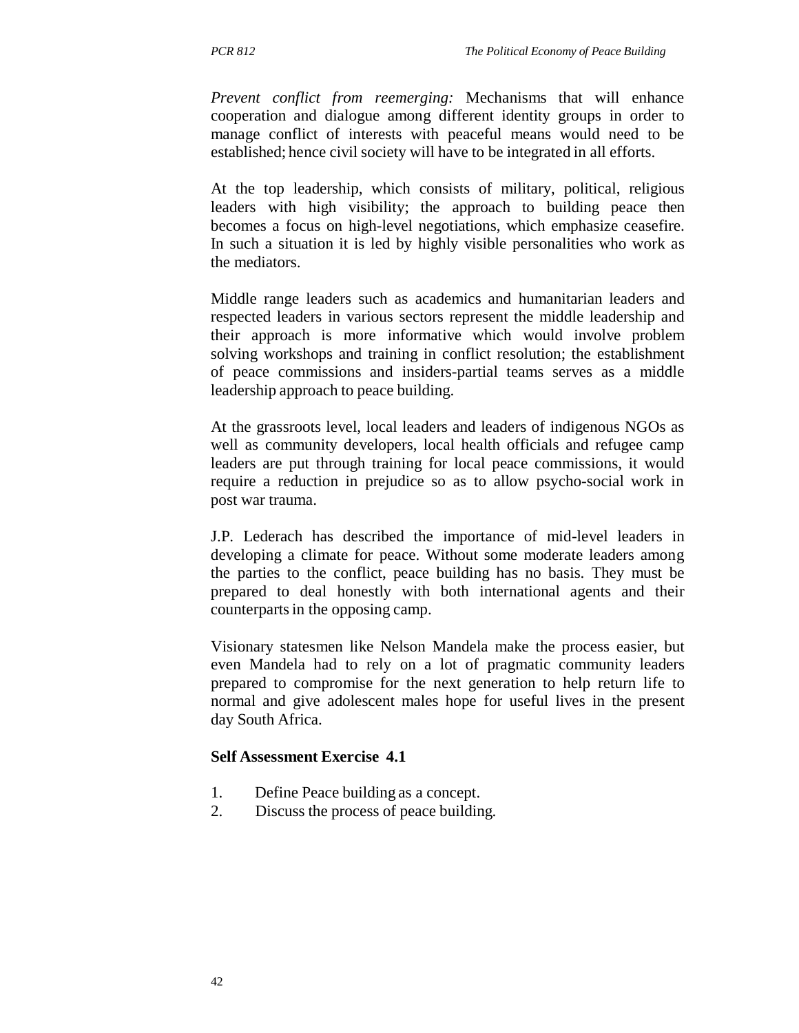*Prevent conflict from reemerging:* Mechanisms that will enhance cooperation and dialogue among different identity groups in order to manage conflict of interests with peaceful means would need to be established; hence civil society will have to be integrated in all efforts.

At the top leadership, which consists of military, political, religious leaders with high visibility; the approach to building peace then becomes a focus on high-level negotiations, which emphasize ceasefire. In such a situation it is led by highly visible personalities who work as the mediators.

Middle range leaders such as academics and humanitarian leaders and respected leaders in various sectors represent the middle leadership and their approach is more informative which would involve problem solving workshops and training in conflict resolution; the establishment of peace commissions and insiders-partial teams serves as a middle leadership approach to peace building.

At the grassroots level, local leaders and leaders of indigenous NGOs as well as community developers, local health officials and refugee camp leaders are put through training for local peace commissions, it would require a reduction in prejudice so as to allow psycho-social work in post war trauma.

J.P. Lederach has described the importance of mid-level leaders in developing a climate for peace. Without some moderate leaders among the parties to the conflict, peace building has no basis. They must be prepared to deal honestly with both international agents and their counterparts in the opposing camp.

Visionary statesmen like Nelson Mandela make the process easier, but even Mandela had to rely on a lot of pragmatic community leaders prepared to compromise for the next generation to help return life to normal and give adolescent males hope for useful lives in the present day South Africa.

#### **Self Assessment Exercise 4.1**

- 1. Define Peace building as a concept.
- 2. Discuss the process of peace building.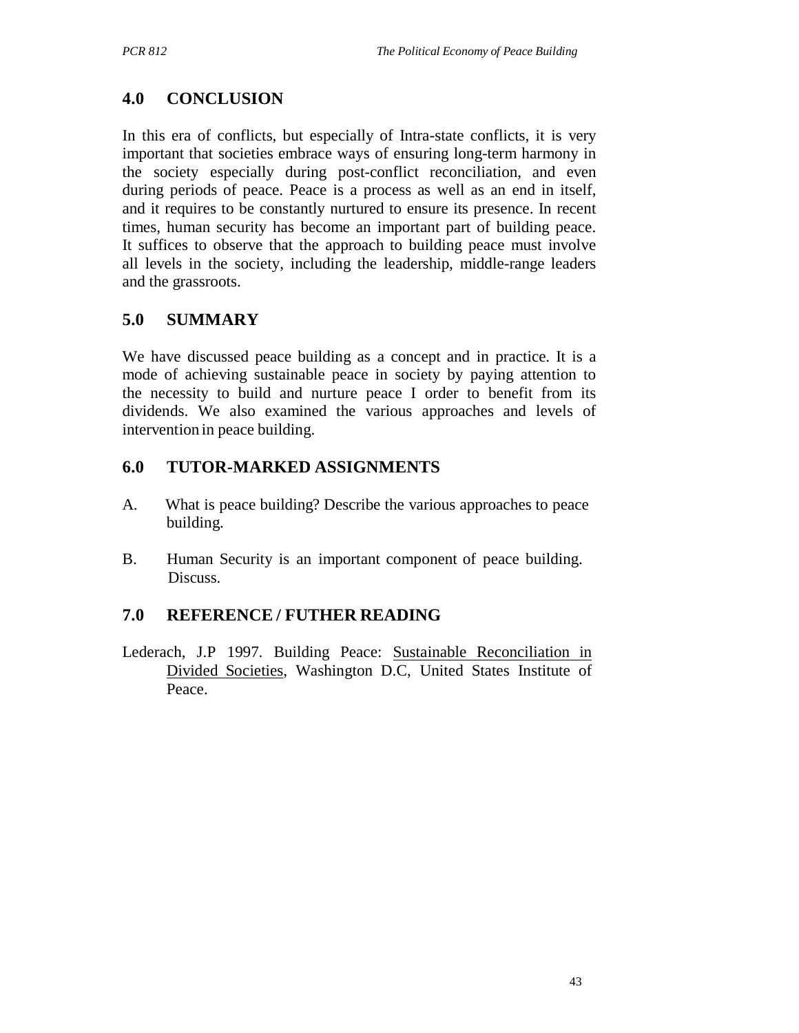# **4.0 CONCLUSION**

In this era of conflicts, but especially of Intra-state conflicts, it is very important that societies embrace ways of ensuring long-term harmony in the society especially during post-conflict reconciliation, and even during periods of peace. Peace is a process as well as an end in itself, and it requires to be constantly nurtured to ensure its presence. In recent times, human security has become an important part of building peace. It suffices to observe that the approach to building peace must involve all levels in the society, including the leadership, middle-range leaders and the grassroots.

# **5.0 SUMMARY**

We have discussed peace building as a concept and in practice. It is a mode of achieving sustainable peace in society by paying attention to the necessity to build and nurture peace I order to benefit from its dividends. We also examined the various approaches and levels of intervention in peace building.

# **6.0 TUTOR-MARKED ASSIGNMENTS**

- A. What is peace building? Describe the various approaches to peace building.
- B. Human Security is an important component of peace building. Discuss.

# **7.0 REFERENCE / FUTHER READING**

Lederach, J.P 1997. Building Peace: Sustainable Reconciliation in Divided Societies, Washington D.C, United States Institute of Peace.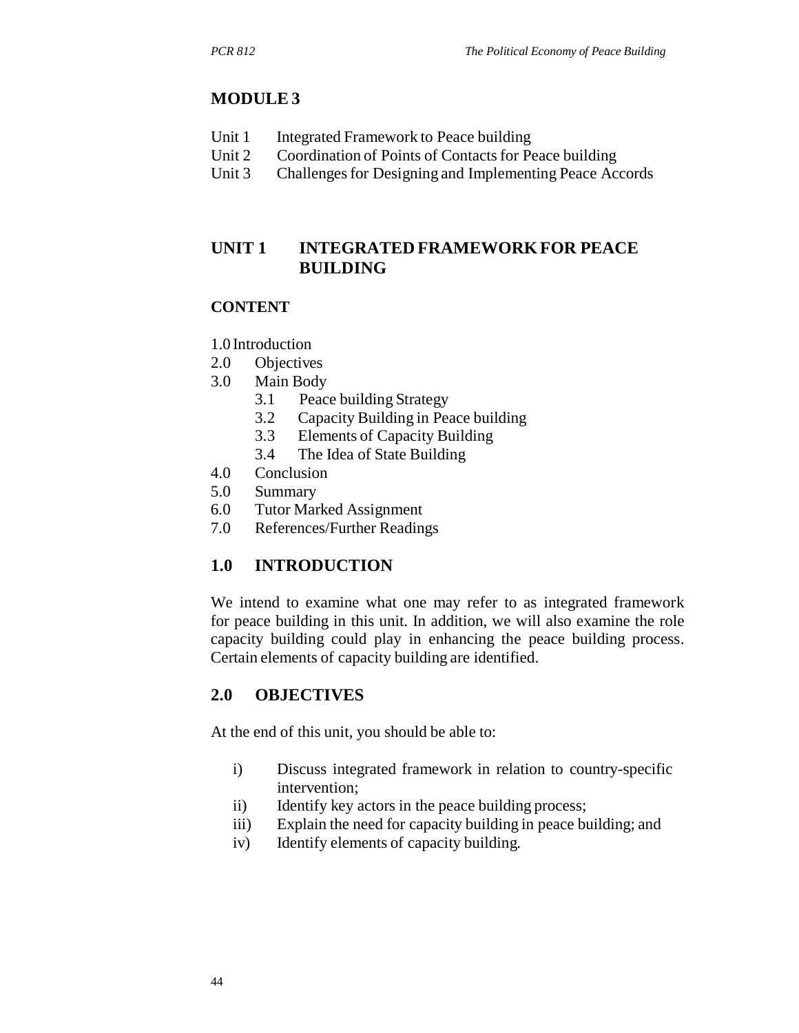### **MODULE 3**

- Unit 1 Integrated Framework to Peace building
- Unit 2 Coordination of Points of Contacts for Peace building
- Unit 3 Challenges for Designing and Implementing Peace Accords

# **UNIT 1 INTEGRATED FRAMEWORK FOR PEACE BUILDING**

#### **CONTENT**

- 1.0 Introduction
- 2.0 Objectives
- 3.0 Main Body
	- 3.1 Peace building Strategy
	- 3.2 Capacity Building in Peace building
	- 3.3 Elements of Capacity Building
	- 3.4 The Idea of State Building
- 4.0 Conclusion
- 5.0 Summary
- 6.0 Tutor Marked Assignment
- 7.0 References/Further Readings

# **1.0 INTRODUCTION**

We intend to examine what one may refer to as integrated framework for peace building in this unit. In addition, we will also examine the role capacity building could play in enhancing the peace building process. Certain elements of capacity building are identified.

### **2.0 OBJECTIVES**

At the end of this unit, you should be able to:

- i) Discuss integrated framework in relation to country-specific intervention;
- ii) Identify key actors in the peace building process;
- iii) Explain the need for capacity building in peace building; and
- iv) Identify elements of capacity building.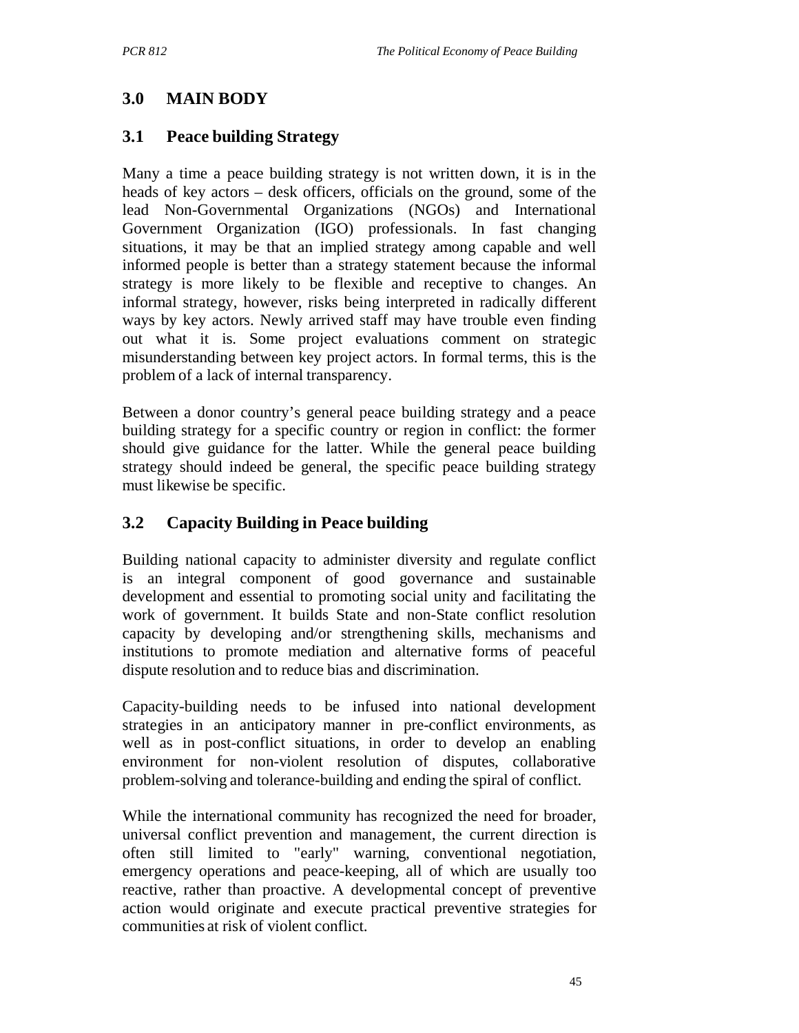# **3.0 MAIN BODY**

# **3.1 Peace building Strategy**

Many a time a peace building strategy is not written down, it is in the heads of key actors – desk officers, officials on the ground, some of the lead Non-Governmental Organizations (NGOs) and International Government Organization (IGO) professionals. In fast changing situations, it may be that an implied strategy among capable and well informed people is better than a strategy statement because the informal strategy is more likely to be flexible and receptive to changes. An informal strategy, however, risks being interpreted in radically different ways by key actors. Newly arrived staff may have trouble even finding out what it is. Some project evaluations comment on strategic misunderstanding between key project actors. In formal terms, this is the problem of a lack of internal transparency.

Between a donor country's general peace building strategy and a peace building strategy for a specific country or region in conflict: the former should give guidance for the latter. While the general peace building strategy should indeed be general, the specific peace building strategy must likewise be specific.

# **3.2 Capacity Building in Peace building**

Building national capacity to administer diversity and regulate conflict is an integral component of good governance and sustainable development and essential to promoting social unity and facilitating the work of government. It builds State and non-State conflict resolution capacity by developing and/or strengthening skills, mechanisms and institutions to promote mediation and alternative forms of peaceful dispute resolution and to reduce bias and discrimination.

Capacity-building needs to be infused into national development strategies in an anticipatory manner in pre-conflict environments, as well as in post-conflict situations, in order to develop an enabling environment for non-violent resolution of disputes, collaborative problem-solving and tolerance-building and ending the spiral of conflict.

While the international community has recognized the need for broader, universal conflict prevention and management, the current direction is often still limited to "early" warning, conventional negotiation, emergency operations and peace-keeping, all of which are usually too reactive, rather than proactive. A developmental concept of preventive action would originate and execute practical preventive strategies for communities at risk of violent conflict.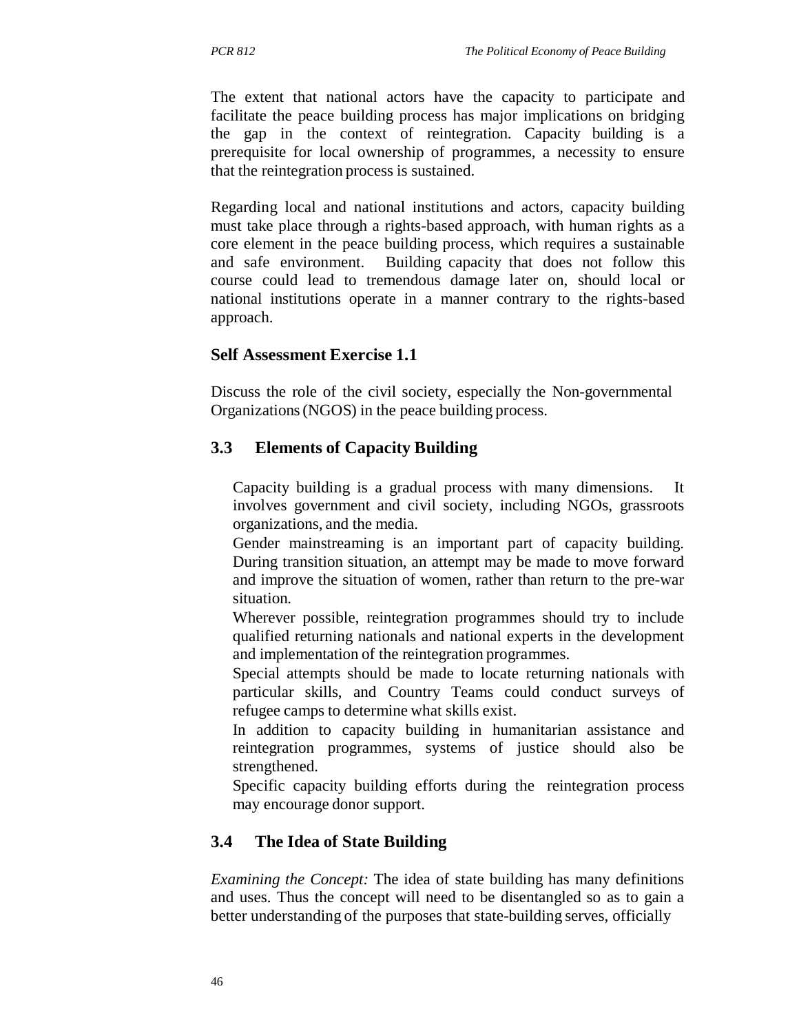The extent that national actors have the capacity to participate and facilitate the peace building process has major implications on bridging the gap in the context of reintegration. Capacity building is a prerequisite for local ownership of programmes, a necessity to ensure that the reintegration process is sustained.

Regarding local and national institutions and actors, capacity building must take place through a rights-based approach, with human rights as a core element in the peace building process, which requires a sustainable and safe environment. Building capacity that does not follow this course could lead to tremendous damage later on, should local or national institutions operate in a manner contrary to the rights-based approach.

# **Self Assessment Exercise 1.1**

Discuss the role of the civil society, especially the Non-governmental Organizations (NGOS) in the peace building process.

# **3.3 Elements of Capacity Building**

Capacity building is a gradual process with many dimensions. It involves government and civil society, including NGOs, grassroots organizations, and the media.

Gender mainstreaming is an important part of capacity building. During transition situation, an attempt may be made to move forward and improve the situation of women, rather than return to the pre-war situation.

Wherever possible, reintegration programmes should try to include qualified returning nationals and national experts in the development and implementation of the reintegration programmes.

Special attempts should be made to locate returning nationals with particular skills, and Country Teams could conduct surveys of refugee camps to determine what skills exist.

In addition to capacity building in humanitarian assistance and reintegration programmes, systems of justice should also be strengthened.

Specific capacity building efforts during the reintegration process may encourage donor support.

# **3.4 The Idea of State Building**

*Examining the Concept:* The idea of state building has many definitions and uses. Thus the concept will need to be disentangled so as to gain a better understanding of the purposes that state-building serves, officially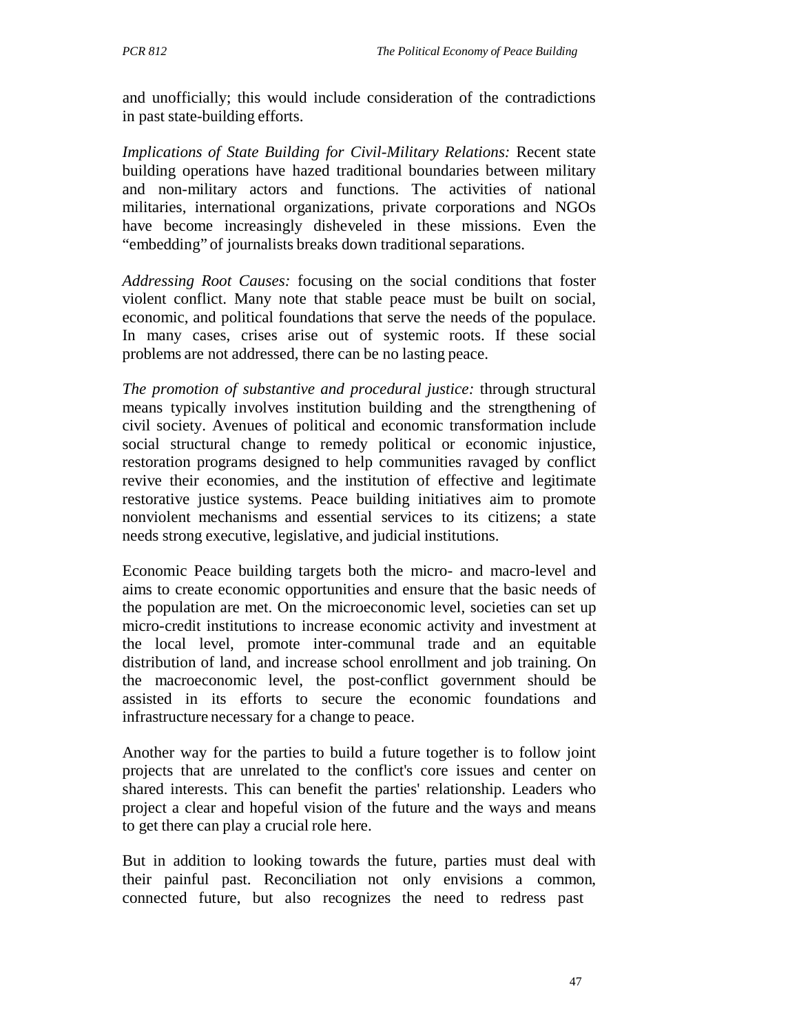and unofficially; this would include consideration of the contradictions in past state-building efforts.

*Implications of State Building for Civil-Military Relations:* Recent state building operations have hazed traditional boundaries between military and non-military actors and functions. The activities of national militaries, international organizations, private corporations and NGOs have become increasingly disheveled in these missions. Even the "embedding" of journalists breaks down traditional separations.

*Addressing Root Causes:* focusing on the social conditions that foster violent conflict. Many note that stable peace must be built on social, economic, and political foundations that serve the needs of the populace. In many cases, crises arise out of systemic roots. If these social problems are not addressed, there can be no lasting peace.

*The promotion of substantive and procedural justice:* through structural means typically involves institution building and the strengthening of civil society. Avenues of political and economic transformation include social structural change to remedy political or economic injustice, restoration programs designed to help communities ravaged by conflict revive their economies, and the institution of effective and legitimate restorative justice systems. Peace building initiatives aim to promote nonviolent mechanisms and essential services to its citizens; a state needs strong executive, legislative, and judicial institutions.

Economic Peace building targets both the micro- and macro-level and aims to create economic opportunities and ensure that the basic needs of the population are met. On the microeconomic level, societies can set up micro-credit institutions to increase economic activity and investment at the local level, promote inter-communal trade and an equitable distribution of land, and increase school enrollment and job training. On the macroeconomic level, the post-conflict government should be assisted in its efforts to secure the economic foundations and infrastructure necessary for a change to peace.

Another way for the parties to build a future together is to follow joint projects that are unrelated to the conflict's core issues and center on shared interests. This can benefit the parties' relationship. Leaders who project a clear and hopeful vision of the future and the ways and means to get there can play a crucial role here.

But in addition to looking towards the future, parties must deal with their painful past. Reconciliation not only envisions a common, connected future, but also recognizes the need to redress past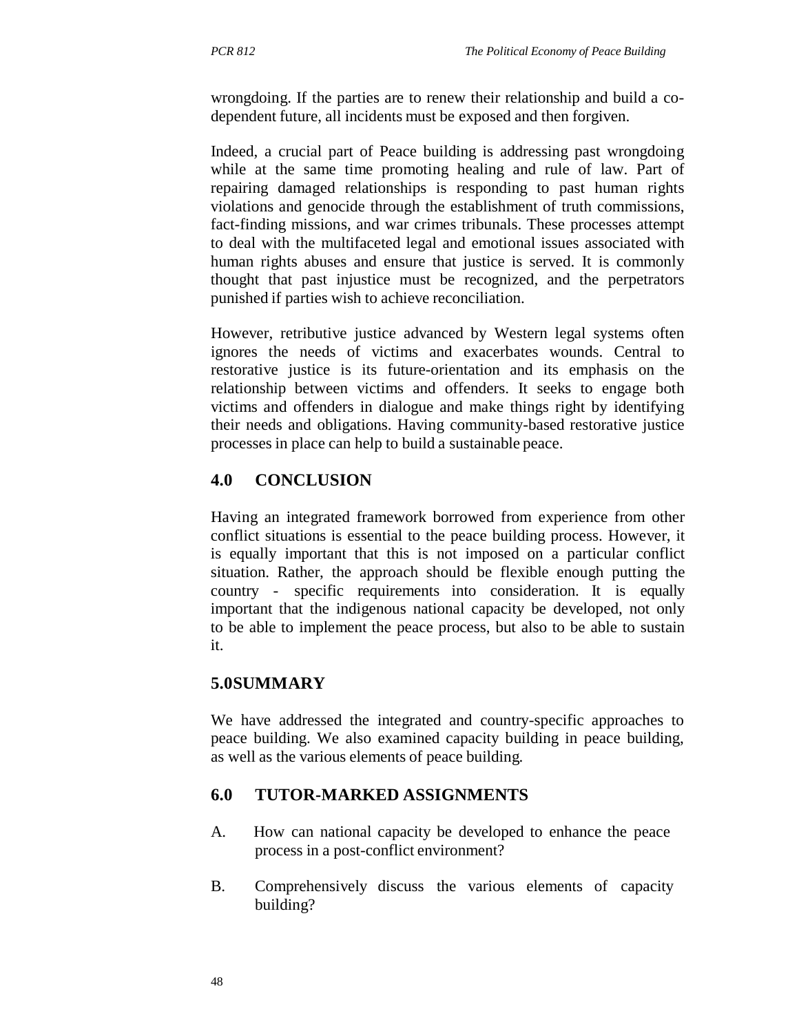wrongdoing. If the parties are to renew their relationship and build a codependent future, all incidents must be exposed and then forgiven.

Indeed, a crucial part of Peace building is addressing past wrongdoing while at the same time promoting healing and rule of law. Part of repairing damaged relationships is responding to past human rights violations and genocide through the establishment of truth commissions, fact-finding missions, and war crimes tribunals. These processes attempt to deal with the multifaceted legal and emotional issues associated with human rights abuses and ensure that justice is served. It is commonly thought that past injustice must be recognized, and the perpetrators punished if parties wish to achieve reconciliation.

However, retributive justice advanced by Western legal systems often ignores the needs of victims and exacerbates wounds. Central to restorative justice is its future-orientation and its emphasis on the relationship between victims and offenders. It seeks to engage both victims and offenders in dialogue and make things right by identifying their needs and obligations. Having community-based restorative justice processes in place can help to build a sustainable peace.

# **4.0 CONCLUSION**

Having an integrated framework borrowed from experience from other conflict situations is essential to the peace building process. However, it is equally important that this is not imposed on a particular conflict situation. Rather, the approach should be flexible enough putting the country - specific requirements into consideration. It is equally important that the indigenous national capacity be developed, not only to be able to implement the peace process, but also to be able to sustain it.

# **5.0SUMMARY**

We have addressed the integrated and country-specific approaches to peace building. We also examined capacity building in peace building, as well as the various elements of peace building.

# **6.0 TUTOR-MARKED ASSIGNMENTS**

- A. How can national capacity be developed to enhance the peace process in a post-conflict environment?
- B. Comprehensively discuss the various elements of capacity building?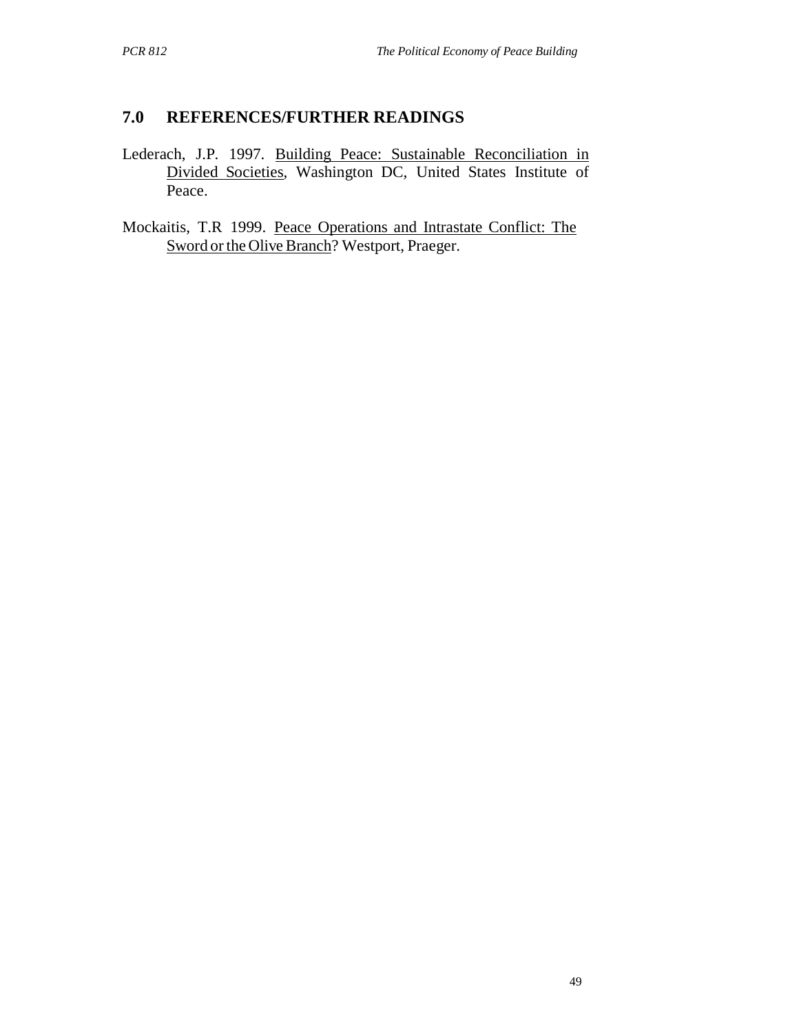### **7.0 REFERENCES/FURTHER READINGS**

Lederach, J.P. 1997. Building Peace: Sustainable Reconciliation in Divided Societies, Washington DC, United States Institute of Peace.

Mockaitis, T.R 1999. Peace Operations and Intrastate Conflict: The Sword or the Olive Branch? Westport, Praeger.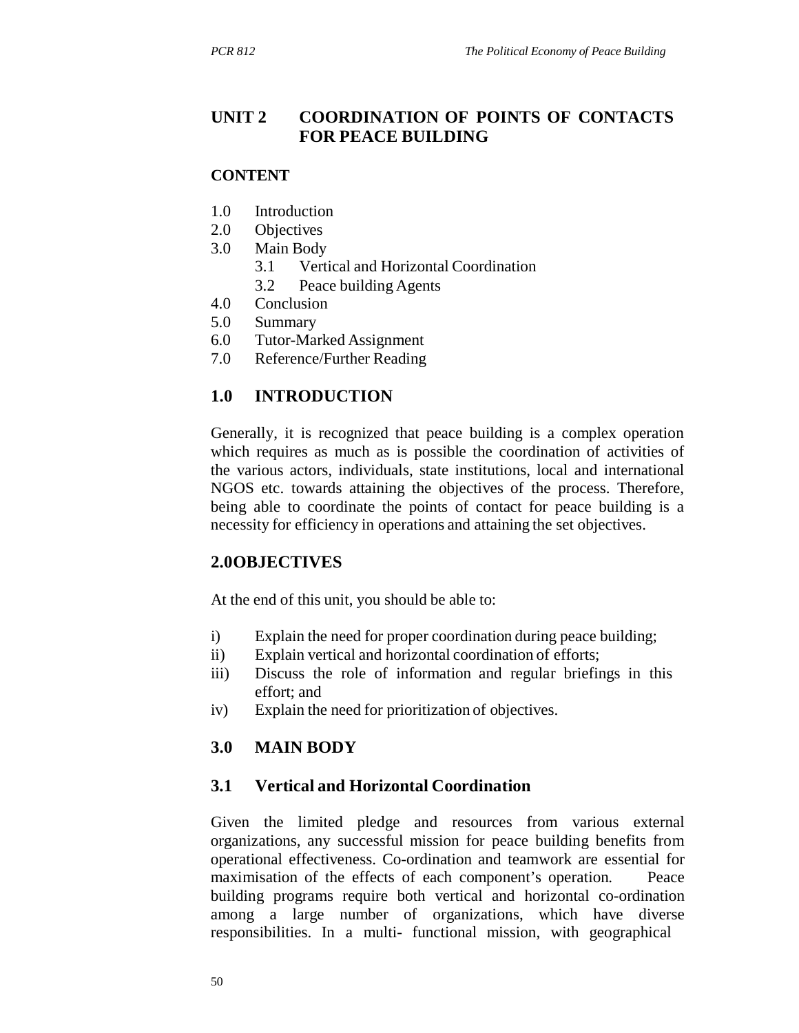# **UNIT 2 COORDINATION OF POINTS OF CONTACTS FOR PEACE BUILDING**

#### **CONTENT**

- 1.0 Introduction
- 2.0 Objectives
- 3.0 Main Body
	- 3.1 Vertical and Horizontal Coordination
	- 3.2 Peace building Agents
- 4.0 Conclusion
- 5.0 Summary
- 6.0 Tutor-Marked Assignment
- 7.0 Reference/Further Reading

# **1.0 INTRODUCTION**

Generally, it is recognized that peace building is a complex operation which requires as much as is possible the coordination of activities of the various actors, individuals, state institutions, local and international NGOS etc. towards attaining the objectives of the process. Therefore, being able to coordinate the points of contact for peace building is a necessity for efficiency in operations and attaining the set objectives.

### **2.0OBJECTIVES**

At the end of this unit, you should be able to:

- i) Explain the need for proper coordination during peace building;
- ii) Explain vertical and horizontal coordination of efforts;
- iii) Discuss the role of information and regular briefings in this effort; and
- iv) Explain the need for prioritization of objectives.

# **3.0 MAIN BODY**

# **3.1 Vertical and Horizontal Coordination**

Given the limited pledge and resources from various external organizations, any successful mission for peace building benefits from operational effectiveness. Co-ordination and teamwork are essential for maximisation of the effects of each component's operation. Peace building programs require both vertical and horizontal co-ordination among a large number of organizations, which have diverse responsibilities. In a multi- functional mission, with geographical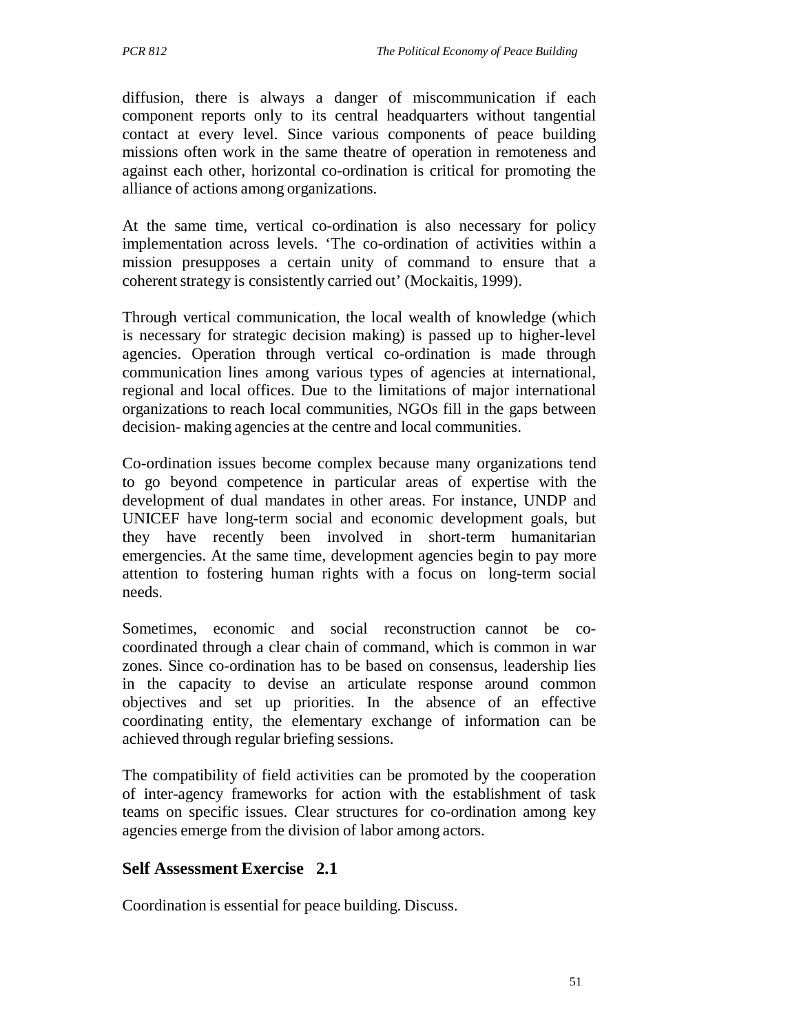diffusion, there is always a danger of miscommunication if each component reports only to its central headquarters without tangential contact at every level. Since various components of peace building missions often work in the same theatre of operation in remoteness and against each other, horizontal co-ordination is critical for promoting the alliance of actions among organizations.

At the same time, vertical co-ordination is also necessary for policy implementation across levels. 'The co-ordination of activities within a mission presupposes a certain unity of command to ensure that a coherent strategy is consistently carried out' (Mockaitis, 1999).

Through vertical communication, the local wealth of knowledge (which is necessary for strategic decision making) is passed up to higher-level agencies. Operation through vertical co-ordination is made through communication lines among various types of agencies at international, regional and local offices. Due to the limitations of major international organizations to reach local communities, NGOs fill in the gaps between decision- making agencies at the centre and local communities.

Co-ordination issues become complex because many organizations tend to go beyond competence in particular areas of expertise with the development of dual mandates in other areas. For instance, UNDP and UNICEF have long-term social and economic development goals, but they have recently been involved in short-term humanitarian emergencies. At the same time, development agencies begin to pay more attention to fostering human rights with a focus on long-term social needs.

Sometimes, economic and social reconstruction cannot be cocoordinated through a clear chain of command, which is common in war zones. Since co-ordination has to be based on consensus, leadership lies in the capacity to devise an articulate response around common objectives and set up priorities. In the absence of an effective coordinating entity, the elementary exchange of information can be achieved through regular briefing sessions.

The compatibility of field activities can be promoted by the cooperation of inter-agency frameworks for action with the establishment of task teams on specific issues. Clear structures for co-ordination among key agencies emerge from the division of labor among actors.

# **Self Assessment Exercise 2.1**

Coordination is essential for peace building. Discuss.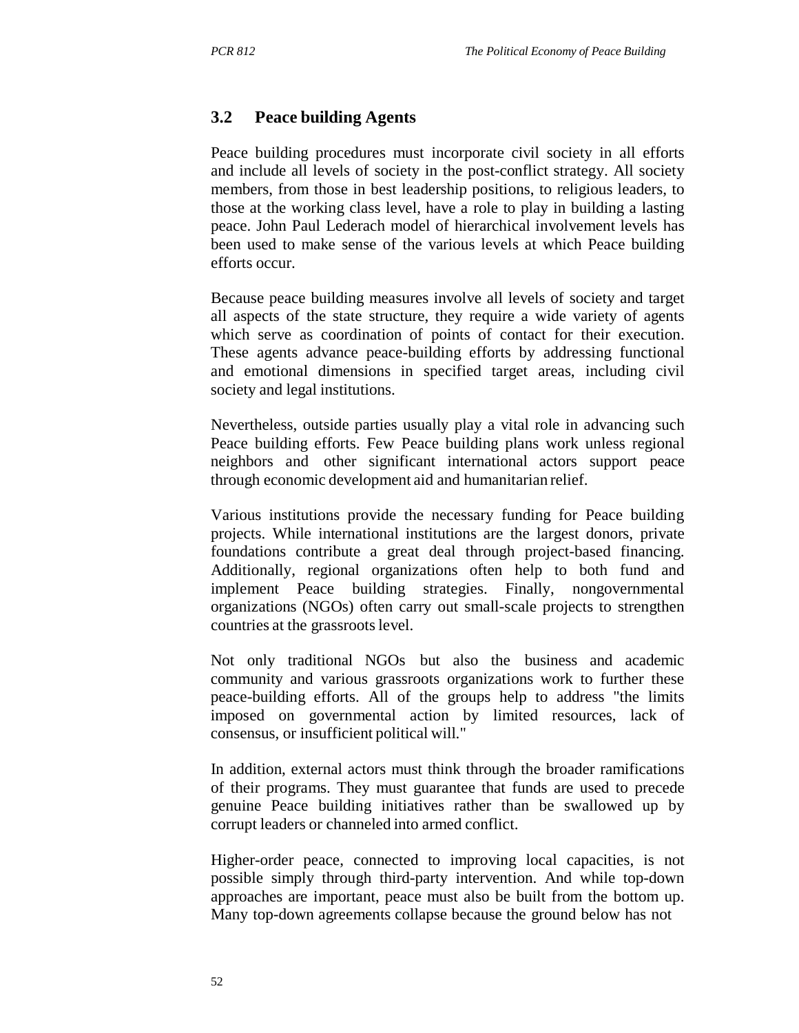### **3.2 Peace building Agents**

Peace building procedures must incorporate civil society in all efforts and include all levels of society in the post-conflict strategy. All society members, from those in best leadership positions, to religious leaders, to those at the working class level, have a role to play in building a lasting peace. John Paul Lederach model of hierarchical involvement levels has been used to make sense of the various levels at which Peace building efforts occur.

Because peace building measures involve all levels of society and target all aspects of the state structure, they require a wide variety of agents which serve as coordination of points of contact for their execution. These agents advance peace-building efforts by addressing functional and emotional dimensions in specified target areas, including civil society and legal institutions.

Nevertheless, outside parties usually play a vital role in advancing such Peace building efforts. Few Peace building plans work unless regional neighbors and other significant international actors support peace through economic development aid and humanitarian relief.

Various institutions provide the necessary funding for Peace building projects. While international institutions are the largest donors, private foundations contribute a great deal through project-based financing. Additionally, regional organizations often help to both fund and implement Peace building strategies. Finally, nongovernmental organizations (NGOs) often carry out small-scale projects to strengthen countries at the grassroots level.

Not only traditional NGOs but also the business and academic community and various grassroots organizations work to further these peace-building efforts. All of the groups help to address "the limits imposed on governmental action by limited resources, lack of consensus, or insufficient political will."

In addition, external actors must think through the broader ramifications of their programs. They must guarantee that funds are used to precede genuine Peace building initiatives rather than be swallowed up by corrupt leaders or channeled into armed conflict.

Higher-order peace, connected to improving local capacities, is not possible simply through third-party intervention. And while top-down approaches are important, peace must also be built from the bottom up. Many top-down agreements collapse because the ground below has not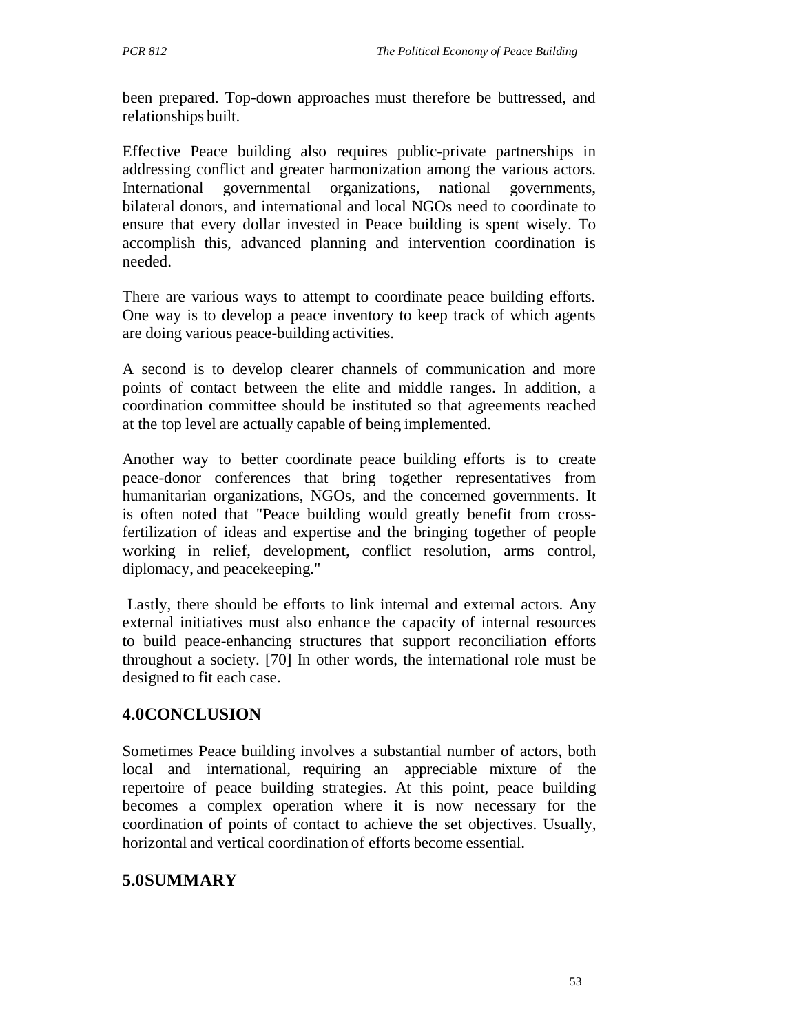been prepared. Top-down approaches must therefore be buttressed, and relationships built.

Effective Peace building also requires public-private partnerships in addressing conflict and greater harmonization among the various actors. International governmental organizations, national governments, bilateral donors, and international and local NGOs need to coordinate to ensure that every dollar invested in Peace building is spent wisely. To accomplish this, advanced planning and intervention coordination is needed.

There are various ways to attempt to coordinate peace building efforts. One way is to develop a peace inventory to keep track of which agents are doing various peace-building activities.

A second is to develop clearer channels of communication and more points of contact between the elite and middle ranges. In addition, a coordination committee should be instituted so that agreements reached at the top level are actually capable of being implemented.

Another way to better coordinate peace building efforts is to create peace-donor conferences that bring together representatives from humanitarian organizations, NGOs, and the concerned governments. It is often noted that "Peace building would greatly benefit from crossfertilization of ideas and expertise and the bringing together of people working in relief, development, conflict resolution, arms control, diplomacy, and peacekeeping."

Lastly, there should be efforts to link internal and external actors. Any external initiatives must also enhance the capacity of internal resources to build peace-enhancing structures that support reconciliation efforts throughout a society. [70] In other words, the international role must be designed to fit each case.

# **4.0CONCLUSION**

Sometimes Peace building involves a substantial number of actors, both local and international, requiring an appreciable mixture of the repertoire of peace building strategies. At this point, peace building becomes a complex operation where it is now necessary for the coordination of points of contact to achieve the set objectives. Usually, horizontal and vertical coordination of efforts become essential.

# **5.0SUMMARY**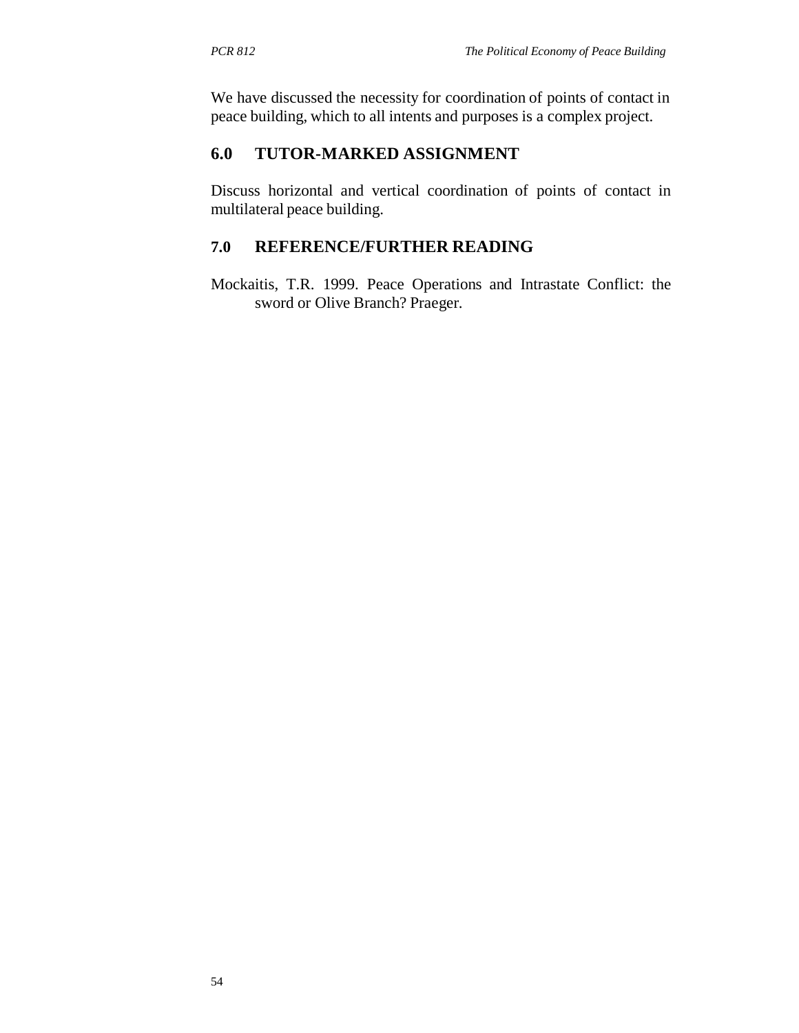We have discussed the necessity for coordination of points of contact in peace building, which to all intents and purposes is a complex project.

### **6.0 TUTOR-MARKED ASSIGNMENT**

Discuss horizontal and vertical coordination of points of contact in multilateral peace building.

### **7.0 REFERENCE/FURTHER READING**

Mockaitis, T.R. 1999. Peace Operations and Intrastate Conflict: the sword or Olive Branch? Praeger.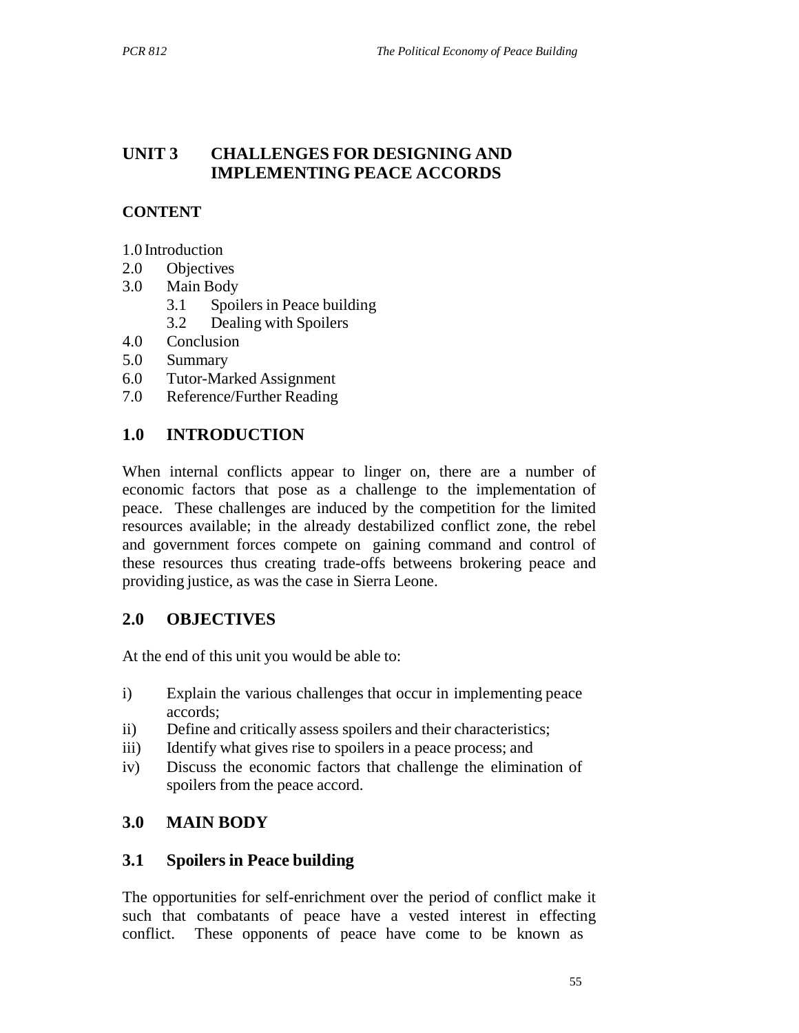# **UNIT 3 CHALLENGES FOR DESIGNING AND IMPLEMENTING PEACE ACCORDS**

# **CONTENT**

- 1.0 Introduction
- 2.0 Objectives
- 3.0 Main Body
	- 3.1 Spoilers in Peace building
	- 3.2 Dealing with Spoilers
- 4.0 Conclusion
- 5.0 Summary
- 6.0 Tutor-Marked Assignment
- 7.0 Reference/Further Reading

# **1.0 INTRODUCTION**

When internal conflicts appear to linger on, there are a number of economic factors that pose as a challenge to the implementation of peace. These challenges are induced by the competition for the limited resources available; in the already destabilized conflict zone, the rebel and government forces compete on gaining command and control of these resources thus creating trade-offs betweens brokering peace and providing justice, as was the case in Sierra Leone.

## **2.0 OBJECTIVES**

At the end of this unit you would be able to:

- i) Explain the various challenges that occur in implementing peace accords;
- ii) Define and critically assess spoilers and their characteristics;
- iii) Identify what gives rise to spoilers in a peace process; and
- iv) Discuss the economic factors that challenge the elimination of spoilers from the peace accord.

## **3.0 MAIN BODY**

## **3.1 Spoilers in Peace building**

The opportunities for self-enrichment over the period of conflict make it such that combatants of peace have a vested interest in effecting conflict. These opponents of peace have come to be known as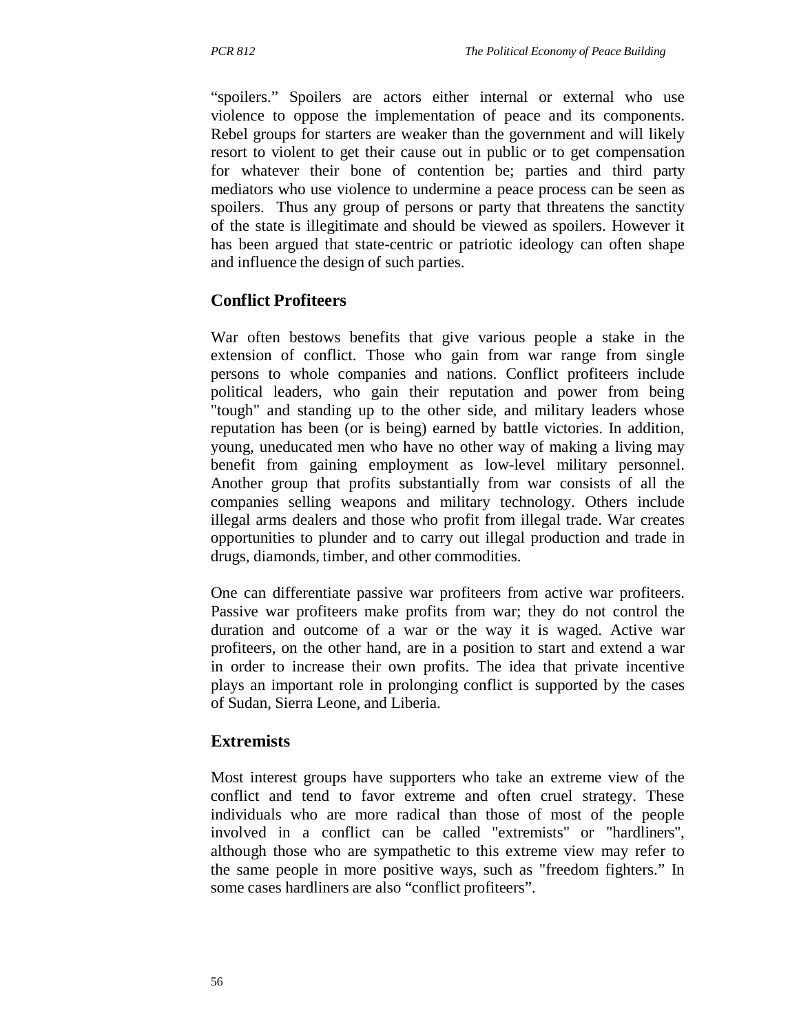"spoilers." Spoilers are actors either internal or external who use violence to oppose the implementation of peace and its components. Rebel groups for starters are weaker than the government and will likely resort to violent to get their cause out in public or to get compensation for whatever their bone of contention be; parties and third party mediators who use violence to undermine a peace process can be seen as spoilers. Thus any group of persons or party that threatens the sanctity of the state is illegitimate and should be viewed as spoilers. However it has been argued that state-centric or patriotic ideology can often shape and influence the design of such parties.

### **Conflict Profiteers**

War often bestows benefits that give various people a stake in the extension of conflict. Those who gain from war range from single persons to whole companies and nations. Conflict profiteers include political leaders, who gain their reputation and power from being "tough" and standing up to the other side, and military leaders whose reputation has been (or is being) earned by battle victories. In addition, young, uneducated men who have no other way of making a living may benefit from gaining employment as low-level military personnel. Another group that profits substantially from war consists of all the companies selling weapons and military technology. Others include illegal arms dealers and those who profit from illegal trade. War creates opportunities to plunder and to carry out illegal production and trade in drugs, diamonds, timber, and other commodities.

One can differentiate passive war profiteers from active war profiteers. Passive war profiteers make profits from war; they do not control the duration and outcome of a war or the way it is waged. Active war profiteers, on the other hand, are in a position to start and extend a war in order to increase their own profits. The idea that private incentive plays an important role in prolonging conflict is supported by the cases of Sudan, Sierra Leone, and Liberia.

#### **Extremists**

Most interest groups have supporters who take an extreme view of the conflict and tend to favor extreme and often cruel strategy. These individuals who are more radical than those of most of the people involved in a conflict can be called "extremists" or "hardliners", although those who are sympathetic to this extreme view may refer to the same people in more positive ways, such as "freedom fighters." In some cases hardliners are also "conflict profiteers".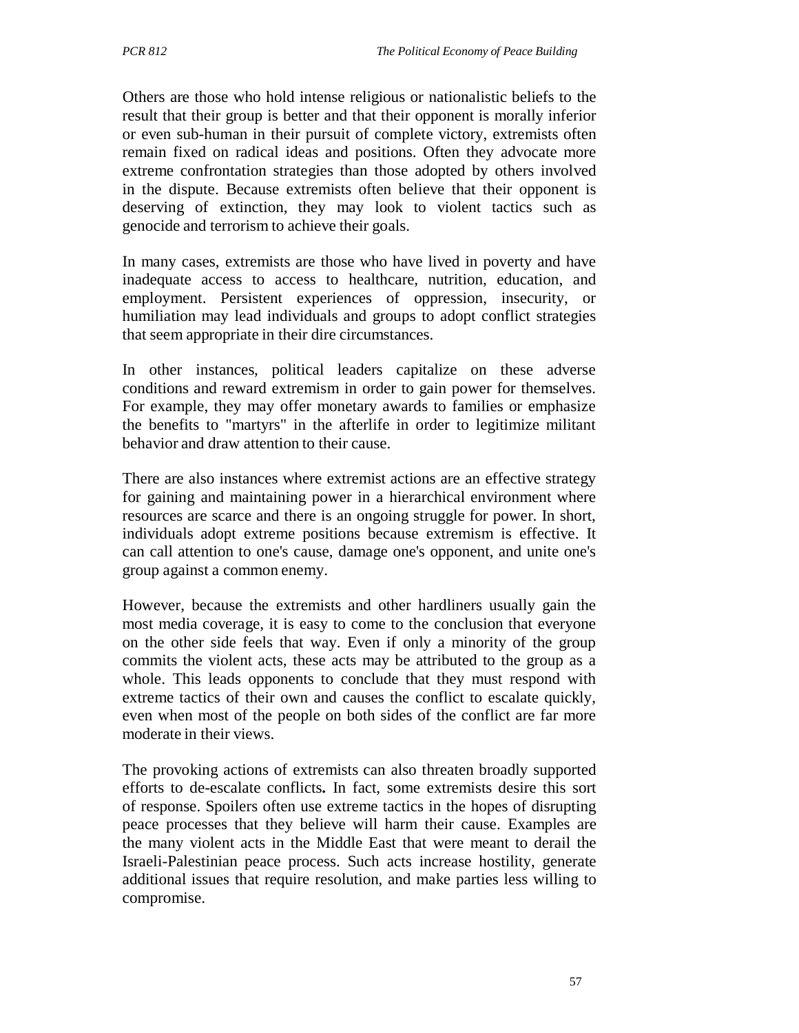Others are those who hold intense religious or nationalistic beliefs to the result that their group is better and that their opponent is morally inferior or even sub-human in their pursuit of complete victory, extremists often remain fixed on radical ideas and positions. Often they advocate more extreme confrontation strategies than those adopted by others involved in the dispute. Because extremists often believe that their opponent is deserving of extinction, they may look to violent tactics such as genocide and terrorism to achieve their goals.

In many cases, extremists are those who have lived in poverty and have inadequate access to access to healthcare, nutrition, education, and employment. Persistent experiences of oppression, insecurity, or humiliation may lead individuals and groups to adopt conflict strategies that seem appropriate in their dire circumstances.

In other instances, political leaders capitalize on these adverse conditions and reward extremism in order to gain power for themselves. For example, they may offer monetary awards to families or emphasize the benefits to "martyrs" in the afterlife in order to legitimize militant behavior and draw attention to their cause.

There are also instances where extremist actions are an effective strategy for gaining and maintaining power in a hierarchical environment where resources are scarce and there is an ongoing struggle for power. In short, individuals adopt extreme positions because extremism is effective. It can call attention to one's cause, damage one's opponent, and unite one's group against a common enemy.

However, because the extremists and other hardliners usually gain the most media coverage, it is easy to come to the conclusion that everyone on the other side feels that way. Even if only a minority of the group commits the violent acts, these acts may be attributed to the group as a whole. This leads opponents to conclude that they must respond with extreme tactics of their own and causes the conflict to escalate quickly, even when most of the people on both sides of the conflict are far more moderate in their views.

The provoking actions of extremists can also threaten broadly supported efforts to de-escalate conflicts**.** In fact, some extremists desire this sort of response. Spoilers often use extreme tactics in the hopes of disrupting peace processes that they believe will harm their cause. Examples are the many violent acts in the Middle East that were meant to derail the Israeli-Palestinian peace process. Such acts increase hostility, generate additional issues that require resolution, and make parties less willing to compromise.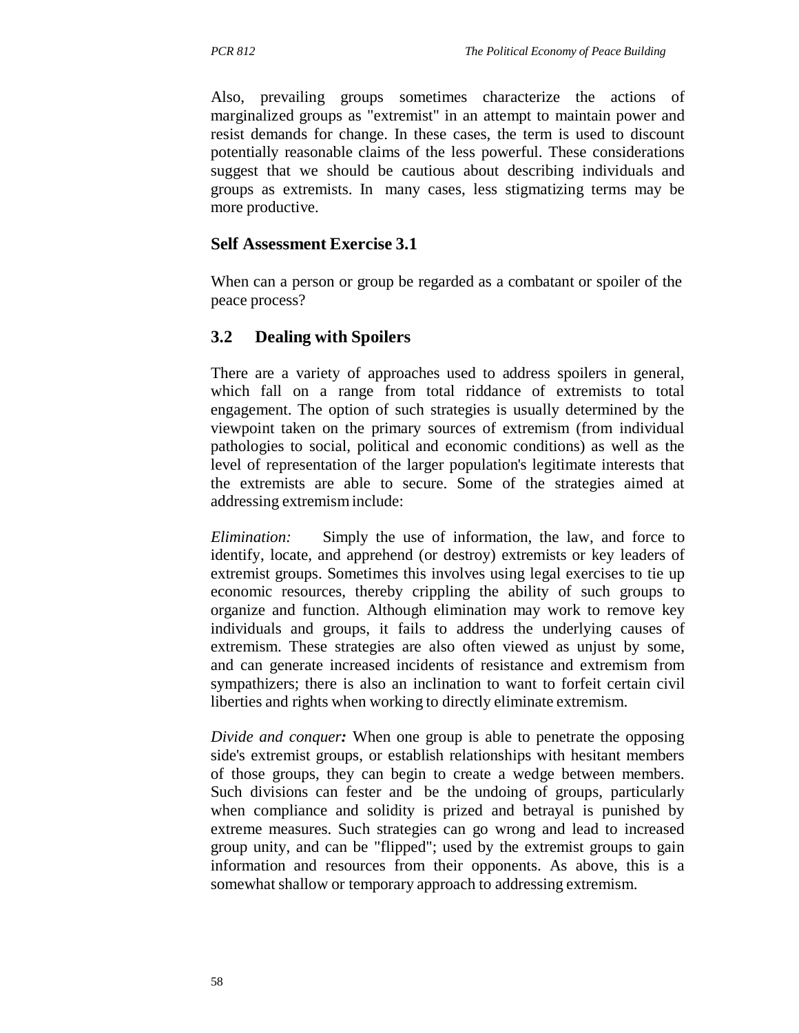Also, prevailing groups sometimes characterize the actions of marginalized groups as "extremist" in an attempt to maintain power and resist demands for change. In these cases, the term is used to discount potentially reasonable claims of the less powerful. These considerations suggest that we should be cautious about describing individuals and groups as extremists. In many cases, less stigmatizing terms may be more productive.

#### **Self Assessment Exercise 3.1**

When can a person or group be regarded as a combatant or spoiler of the peace process?

#### **3.2 Dealing with Spoilers**

There are a variety of approaches used to address spoilers in general, which fall on a range from total riddance of extremists to total engagement. The option of such strategies is usually determined by the viewpoint taken on the primary sources of extremism (from individual pathologies to social, political and economic conditions) as well as the level of representation of the larger population's legitimate interests that the extremists are able to secure. Some of the strategies aimed at addressing extremism include:

*Elimination:* Simply the use of information, the law, and force to identify, locate, and apprehend (or destroy) extremists or key leaders of extremist groups. Sometimes this involves using legal exercises to tie up economic resources, thereby crippling the ability of such groups to organize and function. Although elimination may work to remove key individuals and groups, it fails to address the underlying causes of extremism. These strategies are also often viewed as unjust by some, and can generate increased incidents of resistance and extremism from sympathizers; there is also an inclination to want to forfeit certain civil liberties and rights when working to directly eliminate extremism.

*Divide and conquer*: When one group is able to penetrate the opposing side's extremist groups, or establish relationships with hesitant members of those groups, they can begin to create a wedge between members. Such divisions can fester and be the undoing of groups, particularly when compliance and solidity is prized and betrayal is punished by extreme measures. Such strategies can go wrong and lead to increased group unity, and can be "flipped"; used by the extremist groups to gain information and resources from their opponents. As above, this is a somewhat shallow or temporary approach to addressing extremism.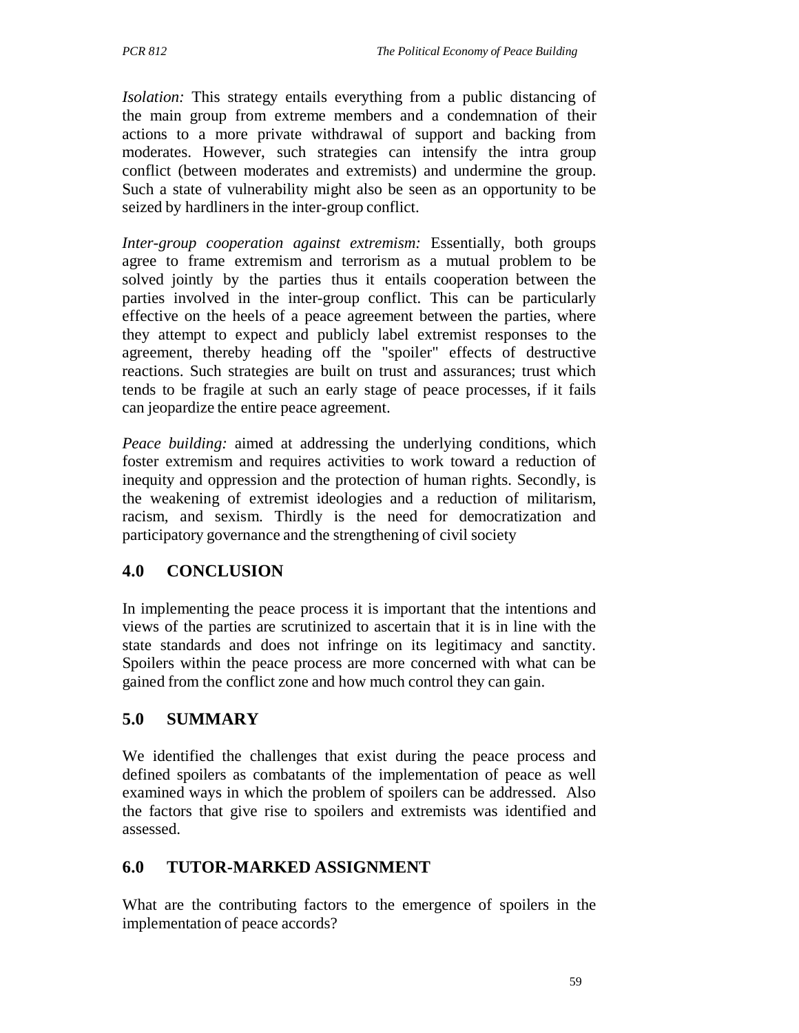*Isolation:* This strategy entails everything from a public distancing of the main group from extreme members and a condemnation of their actions to a more private withdrawal of support and backing from moderates. However, such strategies can intensify the intra group conflict (between moderates and extremists) and undermine the group. Such a state of vulnerability might also be seen as an opportunity to be seized by hardliners in the inter-group conflict.

*Inter-group cooperation against extremism:* Essentially, both groups agree to frame extremism and terrorism as a mutual problem to be solved jointly by the parties thus it entails cooperation between the parties involved in the inter-group conflict. This can be particularly effective on the heels of a peace agreement between the parties, where they attempt to expect and publicly label extremist responses to the agreement, thereby heading off the "spoiler" effects of destructive reactions. Such strategies are built on trust and assurances; trust which tends to be fragile at such an early stage of peace processes, if it fails can jeopardize the entire peace agreement.

*Peace building:* aimed at addressing the underlying conditions, which foster extremism and requires activities to work toward a reduction of inequity and oppression and the protection of human rights. Secondly, is the weakening of extremist ideologies and a reduction of militarism, racism, and sexism. Thirdly is the need for democratization and participatory governance and the strengthening of civil society

## **4.0 CONCLUSION**

In implementing the peace process it is important that the intentions and views of the parties are scrutinized to ascertain that it is in line with the state standards and does not infringe on its legitimacy and sanctity. Spoilers within the peace process are more concerned with what can be gained from the conflict zone and how much control they can gain.

## **5.0 SUMMARY**

We identified the challenges that exist during the peace process and defined spoilers as combatants of the implementation of peace as well examined ways in which the problem of spoilers can be addressed. Also the factors that give rise to spoilers and extremists was identified and assessed.

## **6.0 TUTOR-MARKED ASSIGNMENT**

What are the contributing factors to the emergence of spoilers in the implementation of peace accords?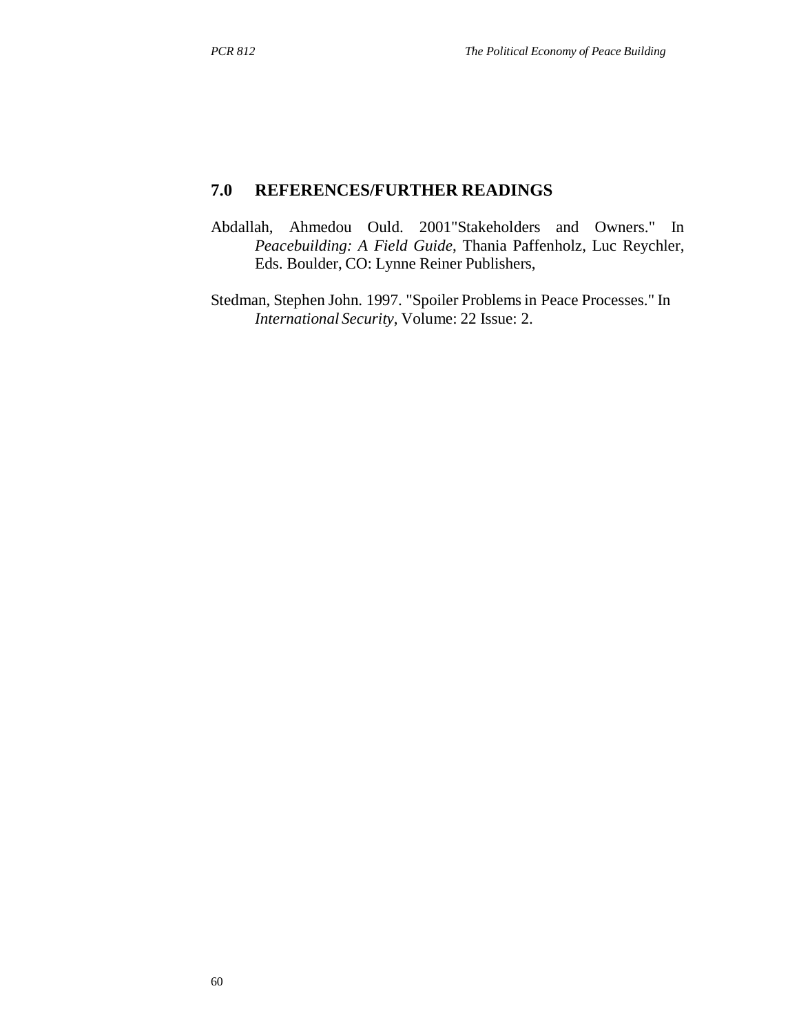## **7.0 REFERENCES/FURTHER READINGS**

- Abdallah, Ahmedou Ould. 2001"Stakeholders and Owners." In *Peacebuilding: A Field Guide*, Thania Paffenholz, Luc Reychler, Eds. Boulder, CO: Lynne Reiner Publishers,
- Stedman, Stephen John. 1997. "Spoiler Problems in Peace Processes." In *International Security*, Volume: 22 Issue: 2.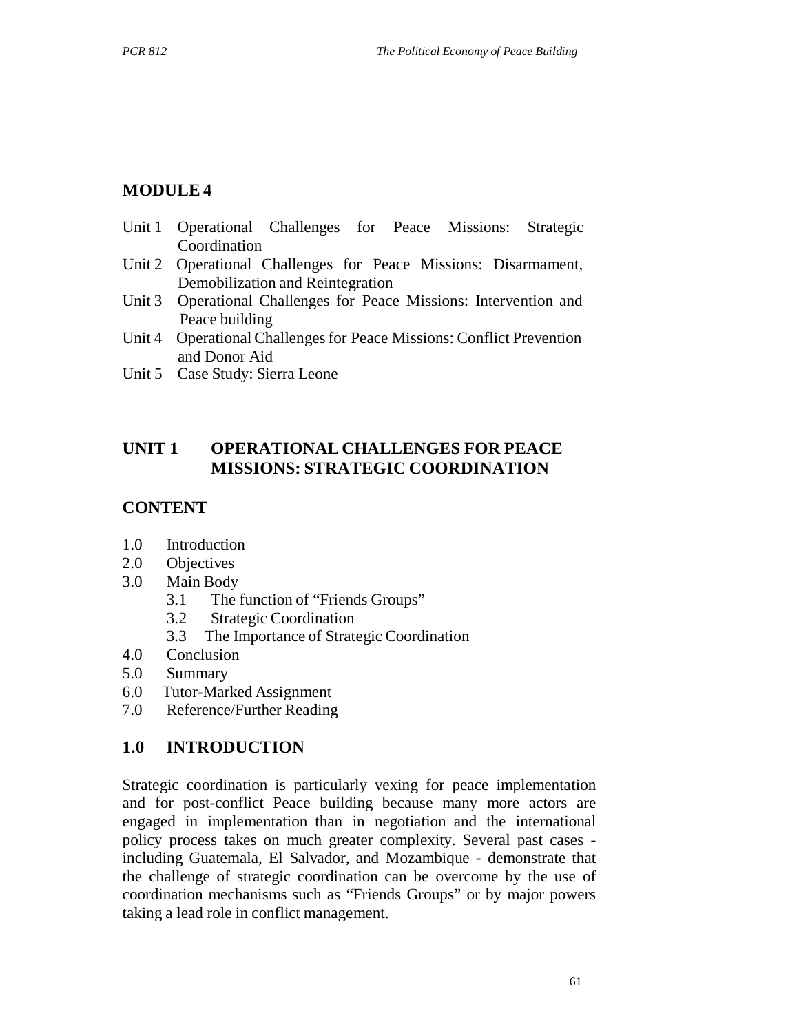# **MODULE 4**

- Unit 1 Operational Challenges for Peace Missions: Strategic Coordination
- Unit 2 Operational Challenges for Peace Missions: Disarmament, Demobilization and Reintegration
- Unit 3 Operational Challenges for Peace Missions: Intervention and Peace building
- Unit 4 Operational Challenges for Peace Missions: Conflict Prevention and Donor Aid
- Unit 5 Case Study: Sierra Leone

# **UNIT 1 OPERATIONAL CHALLENGES FOR PEACE MISSIONS: STRATEGIC COORDINATION**

# **CONTENT**

- 1.0 Introduction
- 2.0 Objectives
- 3.0 Main Body
	- 3.1 The function of "Friends Groups"
	- 3.2 Strategic Coordination
	- 3.3 The Importance of Strategic Coordination
- 4.0 Conclusion
- 5.0 Summary
- 6.0 Tutor-Marked Assignment
- 7.0 Reference/Further Reading

## **1.0 INTRODUCTION**

Strategic coordination is particularly vexing for peace implementation and for post-conflict Peace building because many more actors are engaged in implementation than in negotiation and the international policy process takes on much greater complexity. Several past cases including Guatemala, El Salvador, and Mozambique - demonstrate that the challenge of strategic coordination can be overcome by the use of coordination mechanisms such as "Friends Groups" or by major powers taking a lead role in conflict management.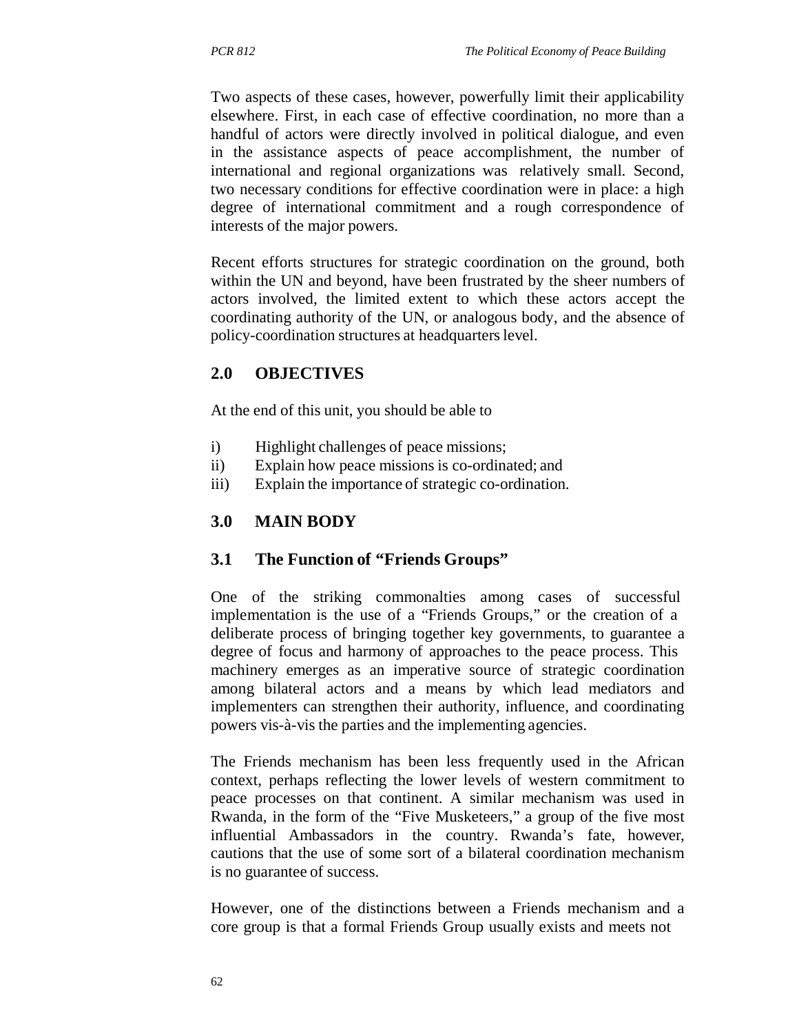Two aspects of these cases, however, powerfully limit their applicability elsewhere. First, in each case of effective coordination, no more than a handful of actors were directly involved in political dialogue, and even in the assistance aspects of peace accomplishment, the number of international and regional organizations was relatively small. Second, two necessary conditions for effective coordination were in place: a high degree of international commitment and a rough correspondence of interests of the major powers.

Recent efforts structures for strategic coordination on the ground, both within the UN and beyond, have been frustrated by the sheer numbers of actors involved, the limited extent to which these actors accept the coordinating authority of the UN, or analogous body, and the absence of policy-coordination structures at headquarters level.

# **2.0 OBJECTIVES**

At the end of this unit, you should be able to

- i) Highlight challenges of peace missions;
- ii) Explain how peace missions is co-ordinated; and
- iii) Explain the importance of strategic co-ordination.

#### **3.0 MAIN BODY**

#### **3.1 The Function of "Friends Groups"**

One of the striking commonalties among cases of successful implementation is the use of a "Friends Groups," or the creation of a deliberate process of bringing together key governments, to guarantee a degree of focus and harmony of approaches to the peace process. This machinery emerges as an imperative source of strategic coordination among bilateral actors and a means by which lead mediators and implementers can strengthen their authority, influence, and coordinating powers vis-à-vis the parties and the implementing agencies.

The Friends mechanism has been less frequently used in the African context, perhaps reflecting the lower levels of western commitment to peace processes on that continent. A similar mechanism was used in Rwanda, in the form of the "Five Musketeers," a group of the five most influential Ambassadors in the country. Rwanda's fate, however, cautions that the use of some sort of a bilateral coordination mechanism is no guarantee of success.

However, one of the distinctions between a Friends mechanism and a core group is that a formal Friends Group usually exists and meets not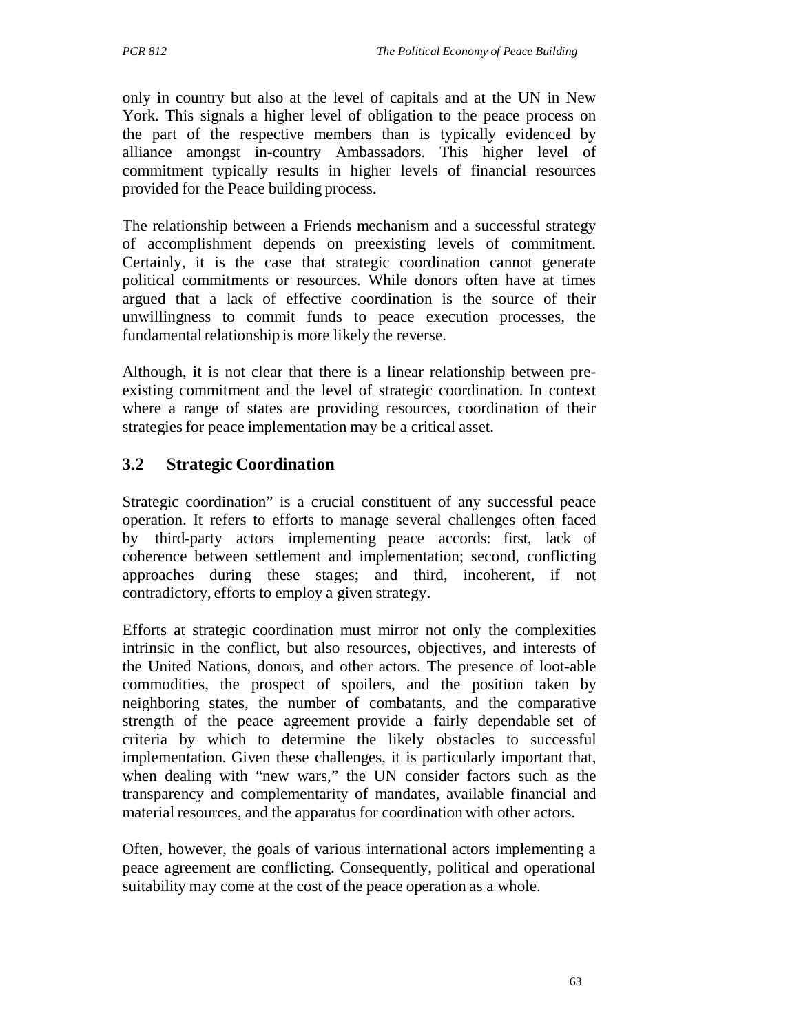only in country but also at the level of capitals and at the UN in New York. This signals a higher level of obligation to the peace process on the part of the respective members than is typically evidenced by alliance amongst in-country Ambassadors. This higher level of commitment typically results in higher levels of financial resources provided for the Peace building process.

The relationship between a Friends mechanism and a successful strategy of accomplishment depends on preexisting levels of commitment. Certainly, it is the case that strategic coordination cannot generate political commitments or resources. While donors often have at times argued that a lack of effective coordination is the source of their unwillingness to commit funds to peace execution processes, the fundamental relationship is more likely the reverse.

Although, it is not clear that there is a linear relationship between preexisting commitment and the level of strategic coordination. In context where a range of states are providing resources, coordination of their strategies for peace implementation may be a critical asset.

# **3.2 Strategic Coordination**

Strategic coordination" is a crucial constituent of any successful peace operation. It refers to efforts to manage several challenges often faced by third-party actors implementing peace accords: first, lack of coherence between settlement and implementation; second, conflicting approaches during these stages; and third, incoherent, if not contradictory, efforts to employ a given strategy.

Efforts at strategic coordination must mirror not only the complexities intrinsic in the conflict, but also resources, objectives, and interests of the United Nations, donors, and other actors. The presence of loot-able commodities, the prospect of spoilers, and the position taken by neighboring states, the number of combatants, and the comparative strength of the peace agreement provide a fairly dependable set of criteria by which to determine the likely obstacles to successful implementation. Given these challenges, it is particularly important that, when dealing with "new wars," the UN consider factors such as the transparency and complementarity of mandates, available financial and material resources, and the apparatus for coordination with other actors.

Often, however, the goals of various international actors implementing a peace agreement are conflicting. Consequently, political and operational suitability may come at the cost of the peace operation as a whole.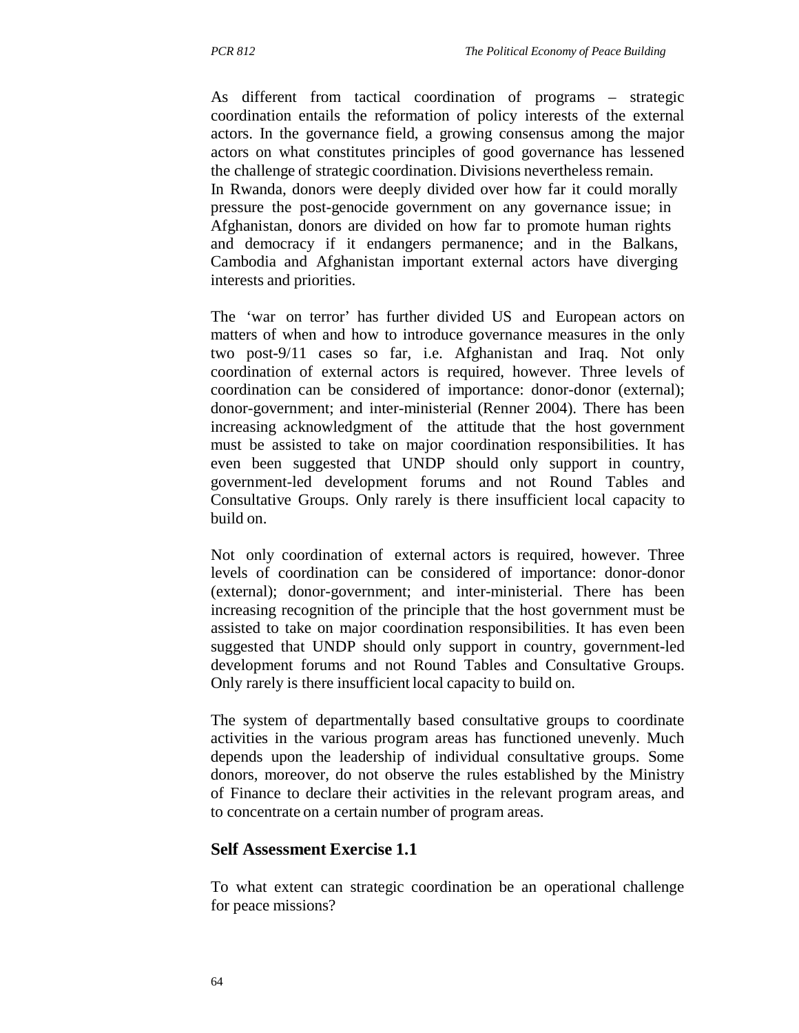As different from tactical coordination of programs – strategic coordination entails the reformation of policy interests of the external actors. In the governance field, a growing consensus among the major actors on what constitutes principles of good governance has lessened the challenge of strategic coordination. Divisions nevertheless remain. In Rwanda, donors were deeply divided over how far it could morally pressure the post-genocide government on any governance issue; in Afghanistan, donors are divided on how far to promote human rights and democracy if it endangers permanence; and in the Balkans, Cambodia and Afghanistan important external actors have diverging interests and priorities.

The 'war on terror' has further divided US and European actors on matters of when and how to introduce governance measures in the only two post-9/11 cases so far, i.e. Afghanistan and Iraq. Not only coordination of external actors is required, however. Three levels of coordination can be considered of importance: donor-donor (external); donor-government; and inter-ministerial (Renner 2004). There has been increasing acknowledgment of the attitude that the host government must be assisted to take on major coordination responsibilities. It has even been suggested that UNDP should only support in country, government-led development forums and not Round Tables and Consultative Groups. Only rarely is there insufficient local capacity to build on.

Not only coordination of external actors is required, however. Three levels of coordination can be considered of importance: donor-donor (external); donor-government; and inter-ministerial. There has been increasing recognition of the principle that the host government must be assisted to take on major coordination responsibilities. It has even been suggested that UNDP should only support in country, government-led development forums and not Round Tables and Consultative Groups. Only rarely is there insufficient local capacity to build on.

The system of departmentally based consultative groups to coordinate activities in the various program areas has functioned unevenly. Much depends upon the leadership of individual consultative groups. Some donors, moreover, do not observe the rules established by the Ministry of Finance to declare their activities in the relevant program areas, and to concentrate on a certain number of program areas.

#### **Self Assessment Exercise 1.1**

To what extent can strategic coordination be an operational challenge for peace missions?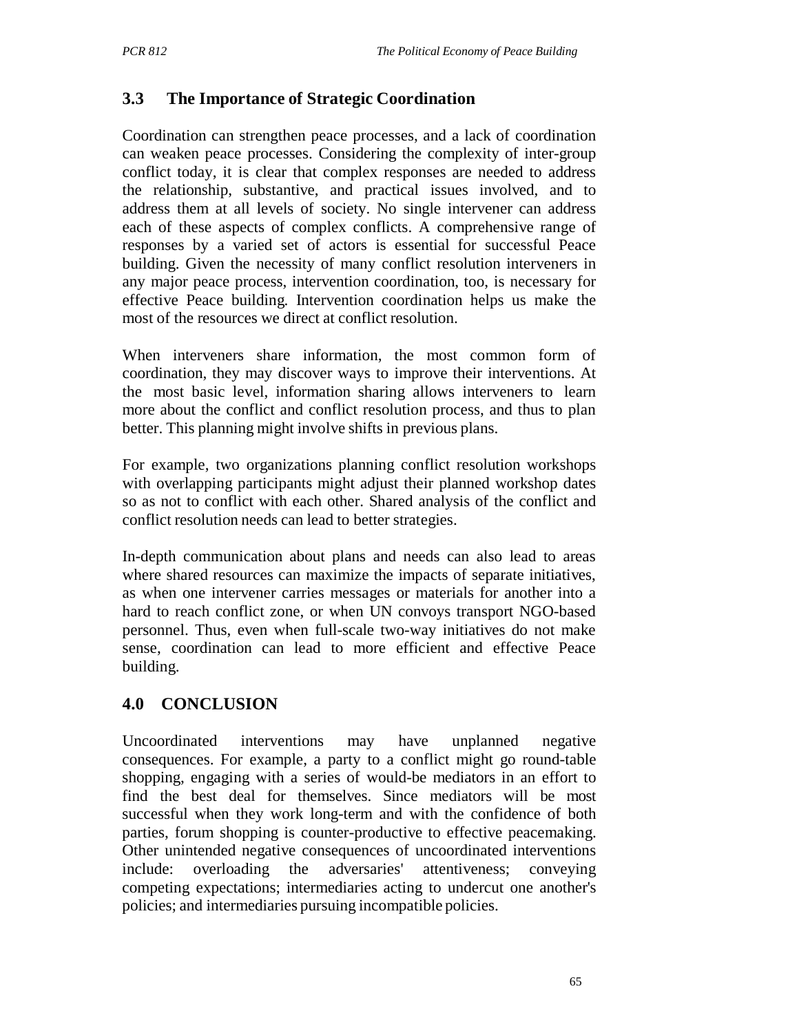# **3.3 The Importance of Strategic Coordination**

Coordination can strengthen peace processes, and a lack of coordination can weaken peace processes. Considering the complexity of inter-group conflict today, it is clear that complex responses are needed to address the relationship, substantive, and practical issues involved, and to address them at all levels of society. No single intervener can address each of these aspects of complex conflicts. A comprehensive range of responses by a varied set of actors is essential for successful Peace building. Given the necessity of many conflict resolution interveners in any major peace process, intervention coordination, too, is necessary for effective Peace building. Intervention coordination helps us make the most of the resources we direct at conflict resolution.

When interveners share information, the most common form of coordination, they may discover ways to improve their interventions. At the most basic level, information sharing allows interveners to learn more about the conflict and conflict resolution process, and thus to plan better. This planning might involve shifts in previous plans.

For example, two organizations planning conflict resolution workshops with overlapping participants might adjust their planned workshop dates so as not to conflict with each other. Shared analysis of the conflict and conflict resolution needs can lead to better strategies.

In-depth communication about plans and needs can also lead to areas where shared resources can maximize the impacts of separate initiatives, as when one intervener carries messages or materials for another into a hard to reach conflict zone, or when UN convoys transport NGO-based personnel. Thus, even when full-scale two-way initiatives do not make sense, coordination can lead to more efficient and effective Peace building.

# **4.0 CONCLUSION**

Uncoordinated interventions may have unplanned negative consequences. For example, a party to a conflict might go round-table shopping, engaging with a series of would-be mediators in an effort to find the best deal for themselves. Since mediators will be most successful when they work long-term and with the confidence of both parties, forum shopping is counter-productive to effective peacemaking. Other unintended negative consequences of uncoordinated interventions include: overloading the adversaries' attentiveness; conveying competing expectations; intermediaries acting to undercut one another's policies; and intermediaries pursuing incompatible policies.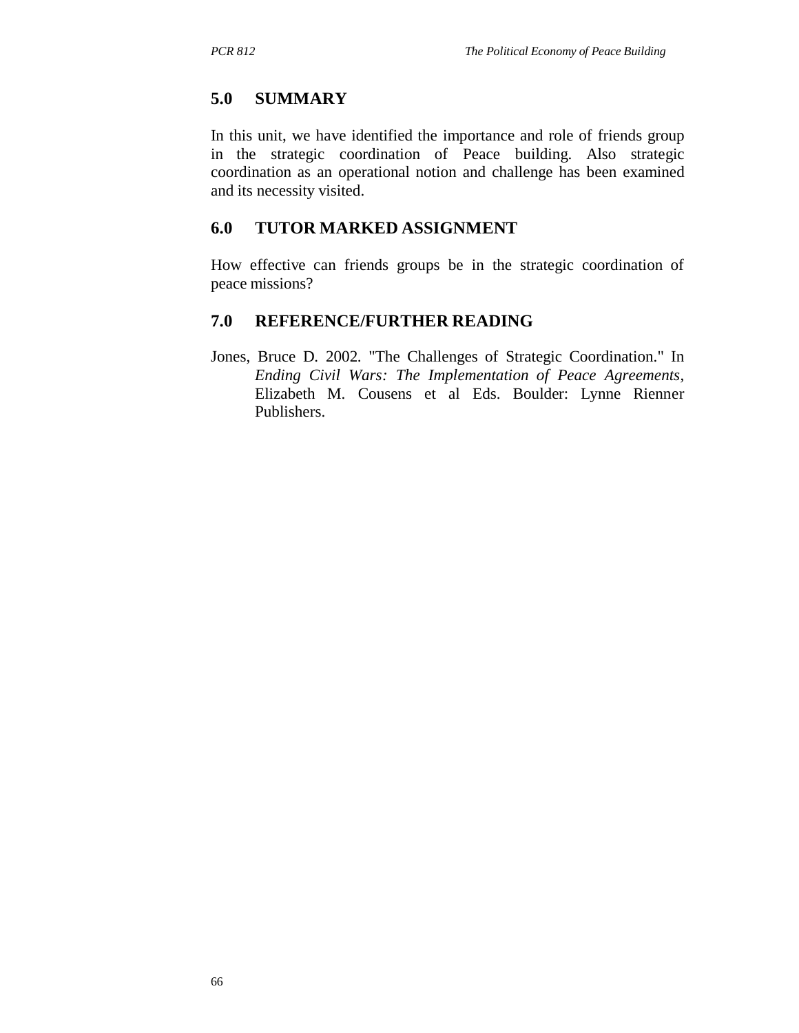# **5.0 SUMMARY**

In this unit, we have identified the importance and role of friends group in the strategic coordination of Peace building. Also strategic coordination as an operational notion and challenge has been examined and its necessity visited.

# **6.0 TUTOR MARKED ASSIGNMENT**

How effective can friends groups be in the strategic coordination of peace missions?

# **7.0 REFERENCE/FURTHER READING**

Jones, Bruce D. 2002. "The Challenges of Strategic Coordination." In *Ending Civil Wars: The Implementation of Peace Agreements*, Elizabeth M. Cousens et al Eds. Boulder: Lynne Rienner Publishers.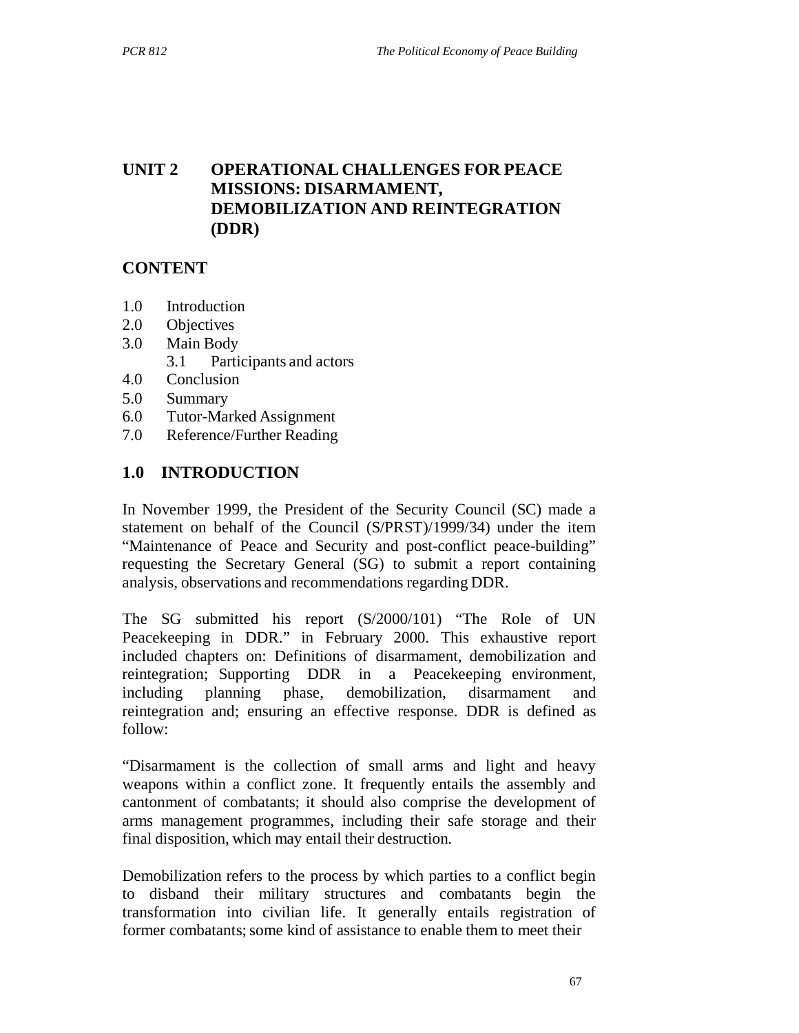# **UNIT 2 OPERATIONAL CHALLENGES FOR PEACE MISSIONS: DISARMAMENT, DEMOBILIZATION AND REINTEGRATION (DDR)**

### **CONTENT**

- 1.0 Introduction
- 2.0 Objectives
- 3.0 Main Body
	- 3.1 Participants and actors
- 4.0 Conclusion
- 5.0 Summary
- 6.0 Tutor-Marked Assignment
- 7.0 Reference/Further Reading

### **1.0 INTRODUCTION**

In November 1999, the President of the Security Council (SC) made a statement on behalf of the Council (S/PRST)/1999/34) under the item "Maintenance of Peace and Security and post-conflict peace-building" requesting the Secretary General (SG) to submit a report containing analysis, observations and recommendations regarding DDR.

The SG submitted his report (S/2000/101) "The Role of UN Peacekeeping in DDR." in February 2000. This exhaustive report included chapters on: Definitions of disarmament, demobilization and reintegration; Supporting DDR in a Peacekeeping environment, including planning phase, demobilization, disarmament and reintegration and; ensuring an effective response. DDR is defined as follow:

"Disarmament is the collection of small arms and light and heavy weapons within a conflict zone. It frequently entails the assembly and cantonment of combatants; it should also comprise the development of arms management programmes, including their safe storage and their final disposition, which may entail their destruction.

Demobilization refers to the process by which parties to a conflict begin to disband their military structures and combatants begin the transformation into civilian life. It generally entails registration of former combatants; some kind of assistance to enable them to meet their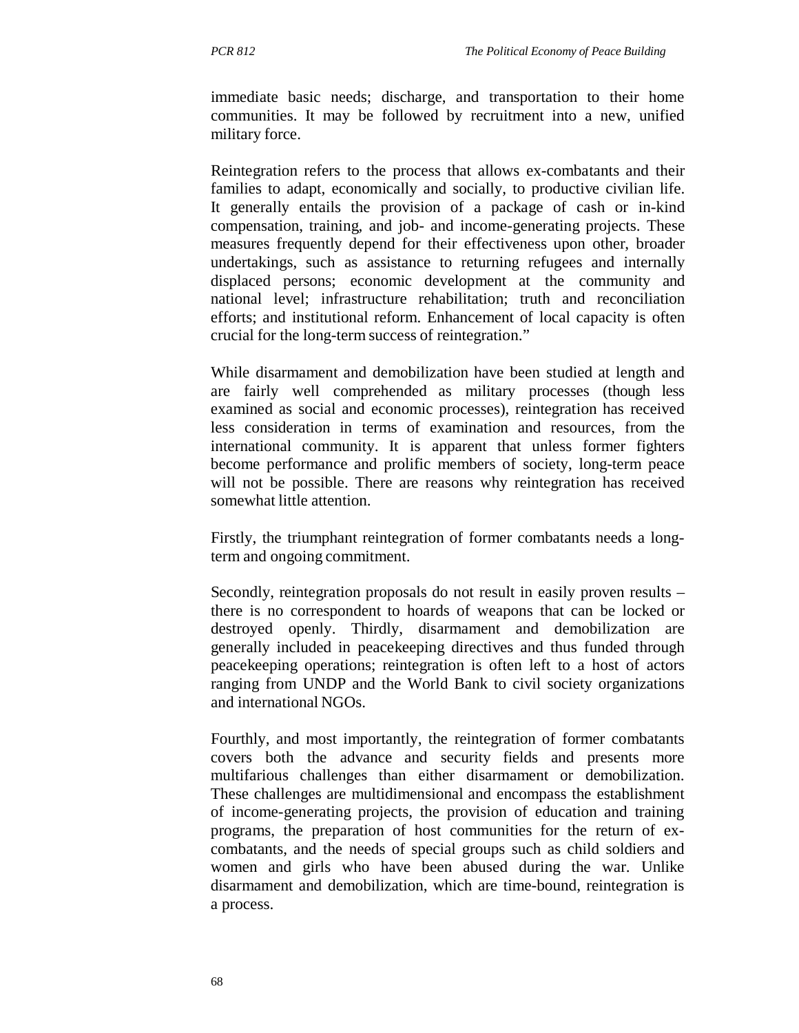immediate basic needs; discharge, and transportation to their home communities. It may be followed by recruitment into a new, unified military force.

Reintegration refers to the process that allows ex-combatants and their families to adapt, economically and socially, to productive civilian life. It generally entails the provision of a package of cash or in-kind compensation, training, and job- and income-generating projects. These measures frequently depend for their effectiveness upon other, broader undertakings, such as assistance to returning refugees and internally displaced persons; economic development at the community and national level; infrastructure rehabilitation; truth and reconciliation efforts; and institutional reform. Enhancement of local capacity is often crucial for the long-term success of reintegration."

While disarmament and demobilization have been studied at length and are fairly well comprehended as military processes (though less examined as social and economic processes), reintegration has received less consideration in terms of examination and resources, from the international community. It is apparent that unless former fighters become performance and prolific members of society, long-term peace will not be possible. There are reasons why reintegration has received somewhat little attention.

Firstly, the triumphant reintegration of former combatants needs a longterm and ongoing commitment.

Secondly, reintegration proposals do not result in easily proven results – there is no correspondent to hoards of weapons that can be locked or destroyed openly. Thirdly, disarmament and demobilization are generally included in peacekeeping directives and thus funded through peacekeeping operations; reintegration is often left to a host of actors ranging from UNDP and the World Bank to civil society organizations and international NGOs.

Fourthly, and most importantly, the reintegration of former combatants covers both the advance and security fields and presents more multifarious challenges than either disarmament or demobilization. These challenges are multidimensional and encompass the establishment of income-generating projects, the provision of education and training programs, the preparation of host communities for the return of excombatants, and the needs of special groups such as child soldiers and women and girls who have been abused during the war. Unlike disarmament and demobilization, which are time-bound, reintegration is a process.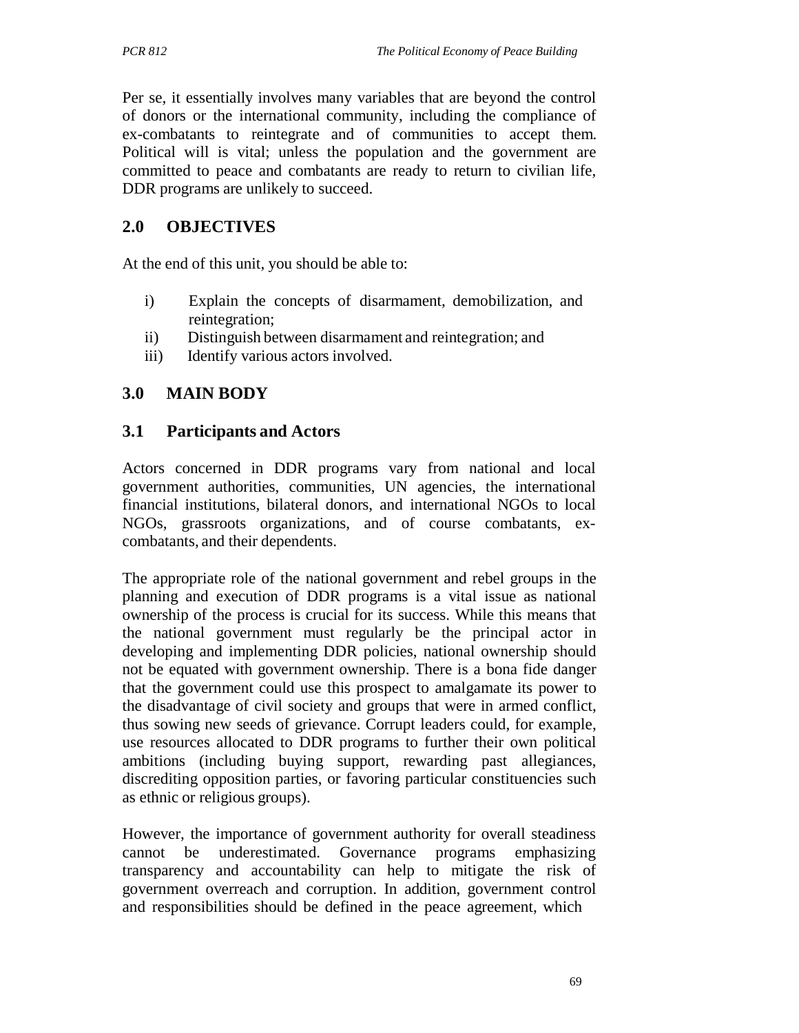Per se, it essentially involves many variables that are beyond the control of donors or the international community, including the compliance of ex-combatants to reintegrate and of communities to accept them. Political will is vital; unless the population and the government are committed to peace and combatants are ready to return to civilian life, DDR programs are unlikely to succeed.

## **2.0 OBJECTIVES**

At the end of this unit, you should be able to:

- i) Explain the concepts of disarmament, demobilization, and reintegration;
- ii) Distinguish between disarmament and reintegration; and
- iii) Identify various actors involved.

## **3.0 MAIN BODY**

#### **3.1 Participants and Actors**

Actors concerned in DDR programs vary from national and local government authorities, communities, UN agencies, the international financial institutions, bilateral donors, and international NGOs to local NGOs, grassroots organizations, and of course combatants, excombatants, and their dependents.

The appropriate role of the national government and rebel groups in the planning and execution of DDR programs is a vital issue as national ownership of the process is crucial for its success. While this means that the national government must regularly be the principal actor in developing and implementing DDR policies, national ownership should not be equated with government ownership. There is a bona fide danger that the government could use this prospect to amalgamate its power to the disadvantage of civil society and groups that were in armed conflict, thus sowing new seeds of grievance. Corrupt leaders could, for example, use resources allocated to DDR programs to further their own political ambitions (including buying support, rewarding past allegiances, discrediting opposition parties, or favoring particular constituencies such as ethnic or religious groups).

However, the importance of government authority for overall steadiness cannot be underestimated. Governance programs emphasizing transparency and accountability can help to mitigate the risk of government overreach and corruption. In addition, government control and responsibilities should be defined in the peace agreement, which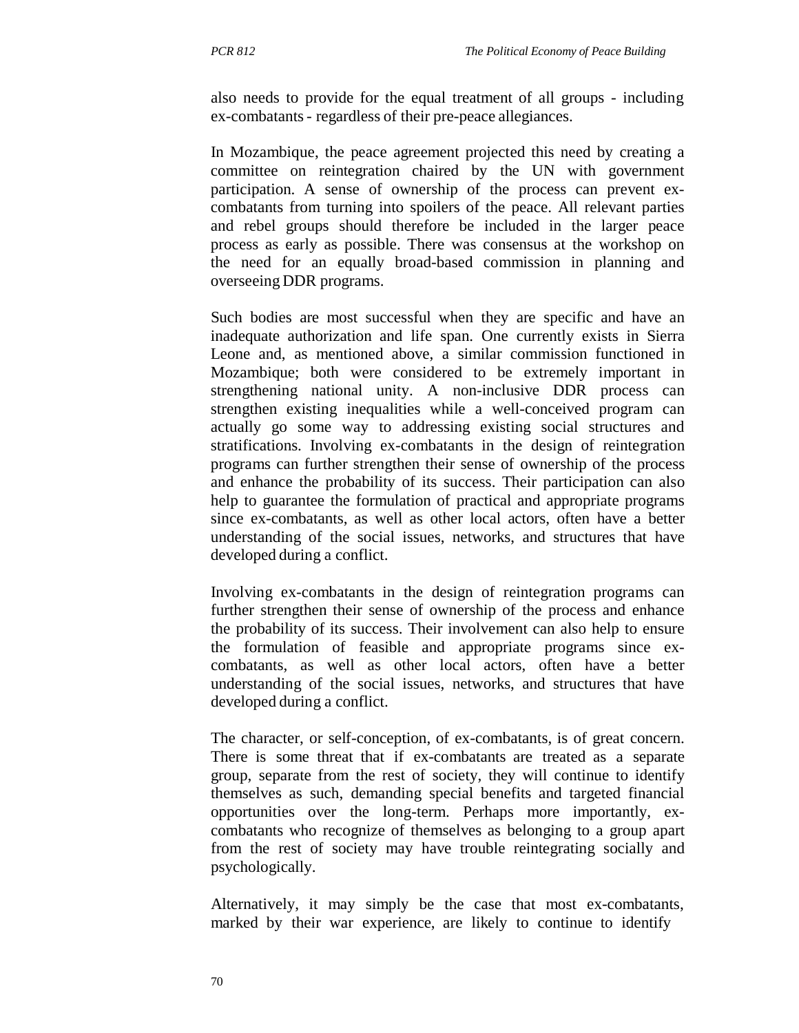also needs to provide for the equal treatment of all groups - including ex-combatants - regardless of their pre-peace allegiances.

In Mozambique, the peace agreement projected this need by creating a committee on reintegration chaired by the UN with government participation. A sense of ownership of the process can prevent excombatants from turning into spoilers of the peace. All relevant parties and rebel groups should therefore be included in the larger peace process as early as possible. There was consensus at the workshop on the need for an equally broad-based commission in planning and overseeing DDR programs.

Such bodies are most successful when they are specific and have an inadequate authorization and life span. One currently exists in Sierra Leone and, as mentioned above, a similar commission functioned in Mozambique; both were considered to be extremely important in strengthening national unity. A non-inclusive DDR process can strengthen existing inequalities while a well-conceived program can actually go some way to addressing existing social structures and stratifications. Involving ex-combatants in the design of reintegration programs can further strengthen their sense of ownership of the process and enhance the probability of its success. Their participation can also help to guarantee the formulation of practical and appropriate programs since ex-combatants, as well as other local actors, often have a better understanding of the social issues, networks, and structures that have developed during a conflict.

Involving ex-combatants in the design of reintegration programs can further strengthen their sense of ownership of the process and enhance the probability of its success. Their involvement can also help to ensure the formulation of feasible and appropriate programs since excombatants, as well as other local actors, often have a better understanding of the social issues, networks, and structures that have developed during a conflict.

The character, or self-conception, of ex-combatants, is of great concern. There is some threat that if ex-combatants are treated as a separate group, separate from the rest of society, they will continue to identify themselves as such, demanding special benefits and targeted financial opportunities over the long-term. Perhaps more importantly, excombatants who recognize of themselves as belonging to a group apart from the rest of society may have trouble reintegrating socially and psychologically.

Alternatively, it may simply be the case that most ex-combatants, marked by their war experience, are likely to continue to identify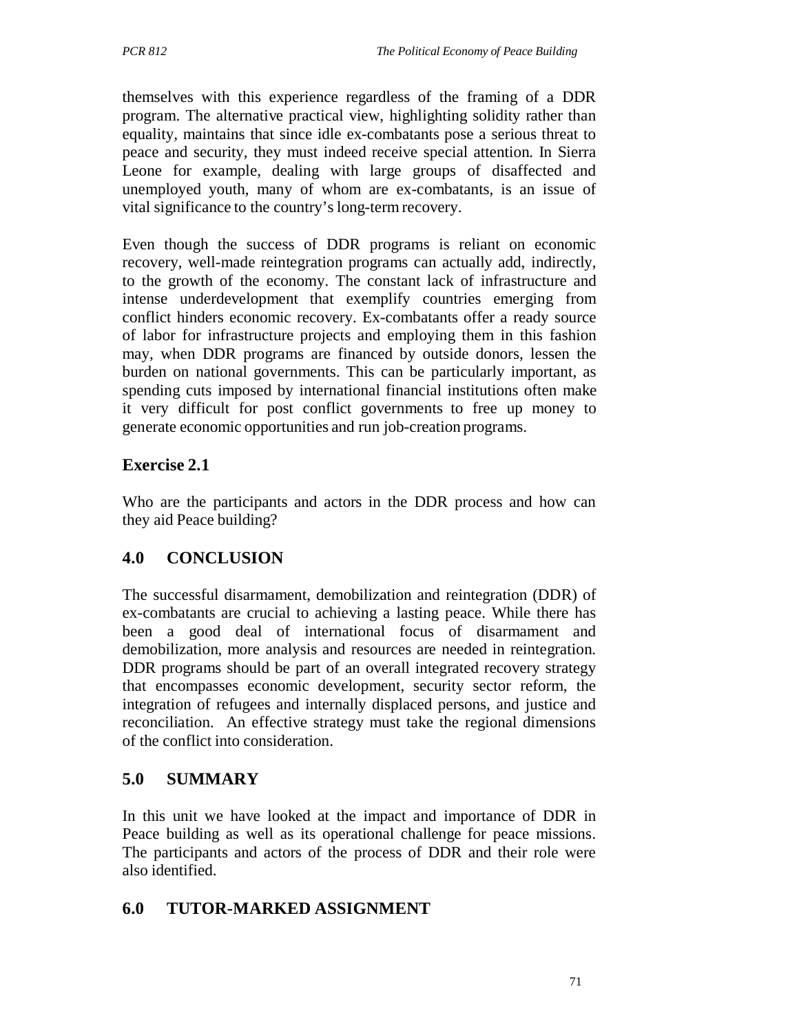themselves with this experience regardless of the framing of a DDR program. The alternative practical view, highlighting solidity rather than equality, maintains that since idle ex-combatants pose a serious threat to peace and security, they must indeed receive special attention. In Sierra Leone for example, dealing with large groups of disaffected and unemployed youth, many of whom are ex-combatants, is an issue of vital significance to the country's long-term recovery.

Even though the success of DDR programs is reliant on economic recovery, well-made reintegration programs can actually add, indirectly, to the growth of the economy. The constant lack of infrastructure and intense underdevelopment that exemplify countries emerging from conflict hinders economic recovery. Ex-combatants offer a ready source of labor for infrastructure projects and employing them in this fashion may, when DDR programs are financed by outside donors, lessen the burden on national governments. This can be particularly important, as spending cuts imposed by international financial institutions often make it very difficult for post conflict governments to free up money to generate economic opportunities and run job-creation programs.

## **Exercise 2.1**

Who are the participants and actors in the DDR process and how can they aid Peace building?

# **4.0 CONCLUSION**

The successful disarmament, demobilization and reintegration (DDR) of ex-combatants are crucial to achieving a lasting peace. While there has been a good deal of international focus of disarmament and demobilization, more analysis and resources are needed in reintegration. DDR programs should be part of an overall integrated recovery strategy that encompasses economic development, security sector reform, the integration of refugees and internally displaced persons, and justice and reconciliation. An effective strategy must take the regional dimensions of the conflict into consideration.

## **5.0 SUMMARY**

In this unit we have looked at the impact and importance of DDR in Peace building as well as its operational challenge for peace missions. The participants and actors of the process of DDR and their role were also identified.

## **6.0 TUTOR-MARKED ASSIGNMENT**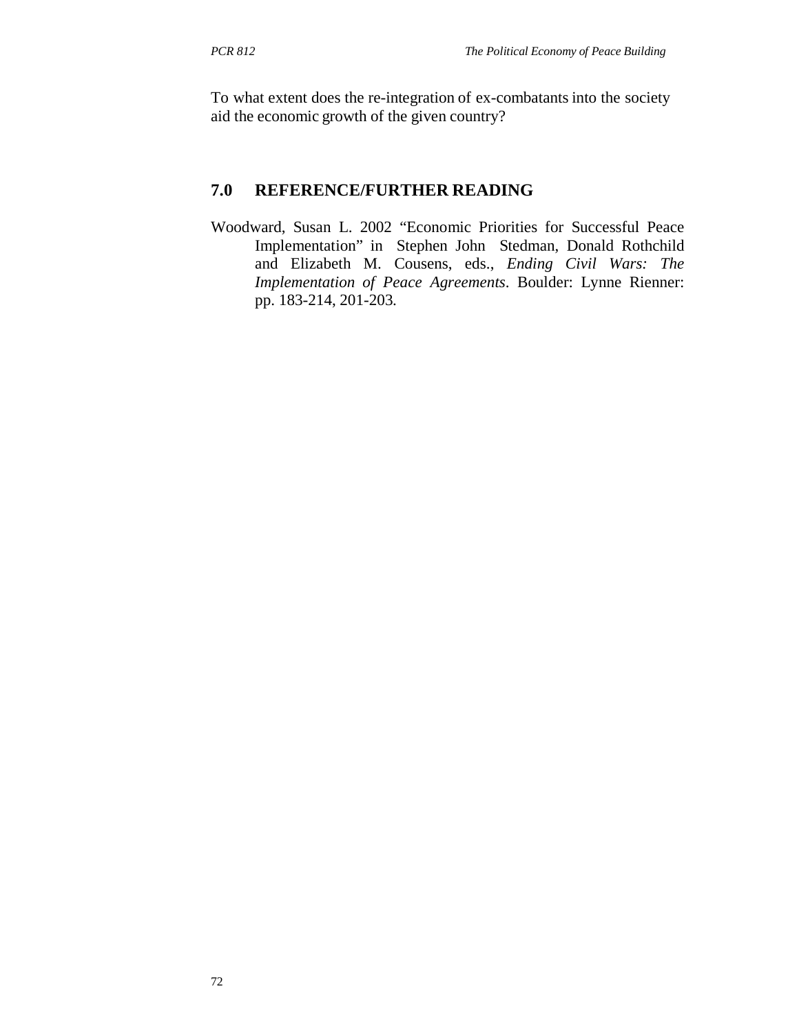To what extent does the re-integration of ex-combatants into the society aid the economic growth of the given country?

#### **7.0 REFERENCE/FURTHER READING**

Woodward, Susan L. 2002 "Economic Priorities for Successful Peace Implementation" in Stephen John Stedman, Donald Rothchild and Elizabeth M. Cousens, eds., *Ending Civil Wars: The Implementation of Peace Agreements*. Boulder: Lynne Rienner: pp. 183-214, 201-203.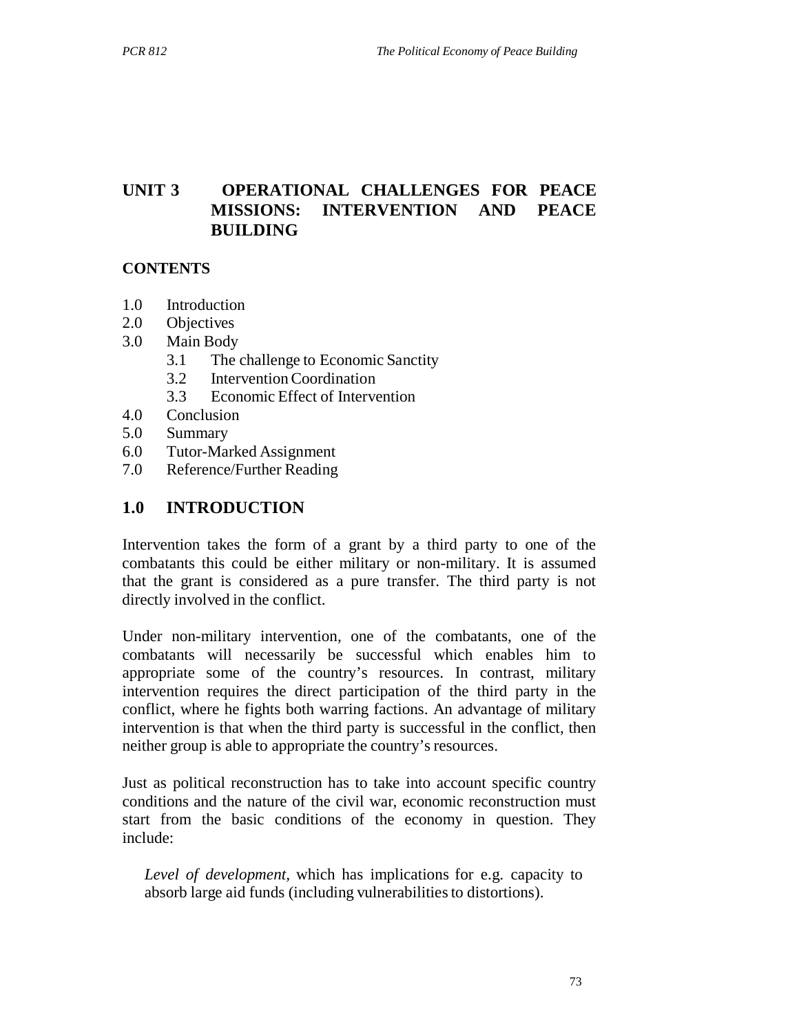# **UNIT 3 OPERATIONAL CHALLENGES FOR PEACE MISSIONS: INTERVENTION AND PEACE BUILDING**

#### **CONTENTS**

- 1.0 Introduction
- 2.0 Objectives
- 3.0 Main Body
	- 3.1 The challenge to Economic Sanctity
	- 3.2 Intervention Coordination
	- 3.3 Economic Effect of Intervention
- 4.0 Conclusion
- 5.0 Summary
- 6.0 Tutor-Marked Assignment
- 7.0 Reference/Further Reading

#### **1.0 INTRODUCTION**

Intervention takes the form of a grant by a third party to one of the combatants this could be either military or non-military. It is assumed that the grant is considered as a pure transfer. The third party is not directly involved in the conflict.

Under non-military intervention, one of the combatants, one of the combatants will necessarily be successful which enables him to appropriate some of the country's resources. In contrast, military intervention requires the direct participation of the third party in the conflict, where he fights both warring factions. An advantage of military intervention is that when the third party is successful in the conflict, then neither group is able to appropriate the country's resources.

Just as political reconstruction has to take into account specific country conditions and the nature of the civil war, economic reconstruction must start from the basic conditions of the economy in question. They include:

*Level of development,* which has implications for e.g. capacity to absorb large aid funds (including vulnerabilities to distortions).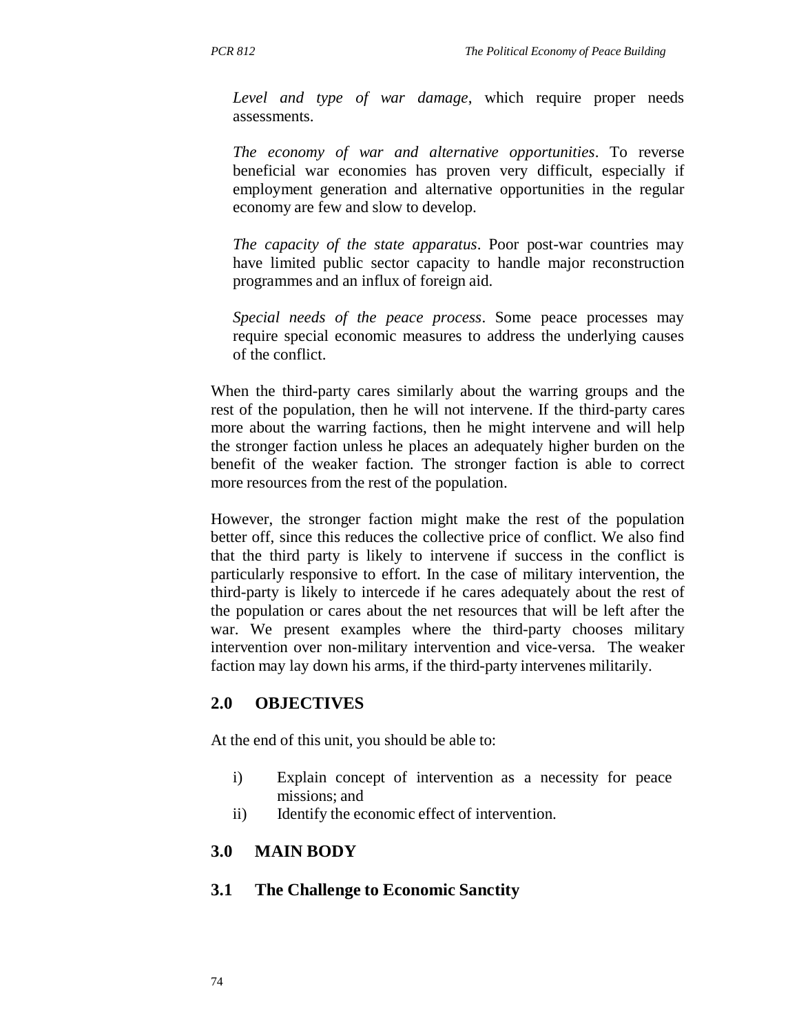*Level and type of war damage*, which require proper needs assessments.

*The economy of war and alternative opportunities*. To reverse beneficial war economies has proven very difficult, especially if employment generation and alternative opportunities in the regular economy are few and slow to develop.

*The capacity of the state apparatus*. Poor post-war countries may have limited public sector capacity to handle major reconstruction programmes and an influx of foreign aid.

*Special needs of the peace process*. Some peace processes may require special economic measures to address the underlying causes of the conflict.

When the third-party cares similarly about the warring groups and the rest of the population, then he will not intervene. If the third-party cares more about the warring factions, then he might intervene and will help the stronger faction unless he places an adequately higher burden on the benefit of the weaker faction. The stronger faction is able to correct more resources from the rest of the population.

However, the stronger faction might make the rest of the population better off, since this reduces the collective price of conflict. We also find that the third party is likely to intervene if success in the conflict is particularly responsive to effort. In the case of military intervention, the third-party is likely to intercede if he cares adequately about the rest of the population or cares about the net resources that will be left after the war. We present examples where the third-party chooses military intervention over non-military intervention and vice-versa. The weaker faction may lay down his arms, if the third-party intervenes militarily.

#### **2.0 OBJECTIVES**

At the end of this unit, you should be able to:

- i) Explain concept of intervention as a necessity for peace missions; and
- ii) Identify the economic effect of intervention.

#### **3.0 MAIN BODY**

#### **3.1 The Challenge to Economic Sanctity**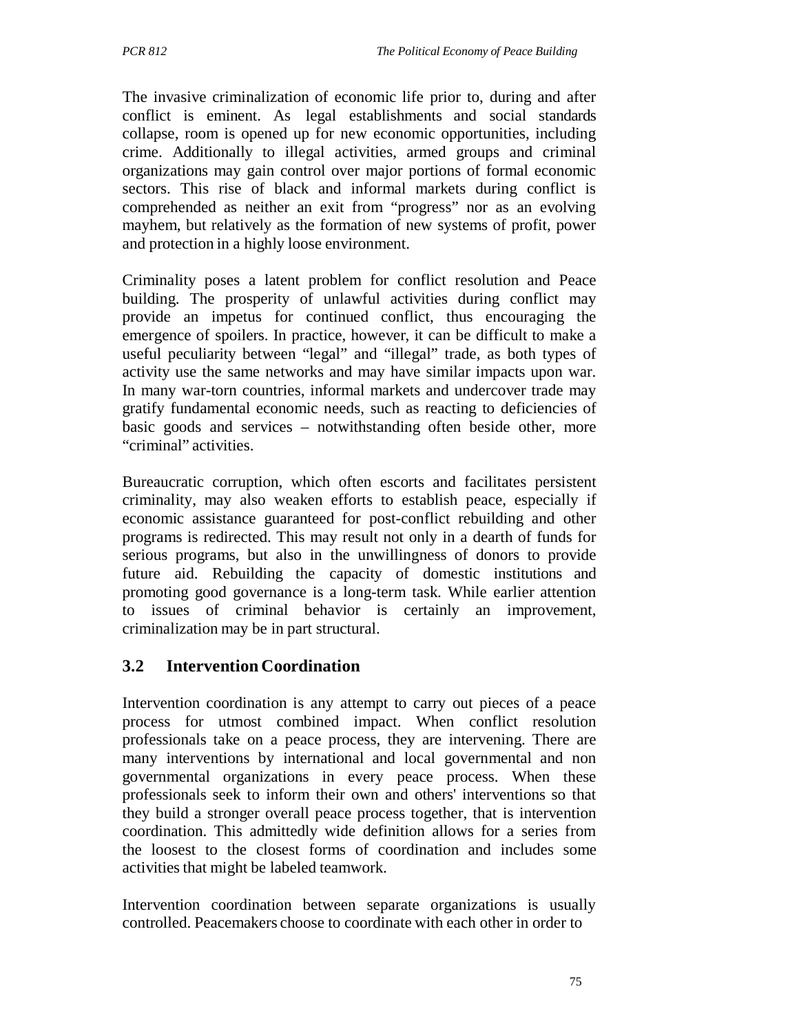The invasive criminalization of economic life prior to, during and after conflict is eminent. As legal establishments and social standards collapse, room is opened up for new economic opportunities, including crime. Additionally to illegal activities, armed groups and criminal organizations may gain control over major portions of formal economic sectors. This rise of black and informal markets during conflict is comprehended as neither an exit from "progress" nor as an evolving mayhem, but relatively as the formation of new systems of profit, power and protection in a highly loose environment.

Criminality poses a latent problem for conflict resolution and Peace building. The prosperity of unlawful activities during conflict may provide an impetus for continued conflict, thus encouraging the emergence of spoilers. In practice, however, it can be difficult to make a useful peculiarity between "legal" and "illegal" trade, as both types of activity use the same networks and may have similar impacts upon war. In many war-torn countries, informal markets and undercover trade may gratify fundamental economic needs, such as reacting to deficiencies of basic goods and services – notwithstanding often beside other, more "criminal" activities.

Bureaucratic corruption, which often escorts and facilitates persistent criminality, may also weaken efforts to establish peace, especially if economic assistance guaranteed for post-conflict rebuilding and other programs is redirected. This may result not only in a dearth of funds for serious programs, but also in the unwillingness of donors to provide future aid. Rebuilding the capacity of domestic institutions and promoting good governance is a long-term task. While earlier attention to issues of criminal behavior is certainly an improvement, criminalization may be in part structural.

## **3.2 Intervention Coordination**

Intervention coordination is any attempt to carry out pieces of a peace process for utmost combined impact. When conflict resolution professionals take on a peace process, they are intervening. There are many interventions by international and local governmental and non governmental organizations in every peace process. When these professionals seek to inform their own and others' interventions so that they build a stronger overall peace process together, that is intervention coordination. This admittedly wide definition allows for a series from the loosest to the closest forms of coordination and includes some activities that might be labeled teamwork.

Intervention coordination between separate organizations is usually controlled. Peacemakers choose to coordinate with each other in order to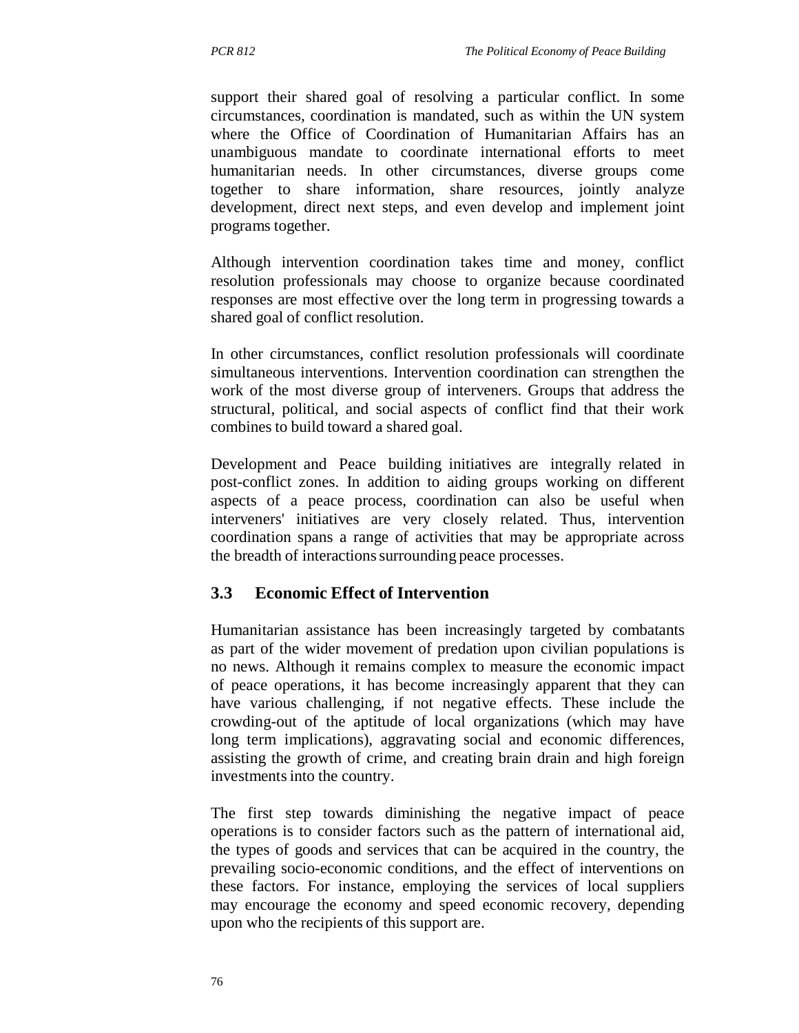support their shared goal of resolving a particular conflict. In some circumstances, coordination is mandated, such as within the UN system where the Office of Coordination of Humanitarian Affairs has an unambiguous mandate to coordinate international efforts to meet humanitarian needs. In other circumstances, diverse groups come together to share information, share resources, jointly analyze development, direct next steps, and even develop and implement joint programs together.

Although intervention coordination takes time and money, conflict resolution professionals may choose to organize because coordinated responses are most effective over the long term in progressing towards a shared goal of conflict resolution.

In other circumstances, conflict resolution professionals will coordinate simultaneous interventions. Intervention coordination can strengthen the work of the most diverse group of interveners. Groups that address the structural, political, and social aspects of conflict find that their work combines to build toward a shared goal.

Development and Peace building initiatives are integrally related in post-conflict zones. In addition to aiding groups working on different aspects of a peace process, coordination can also be useful when interveners' initiatives are very closely related. Thus, intervention coordination spans a range of activities that may be appropriate across the breadth of interactions surrounding peace processes.

## **3.3 Economic Effect of Intervention**

Humanitarian assistance has been increasingly targeted by combatants as part of the wider movement of predation upon civilian populations is no news. Although it remains complex to measure the economic impact of peace operations, it has become increasingly apparent that they can have various challenging, if not negative effects. These include the crowding-out of the aptitude of local organizations (which may have long term implications), aggravating social and economic differences, assisting the growth of crime, and creating brain drain and high foreign investments into the country.

The first step towards diminishing the negative impact of peace operations is to consider factors such as the pattern of international aid, the types of goods and services that can be acquired in the country, the prevailing socio-economic conditions, and the effect of interventions on these factors. For instance, employing the services of local suppliers may encourage the economy and speed economic recovery, depending upon who the recipients of this support are.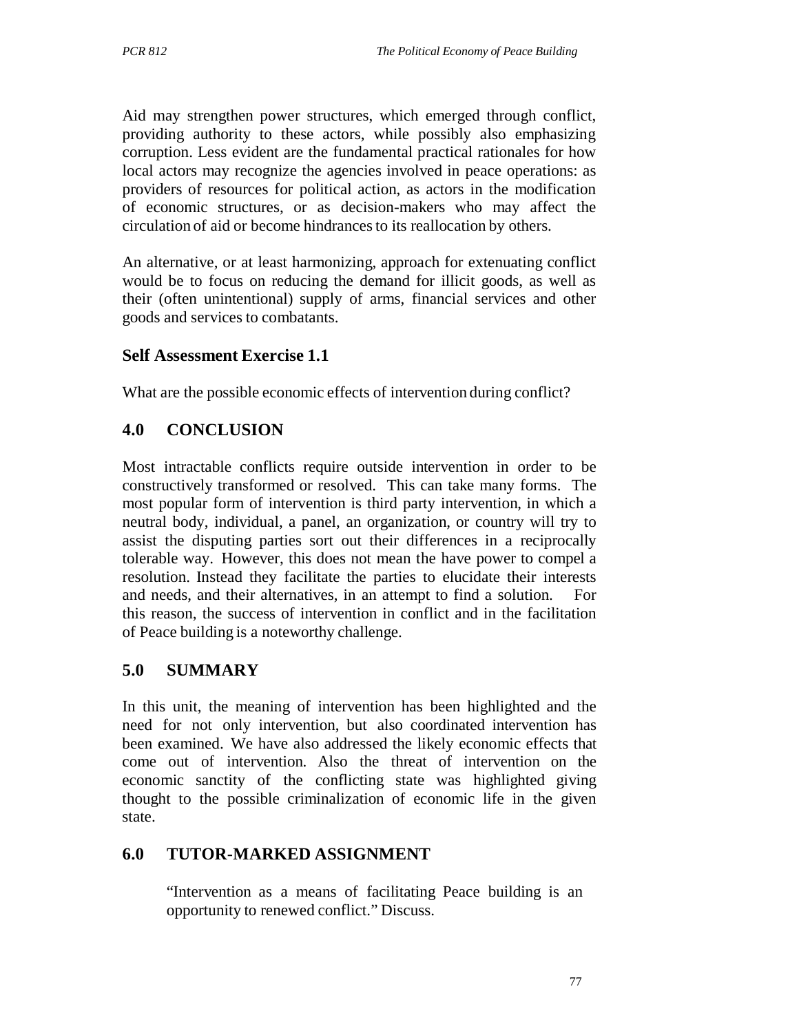Aid may strengthen power structures, which emerged through conflict, providing authority to these actors, while possibly also emphasizing corruption. Less evident are the fundamental practical rationales for how local actors may recognize the agencies involved in peace operations: as providers of resources for political action, as actors in the modification of economic structures, or as decision-makers who may affect the circulation of aid or become hindrances to its reallocation by others.

An alternative, or at least harmonizing, approach for extenuating conflict would be to focus on reducing the demand for illicit goods, as well as their (often unintentional) supply of arms, financial services and other goods and services to combatants.

### **Self Assessment Exercise 1.1**

What are the possible economic effects of intervention during conflict?

## **4.0 CONCLUSION**

Most intractable conflicts require outside intervention in order to be constructively transformed or resolved. This can take many forms. The most popular form of intervention is third party intervention, in which a neutral body, individual, a panel, an organization, or country will try to assist the disputing parties sort out their differences in a reciprocally tolerable way. However, this does not mean the have power to compel a resolution. Instead they facilitate the parties to elucidate their interests and needs, and their alternatives, in an attempt to find a solution. this reason, the success of intervention in conflict and in the facilitation of Peace building is a noteworthy challenge.

#### **5.0 SUMMARY**

In this unit, the meaning of intervention has been highlighted and the need for not only intervention, but also coordinated intervention has been examined. We have also addressed the likely economic effects that come out of intervention. Also the threat of intervention on the economic sanctity of the conflicting state was highlighted giving thought to the possible criminalization of economic life in the given state.

#### **6.0 TUTOR-MARKED ASSIGNMENT**

"Intervention as a means of facilitating Peace building is an opportunity to renewed conflict." Discuss.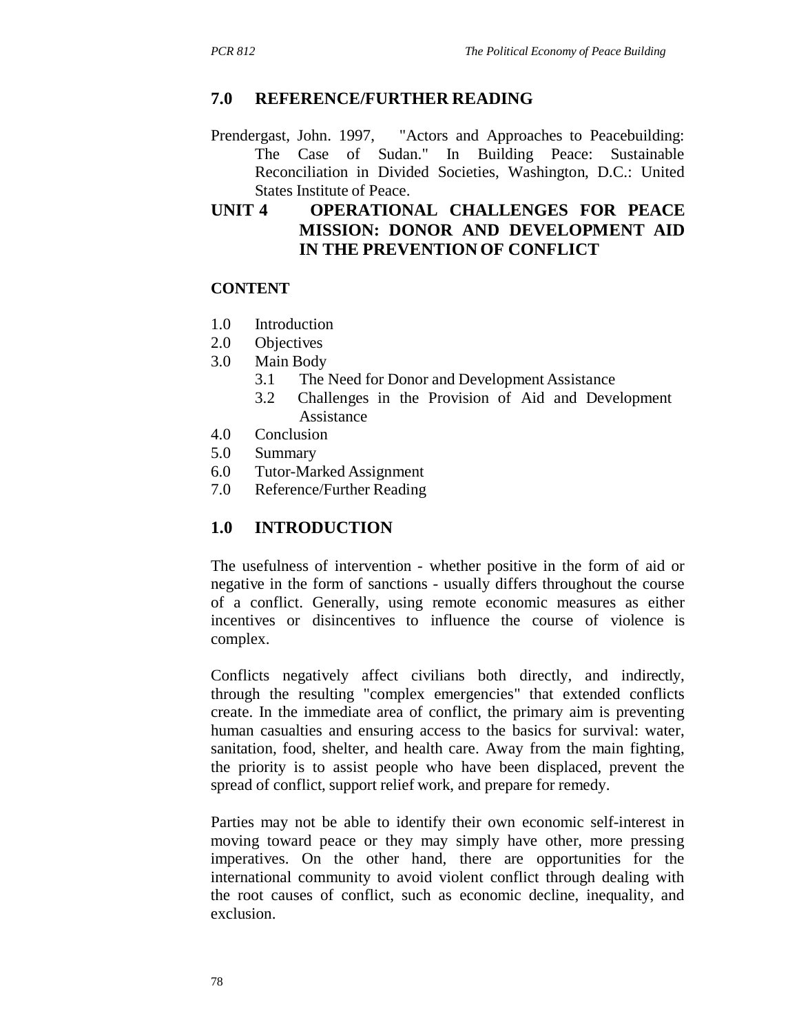#### **7.0 REFERENCE/FURTHER READING**

Prendergast, John. 1997, "Actors and Approaches to Peacebuilding: The Case of Sudan." In Building Peace: Sustainable Reconciliation in Divided Societies, Washington, D.C.: United States Institute of Peace.

## **UNIT 4 OPERATIONAL CHALLENGES FOR PEACE MISSION: DONOR AND DEVELOPMENT AID IN THE PREVENTION OF CONFLICT**

#### **CONTENT**

- 1.0 Introduction
- 2.0 Objectives
- 3.0 Main Body
	- 3.1 The Need for Donor and Development Assistance
	- 3.2 Challenges in the Provision of Aid and Development Assistance
- 4.0 Conclusion
- 5.0 Summary
- 6.0 Tutor-Marked Assignment
- 7.0 Reference/Further Reading

#### **1.0 INTRODUCTION**

The usefulness of intervention - whether positive in the form of aid or negative in the form of sanctions - usually differs throughout the course of a conflict. Generally, using remote economic measures as either incentives or disincentives to influence the course of violence is complex.

Conflicts negatively affect civilians both directly, and indirectly, through the resulting "complex emergencies" that extended conflicts create. In the immediate area of conflict, the primary aim is preventing human casualties and ensuring access to the basics for survival: water, sanitation, food, shelter, and health care. Away from the main fighting, the priority is to assist people who have been displaced, prevent the spread of conflict, support relief work, and prepare for remedy.

Parties may not be able to identify their own economic self-interest in moving toward peace or they may simply have other, more pressing imperatives. On the other hand, there are opportunities for the international community to avoid violent conflict through dealing with the root causes of conflict, such as economic decline, inequality, and exclusion.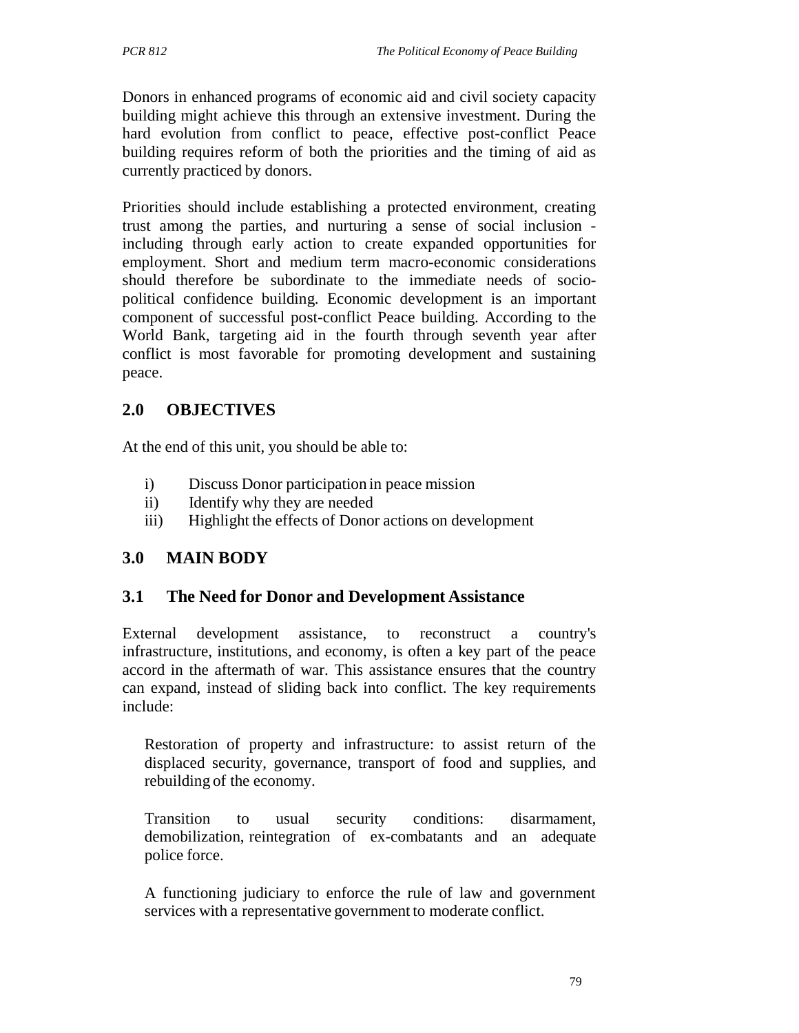Donors in enhanced programs of economic aid and civil society capacity building might achieve this through an extensive investment. During the hard evolution from conflict to peace, effective post-conflict Peace building requires reform of both the priorities and the timing of aid as currently practiced by donors.

Priorities should include establishing a protected environment, creating trust among the parties, and nurturing a sense of social inclusion including through early action to create expanded opportunities for employment. Short and medium term macro-economic considerations should therefore be subordinate to the immediate needs of sociopolitical confidence building. Economic development is an important component of successful post-conflict Peace building. According to the World Bank, targeting aid in the fourth through seventh year after conflict is most favorable for promoting development and sustaining peace.

# **2.0 OBJECTIVES**

At the end of this unit, you should be able to:

- i) Discuss Donor participation in peace mission
- ii) Identify why they are needed
- iii) Highlight the effects of Donor actions on development

## **3.0 MAIN BODY**

## **3.1 The Need for Donor and Development Assistance**

External development assistance, to reconstruct a country's infrastructure, institutions, and economy, is often a key part of the peace accord in the aftermath of war. This assistance ensures that the country can expand, instead of sliding back into conflict. The key requirements include:

Restoration of property and infrastructure: to assist return of the displaced security, governance, transport of food and supplies, and rebuilding of the economy.

Transition to usual security conditions: disarmament, demobilization, reintegration of ex-combatants and an adequate police force.

A functioning judiciary to enforce the rule of law and government services with a representative government to moderate conflict.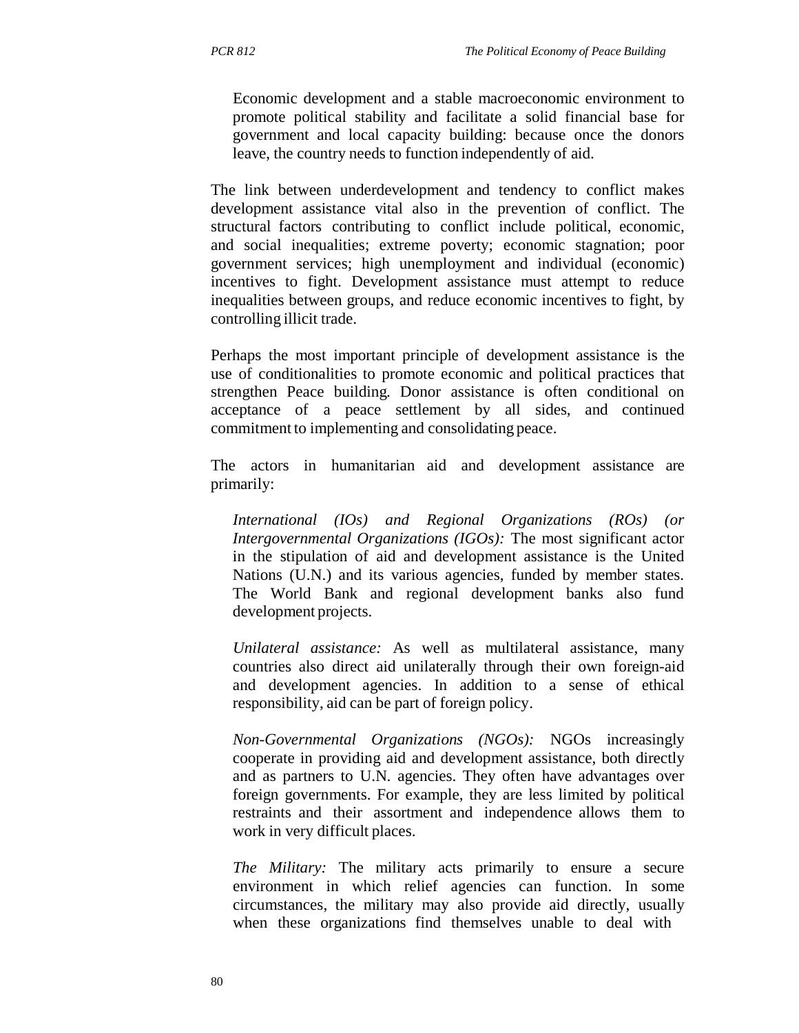Economic development and a stable macroeconomic environment to promote political stability and facilitate a solid financial base for government and local capacity building: because once the donors leave, the country needs to function independently of aid.

The link between underdevelopment and tendency to conflict makes development assistance vital also in the prevention of conflict. The structural factors contributing to conflict include political, economic, and social inequalities; extreme poverty; economic stagnation; poor government services; high unemployment and individual (economic) incentives to fight. Development assistance must attempt to reduce inequalities between groups, and reduce economic incentives to fight, by controlling illicit trade.

Perhaps the most important principle of development assistance is the use of conditionalities to promote economic and political practices that strengthen Peace building. Donor assistance is often conditional on acceptance of a peace settlement by all sides, and continued commitment to implementing and consolidating peace.

The actors in humanitarian aid and development assistance are primarily:

*International (IOs) and Regional Organizations (ROs) (or Intergovernmental Organizations (IGOs):* The most significant actor in the stipulation of aid and development assistance is the United Nations (U.N.) and its various agencies, funded by member states. The World Bank and regional development banks also fund development projects.

*Unilateral assistance:* As well as multilateral assistance, many countries also direct aid unilaterally through their own foreign-aid and development agencies. In addition to a sense of ethical responsibility, aid can be part of foreign policy.

*Non-Governmental Organizations (NGOs):* NGOs increasingly cooperate in providing aid and development assistance, both directly and as partners to U.N. agencies. They often have advantages over foreign governments. For example, they are less limited by political restraints and their assortment and independence allows them to work in very difficult places.

*The Military:* The military acts primarily to ensure a secure environment in which relief agencies can function. In some circumstances, the military may also provide aid directly, usually when these organizations find themselves unable to deal with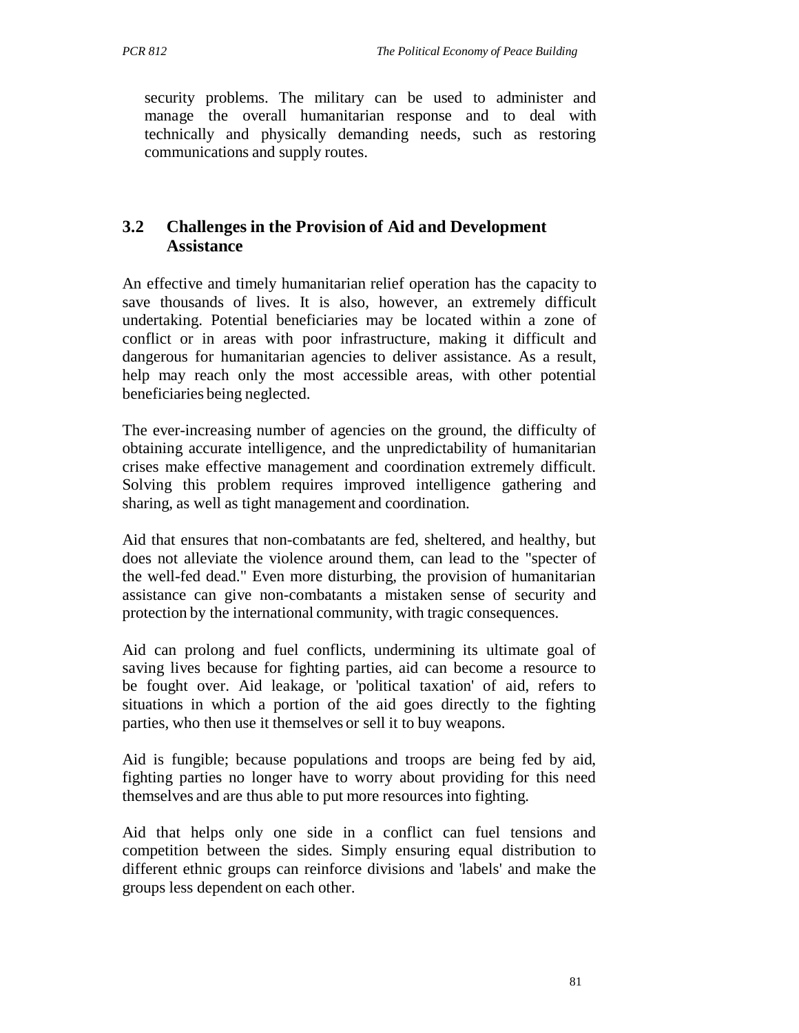security problems. The military can be used to administer and manage the overall humanitarian response and to deal with technically and physically demanding needs, such as restoring communications and supply routes.

# **3.2 Challenges in the Provision of Aid and Development Assistance**

An effective and timely humanitarian relief operation has the capacity to save thousands of lives. It is also, however, an extremely difficult undertaking. Potential beneficiaries may be located within a zone of conflict or in areas with poor infrastructure, making it difficult and dangerous for humanitarian agencies to deliver assistance. As a result, help may reach only the most accessible areas, with other potential beneficiaries being neglected.

The ever-increasing number of agencies on the ground, the difficulty of obtaining accurate intelligence, and the unpredictability of humanitarian crises make effective management and coordination extremely difficult. Solving this problem requires improved intelligence gathering and sharing, as well as tight management and coordination.

Aid that ensures that non-combatants are fed, sheltered, and healthy, but does not alleviate the violence around them, can lead to the "specter of the well-fed dead." Even more disturbing, the provision of humanitarian assistance can give non-combatants a mistaken sense of security and protection by the international community, with tragic consequences.

Aid can prolong and fuel conflicts, undermining its ultimate goal of saving lives because for fighting parties, aid can become a resource to be fought over. Aid leakage, or 'political taxation' of aid, refers to situations in which a portion of the aid goes directly to the fighting parties, who then use it themselves or sell it to buy weapons.

Aid is fungible; because populations and troops are being fed by aid, fighting parties no longer have to worry about providing for this need themselves and are thus able to put more resources into fighting.

Aid that helps only one side in a conflict can fuel tensions and competition between the sides. Simply ensuring equal distribution to different ethnic groups can reinforce divisions and 'labels' and make the groups less dependent on each other.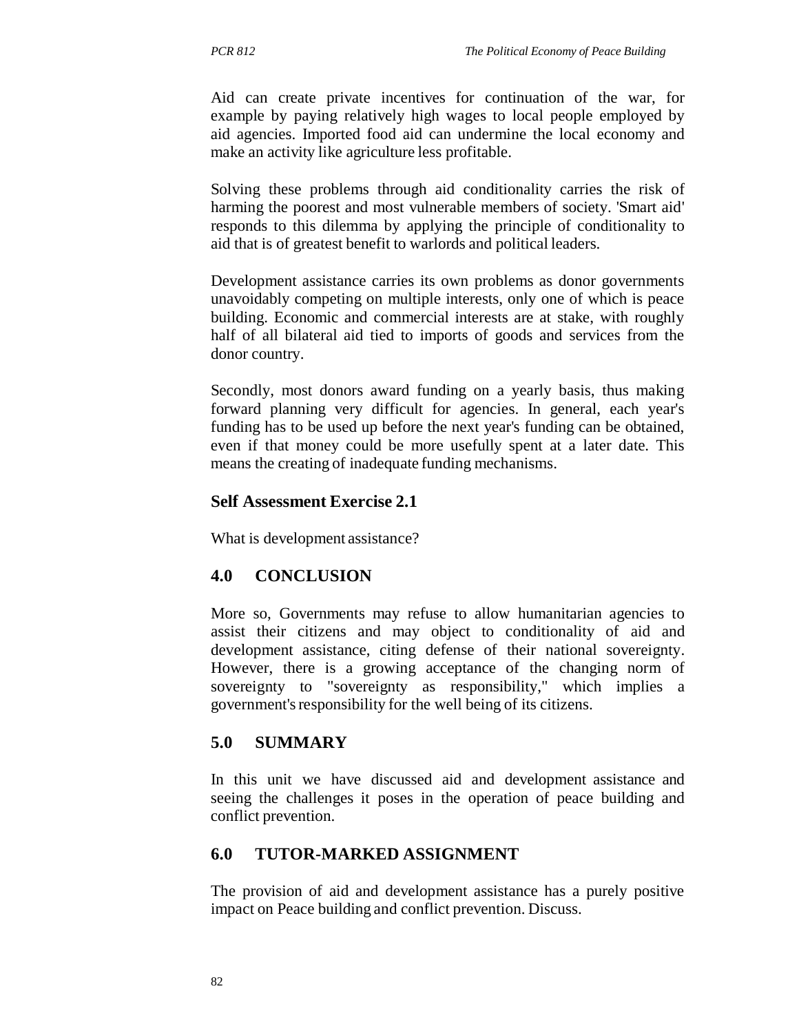Aid can create private incentives for continuation of the war, for example by paying relatively high wages to local people employed by aid agencies. Imported food aid can undermine the local economy and make an activity like agriculture less profitable.

Solving these problems through aid conditionality carries the risk of harming the poorest and most vulnerable members of society. 'Smart aid' responds to this dilemma by applying the principle of conditionality to aid that is of greatest benefit to warlords and political leaders.

Development assistance carries its own problems as donor governments unavoidably competing on multiple interests, only one of which is peace building. Economic and commercial interests are at stake, with roughly half of all bilateral aid tied to imports of goods and services from the donor country.

Secondly, most donors award funding on a yearly basis, thus making forward planning very difficult for agencies. In general, each year's funding has to be used up before the next year's funding can be obtained, even if that money could be more usefully spent at a later date. This means the creating of inadequate funding mechanisms.

#### **Self Assessment Exercise 2.1**

What is development assistance?

## **4.0 CONCLUSION**

More so, Governments may refuse to allow humanitarian agencies to assist their citizens and may object to conditionality of aid and development assistance, citing defense of their national sovereignty. However, there is a growing acceptance of the changing norm of sovereignty to "sovereignty as responsibility," which implies a government's responsibility for the well being of its citizens.

#### **5.0 SUMMARY**

In this unit we have discussed aid and development assistance and seeing the challenges it poses in the operation of peace building and conflict prevention.

#### **6.0 TUTOR-MARKED ASSIGNMENT**

The provision of aid and development assistance has a purely positive impact on Peace building and conflict prevention. Discuss.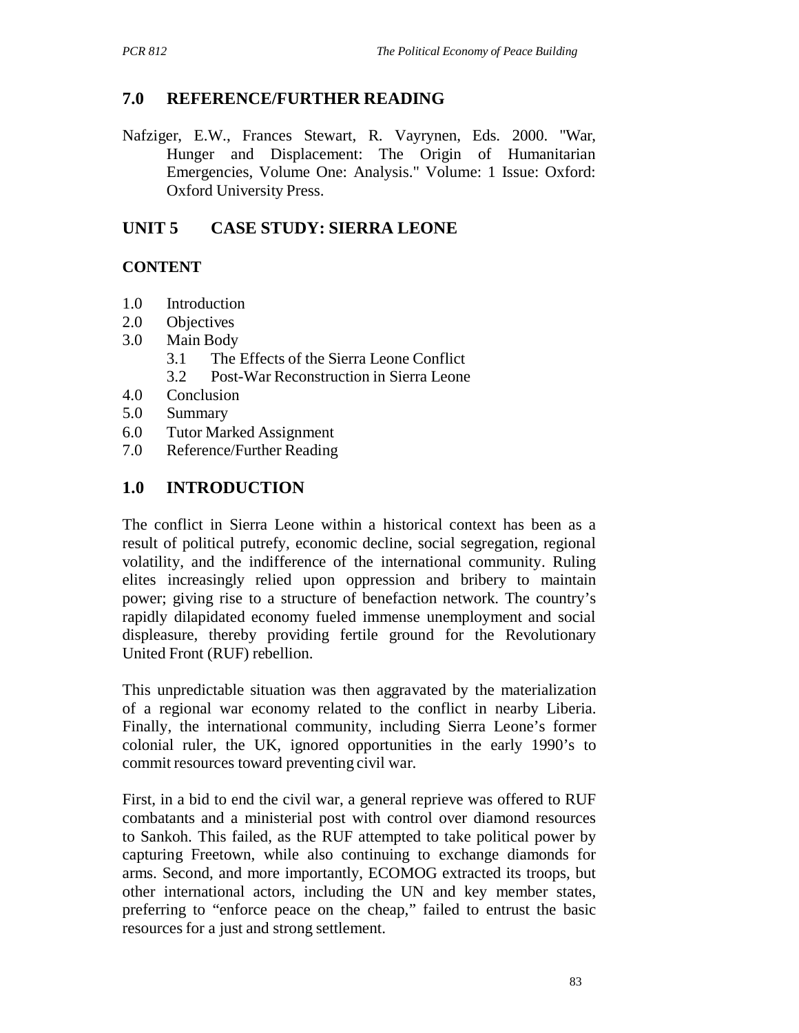# **7.0 REFERENCE/FURTHER READING**

Nafziger, E.W., Frances Stewart, R. Vayrynen, Eds. 2000. "War, Hunger and Displacement: The Origin of Humanitarian Emergencies, Volume One: Analysis." Volume: 1 Issue: Oxford: Oxford University Press.

## **UNIT 5 CASE STUDY: SIERRA LEONE**

## **CONTENT**

- 1.0 Introduction
- 2.0 Objectives
- 3.0 Main Body
	- 3.1 The Effects of the Sierra Leone Conflict
	- 3.2 Post-War Reconstruction in Sierra Leone
- 4.0 Conclusion
- 5.0 Summary
- 6.0 Tutor Marked Assignment
- 7.0 Reference/Further Reading

# **1.0 INTRODUCTION**

The conflict in Sierra Leone within a historical context has been as a result of political putrefy, economic decline, social segregation, regional volatility, and the indifference of the international community. Ruling elites increasingly relied upon oppression and bribery to maintain power; giving rise to a structure of benefaction network. The country's rapidly dilapidated economy fueled immense unemployment and social displeasure, thereby providing fertile ground for the Revolutionary United Front (RUF) rebellion.

This unpredictable situation was then aggravated by the materialization of a regional war economy related to the conflict in nearby Liberia. Finally, the international community, including Sierra Leone's former colonial ruler, the UK, ignored opportunities in the early 1990's to commit resources toward preventing civil war.

First, in a bid to end the civil war, a general reprieve was offered to RUF combatants and a ministerial post with control over diamond resources to Sankoh. This failed, as the RUF attempted to take political power by capturing Freetown, while also continuing to exchange diamonds for arms. Second, and more importantly, ECOMOG extracted its troops, but other international actors, including the UN and key member states, preferring to "enforce peace on the cheap," failed to entrust the basic resources for a just and strong settlement.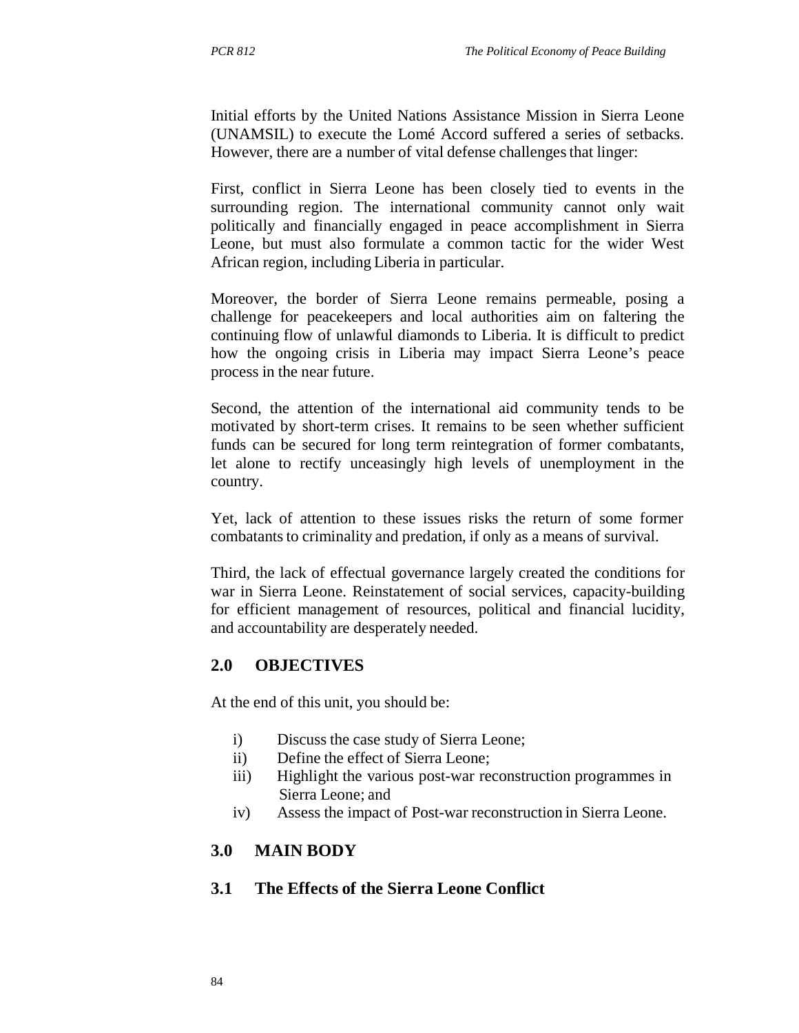Initial efforts by the United Nations Assistance Mission in Sierra Leone (UNAMSIL) to execute the Lomé Accord suffered a series of setbacks. However, there are a number of vital defense challenges that linger:

First, conflict in Sierra Leone has been closely tied to events in the surrounding region. The international community cannot only wait politically and financially engaged in peace accomplishment in Sierra Leone, but must also formulate a common tactic for the wider West African region, including Liberia in particular.

Moreover, the border of Sierra Leone remains permeable, posing a challenge for peacekeepers and local authorities aim on faltering the continuing flow of unlawful diamonds to Liberia. It is difficult to predict how the ongoing crisis in Liberia may impact Sierra Leone's peace process in the near future.

Second, the attention of the international aid community tends to be motivated by short-term crises. It remains to be seen whether sufficient funds can be secured for long term reintegration of former combatants, let alone to rectify unceasingly high levels of unemployment in the country.

Yet, lack of attention to these issues risks the return of some former combatants to criminality and predation, if only as a means of survival.

Third, the lack of effectual governance largely created the conditions for war in Sierra Leone. Reinstatement of social services, capacity-building for efficient management of resources, political and financial lucidity, and accountability are desperately needed.

## **2.0 OBJECTIVES**

At the end of this unit, you should be:

- i) Discuss the case study of Sierra Leone;
- ii) Define the effect of Sierra Leone;
- iii) Highlight the various post-war reconstruction programmes in Sierra Leone; and
- iv) Assess the impact of Post-war reconstruction in Sierra Leone.

#### **3.0 MAIN BODY**

#### **3.1 The Effects of the Sierra Leone Conflict**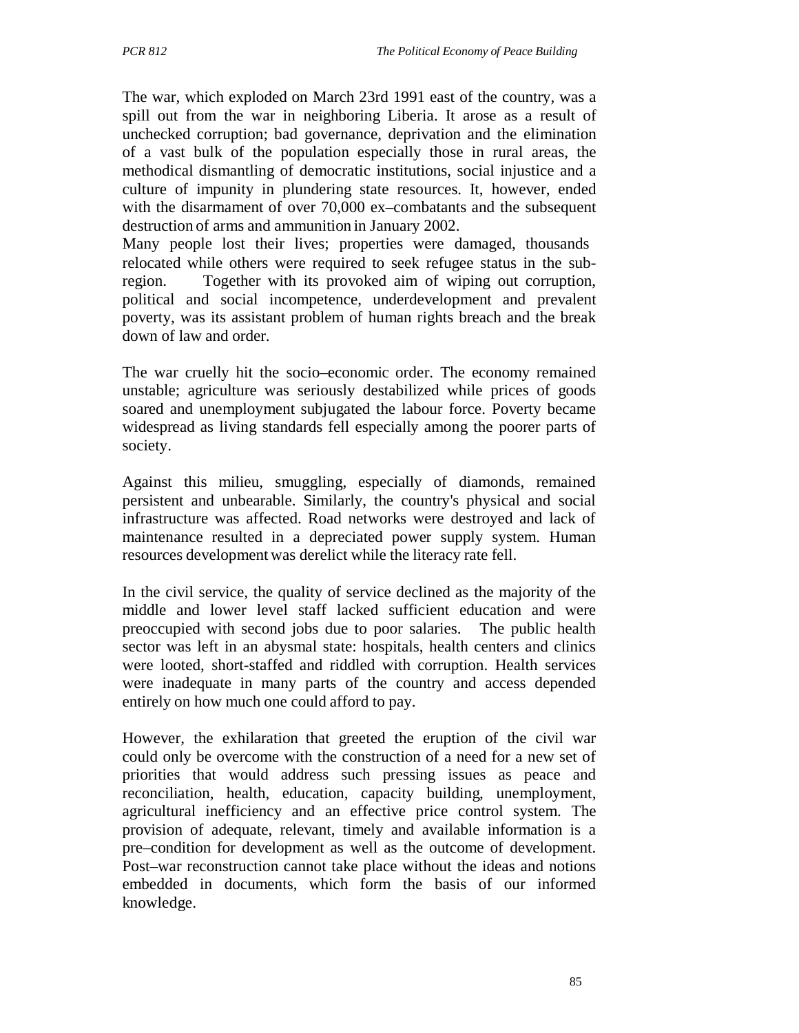The war, which exploded on March 23rd 1991 east of the country, was a spill out from the war in neighboring Liberia. It arose as a result of unchecked corruption; bad governance, deprivation and the elimination of a vast bulk of the population especially those in rural areas, the methodical dismantling of democratic institutions, social injustice and a culture of impunity in plundering state resources. It, however, ended with the disarmament of over 70,000 ex–combatants and the subsequent destruction of arms and ammunition in January 2002.

Many people lost their lives; properties were damaged, thousands relocated while others were required to seek refugee status in the subregion. Together with its provoked aim of wiping out corruption, political and social incompetence, underdevelopment and prevalent poverty, was its assistant problem of human rights breach and the break down of law and order.

The war cruelly hit the socio–economic order. The economy remained unstable; agriculture was seriously destabilized while prices of goods soared and unemployment subjugated the labour force. Poverty became widespread as living standards fell especially among the poorer parts of society.

Against this milieu, smuggling, especially of diamonds, remained persistent and unbearable. Similarly, the country's physical and social infrastructure was affected. Road networks were destroyed and lack of maintenance resulted in a depreciated power supply system. Human resources development was derelict while the literacy rate fell.

In the civil service, the quality of service declined as the majority of the middle and lower level staff lacked sufficient education and were preoccupied with second jobs due to poor salaries. The public health sector was left in an abysmal state: hospitals, health centers and clinics were looted, short-staffed and riddled with corruption. Health services were inadequate in many parts of the country and access depended entirely on how much one could afford to pay.

However, the exhilaration that greeted the eruption of the civil war could only be overcome with the construction of a need for a new set of priorities that would address such pressing issues as peace and reconciliation, health, education, capacity building, unemployment, agricultural inefficiency and an effective price control system. The provision of adequate, relevant, timely and available information is a pre–condition for development as well as the outcome of development. Post–war reconstruction cannot take place without the ideas and notions embedded in documents, which form the basis of our informed knowledge.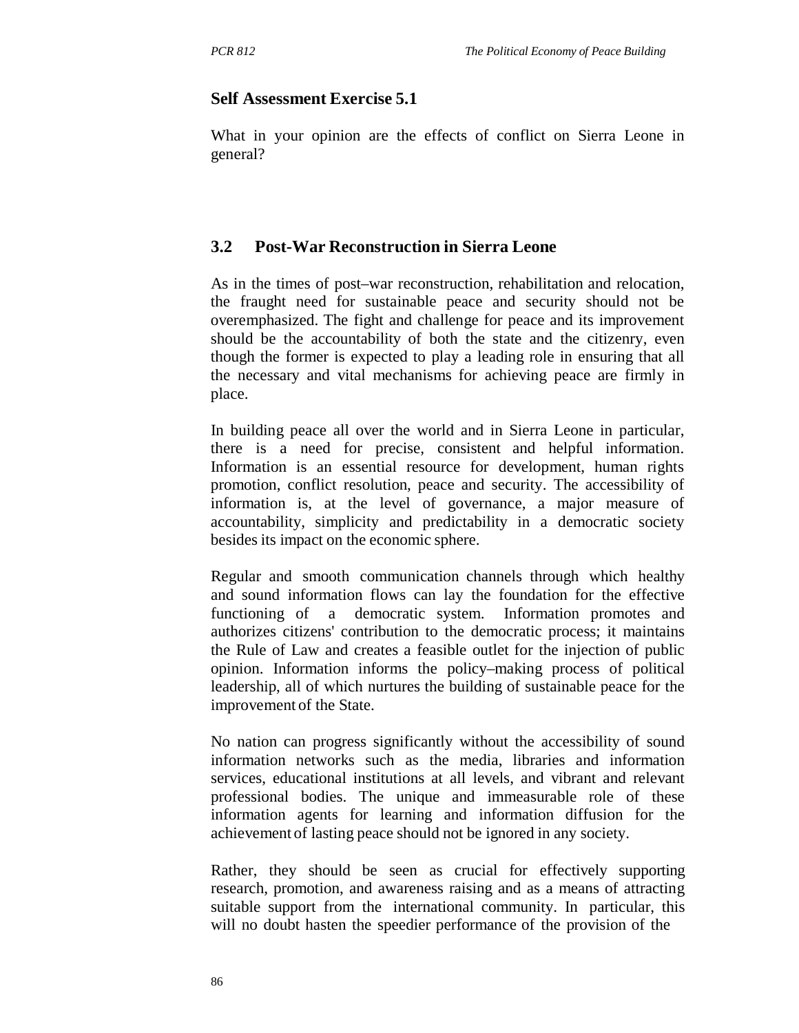#### **Self Assessment Exercise 5.1**

What in your opinion are the effects of conflict on Sierra Leone in general?

#### **3.2 Post-War Reconstruction in Sierra Leone**

As in the times of post–war reconstruction, rehabilitation and relocation, the fraught need for sustainable peace and security should not be overemphasized. The fight and challenge for peace and its improvement should be the accountability of both the state and the citizenry, even though the former is expected to play a leading role in ensuring that all the necessary and vital mechanisms for achieving peace are firmly in place.

In building peace all over the world and in Sierra Leone in particular, there is a need for precise, consistent and helpful information. Information is an essential resource for development, human rights promotion, conflict resolution, peace and security. The accessibility of information is, at the level of governance, a major measure of accountability, simplicity and predictability in a democratic society besides its impact on the economic sphere.

Regular and smooth communication channels through which healthy and sound information flows can lay the foundation for the effective functioning of a democratic system. Information promotes and authorizes citizens' contribution to the democratic process; it maintains the Rule of Law and creates a feasible outlet for the injection of public opinion. Information informs the policy–making process of political leadership, all of which nurtures the building of sustainable peace for the improvement of the State.

No nation can progress significantly without the accessibility of sound information networks such as the media, libraries and information services, educational institutions at all levels, and vibrant and relevant professional bodies. The unique and immeasurable role of these information agents for learning and information diffusion for the achievement of lasting peace should not be ignored in any society.

Rather, they should be seen as crucial for effectively supporting research, promotion, and awareness raising and as a means of attracting suitable support from the international community. In particular, this will no doubt hasten the speedier performance of the provision of the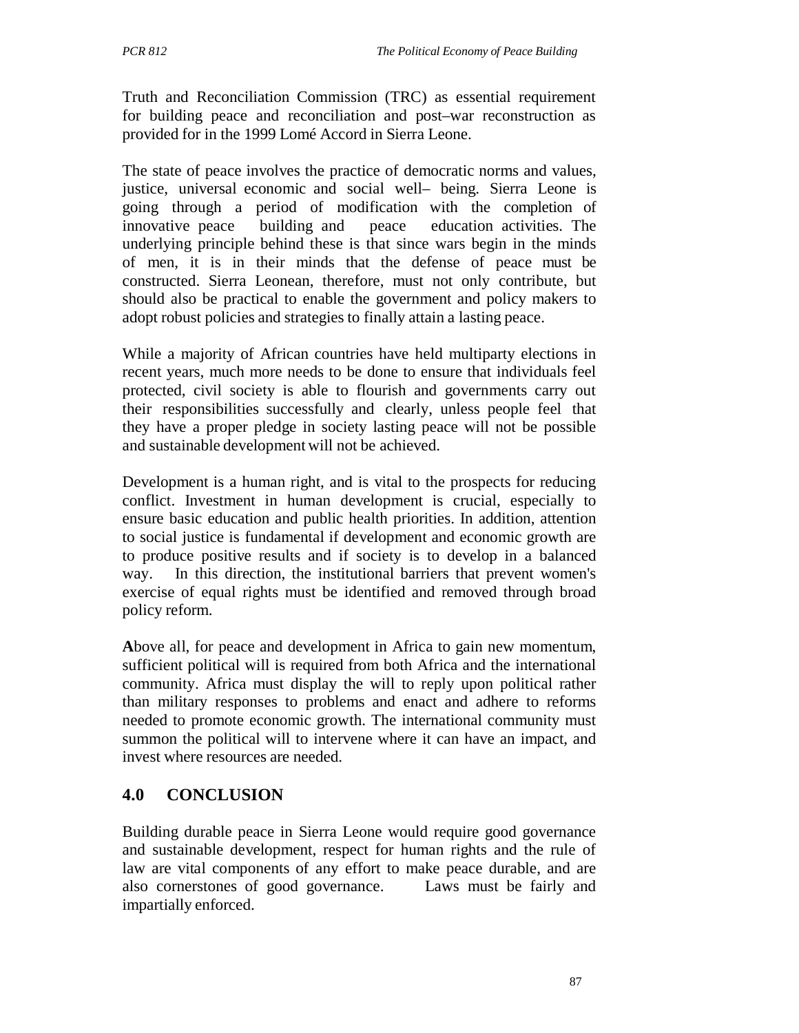Truth and Reconciliation Commission (TRC) as essential requirement for building peace and reconciliation and post–war reconstruction as provided for in the 1999 Lomé Accord in Sierra Leone.

The state of peace involves the practice of democratic norms and values, justice, universal economic and social well– being. Sierra Leone is going through a period of modification with the completion of innovative peace building and peace education activities. The underlying principle behind these is that since wars begin in the minds of men, it is in their minds that the defense of peace must be constructed. Sierra Leonean, therefore, must not only contribute, but should also be practical to enable the government and policy makers to adopt robust policies and strategies to finally attain a lasting peace.

While a majority of African countries have held multiparty elections in recent years, much more needs to be done to ensure that individuals feel protected, civil society is able to flourish and governments carry out their responsibilities successfully and clearly, unless people feel that they have a proper pledge in society lasting peace will not be possible and sustainable development will not be achieved.

Development is a human right, and is vital to the prospects for reducing conflict. Investment in human development is crucial, especially to ensure basic education and public health priorities. In addition, attention to social justice is fundamental if development and economic growth are to produce positive results and if society is to develop in a balanced way. In this direction, the institutional barriers that prevent women's exercise of equal rights must be identified and removed through broad policy reform.

**A**bove all, for peace and development in Africa to gain new momentum, sufficient political will is required from both Africa and the international community. Africa must display the will to reply upon political rather than military responses to problems and enact and adhere to reforms needed to promote economic growth. The international community must summon the political will to intervene where it can have an impact, and invest where resources are needed.

## **4.0 CONCLUSION**

Building durable peace in Sierra Leone would require good governance and sustainable development, respect for human rights and the rule of law are vital components of any effort to make peace durable, and are also cornerstones of good governance. Laws must be fairly and impartially enforced.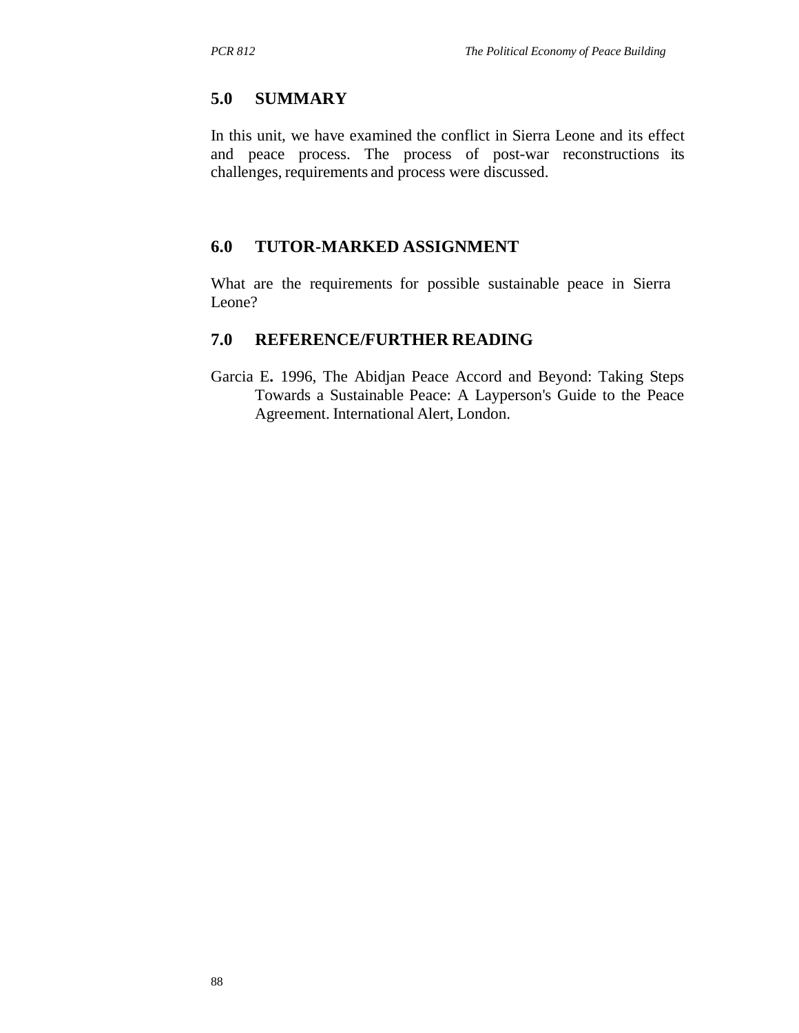### **5.0 SUMMARY**

In this unit, we have examined the conflict in Sierra Leone and its effect and peace process. The process of post-war reconstructions its challenges, requirements and process were discussed.

## **6.0 TUTOR-MARKED ASSIGNMENT**

What are the requirements for possible sustainable peace in Sierra Leone?

### **7.0 REFERENCE/FURTHER READING**

Garcia E**.** 1996, The Abidjan Peace Accord and Beyond: Taking Steps Towards a Sustainable Peace: A Layperson's Guide to the Peace Agreement. International Alert, London.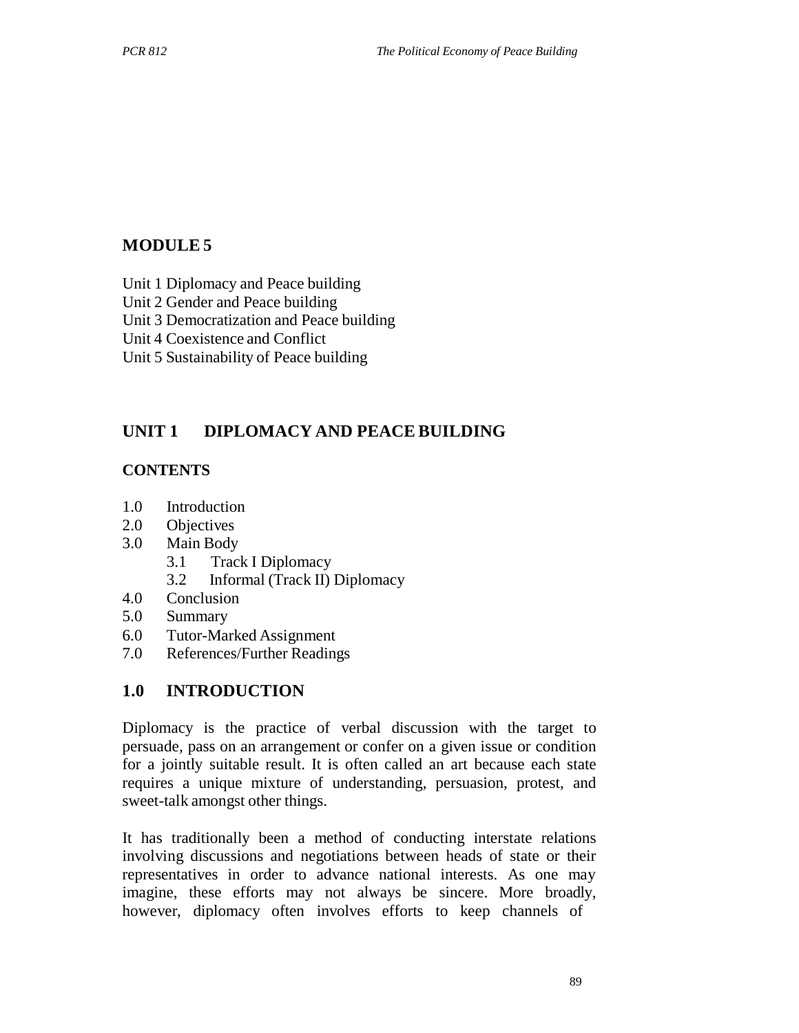# **MODULE 5**

Unit 1 Diplomacy and Peace building

Unit 2 Gender and Peace building

Unit 3 Democratization and Peace building

Unit 4 Coexistence and Conflict

Unit 5 Sustainability of Peace building

## **UNIT 1 DIPLOMACY AND PEACE BUILDING**

#### **CONTENTS**

- 1.0 Introduction
- 2.0 Objectives
- 3.0 Main Body
	- 3.1 Track I Diplomacy
	- 3.2 Informal (Track II) Diplomacy
- 4.0 Conclusion
- 5.0 Summary
- 6.0 Tutor-Marked Assignment
- 7.0 References/Further Readings

#### **1.0 INTRODUCTION**

Diplomacy is the practice of verbal discussion with the target to persuade, pass on an arrangement or confer on a given issue or condition for a jointly suitable result. It is often called an art because each state requires a unique mixture of understanding, persuasion, protest, and sweet-talk amongst other things.

It has traditionally been a method of conducting interstate relations involving discussions and negotiations between heads of state or their representatives in order to advance national interests. As one may imagine, these efforts may not always be sincere. More broadly, however, diplomacy often involves efforts to keep channels of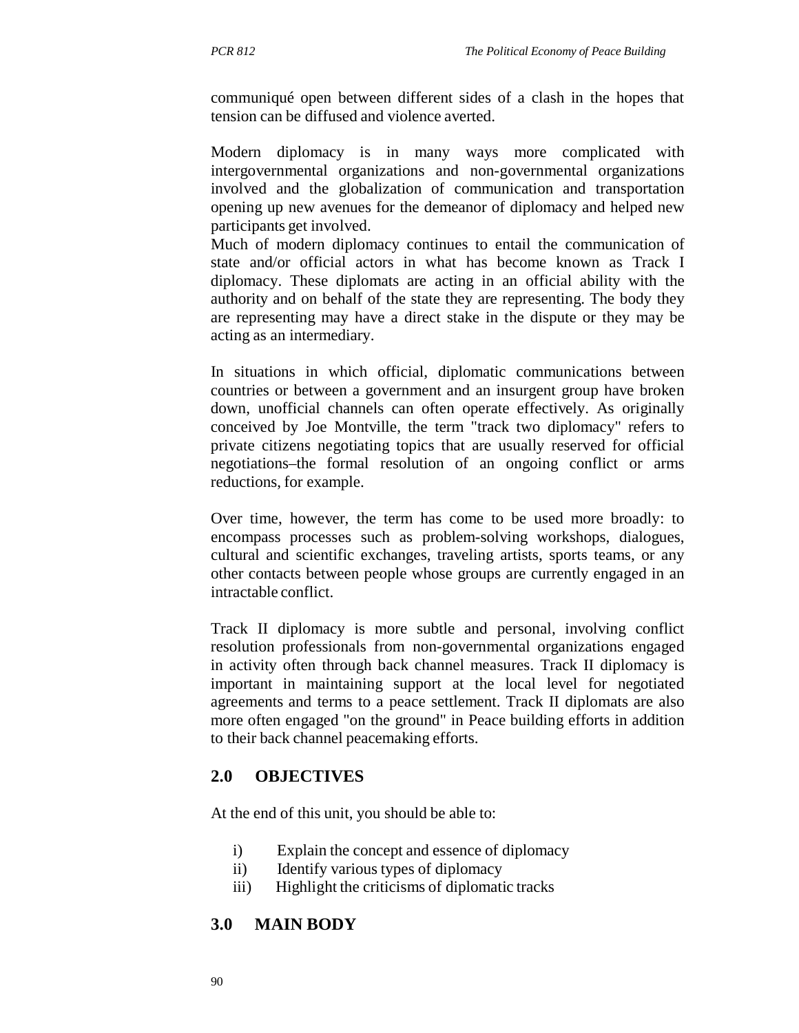communiqué open between different sides of a clash in the hopes that tension can be diffused and violence averted.

Modern diplomacy is in many ways more complicated with intergovernmental organizations and non-governmental organizations involved and the globalization of communication and transportation opening up new avenues for the demeanor of diplomacy and helped new participants get involved.

Much of modern diplomacy continues to entail the communication of state and/or official actors in what has become known as Track I diplomacy. These diplomats are acting in an official ability with the authority and on behalf of the state they are representing. The body they are representing may have a direct stake in the dispute or they may be acting as an intermediary.

In situations in which official, diplomatic communications between countries or between a government and an insurgent group have broken down, unofficial channels can often operate effectively. As originally conceived by Joe Montville, the term "track two diplomacy" refers to private citizens negotiating topics that are usually reserved for official negotiations–the formal resolution of an ongoing conflict or arms reductions, for example.

Over time, however, the term has come to be used more broadly: to encompass processes such as problem-solving workshops, dialogues, cultural and scientific exchanges, traveling artists, sports teams, or any other contacts between people whose groups are currently engaged in an intractable conflict.

Track II diplomacy is more subtle and personal, involving conflict resolution professionals from non-governmental organizations engaged in activity often through back channel measures. Track II diplomacy is important in maintaining support at the local level for negotiated agreements and terms to a peace settlement. Track II diplomats are also more often engaged "on the ground" in Peace building efforts in addition to their back channel peacemaking efforts.

#### **2.0 OBJECTIVES**

At the end of this unit, you should be able to:

- i) Explain the concept and essence of diplomacy
- ii) Identify various types of diplomacy
- iii) Highlight the criticisms of diplomatic tracks

## **3.0 MAIN BODY**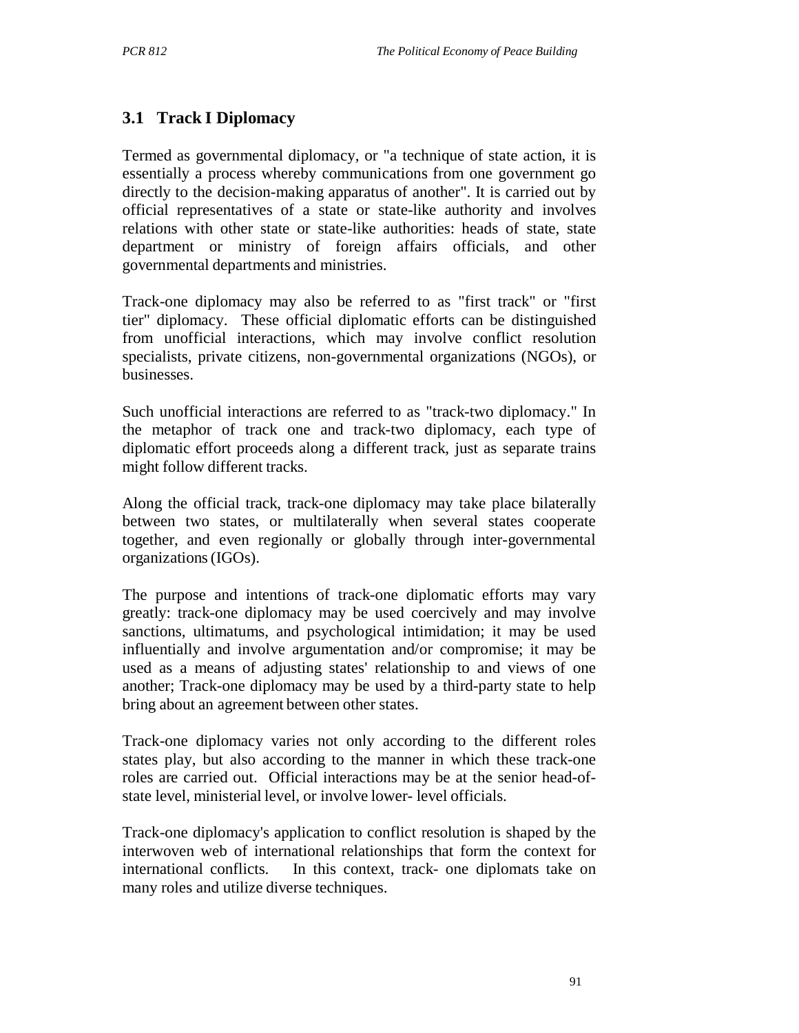## **3.1 Track I Diplomacy**

Termed as governmental diplomacy, or "a technique of state action, it is essentially a process whereby communications from one government go directly to the decision-making apparatus of another". It is carried out by official representatives of a state or state-like authority and involves relations with other state or state-like authorities: heads of state, state department or ministry of foreign affairs officials, and other governmental departments and ministries.

Track-one diplomacy may also be referred to as "first track" or "first tier" diplomacy. These official diplomatic efforts can be distinguished from unofficial interactions, which may involve conflict resolution specialists, private citizens, non-governmental organizations (NGOs), or businesses.

Such unofficial interactions are referred to as "track-two diplomacy." In the metaphor of track one and track-two diplomacy, each type of diplomatic effort proceeds along a different track, just as separate trains might follow different tracks.

Along the official track, track-one diplomacy may take place bilaterally between two states, or multilaterally when several states cooperate together, and even regionally or globally through inter-governmental organizations (IGOs).

The purpose and intentions of track-one diplomatic efforts may vary greatly: track-one diplomacy may be used coercively and may involve sanctions, ultimatums, and psychological intimidation; it may be used influentially and involve argumentation and/or compromise; it may be used as a means of adjusting states' relationship to and views of one another; Track-one diplomacy may be used by a third-party state to help bring about an agreement between other states.

Track-one diplomacy varies not only according to the different roles states play, but also according to the manner in which these track-one roles are carried out. Official interactions may be at the senior head-ofstate level, ministerial level, or involve lower- level officials.

Track-one diplomacy's application to conflict resolution is shaped by the interwoven web of international relationships that form the context for international conflicts. In this context, track- one diplomats take on many roles and utilize diverse techniques.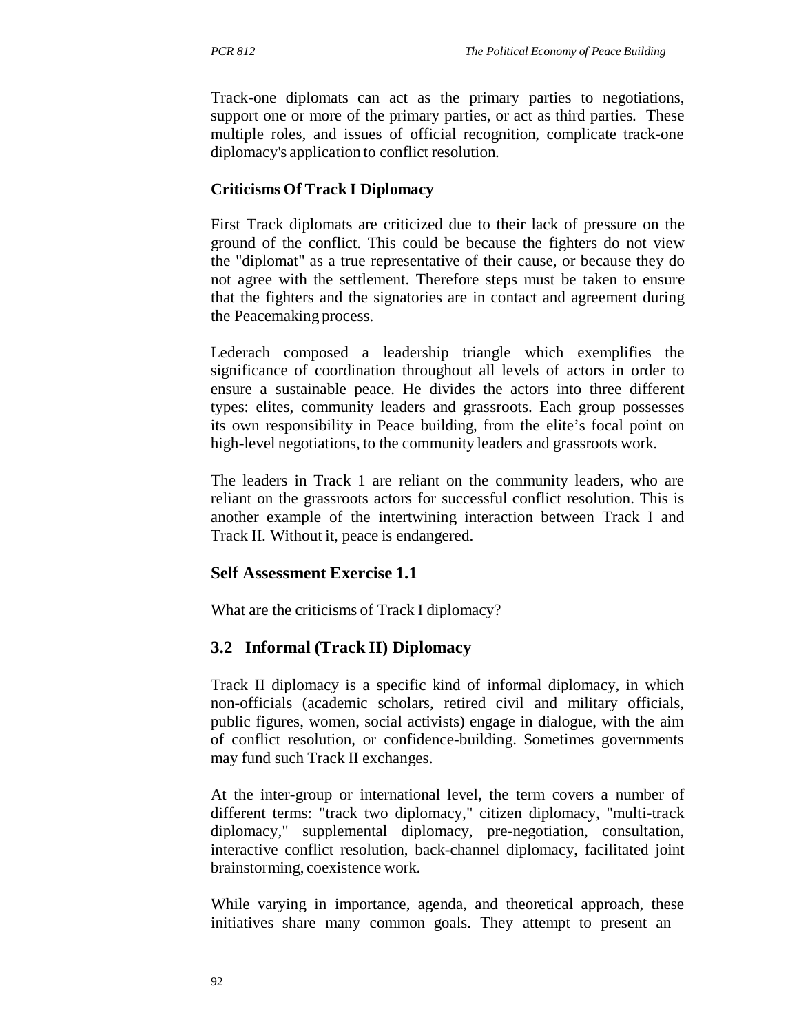Track-one diplomats can act as the primary parties to negotiations, support one or more of the primary parties, or act as third parties. These multiple roles, and issues of official recognition, complicate track-one diplomacy's application to conflict resolution.

#### **Criticisms Of Track I Diplomacy**

First Track diplomats are criticized due to their lack of pressure on the ground of the conflict. This could be because the fighters do not view the "diplomat" as a true representative of their cause, or because they do not agree with the settlement. Therefore steps must be taken to ensure that the fighters and the signatories are in contact and agreement during the Peacemaking process.

Lederach composed a leadership triangle which exemplifies the significance of coordination throughout all levels of actors in order to ensure a sustainable peace. He divides the actors into three different types: elites, community leaders and grassroots. Each group possesses its own responsibility in Peace building, from the elite's focal point on high-level negotiations, to the community leaders and grassroots work.

The leaders in Track 1 are reliant on the community leaders, who are reliant on the grassroots actors for successful conflict resolution. This is another example of the intertwining interaction between Track I and Track II. Without it, peace is endangered.

#### **Self Assessment Exercise 1.1**

What are the criticisms of Track I diplomacy?

### **3.2 Informal (Track II) Diplomacy**

Track II diplomacy is a specific kind of informal diplomacy, in which non-officials (academic scholars, retired civil and military officials, public figures, women, social activists) engage in dialogue, with the aim of conflict resolution, or confidence-building. Sometimes governments may fund such Track II exchanges.

At the inter-group or international level, the term covers a number of different terms: "track two diplomacy," citizen diplomacy, "multi-track diplomacy," supplemental diplomacy, pre-negotiation, consultation, interactive conflict resolution, back-channel diplomacy, facilitated joint brainstorming, coexistence work.

While varying in importance, agenda, and theoretical approach, these initiatives share many common goals. They attempt to present an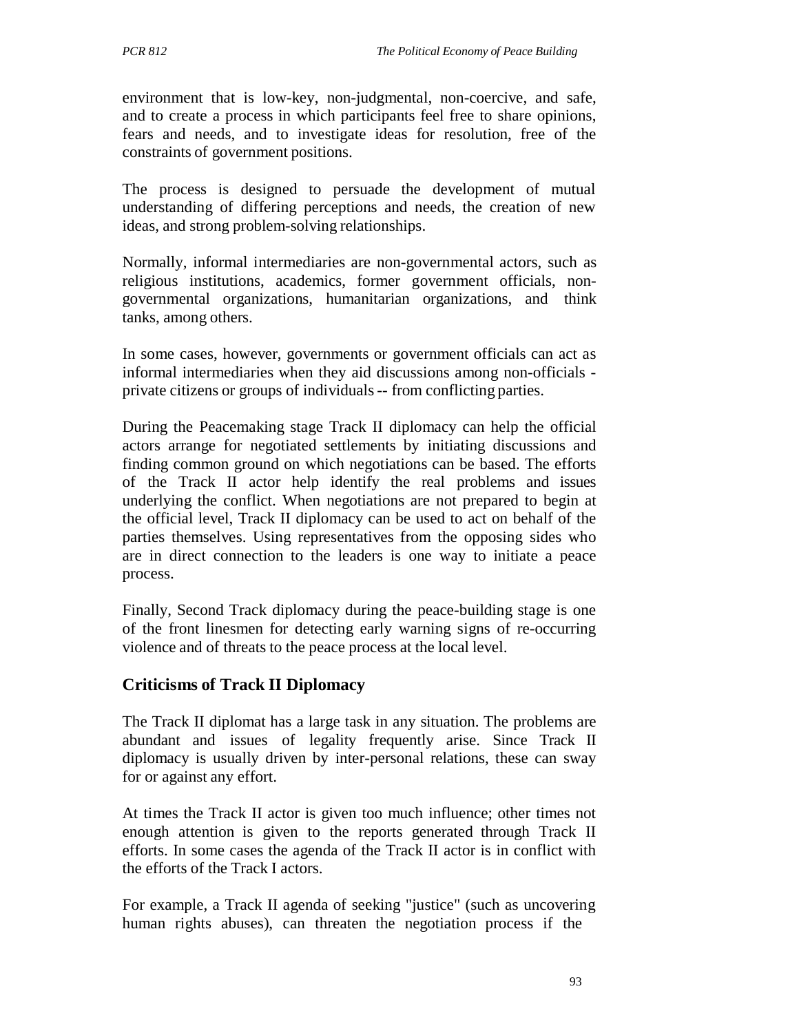environment that is low-key, non-judgmental, non-coercive, and safe, and to create a process in which participants feel free to share opinions, fears and needs, and to investigate ideas for resolution, free of the constraints of government positions.

The process is designed to persuade the development of mutual understanding of differing perceptions and needs, the creation of new ideas, and strong problem-solving relationships.

Normally, informal intermediaries are non-governmental actors, such as religious institutions, academics, former government officials, nongovernmental organizations, humanitarian organizations, and think tanks, among others.

In some cases, however, governments or government officials can act as informal intermediaries when they aid discussions among non-officials private citizens or groups of individuals -- from conflicting parties.

During the Peacemaking stage Track II diplomacy can help the official actors arrange for negotiated settlements by initiating discussions and finding common ground on which negotiations can be based. The efforts of the Track II actor help identify the real problems and issues underlying the conflict. When negotiations are not prepared to begin at the official level, Track II diplomacy can be used to act on behalf of the parties themselves. Using representatives from the opposing sides who are in direct connection to the leaders is one way to initiate a peace process.

Finally, Second Track diplomacy during the peace-building stage is one of the front linesmen for detecting early warning signs of re-occurring violence and of threats to the peace process at the local level.

### **Criticisms of Track II Diplomacy**

The Track II diplomat has a large task in any situation. The problems are abundant and issues of legality frequently arise. Since Track II diplomacy is usually driven by inter-personal relations, these can sway for or against any effort.

At times the Track II actor is given too much influence; other times not enough attention is given to the reports generated through Track II efforts. In some cases the agenda of the Track II actor is in conflict with the efforts of the Track I actors.

For example, a Track II agenda of seeking "justice" (such as uncovering human rights abuses), can threaten the negotiation process if the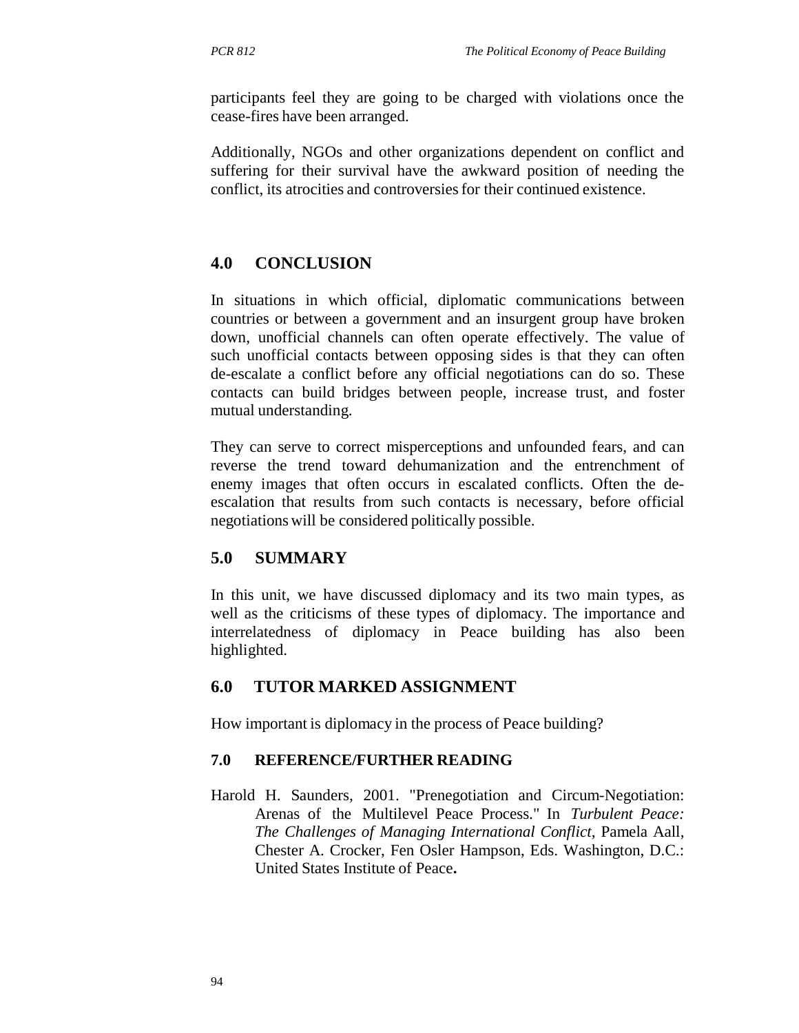participants feel they are going to be charged with violations once the cease-fires have been arranged.

Additionally, NGOs and other organizations dependent on conflict and suffering for their survival have the awkward position of needing the conflict, its atrocities and controversies for their continued existence.

## **4.0 CONCLUSION**

In situations in which official, diplomatic communications between countries or between a government and an insurgent group have broken down, unofficial channels can often operate effectively. The value of such unofficial contacts between opposing sides is that they can often de-escalate a conflict before any official negotiations can do so. These contacts can build bridges between people, increase trust, and foster mutual understanding.

They can serve to correct misperceptions and unfounded fears, and can reverse the trend toward dehumanization and the entrenchment of enemy images that often occurs in escalated conflicts. Often the deescalation that results from such contacts is necessary, before official negotiations will be considered politically possible.

## **5.0 SUMMARY**

In this unit, we have discussed diplomacy and its two main types, as well as the criticisms of these types of diplomacy. The importance and interrelatedness of diplomacy in Peace building has also been highlighted.

### **6.0 TUTOR MARKED ASSIGNMENT**

How important is diplomacy in the process of Peace building?

#### **7.0 REFERENCE/FURTHER READING**

Harold H. Saunders, 2001. "Prenegotiation and Circum-Negotiation: Arenas of the Multilevel Peace Process." In *Turbulent Peace: The Challenges of Managing International Conflict*, Pamela Aall, Chester A. Crocker, Fen Osler Hampson, Eds. Washington, D.C.: United States Institute of Peace**.**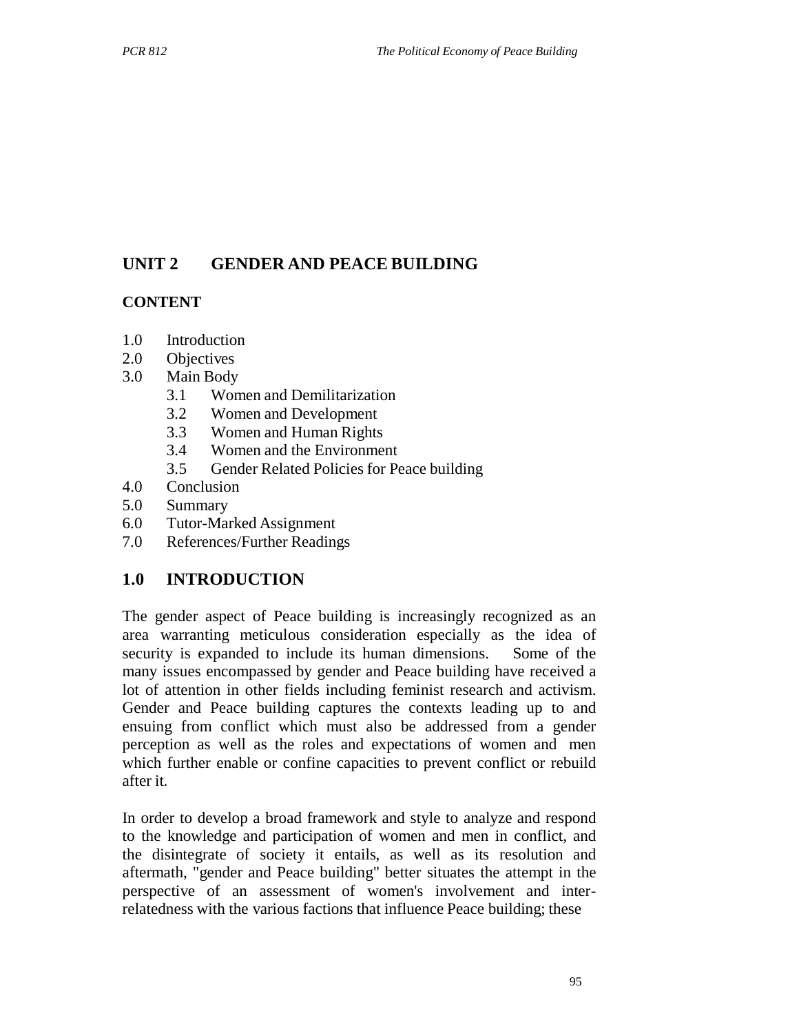# **UNIT 2 GENDER AND PEACE BUILDING**

### **CONTENT**

- 1.0 Introduction
- 2.0 Objectives
- 3.0 Main Body
	- 3.1 Women and Demilitarization
	- 3.2 Women and Development
	- 3.3 Women and Human Rights
	- 3.4 Women and the Environment
	- 3.5 Gender Related Policies for Peace building
- 4.0 Conclusion
- 5.0 Summary
- 6.0 Tutor-Marked Assignment
- 7.0 References/Further Readings

## **1.0 INTRODUCTION**

The gender aspect of Peace building is increasingly recognized as an area warranting meticulous consideration especially as the idea of security is expanded to include its human dimensions. Some of the many issues encompassed by gender and Peace building have received a lot of attention in other fields including feminist research and activism. Gender and Peace building captures the contexts leading up to and ensuing from conflict which must also be addressed from a gender perception as well as the roles and expectations of women and men which further enable or confine capacities to prevent conflict or rebuild after it.

In order to develop a broad framework and style to analyze and respond to the knowledge and participation of women and men in conflict, and the disintegrate of society it entails, as well as its resolution and aftermath, "gender and Peace building" better situates the attempt in the perspective of an assessment of women's involvement and interrelatedness with the various factions that influence Peace building; these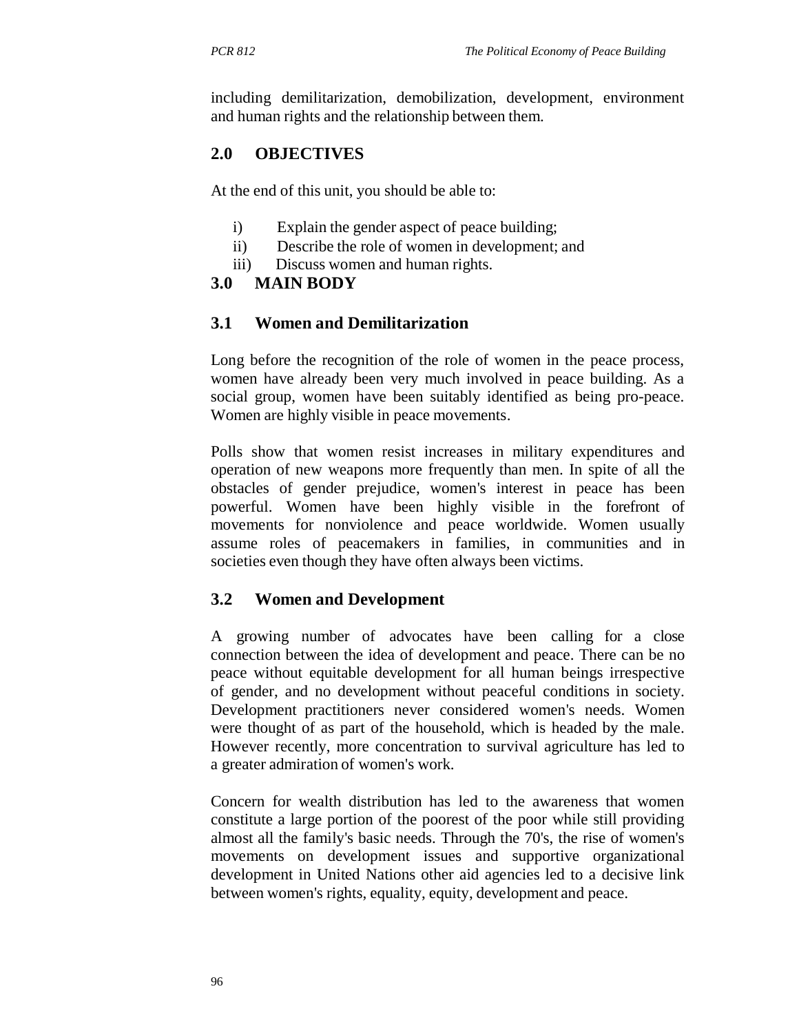including demilitarization, demobilization, development, environment and human rights and the relationship between them.

### **2.0 OBJECTIVES**

At the end of this unit, you should be able to:

- i) Explain the gender aspect of peace building;
- ii) Describe the role of women in development; and
- iii) Discuss women and human rights.

#### **3.0 MAIN BODY**

#### **3.1 Women and Demilitarization**

Long before the recognition of the role of women in the peace process, women have already been very much involved in peace building. As a social group, women have been suitably identified as being pro-peace. Women are highly visible in peace movements.

Polls show that women resist increases in military expenditures and operation of new weapons more frequently than men. In spite of all the obstacles of gender prejudice, women's interest in peace has been powerful. Women have been highly visible in the forefront of movements for nonviolence and peace worldwide. Women usually assume roles of peacemakers in families, in communities and in societies even though they have often always been victims.

### **3.2 Women and Development**

A growing number of advocates have been calling for a close connection between the idea of development and peace. There can be no peace without equitable development for all human beings irrespective of gender, and no development without peaceful conditions in society. Development practitioners never considered women's needs. Women were thought of as part of the household, which is headed by the male. However recently, more concentration to survival agriculture has led to a greater admiration of women's work.

Concern for wealth distribution has led to the awareness that women constitute a large portion of the poorest of the poor while still providing almost all the family's basic needs. Through the 70's, the rise of women's movements on development issues and supportive organizational development in United Nations other aid agencies led to a decisive link between women's rights, equality, equity, development and peace.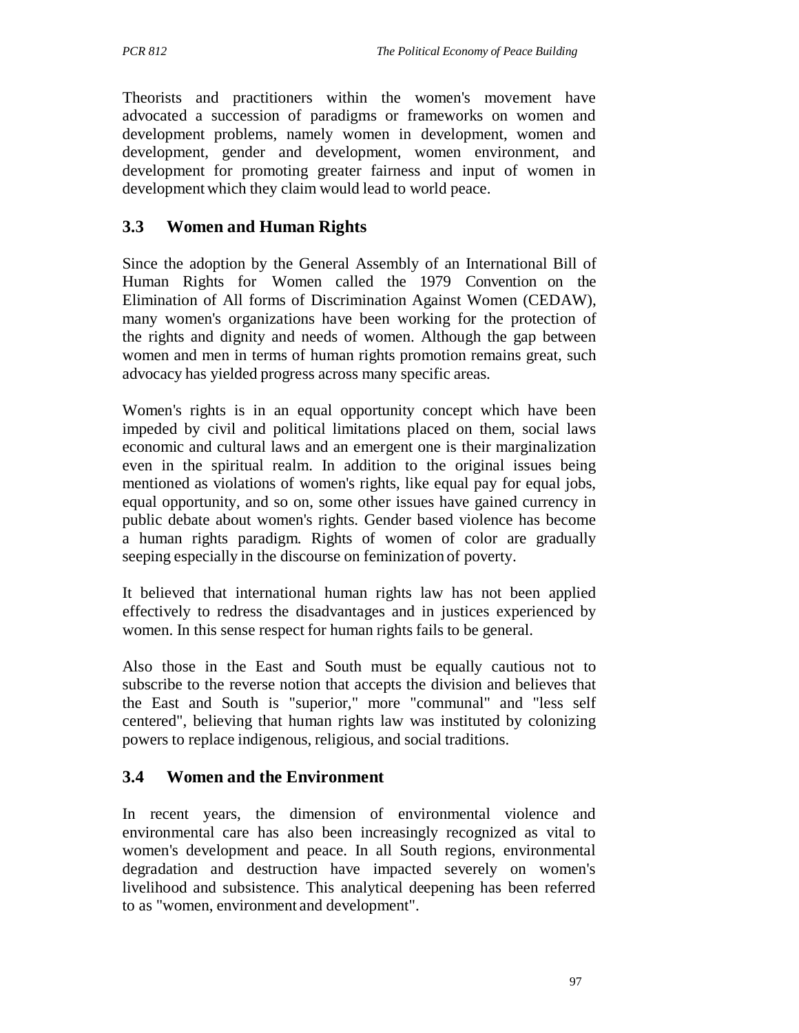Theorists and practitioners within the women's movement have advocated a succession of paradigms or frameworks on women and development problems, namely women in development, women and development, gender and development, women environment, and development for promoting greater fairness and input of women in development which they claim would lead to world peace.

## **3.3 Women and Human Rights**

Since the adoption by the General Assembly of an International Bill of Human Rights for Women called the 1979 Convention on the Elimination of All forms of Discrimination Against Women (CEDAW), many women's organizations have been working for the protection of the rights and dignity and needs of women. Although the gap between women and men in terms of human rights promotion remains great, such advocacy has yielded progress across many specific areas.

Women's rights is in an equal opportunity concept which have been impeded by civil and political limitations placed on them, social laws economic and cultural laws and an emergent one is their marginalization even in the spiritual realm. In addition to the original issues being mentioned as violations of women's rights, like equal pay for equal jobs, equal opportunity, and so on, some other issues have gained currency in public debate about women's rights. Gender based violence has become a human rights paradigm. Rights of women of color are gradually seeping especially in the discourse on feminization of poverty.

It believed that international human rights law has not been applied effectively to redress the disadvantages and in justices experienced by women. In this sense respect for human rights fails to be general.

Also those in the East and South must be equally cautious not to subscribe to the reverse notion that accepts the division and believes that the East and South is "superior," more "communal" and "less self centered", believing that human rights law was instituted by colonizing powers to replace indigenous, religious, and social traditions.

## **3.4 Women and the Environment**

In recent years, the dimension of environmental violence and environmental care has also been increasingly recognized as vital to women's development and peace. In all South regions, environmental degradation and destruction have impacted severely on women's livelihood and subsistence. This analytical deepening has been referred to as "women, environment and development".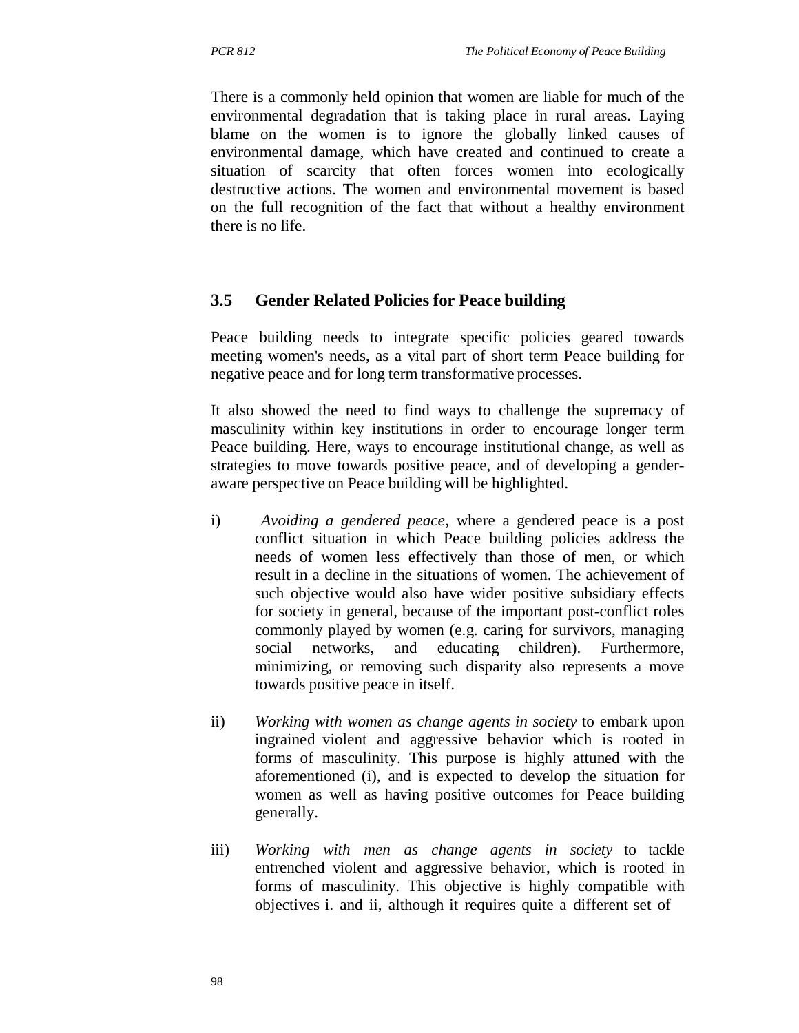There is a commonly held opinion that women are liable for much of the environmental degradation that is taking place in rural areas. Laying blame on the women is to ignore the globally linked causes of environmental damage, which have created and continued to create a situation of scarcity that often forces women into ecologically destructive actions. The women and environmental movement is based on the full recognition of the fact that without a healthy environment there is no life.

### **3.5 Gender Related Policies for Peace building**

Peace building needs to integrate specific policies geared towards meeting women's needs, as a vital part of short term Peace building for negative peace and for long term transformative processes.

It also showed the need to find ways to challenge the supremacy of masculinity within key institutions in order to encourage longer term Peace building. Here, ways to encourage institutional change, as well as strategies to move towards positive peace, and of developing a genderaware perspective on Peace building will be highlighted.

- i) *Avoiding a gendered peace*, where a gendered peace is a post conflict situation in which Peace building policies address the needs of women less effectively than those of men, or which result in a decline in the situations of women. The achievement of such objective would also have wider positive subsidiary effects for society in general, because of the important post-conflict roles commonly played by women (e.g. caring for survivors, managing social networks, and educating children). Furthermore, minimizing, or removing such disparity also represents a move towards positive peace in itself.
- ii) *Working with women as change agents in society* to embark upon ingrained violent and aggressive behavior which is rooted in forms of masculinity. This purpose is highly attuned with the aforementioned (i), and is expected to develop the situation for women as well as having positive outcomes for Peace building generally.
- iii) *Working with men as change agents in society* to tackle entrenched violent and aggressive behavior, which is rooted in forms of masculinity. This objective is highly compatible with objectives i. and ii, although it requires quite a different set of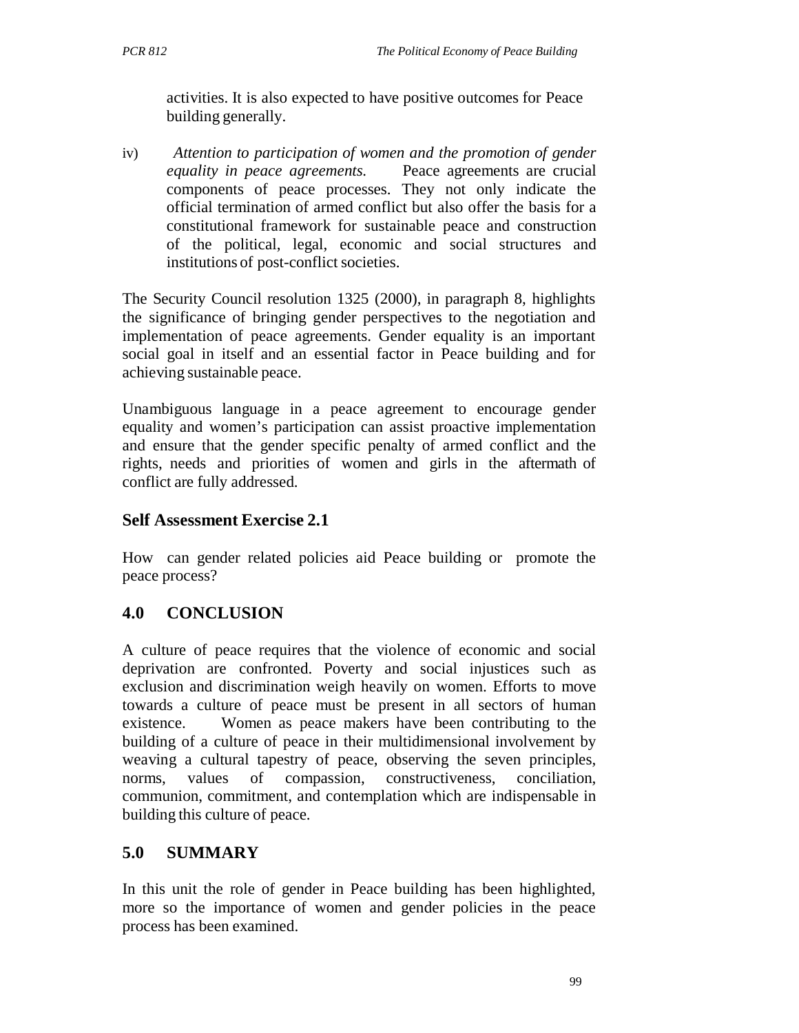activities. It is also expected to have positive outcomes for Peace building generally.

iv) *Attention to participation of women and the promotion of gender equality in peace agreements.* Peace agreements are crucial components of peace processes. They not only indicate the official termination of armed conflict but also offer the basis for a constitutional framework for sustainable peace and construction of the political, legal, economic and social structures and institutions of post-conflict societies.

The Security Council resolution 1325 (2000), in paragraph 8, highlights the significance of bringing gender perspectives to the negotiation and implementation of peace agreements. Gender equality is an important social goal in itself and an essential factor in Peace building and for achieving sustainable peace.

Unambiguous language in a peace agreement to encourage gender equality and women's participation can assist proactive implementation and ensure that the gender specific penalty of armed conflict and the rights, needs and priorities of women and girls in the aftermath of conflict are fully addressed.

#### **Self Assessment Exercise 2.1**

How can gender related policies aid Peace building or promote the peace process?

## **4.0 CONCLUSION**

A culture of peace requires that the violence of economic and social deprivation are confronted. Poverty and social injustices such as exclusion and discrimination weigh heavily on women. Efforts to move towards a culture of peace must be present in all sectors of human existence. Women as peace makers have been contributing to the building of a culture of peace in their multidimensional involvement by weaving a cultural tapestry of peace, observing the seven principles, norms, values of compassion, constructiveness, conciliation, communion, commitment, and contemplation which are indispensable in building this culture of peace.

### **5.0 SUMMARY**

In this unit the role of gender in Peace building has been highlighted, more so the importance of women and gender policies in the peace process has been examined.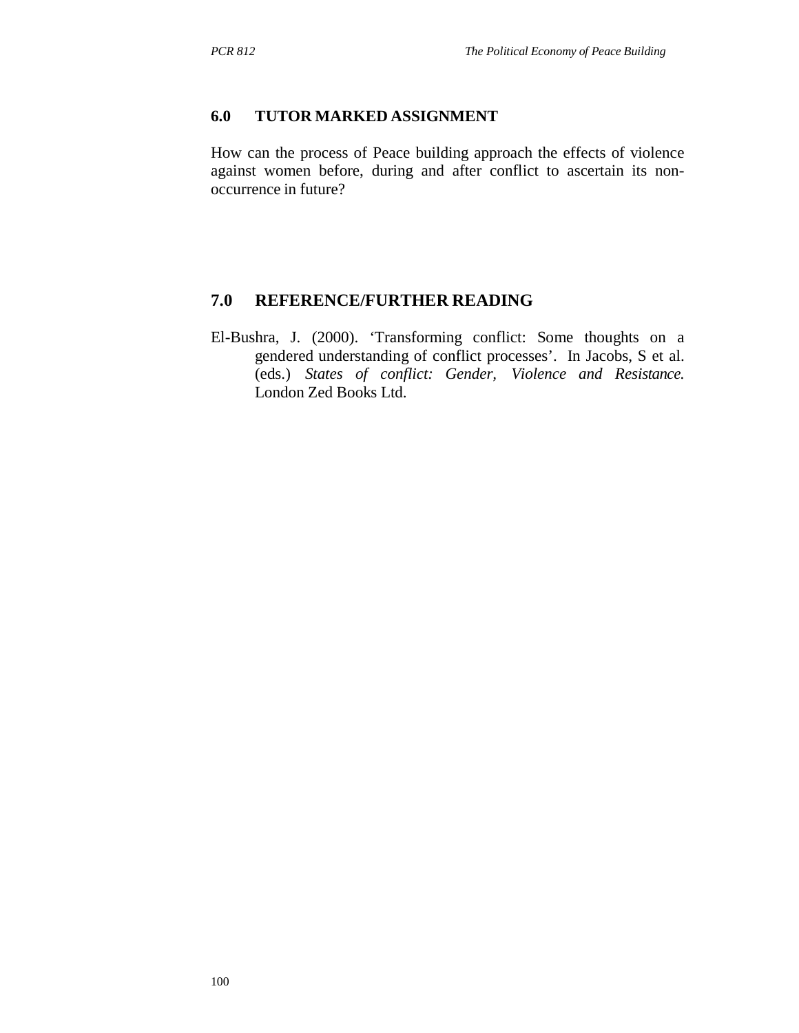### **6.0 TUTOR MARKED ASSIGNMENT**

How can the process of Peace building approach the effects of violence against women before, during and after conflict to ascertain its nonoccurrence in future?

### **7.0 REFERENCE/FURTHER READING**

El-Bushra, J. (2000). 'Transforming conflict: Some thoughts on a gendered understanding of conflict processes'. In Jacobs, S et al. (eds.) *States of conflict: Gender, Violence and Resistance.*  London Zed Books Ltd.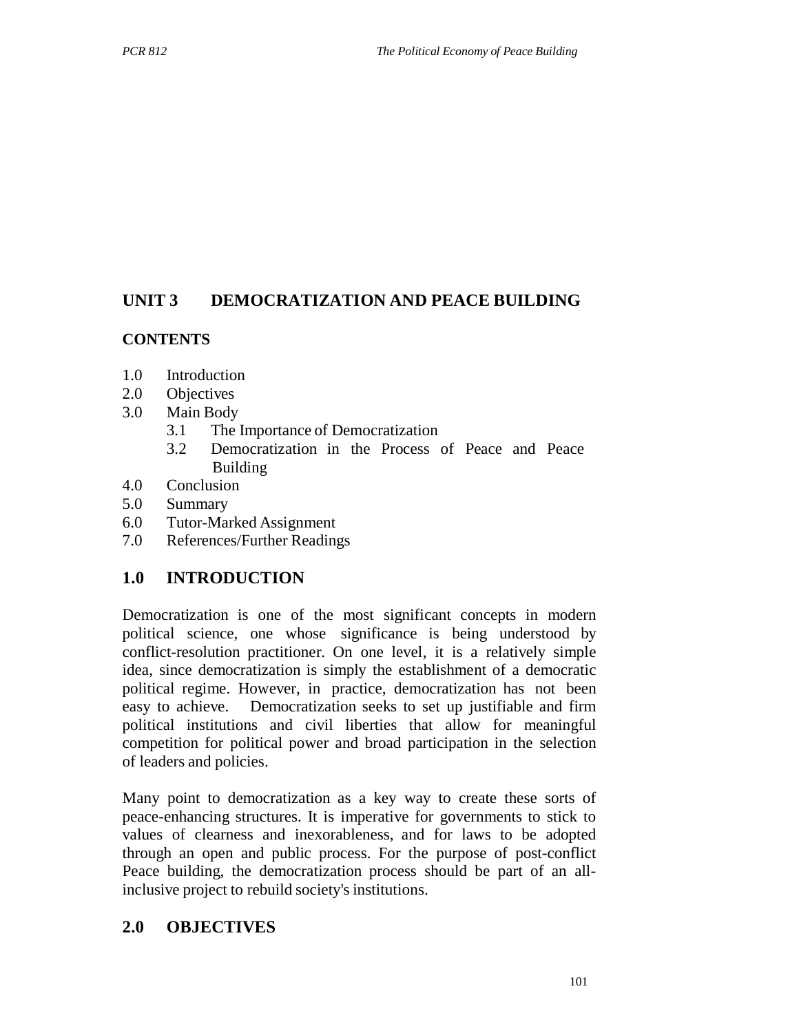## **UNIT 3 DEMOCRATIZATION AND PEACE BUILDING**

## **CONTENTS**

- 1.0 Introduction
- 2.0 Objectives
- 3.0 Main Body
	- 3.1 The Importance of Democratization
	- 3.2 Democratization in the Process of Peace and Peace Building
- 4.0 Conclusion
- 5.0 Summary
- 6.0 Tutor-Marked Assignment
- 7.0 References/Further Readings

## **1.0 INTRODUCTION**

Democratization is one of the most significant concepts in modern political science, one whose significance is being understood by conflict-resolution practitioner. On one level, it is a relatively simple idea, since democratization is simply the establishment of a democratic political regime. However, in practice, democratization has not been easy to achieve. Democratization seeks to set up justifiable and firm political institutions and civil liberties that allow for meaningful competition for political power and broad participation in the selection of leaders and policies.

Many point to democratization as a key way to create these sorts of peace-enhancing structures. It is imperative for governments to stick to values of clearness and inexorableness, and for laws to be adopted through an open and public process. For the purpose of post-conflict Peace building, the democratization process should be part of an allinclusive project to rebuild society's institutions.

## **2.0 OBJECTIVES**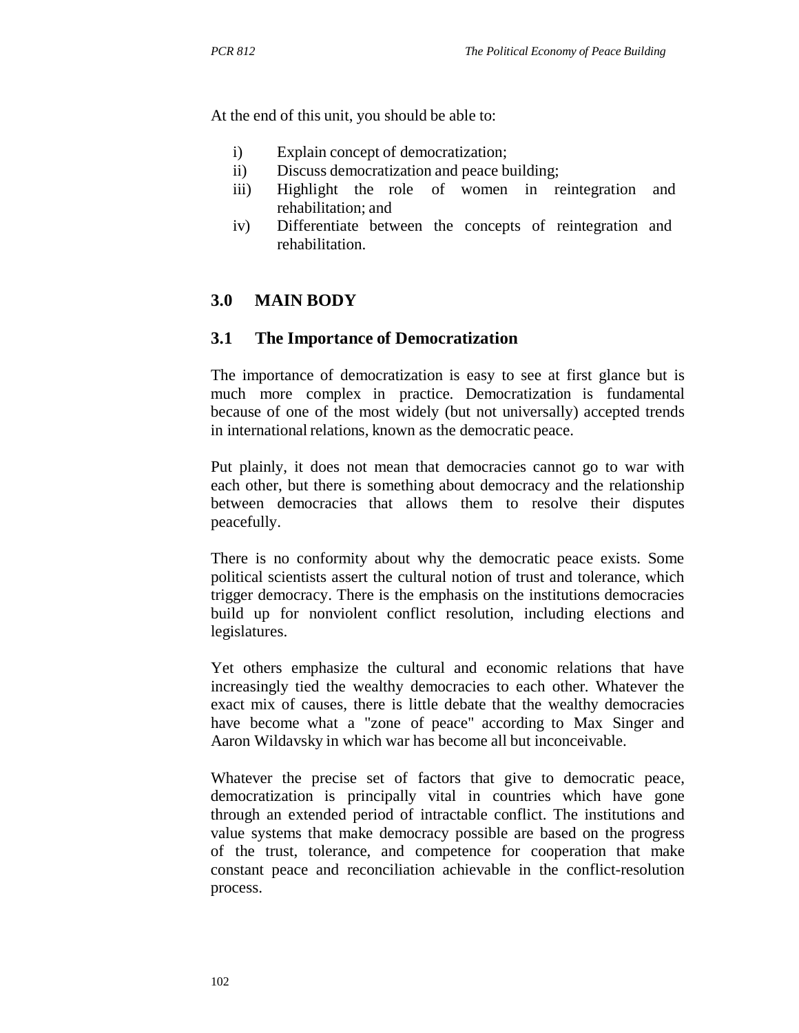At the end of this unit, you should be able to:

- i) Explain concept of democratization;
- ii) Discuss democratization and peace building;
- iii) Highlight the role of women in reintegration and rehabilitation; and
- iv) Differentiate between the concepts of reintegration and rehabilitation.

## **3.0 MAIN BODY**

#### **3.1 The Importance of Democratization**

The importance of democratization is easy to see at first glance but is much more complex in practice. Democratization is fundamental because of one of the most widely (but not universally) accepted trends in international relations, known as the democratic peace.

Put plainly, it does not mean that democracies cannot go to war with each other, but there is something about democracy and the relationship between democracies that allows them to resolve their disputes peacefully.

There is no conformity about why the democratic peace exists. Some political scientists assert the cultural notion of trust and tolerance, which trigger democracy. There is the emphasis on the institutions democracies build up for nonviolent conflict resolution, including elections and legislatures.

Yet others emphasize the cultural and economic relations that have increasingly tied the wealthy democracies to each other. Whatever the exact mix of causes, there is little debate that the wealthy democracies have become what a "zone of peace" according to Max Singer and Aaron Wildavsky in which war has become all but inconceivable.

Whatever the precise set of factors that give to democratic peace, democratization is principally vital in countries which have gone through an extended period of intractable conflict. The institutions and value systems that make democracy possible are based on the progress of the trust, tolerance, and competence for cooperation that make constant peace and reconciliation achievable in the conflict-resolution process.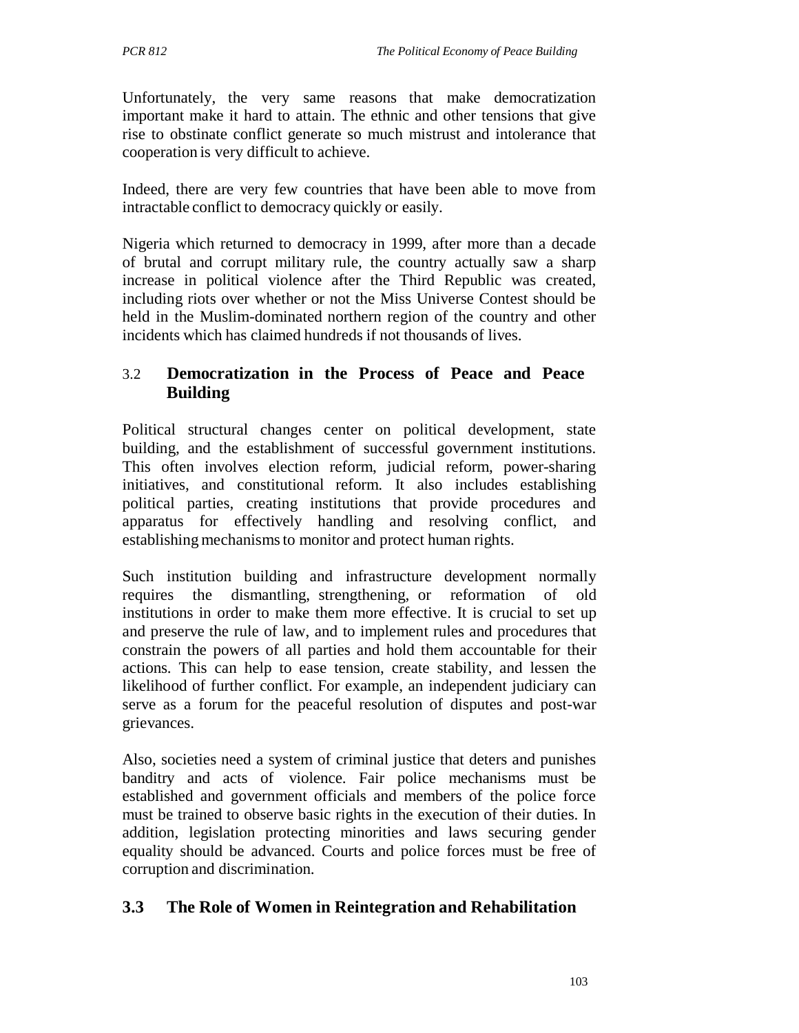Unfortunately, the very same reasons that make democratization important make it hard to attain. The ethnic and other tensions that give rise to obstinate conflict generate so much mistrust and intolerance that cooperation is very difficult to achieve.

Indeed, there are very few countries that have been able to move from intractable conflict to democracy quickly or easily.

Nigeria which returned to democracy in 1999, after more than a decade of brutal and corrupt military rule, the country actually saw a sharp increase in political violence after the Third Republic was created, including riots over whether or not the Miss Universe Contest should be held in the Muslim-dominated northern region of the country and other incidents which has claimed hundreds if not thousands of lives.

## 3.2 **Democratization in the Process of Peace and Peace Building**

Political structural changes center on political development, state building, and the establishment of successful government institutions. This often involves election reform, judicial reform, power-sharing initiatives, and constitutional reform. It also includes establishing political parties, creating institutions that provide procedures and apparatus for effectively handling and resolving conflict, and establishing mechanisms to monitor and protect human rights.

Such institution building and infrastructure development normally requires the dismantling, strengthening, or reformation of old institutions in order to make them more effective. It is crucial to set up and preserve the rule of law, and to implement rules and procedures that constrain the powers of all parties and hold them accountable for their actions. This can help to ease tension, create stability, and lessen the likelihood of further conflict. For example, an independent judiciary can serve as a forum for the peaceful resolution of disputes and post-war grievances.

Also, societies need a system of criminal justice that deters and punishes banditry and acts of violence. Fair police mechanisms must be established and government officials and members of the police force must be trained to observe basic rights in the execution of their duties. In addition, legislation protecting minorities and laws securing gender equality should be advanced. Courts and police forces must be free of corruption and discrimination.

## **3.3 The Role of Women in Reintegration and Rehabilitation**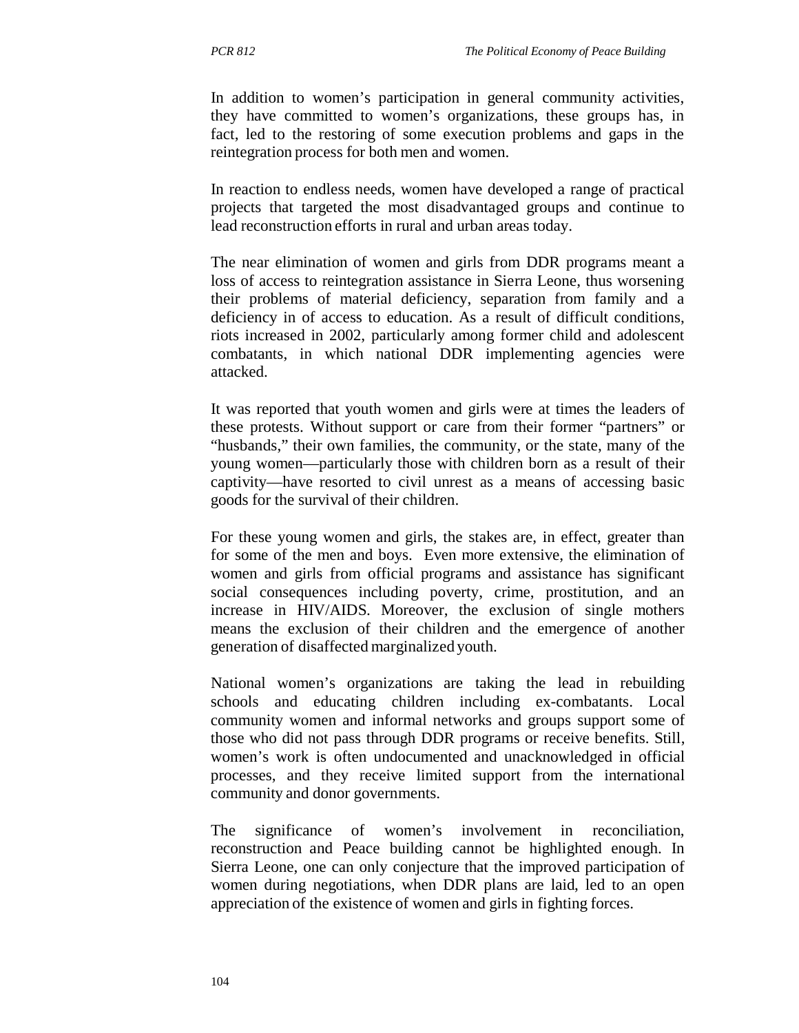In addition to women's participation in general community activities, they have committed to women's organizations, these groups has, in fact, led to the restoring of some execution problems and gaps in the reintegration process for both men and women.

In reaction to endless needs, women have developed a range of practical projects that targeted the most disadvantaged groups and continue to lead reconstruction efforts in rural and urban areas today.

The near elimination of women and girls from DDR programs meant a loss of access to reintegration assistance in Sierra Leone, thus worsening their problems of material deficiency, separation from family and a deficiency in of access to education. As a result of difficult conditions, riots increased in 2002, particularly among former child and adolescent combatants, in which national DDR implementing agencies were attacked.

It was reported that youth women and girls were at times the leaders of these protests. Without support or care from their former "partners" or "husbands," their own families, the community, or the state, many of the young women—particularly those with children born as a result of their captivity—have resorted to civil unrest as a means of accessing basic goods for the survival of their children.

For these young women and girls, the stakes are, in effect, greater than for some of the men and boys. Even more extensive, the elimination of women and girls from official programs and assistance has significant social consequences including poverty, crime, prostitution, and an increase in HIV/AIDS. Moreover, the exclusion of single mothers means the exclusion of their children and the emergence of another generation of disaffected marginalized youth.

National women's organizations are taking the lead in rebuilding schools and educating children including ex-combatants. Local community women and informal networks and groups support some of those who did not pass through DDR programs or receive benefits. Still, women's work is often undocumented and unacknowledged in official processes, and they receive limited support from the international community and donor governments.

The significance of women's involvement in reconciliation, reconstruction and Peace building cannot be highlighted enough. In Sierra Leone, one can only conjecture that the improved participation of women during negotiations, when DDR plans are laid, led to an open appreciation of the existence of women and girls in fighting forces.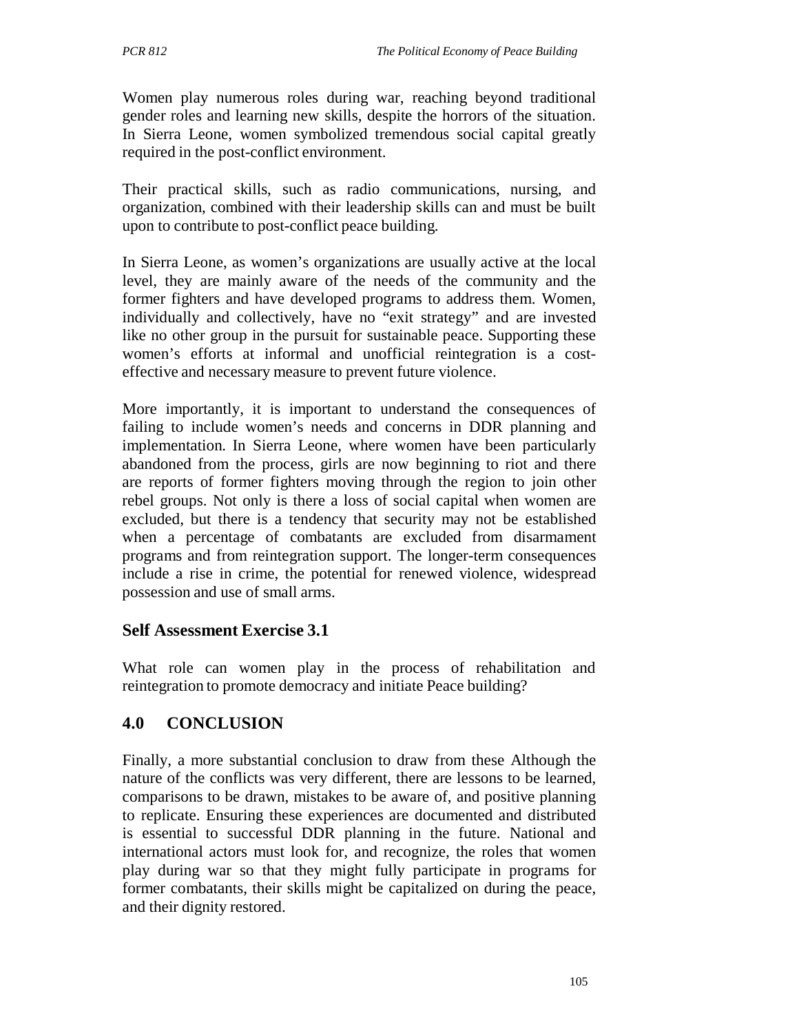Women play numerous roles during war, reaching beyond traditional gender roles and learning new skills, despite the horrors of the situation. In Sierra Leone, women symbolized tremendous social capital greatly required in the post-conflict environment.

Their practical skills, such as radio communications, nursing, and organization, combined with their leadership skills can and must be built upon to contribute to post-conflict peace building.

In Sierra Leone, as women's organizations are usually active at the local level, they are mainly aware of the needs of the community and the former fighters and have developed programs to address them. Women, individually and collectively, have no "exit strategy" and are invested like no other group in the pursuit for sustainable peace. Supporting these women's efforts at informal and unofficial reintegration is a costeffective and necessary measure to prevent future violence.

More importantly, it is important to understand the consequences of failing to include women's needs and concerns in DDR planning and implementation. In Sierra Leone, where women have been particularly abandoned from the process, girls are now beginning to riot and there are reports of former fighters moving through the region to join other rebel groups. Not only is there a loss of social capital when women are excluded, but there is a tendency that security may not be established when a percentage of combatants are excluded from disarmament programs and from reintegration support. The longer-term consequences include a rise in crime, the potential for renewed violence, widespread possession and use of small arms.

### **Self Assessment Exercise 3.1**

What role can women play in the process of rehabilitation and reintegration to promote democracy and initiate Peace building?

## **4.0 CONCLUSION**

Finally, a more substantial conclusion to draw from these Although the nature of the conflicts was very different, there are lessons to be learned, comparisons to be drawn, mistakes to be aware of, and positive planning to replicate. Ensuring these experiences are documented and distributed is essential to successful DDR planning in the future. National and international actors must look for, and recognize, the roles that women play during war so that they might fully participate in programs for former combatants, their skills might be capitalized on during the peace, and their dignity restored.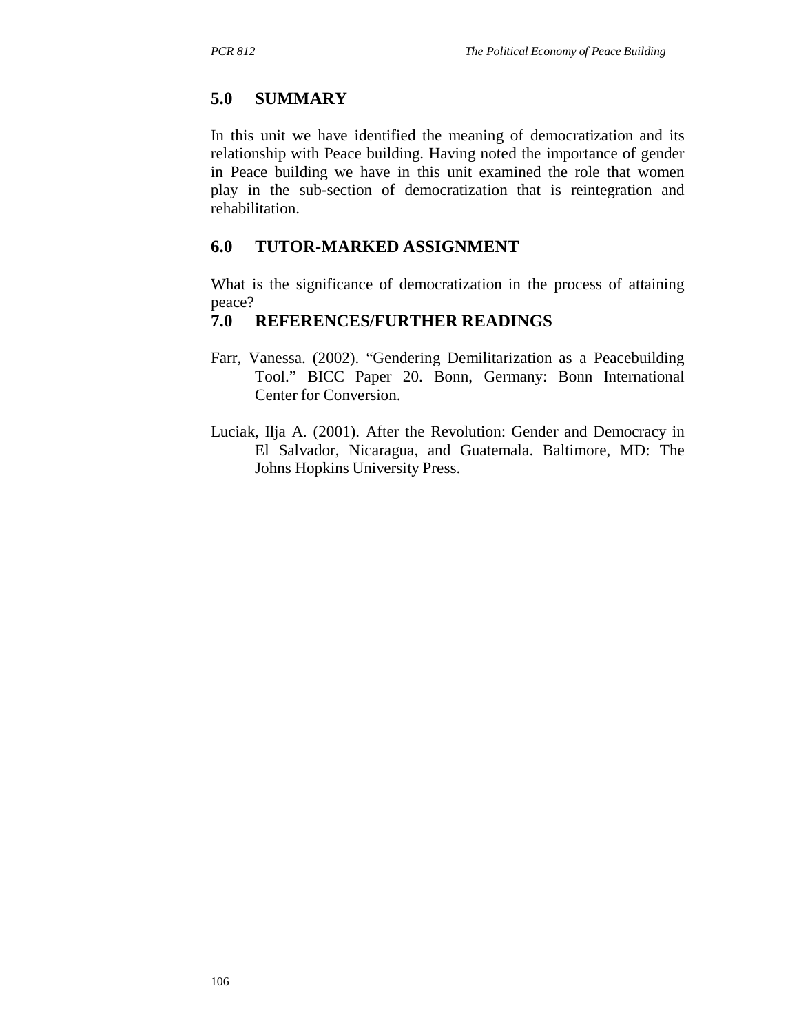## **5.0 SUMMARY**

In this unit we have identified the meaning of democratization and its relationship with Peace building. Having noted the importance of gender in Peace building we have in this unit examined the role that women play in the sub-section of democratization that is reintegration and rehabilitation.

## **6.0 TUTOR-MARKED ASSIGNMENT**

What is the significance of democratization in the process of attaining peace?

## **7.0 REFERENCES/FURTHER READINGS**

- Farr, Vanessa. (2002). "Gendering Demilitarization as a Peacebuilding Tool." BICC Paper 20. Bonn, Germany: Bonn International Center for Conversion.
- Luciak, Ilja A. (2001). After the Revolution: Gender and Democracy in El Salvador, Nicaragua, and Guatemala. Baltimore, MD: The Johns Hopkins University Press.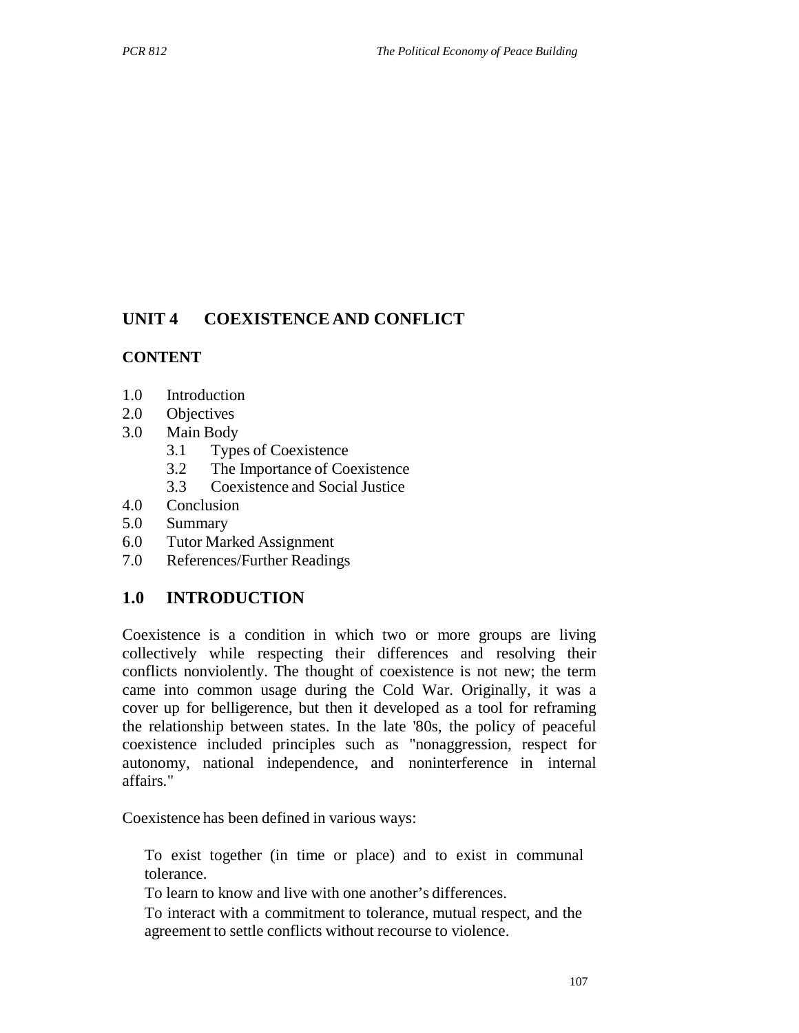## **UNIT 4 COEXISTENCE AND CONFLICT**

### **CONTENT**

- 1.0 Introduction
- 2.0 Objectives
- 3.0 Main Body
	- 3.1 Types of Coexistence
	- 3.2 The Importance of Coexistence
	- 3.3 Coexistence and Social Justice
- 4.0 Conclusion
- 5.0 Summary
- 6.0 Tutor Marked Assignment
- 7.0 References/Further Readings

## **1.0 INTRODUCTION**

Coexistence is a condition in which two or more groups are living collectively while respecting their differences and resolving their conflicts nonviolently. The thought of coexistence is not new; the term came into common usage during the Cold War. Originally, it was a cover up for belligerence, but then it developed as a tool for reframing the relationship between states. In the late '80s, the policy of peaceful coexistence included principles such as "nonaggression, respect for autonomy, national independence, and noninterference in internal affairs."

Coexistence has been defined in various ways:

To exist together (in time or place) and to exist in communal tolerance.

To learn to know and live with one another's differences.

To interact with a commitment to tolerance, mutual respect, and the agreement to settle conflicts without recourse to violence.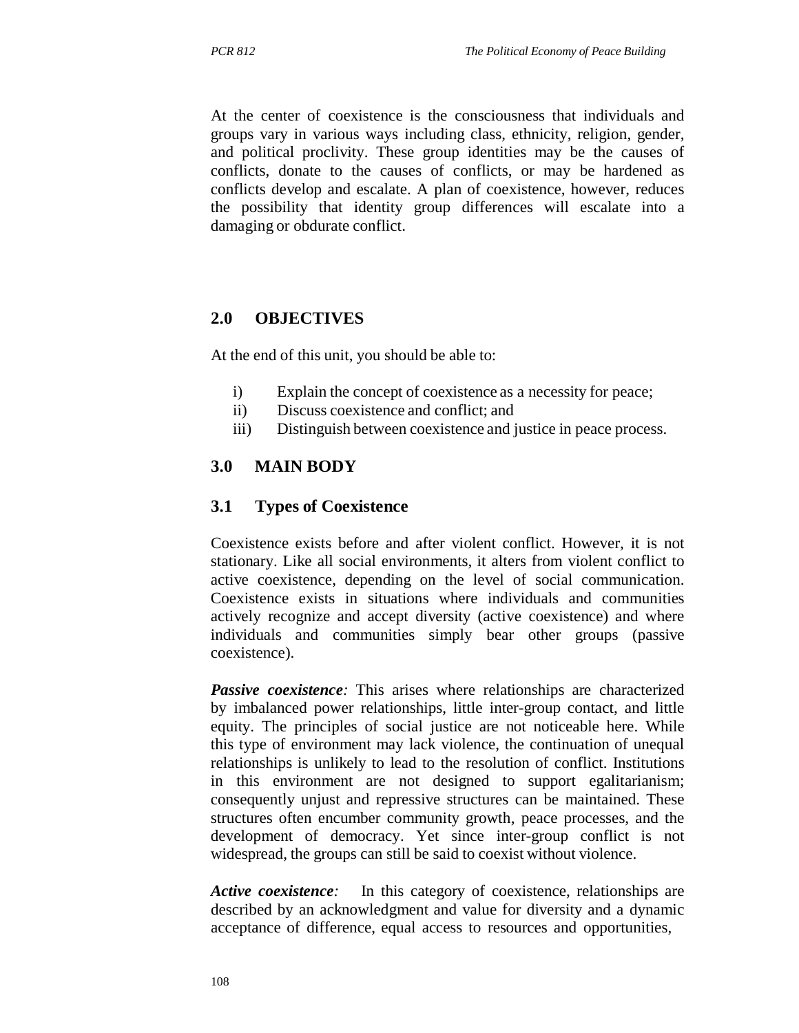At the center of coexistence is the consciousness that individuals and groups vary in various ways including class, ethnicity, religion, gender, and political proclivity. These group identities may be the causes of conflicts, donate to the causes of conflicts, or may be hardened as conflicts develop and escalate. A plan of coexistence, however, reduces the possibility that identity group differences will escalate into a damaging or obdurate conflict.

### **2.0 OBJECTIVES**

At the end of this unit, you should be able to:

- i) Explain the concept of coexistence as a necessity for peace;
- ii) Discuss coexistence and conflict; and
- iii) Distinguish between coexistence and justice in peace process.

### **3.0 MAIN BODY**

#### **3.1 Types of Coexistence**

Coexistence exists before and after violent conflict. However, it is not stationary. Like all social environments, it alters from violent conflict to active coexistence, depending on the level of social communication. Coexistence exists in situations where individuals and communities actively recognize and accept diversity (active coexistence) and where individuals and communities simply bear other groups (passive coexistence).

**Passive coexistence**: This arises where relationships are characterized by imbalanced power relationships, little inter-group contact, and little equity. The principles of social justice are not noticeable here. While this type of environment may lack violence, the continuation of unequal relationships is unlikely to lead to the resolution of conflict. Institutions in this environment are not designed to support egalitarianism; consequently unjust and repressive structures can be maintained. These structures often encumber community growth, peace processes, and the development of democracy. Yet since inter-group conflict is not widespread, the groups can still be said to coexist without violence.

*Active coexistence:* In this category of coexistence, relationships are described by an acknowledgment and value for diversity and a dynamic acceptance of difference, equal access to resources and opportunities,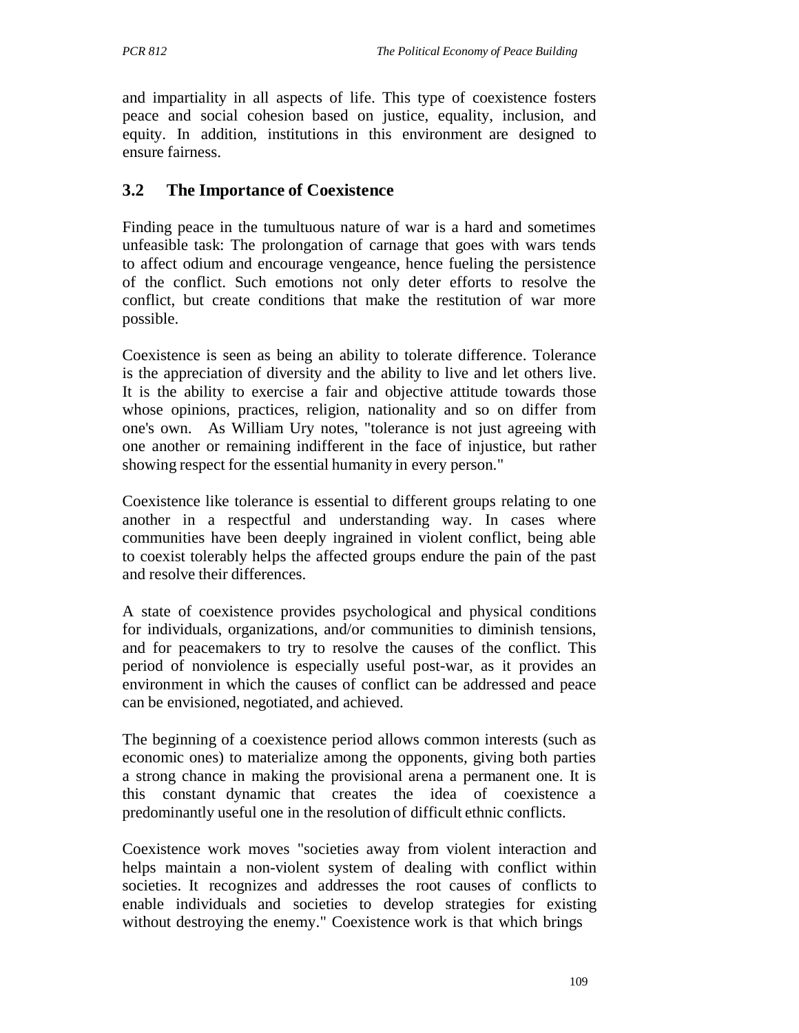and impartiality in all aspects of life. This type of coexistence fosters peace and social cohesion based on justice, equality, inclusion, and equity. In addition, institutions in this environment are designed to ensure fairness.

### **3.2 The Importance of Coexistence**

Finding peace in the tumultuous nature of war is a hard and sometimes unfeasible task: The prolongation of carnage that goes with wars tends to affect odium and encourage vengeance, hence fueling the persistence of the conflict. Such emotions not only deter efforts to resolve the conflict, but create conditions that make the restitution of war more possible.

Coexistence is seen as being an ability to tolerate difference. Tolerance is the appreciation of diversity and the ability to live and let others live. It is the ability to exercise a fair and objective attitude towards those whose opinions, practices, religion, nationality and so on differ from one's own. As William Ury notes, "tolerance is not just agreeing with one another or remaining indifferent in the face of injustice, but rather showing respect for the essential humanity in every person."

Coexistence like tolerance is essential to different groups relating to one another in a respectful and understanding way. In cases where communities have been deeply ingrained in violent conflict, being able to coexist tolerably helps the affected groups endure the pain of the past and resolve their differences.

A state of coexistence provides psychological and physical conditions for individuals, organizations, and/or communities to diminish tensions, and for peacemakers to try to resolve the causes of the conflict. This period of nonviolence is especially useful post-war, as it provides an environment in which the causes of conflict can be addressed and peace can be envisioned, negotiated, and achieved.

The beginning of a coexistence period allows common interests (such as economic ones) to materialize among the opponents, giving both parties a strong chance in making the provisional arena a permanent one. It is this constant dynamic that creates the idea of coexistence a predominantly useful one in the resolution of difficult ethnic conflicts.

Coexistence work moves "societies away from violent interaction and helps maintain a non-violent system of dealing with conflict within societies. It recognizes and addresses the root causes of conflicts to enable individuals and societies to develop strategies for existing without destroying the enemy." Coexistence work is that which brings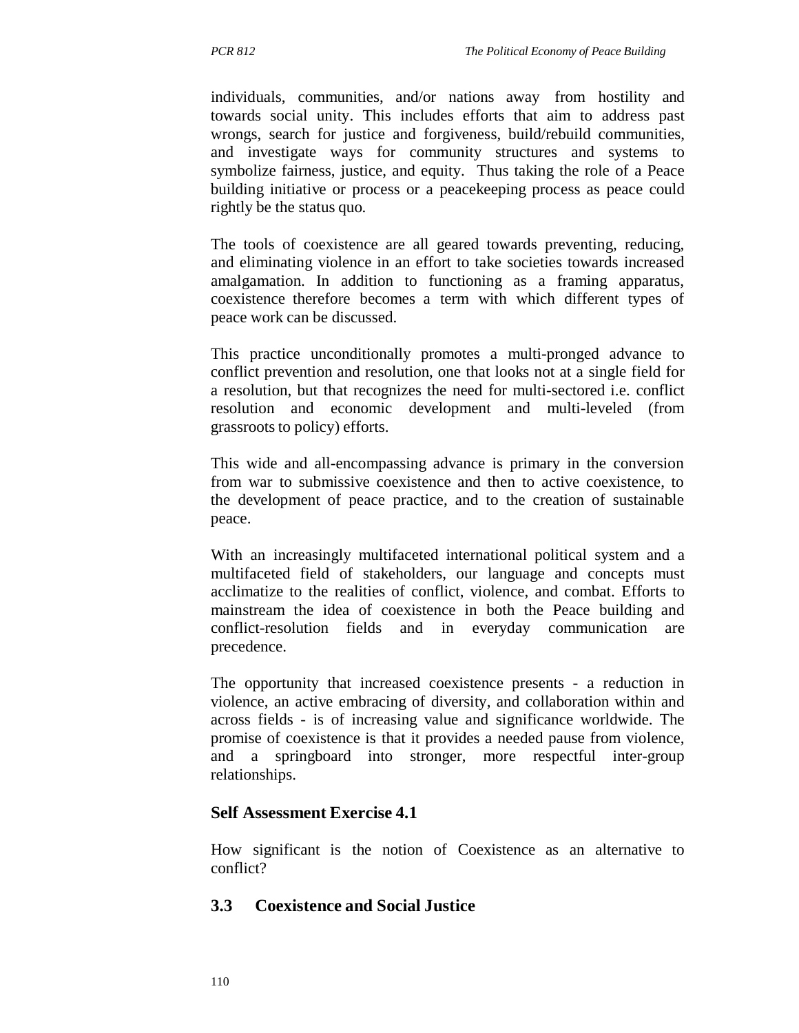individuals, communities, and/or nations away from hostility and towards social unity. This includes efforts that aim to address past wrongs, search for justice and forgiveness, build/rebuild communities, and investigate ways for community structures and systems to symbolize fairness, justice, and equity. Thus taking the role of a Peace building initiative or process or a peacekeeping process as peace could rightly be the status quo.

The tools of coexistence are all geared towards preventing, reducing, and eliminating violence in an effort to take societies towards increased amalgamation. In addition to functioning as a framing apparatus, coexistence therefore becomes a term with which different types of peace work can be discussed.

This practice unconditionally promotes a multi-pronged advance to conflict prevention and resolution, one that looks not at a single field for a resolution, but that recognizes the need for multi-sectored i.e. conflict resolution and economic development and multi-leveled (from grassroots to policy) efforts.

This wide and all-encompassing advance is primary in the conversion from war to submissive coexistence and then to active coexistence, to the development of peace practice, and to the creation of sustainable peace.

With an increasingly multifaceted international political system and a multifaceted field of stakeholders, our language and concepts must acclimatize to the realities of conflict, violence, and combat. Efforts to mainstream the idea of coexistence in both the Peace building and conflict-resolution fields and in everyday communication are precedence.

The opportunity that increased coexistence presents - a reduction in violence, an active embracing of diversity, and collaboration within and across fields - is of increasing value and significance worldwide. The promise of coexistence is that it provides a needed pause from violence, and a springboard into stronger, more respectful inter-group relationships.

### **Self Assessment Exercise 4.1**

How significant is the notion of Coexistence as an alternative to conflict?

### **3.3 Coexistence and Social Justice**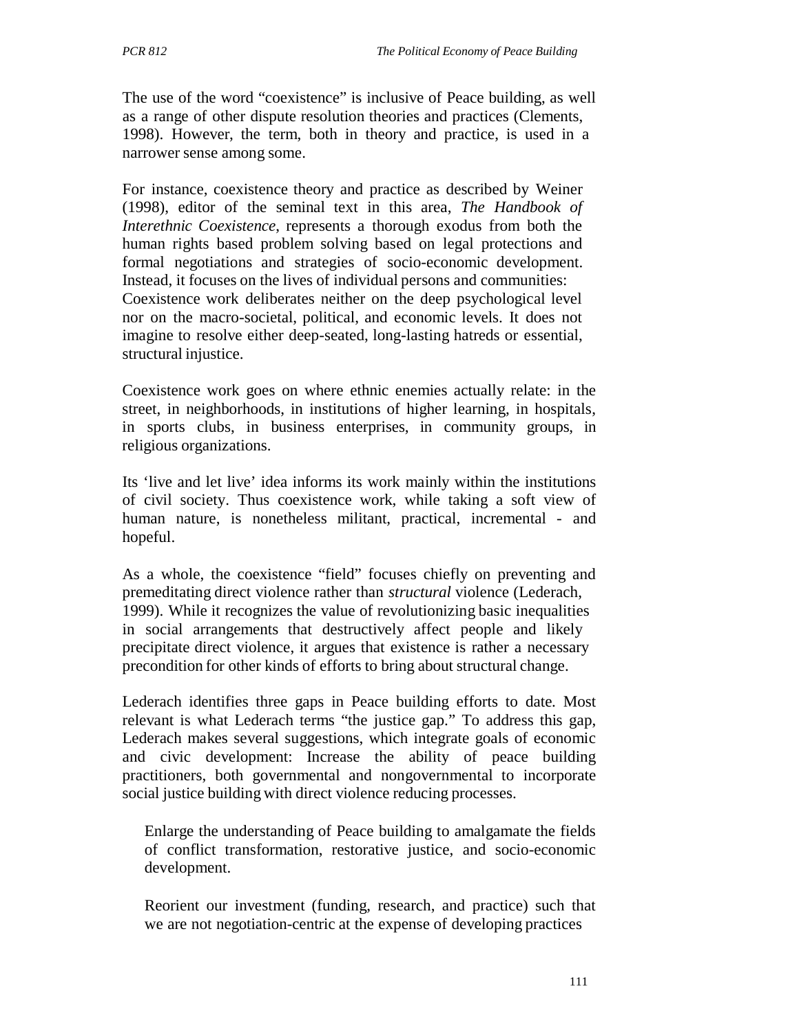The use of the word "coexistence" is inclusive of Peace building, as well as a range of other dispute resolution theories and practices (Clements, 1998). However, the term, both in theory and practice, is used in a narrower sense among some.

For instance, coexistence theory and practice as described by Weiner (1998), editor of the seminal text in this area, *The Handbook of Interethnic Coexistence*, represents a thorough exodus from both the human rights based problem solving based on legal protections and formal negotiations and strategies of socio-economic development. Instead, it focuses on the lives of individual persons and communities: Coexistence work deliberates neither on the deep psychological level nor on the macro-societal, political, and economic levels. It does not imagine to resolve either deep-seated, long-lasting hatreds or essential, structural injustice.

Coexistence work goes on where ethnic enemies actually relate: in the street, in neighborhoods, in institutions of higher learning, in hospitals, in sports clubs, in business enterprises, in community groups, in religious organizations.

Its 'live and let live' idea informs its work mainly within the institutions of civil society. Thus coexistence work, while taking a soft view of human nature, is nonetheless militant, practical, incremental - and hopeful.

As a whole, the coexistence "field" focuses chiefly on preventing and premeditating direct violence rather than *structural* violence (Lederach, 1999). While it recognizes the value of revolutionizing basic inequalities in social arrangements that destructively affect people and likely precipitate direct violence, it argues that existence is rather a necessary precondition for other kinds of efforts to bring about structural change.

Lederach identifies three gaps in Peace building efforts to date. Most relevant is what Lederach terms "the justice gap." To address this gap, Lederach makes several suggestions, which integrate goals of economic and civic development: Increase the ability of peace building practitioners, both governmental and nongovernmental to incorporate social justice building with direct violence reducing processes.

Enlarge the understanding of Peace building to amalgamate the fields of conflict transformation, restorative justice, and socio-economic development.

Reorient our investment (funding, research, and practice) such that we are not negotiation-centric at the expense of developing practices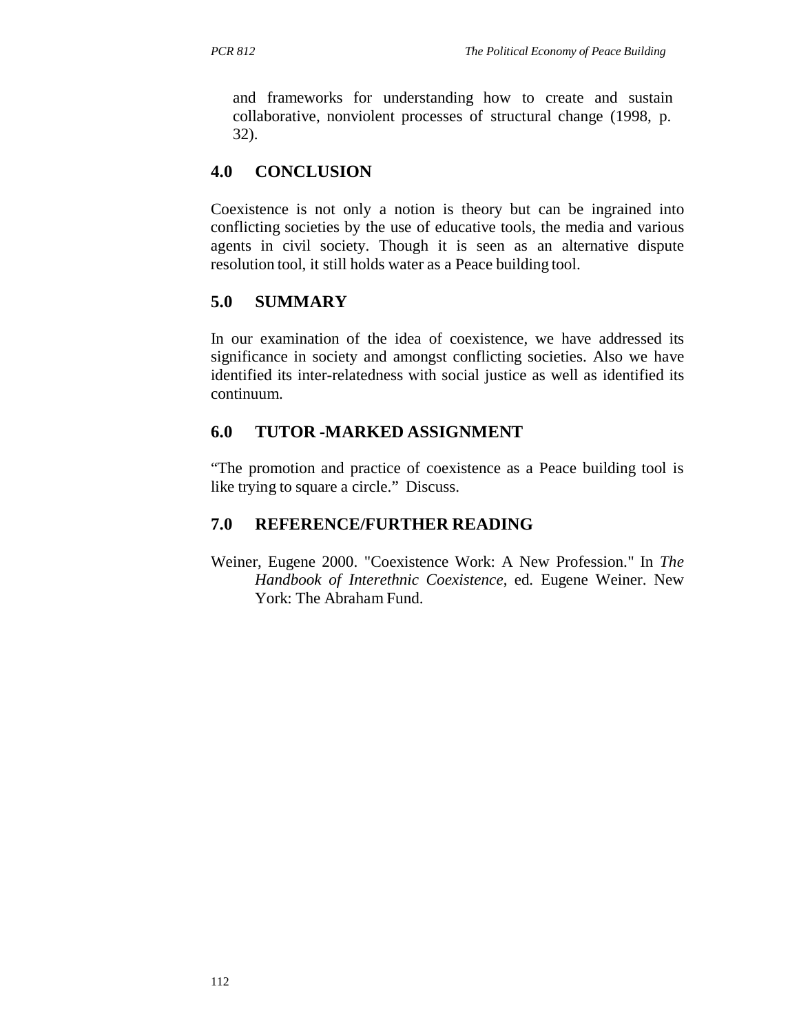and frameworks for understanding how to create and sustain collaborative, nonviolent processes of structural change (1998, p. 32).

## **4.0 CONCLUSION**

Coexistence is not only a notion is theory but can be ingrained into conflicting societies by the use of educative tools, the media and various agents in civil society. Though it is seen as an alternative dispute resolution tool, it still holds water as a Peace building tool.

## **5.0 SUMMARY**

In our examination of the idea of coexistence, we have addressed its significance in society and amongst conflicting societies. Also we have identified its inter-relatedness with social justice as well as identified its continuum.

## **6.0 TUTOR -MARKED ASSIGNMENT**

"The promotion and practice of coexistence as a Peace building tool is like trying to square a circle." Discuss.

## **7.0 REFERENCE/FURTHER READING**

Weiner, Eugene 2000. "Coexistence Work: A New Profession." In *The Handbook of Interethnic Coexistence*, ed. Eugene Weiner. New York: The Abraham Fund.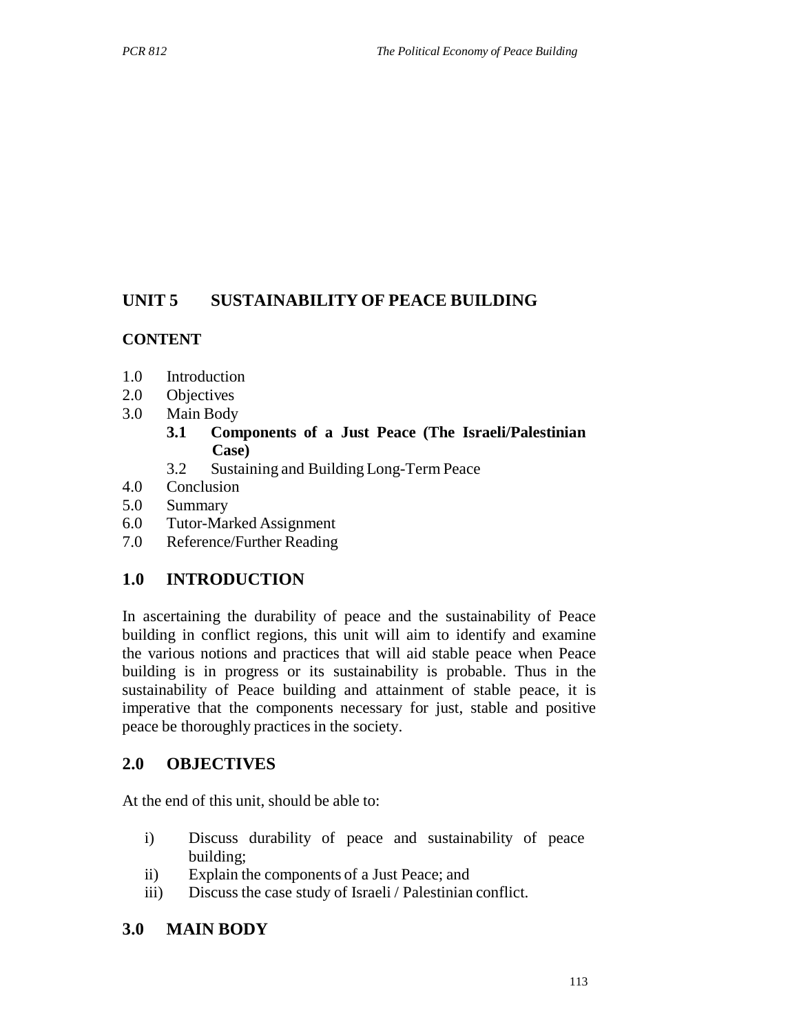## **UNIT 5 SUSTAINABILITY OF PEACE BUILDING**

## **CONTENT**

- 1.0 Introduction
- 2.0 Objectives
- 3.0 Main Body
	- **3.1 Components of a Just Peace (The Israeli/Palestinian Case)**
	- 3.2 Sustaining and Building Long-Term Peace
- 4.0 Conclusion
- 5.0 Summary
- 6.0 Tutor-Marked Assignment
- 7.0 Reference/Further Reading

## **1.0 INTRODUCTION**

In ascertaining the durability of peace and the sustainability of Peace building in conflict regions, this unit will aim to identify and examine the various notions and practices that will aid stable peace when Peace building is in progress or its sustainability is probable. Thus in the sustainability of Peace building and attainment of stable peace, it is imperative that the components necessary for just, stable and positive peace be thoroughly practices in the society.

## **2.0 OBJECTIVES**

At the end of this unit, should be able to:

- i) Discuss durability of peace and sustainability of peace building;
- ii) Explain the components of a Just Peace; and
- iii) Discuss the case study of Israeli / Palestinian conflict.

## **3.0 MAIN BODY**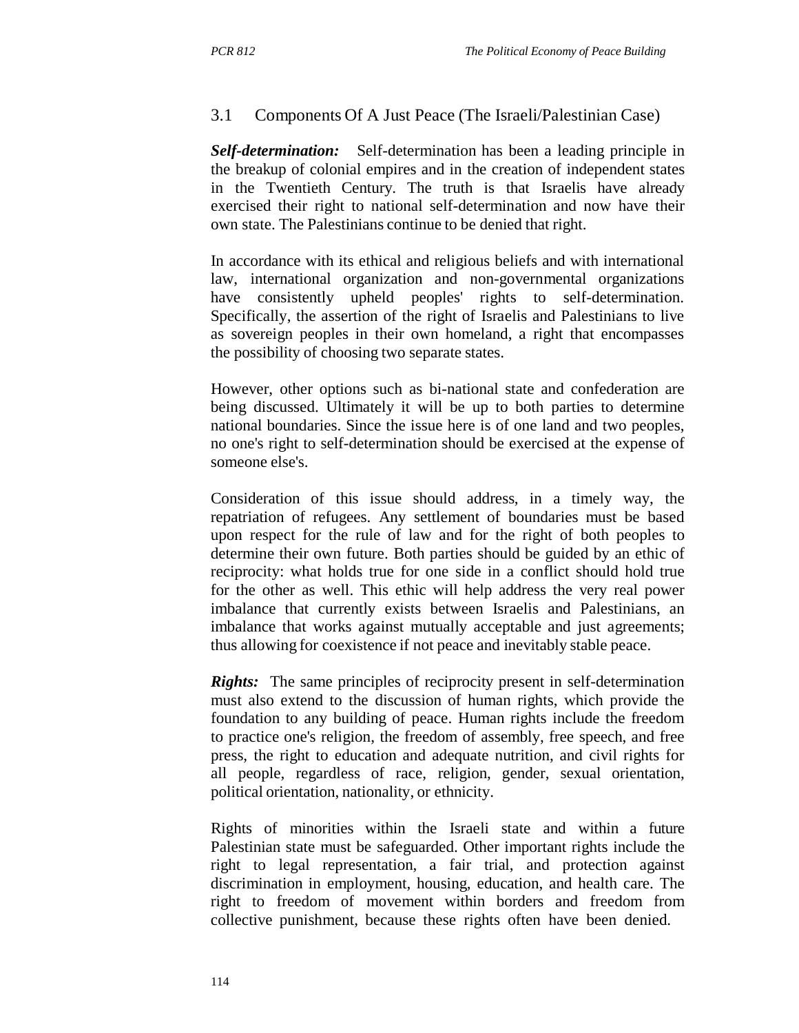### 3.1 Components Of A Just Peace (The Israeli/Palestinian Case)

*Self-determination:* Self-determination has been a leading principle in the breakup of colonial empires and in the creation of independent states in the Twentieth Century. The truth is that Israelis have already exercised their right to national self-determination and now have their own state. The Palestinians continue to be denied that right.

In accordance with its ethical and religious beliefs and with international law, international organization and non-governmental organizations have consistently upheld peoples' rights to self-determination. Specifically, the assertion of the right of Israelis and Palestinians to live as sovereign peoples in their own homeland, a right that encompasses the possibility of choosing two separate states.

However, other options such as bi-national state and confederation are being discussed. Ultimately it will be up to both parties to determine national boundaries. Since the issue here is of one land and two peoples, no one's right to self-determination should be exercised at the expense of someone else's.

Consideration of this issue should address, in a timely way, the repatriation of refugees. Any settlement of boundaries must be based upon respect for the rule of law and for the right of both peoples to determine their own future. Both parties should be guided by an ethic of reciprocity: what holds true for one side in a conflict should hold true for the other as well. This ethic will help address the very real power imbalance that currently exists between Israelis and Palestinians, an imbalance that works against mutually acceptable and just agreements; thus allowing for coexistence if not peace and inevitably stable peace.

*Rights:* The same principles of reciprocity present in self-determination must also extend to the discussion of human rights, which provide the foundation to any building of peace. Human rights include the freedom to practice one's religion, the freedom of assembly, free speech, and free press, the right to education and adequate nutrition, and civil rights for all people, regardless of race, religion, gender, sexual orientation, political orientation, nationality, or ethnicity.

Rights of minorities within the Israeli state and within a future Palestinian state must be safeguarded. Other important rights include the right to legal representation, a fair trial, and protection against discrimination in employment, housing, education, and health care. The right to freedom of movement within borders and freedom from collective punishment, because these rights often have been denied.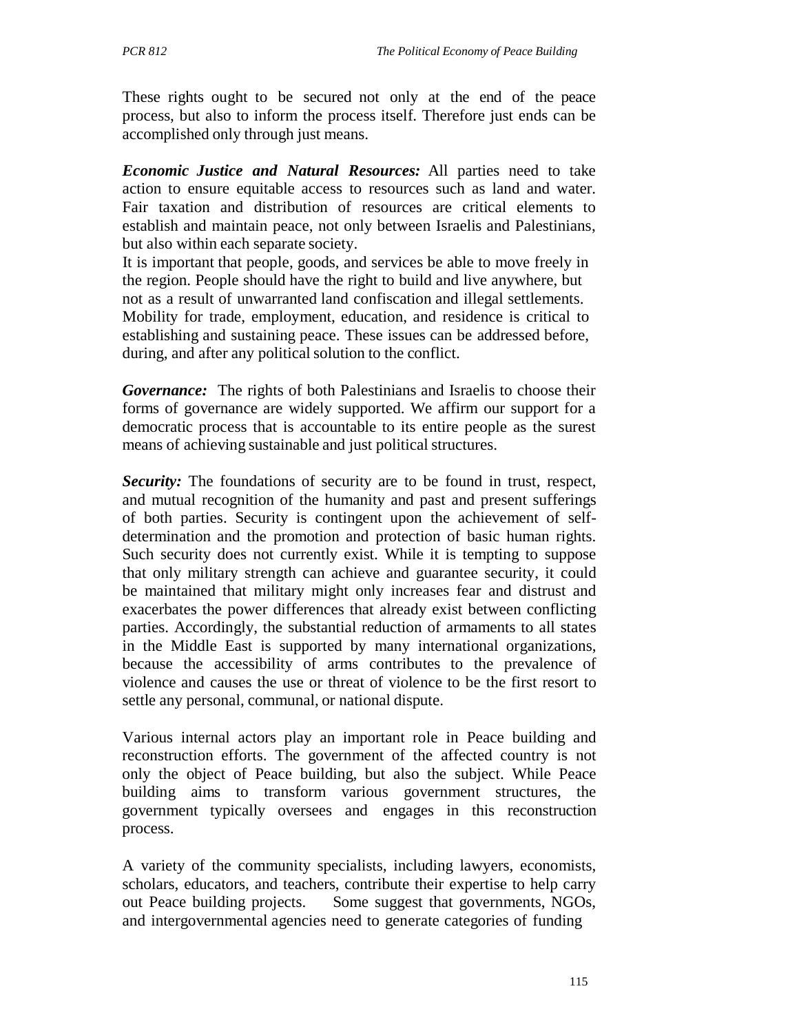These rights ought to be secured not only at the end of the peace process, but also to inform the process itself. Therefore just ends can be accomplished only through just means.

*Economic Justice and Natural Resources:* All parties need to take action to ensure equitable access to resources such as land and water. Fair taxation and distribution of resources are critical elements to establish and maintain peace, not only between Israelis and Palestinians, but also within each separate society.

It is important that people, goods, and services be able to move freely in the region. People should have the right to build and live anywhere, but not as a result of unwarranted land confiscation and illegal settlements. Mobility for trade, employment, education, and residence is critical to establishing and sustaining peace. These issues can be addressed before, during, and after any political solution to the conflict.

*Governance:* The rights of both Palestinians and Israelis to choose their forms of governance are widely supported. We affirm our support for a democratic process that is accountable to its entire people as the surest means of achieving sustainable and just political structures.

*Security:* The foundations of security are to be found in trust, respect, and mutual recognition of the humanity and past and present sufferings of both parties. Security is contingent upon the achievement of selfdetermination and the promotion and protection of basic human rights. Such security does not currently exist. While it is tempting to suppose that only military strength can achieve and guarantee security, it could be maintained that military might only increases fear and distrust and exacerbates the power differences that already exist between conflicting parties. Accordingly, the substantial reduction of armaments to all states in the Middle East is supported by many international organizations, because the accessibility of arms contributes to the prevalence of violence and causes the use or threat of violence to be the first resort to settle any personal, communal, or national dispute.

Various internal actors play an important role in Peace building and reconstruction efforts. The government of the affected country is not only the object of Peace building, but also the subject. While Peace building aims to transform various government structures, the government typically oversees and engages in this reconstruction process.

A variety of the community specialists, including lawyers, economists, scholars, educators, and teachers, contribute their expertise to help carry out Peace building projects. Some suggest that governments, NGOs, and intergovernmental agencies need to generate categories of funding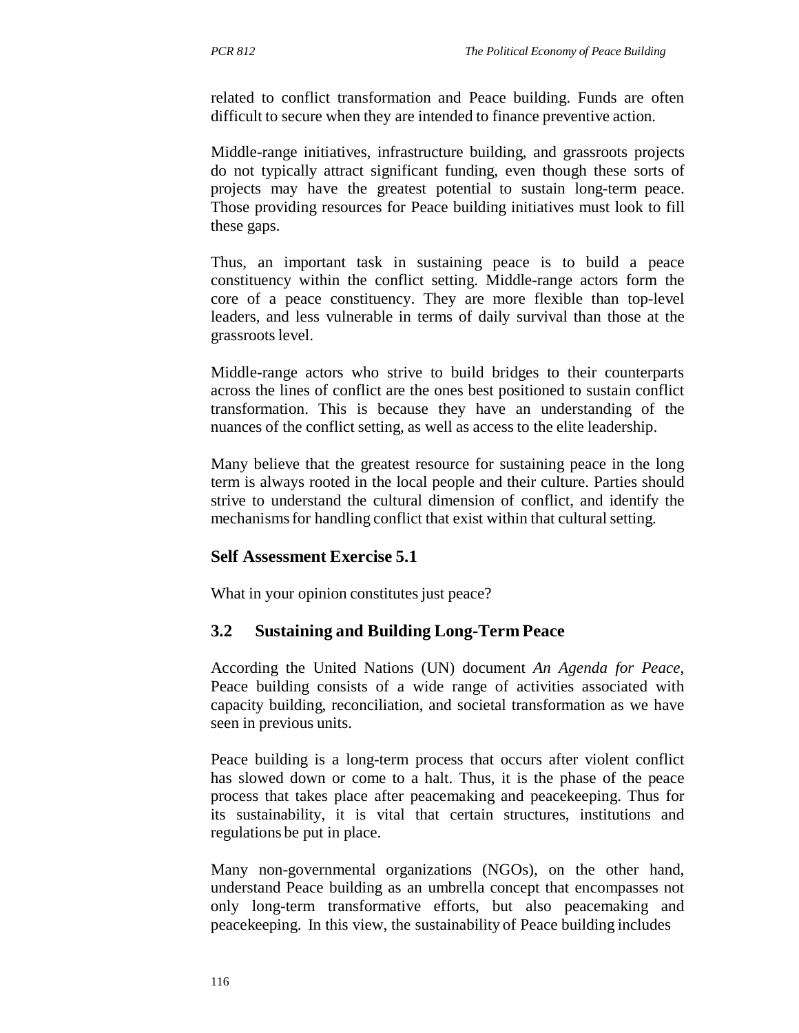related to conflict transformation and Peace building. Funds are often difficult to secure when they are intended to finance preventive action.

Middle-range initiatives, infrastructure building, and grassroots projects do not typically attract significant funding, even though these sorts of projects may have the greatest potential to sustain long-term peace. Those providing resources for Peace building initiatives must look to fill these gaps.

Thus, an important task in sustaining peace is to build a peace constituency within the conflict setting. Middle-range actors form the core of a peace constituency. They are more flexible than top-level leaders, and less vulnerable in terms of daily survival than those at the grassroots level.

Middle-range actors who strive to build bridges to their counterparts across the lines of conflict are the ones best positioned to sustain conflict transformation. This is because they have an understanding of the nuances of the conflict setting, as well as access to the elite leadership.

Many believe that the greatest resource for sustaining peace in the long term is always rooted in the local people and their culture. Parties should strive to understand the cultural dimension of conflict, and identify the mechanisms for handling conflict that exist within that cultural setting.

### **Self Assessment Exercise 5.1**

What in your opinion constitutes just peace?

## **3.2 Sustaining and Building Long-Term Peace**

According the United Nations (UN) document *An Agenda for Peace*, Peace building consists of a wide range of activities associated with capacity building, reconciliation, and societal transformation as we have seen in previous units.

Peace building is a long-term process that occurs after violent conflict has slowed down or come to a halt. Thus, it is the phase of the peace process that takes place after peacemaking and peacekeeping. Thus for its sustainability, it is vital that certain structures, institutions and regulations be put in place.

Many non-governmental organizations (NGOs), on the other hand, understand Peace building as an umbrella concept that encompasses not only long-term transformative efforts, but also peacemaking and peacekeeping. In this view, the sustainability of Peace building includes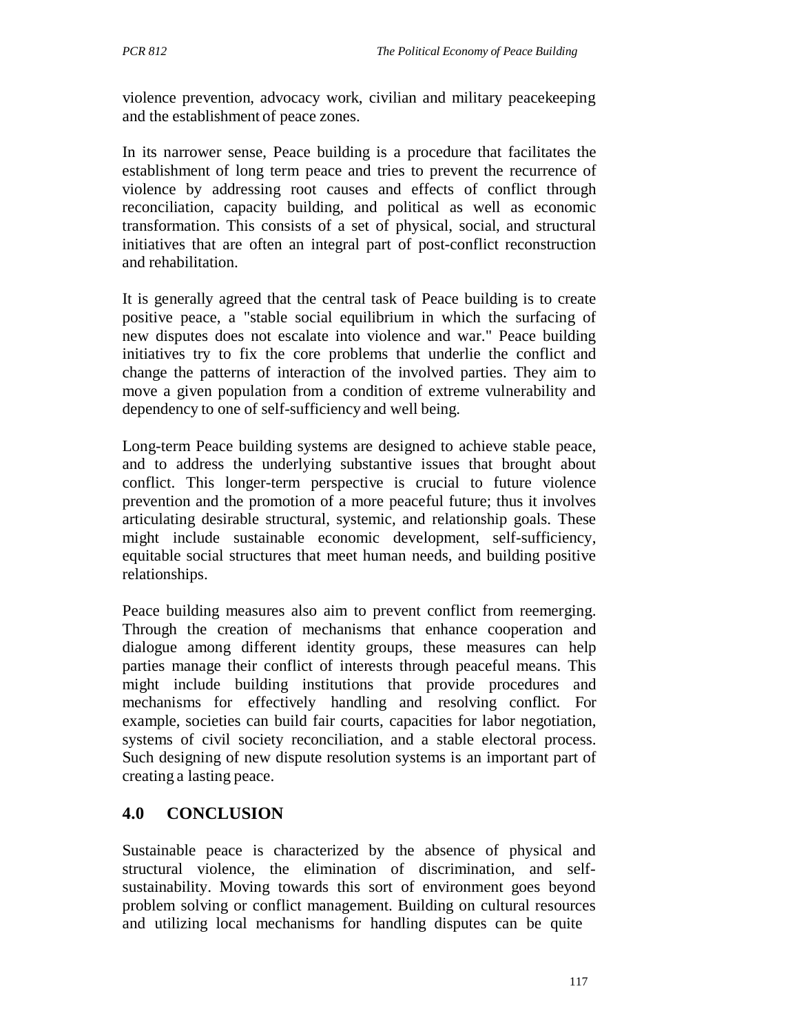violence prevention, advocacy work, civilian and military peacekeeping and the establishment of peace zones.

In its narrower sense, Peace building is a procedure that facilitates the establishment of long term peace and tries to prevent the recurrence of violence by addressing root causes and effects of conflict through reconciliation, capacity building, and political as well as economic transformation. This consists of a set of physical, social, and structural initiatives that are often an integral part of post-conflict reconstruction and rehabilitation.

It is generally agreed that the central task of Peace building is to create positive peace, a "stable social equilibrium in which the surfacing of new disputes does not escalate into violence and war." Peace building initiatives try to fix the core problems that underlie the conflict and change the patterns of interaction of the involved parties. They aim to move a given population from a condition of extreme vulnerability and dependency to one of self-sufficiency and well being.

Long-term Peace building systems are designed to achieve stable peace, and to address the underlying substantive issues that brought about conflict. This longer-term perspective is crucial to future violence prevention and the promotion of a more peaceful future; thus it involves articulating desirable structural, systemic, and relationship goals. These might include sustainable economic development, self-sufficiency, equitable social structures that meet human needs, and building positive relationships.

Peace building measures also aim to prevent conflict from reemerging. Through the creation of mechanisms that enhance cooperation and dialogue among different identity groups, these measures can help parties manage their conflict of interests through peaceful means. This might include building institutions that provide procedures and mechanisms for effectively handling and resolving conflict. For example, societies can build fair courts, capacities for labor negotiation, systems of civil society reconciliation, and a stable electoral process. Such designing of new dispute resolution systems is an important part of creating a lasting peace.

## **4.0 CONCLUSION**

Sustainable peace is characterized by the absence of physical and structural violence, the elimination of discrimination, and selfsustainability. Moving towards this sort of environment goes beyond problem solving or conflict management. Building on cultural resources and utilizing local mechanisms for handling disputes can be quite